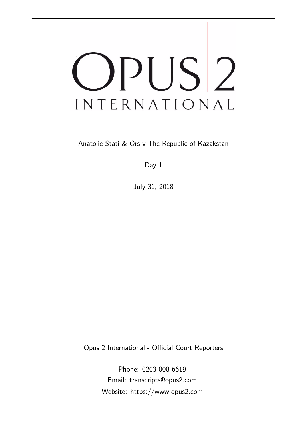# OPUS<sup>2</sup> INTERNATIONAL

Anatolie Stati & Ors v The Republic of Kazakstan

Day 1

July 31, 2018

Opus 2 International - Official Court Reporters

Phone: 0203 008 6619 Email: transcripts@opus2.com Website: https://www.opus2.com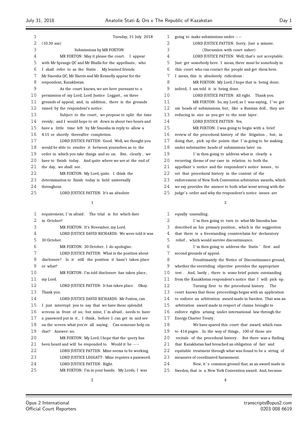| 1      | Tuesday, 31 July 2018                                           |  |  |
|--------|-----------------------------------------------------------------|--|--|
| 2      | $(10.30 \text{ am})$                                            |  |  |
| 3      | Submissions by MR FOXTON                                        |  |  |
| 4      | MR FOXTON: May it please the court. I appear                    |  |  |
| 5      | with Mr Sprange QC and Mr Bhalla for the appellants, who        |  |  |
| 6      | I shall refer to as the Statis. My learned friends              |  |  |
| 7      | Mr Smouha QC, Mr Harris and Mr Kennelly appear for the          |  |  |
| 8      | respondent, Kazakhstan.                                         |  |  |
| 9      | As the court knows, we are here pursuant to a                   |  |  |
| 10     | permission of my Lord, Lord Justice Leggatt, on three           |  |  |
| 11     | grounds of appeal; and, in addition, there is the grounds       |  |  |
| 12     | raised by the respondent's notice.                              |  |  |
| 13     | Subject to the court, we propose to split the time              |  |  |
| 14     | evenly; and I would hope to sit down in about two hours and     |  |  |
| 15     | have a little time left by Mr Smouha in reply to allow a        |  |  |
| 16     | 4.15 or shortly thereafter completion.                          |  |  |
| 17     | LORD JUSTICE PATTEN: Good. Well, we thought you                 |  |  |
| 18     | would be able to resolve it between yourselves as to the        |  |  |
| 19     | order in which you take things and so on. But, clearly, we      |  |  |
| 20     | have to finish today. And quite where we are at the end of      |  |  |
| 21     | the day, we shall see.                                          |  |  |
| 22     | MR FOXTON: My Lord, quite. I think the                          |  |  |
| 23     | determination to finish today is held universally               |  |  |
| 24     | throughout.                                                     |  |  |
| 25     | LORD JUSTICE PATTEN: It's an absolute                           |  |  |
|        | 1                                                               |  |  |
|        |                                                                 |  |  |
| 1      | requirement, I'm afraid. The trial is for which date            |  |  |
| 2      | in October?                                                     |  |  |
| 3<br>4 | MR FOXTON: It's November, my Lord.                              |  |  |
| 5      | LORD JUSTICE DAVID RICHARDS: We were told it was<br>30 October. |  |  |
| 6      | MR FOXTON: 30 October. I do apologise.                          |  |  |
| 7      | LORD JUSTICE PATTEN: What is the position about                 |  |  |
| 8      | disclosure? Is it still the position it hasn't taken place      |  |  |
| 9      | or what?                                                        |  |  |
| 10     | MR FOXTON: I'm told disclosure has taken place,                 |  |  |
| 11     | my Lord.                                                        |  |  |
| 12     | LORD JUSTICE PATTEN: It has taken place.<br>Okay.               |  |  |
| 13     | Thank you.                                                      |  |  |
| 14     | LORD JUSTICE DAVID RICHARDS: Mr Foxton, can                     |  |  |
| 15     | I just interrupt you to say that we have these splendid         |  |  |
| 16     | screens in front of us; but mine, I'm afraid, needs to have     |  |  |
| 17     | a password put in it, I think, before I can get in and see      |  |  |
| 18     | on the screen what you're all saying. Can someone help on       |  |  |
| 19     |                                                                 |  |  |
| 20     | that?<br>Answer: no.                                            |  |  |
|        | MR FOXTON: My Lord, I hope that the query has                   |  |  |
| 21     | been heard and will be responded to. Would it be $--$           |  |  |
| 22     | LORD JUSTICE PATTEN: Mine seems to be working.                  |  |  |
| 23     | LORD JUSTICE LEGGATT: Mine requires a password.                 |  |  |
| 24     | LORD JUSTICE PATTEN: Right.                                     |  |  |
| 25     | MR FOXTON: I'm in your hands. My Lords, I was                   |  |  |

| 1  | going to make submissions under $--$                         |
|----|--------------------------------------------------------------|
| 2  | LORD JUSTICE PATTEN: Sorry. Just a minute.                   |
| 3  | (Discussion with court usher)                                |
| 4  | LORD JUSTICE PATTEN: Well, that's not acceptable.            |
| 5  | Just get somebody here. I mean, there must be somebody in    |
| 6  | this court who can contact the people and get them here.     |
| 7  | I mean, this is absolutely ridiculous.                       |
| 8  | MR FOXTON: My Lord, I hope that is being done;               |
| 9  | indeed, I am told it is being done.                          |
| 10 | LORD JUSTICE PATTEN: All right. Thank you.                   |
| 11 | MR FOXTON: So, my Lord, as I was saying, I've got            |
| 12 |                                                              |
| 13 | six heads of submissions, but, like a Russian doll, they are |
|    | reducing in size as you get to the next layer.               |
| 14 | LORD JUSTICE PATTEN: Yes.                                    |
| 15 | MR FOXTON: I was going to begin with a brief                 |
| 16 | review of the procedural history of the litigation, but, in  |
| 17 | doing that, pick up the points that I'm going to be making   |
| 18 | under substantive heads of submissions later on.             |
| 19 | I'm then going to address what is clearly a                  |
| 20 | recurring theme of our case in relation to both the          |
| 21 | appellant's notice and the respondent's notice issues, to    |
| 22 | set that procedural history in the context of the            |
| 23 | enforcement of New York Convention arbitration awards, which |
| 24 | we say provides the answer to both what went wrong with the  |
| 25 | judge's order and why the respondent's notice issues are     |

 equally unavailing . I 'm then going to turn to what Mr Smouha has 3 described as his primary position, which is the suggestion that there is a freestanding counterclaim for declaratory relief , which would survive discontinuance. I 'm then going to address the Statis ' first and second grounds of appeal. Penultimately the Notice of Discontinuance ground, whether the overriding objective provides the appropriate 10 test. And, lastly, there is some brief points outstanding from the Kazakhstan respondent's notice that I will pick up. Turning first to the procedural history . The court knows that these proceedings began with an application to enforce an arbitration award made in Sweden. That was an arbitration award made in respect of claims brought to enforce rights arising under international law through the Energy Charter Treaty. We have spared this court that award, which runs to 414 pages. In the way of things , 100 of those are 20 recitals of the procedural history. But there was a finding that Kazakhstan had breached an obligation of fair and equitable treatment through what was found to be a string of measures of coordinated harassment. 24 Now, it's common ground that, as an award made in Sweden, that is a New York Convention award. And, because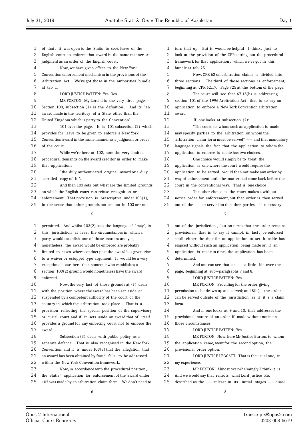1 of that, it was open to the Statis to seek leave of the English court to enforce that award in the same manner or judgment as an order of the English court . Now, we have given effect to the New York Convention enforcement mechanism in the provisions of the Arbitration Act. We've got those in the authorities bundle at tab 1. 8 LORD JUSTICE PATTEN: Yes. Yes. MR FOXTON: My Lord, it is the very first page. Section 100, subsection (1) is the definition . And its "an award made in the territory of a State other than the United Kingdom which is party to the Convention". 101 over the page. It is 101 subsection (2) which provides for leave to be given to enforce a New York Convention award in the same manner as a judgment or order 16 of the court. While we're here at 102, note the very limited procedural demands on the award creditor in order to make that application : "the duly authenticated original award or a duly certified copy of it ". And then 103 sets out what are the limited grounds on which the English court can refuse recognition or enforcement. That provision is prescriptive under 103(1), in the sense that other grounds not set out in 103 are not  $\sqrt{2}$  permitted. And whilst 103(2) uses the language of "may", in this jurisdiction at least the circumstances in which a party would establish one of those matters and yet , nonetheless, the award would be enforced are probably limited to cases where conduct post the award has given rise to a waiver or estoppel type argument. It would be a very exceptional case here that someone who establishes a section 103(2) ground would nonetheless have the award enforced. 10 Now, the very last of those grounds at (f) deals with the position where the award has been set aside or suspended by a competent authority of the court of the 13 country in which the arbitration took place. That is a provision reflecting the special position of the supervisory or curial court and if it sets aside an award that of itself provides a ground for any enforcing court not to enforce the award. Subsection (3) deals with public policy as a separate defence. That is also recognised in the New York Convention; and it is under 103(3) that the allegation that an award has been obtained by fraud falls to be addressed within the New York Convention framework. Now, in accordance with the procedural position , 1 turn that up. But it would be helpful, I think, just to look at the provision of the CPR setting out the procedural framework for that application , which we've got in this award. form.

 bundle at tab 25. Now, CPR 62 on arbitration claims is divided into three sections . The third of those sections is enforcement, beginning at CPR 62.17. Page 725 at the bottom of the page. The court will see that 67.18(b) is addressing section 101 of the 1996 Arbitration Act, that is to say an application to enforce a New York Convention arbitration If one looks at subsection (2): "The court to whom such an application is made may specify parties to the arbitration on whom the arbitration claim form must be served" *−−* and that mandatory language signals the fact that the application to whom the application to enforce is made has two choices. One choice would simply be to treat the application as one where the court would require the 20 application to be served, would then not make any order by way of enforcement until the matter had come back before the 22 court in the conventional way. That is one choice. The other choice is the court makes a without notice order for enforcement, but that order is then served out of the *−−* or served on the other parties , if necessary out of the jurisdiction , but on terms that the order remains 2 provisional, that is to say it cannot, in fact, be enforced until either the time for an application to set it aside has elapsed without such an application being made or, if an application is made in time, the application has been determined. And one can see that at *−−* a little bit over the page, beginning at sub*−*paragraphs 7 and 8. LORD JUSTICE PATTEN: Yes. MR FOXTON: Providing for the order giving permission to be drawn up and served; and 8(b), the order 12 can be served outside of the jurisdiction as if it's a claim And if one looks at 9 and 10, that addresses the provisional nature of an order if made without notice in those circumstances. 17 LORD JUSTICE PATTEN: Yes. MR FOXTON: Now, here Mr Justice Burton, to whom the application came, went for the second option, the 20 provisional order option. **LORD JUSTICE LEGGATT:** That is the usual one, in my experience. MR FOXTON: Almost overwhelmingly, I think it is . And we would say that reflects what Lord Justice Rix described as the *−−* at least in its initial stages *−−* quasi

 the Statis ' application for enforcement of the award under 102 was made by an arbitration claim form. We don't need to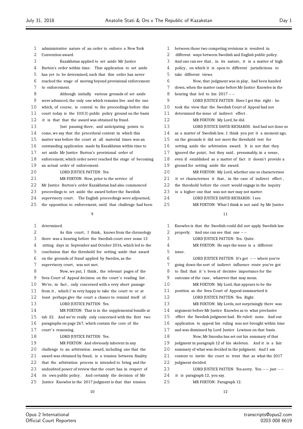administrative nature of an order to enforce a New York Convention award. Kazakhstan applied to set aside Mr Justice Burton's order within time. That application to set aside has yet to be determined, such that this order has never reached the stage of moving beyond provisional enforcement to enforcement. Although initially various grounds of set aside were advanced, the only one which remains live and the one which, of course, is central to the proceedings before this court today is the 103(3) public policy ground on the basis it is that that the award was obtained by fraud. Just pausing there , and anticipating points to come, we say that the procedural context in which this matter was before the court at all material times was an outstanding application made by Kazakhstan within time to set aside Mr Justice Burton's provisional order of enforcement, which order never reached the stage of becoming an actual order of enforcement. 20 LORD JUSTICE PATTEN: Yes. MR FOXTON: Now, prior to the service of Mr Justice Burton's order Kazakhstan had also commenced proceedings to set aside the award before the Swedish 24 supervisory court. The English proceedings were adjourned, the opposition to enforcement, until that challenge had been  $\alpha$  determined. 2 As this court, I think, knows from the chronology there was a hearing before the Swedish court over some 13 sitting days in September and October 2016, which led to the conclusion that the threshold for setting aside that award on the grounds of fraud applied by Sweden, as the 7 supervisory court, was not met.

 Now, we put, I think , the relevant pages of the 9 Svea Court of Appeal decision on the court's reading list. We're, in fact , only concerned with a very short passage 11 from it, which I'm very happy to take the court to or at least perhaps give the court a chance to remind itself of . 13 LORD JUSTICE PATTEN: Yes. MR FOXTON: That is in the supplemental bundle at tab 22. And we're really only concerned with the first two

 paragraphs on page 267, which contain the core of the 17 court's reasoning.

# 18 LORD JUSTICE PATTEN: Yes.

 MR FOXTON: And obviously inherent in any challenge to an arbitration award, including one that the award was obtained by fraud, is a tension between finality that the arbitration process is intended to bring and the undoubted power of review that the court has in respect of its own public policy . And certainly the decision of Mr

Justice Knowles in the 2017 judgment is that that tension

 between those two competing revisions is resolved in different ways between Swedish and English public policy . 3 And one can see that, in its nature, it is a matter of high policy , on which it is open to different jurisdictions to take different views. Now, that judgment was in play, had been handed down, when the matter came before Mr Justice Knowles in the hearing that led to his 2017 *−−* LORD JUSTICE PATTEN: Have I got this right : he took the view that the Swedish Court of Appeal had not determined the issue of indirect effect . MR FOXTON: My Lord, he did. LORD JUSTICE DAVID RICHARDS: And had not done so as a matter of Swedish law, I think you put it a moment ago, on the grounds it did not meet the threshold test for setting aside the arbitration award. It is not that they 17 ignored the point, but they said, presumably, in a sense, even if established as a matter of fact it doesn't provide a ground for setting aside the award. MR FOXTON: My Lord, whether one so characterises 21 it or characterises it that, in the case of indirect effect, the threshold before the court would engage in the inquiry is a higher one that was not met may not matter.

- LORD JUSTICE DAVID RICHARDS: I see.
- MR FOXTON: What I think is not said by Mr Justice

| $\mathbf{1}$ | Knowles is that the Swedish could did not apply Swedish law  |
|--------------|--------------------------------------------------------------|
| 2            | And one can see that one $--$<br>properly.                   |
| 3            | LORD JUSTICE PATTEN: Yes. Quite.                             |
| 4            | MR FOXTON: He says the issue is a different                  |
| 5            | issue.                                                       |
| 6            | LORD JUSTICE PATTEN: It's got -- where you're                |
| 7            | going down the sort of indirect influence route you've got   |
| 8            | to find that it's been of decisive importance for the        |
| 9            | outcome of the case, whatever that may mean.                 |
| 10           | MR FOXTON: My Lord, that appears to be the                   |
| 11           | position as the Svea Court of Appeal summarised it.          |
| 12           | LORD JUSTICE PATTEN: Yes. Right.                             |
| 13           | MR FOXTON: My Lords, not surprisingly there was              |
| 14           | argument before Mr Justice Knowles as to what preclusive     |
| 15           | effect the Swedish judgment had. He ruled: none. And our     |
| 16           | application to appeal his ruling was not brought within time |
| 17           | and was dismissed by Lord Justice Lewison on that basis.     |
| 18           | Now, Mr Smouha has set out his summary of that               |
| 19           | judgment in paragraph 12 of his skeleton. And it is a fair   |
| 20           | summary of what was decided in the judgment. And I am        |
| 21           | content to invite the court to treat that as what the 2017   |
| 22           | judgment decided.                                            |
| 23           | LORD JUSTICE PATTEN: Yes.sorry. You $--$ just $--$           |
| 24           | it is paragraph 12, you say.                                 |
| 25           | MR FOXTON: Paragraph 12.                                     |
|              |                                                              |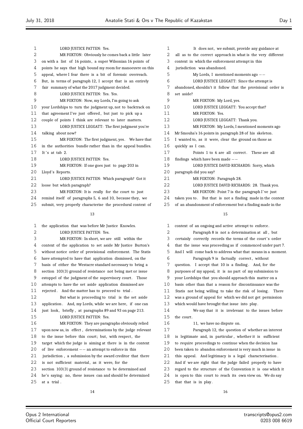| $\mathbf{1}$ | LORD JUSTICE PATTEN: Yes.                                    |
|--------------|--------------------------------------------------------------|
| 2            | MR FOXTON: Obviously he comes back a little later            |
| 3            | on with a list of 16 points, a super Wilsonian 16 points of  |
| 4            | points he says that high bound my room for manoeuvre on this |
| 5            | appeal, where I fear there is a bit of forensic overreach.   |
| 6            | But, in terms of paragraph 12, I accept that is an entirely  |
| 7            | fair summary of what the 2017 judgment decided.              |
| 8            | LORD JUSTICE PATTEN: Yes. Yes.                               |
| 9            | MR FOXTON: Now, my Lords, I'm going to ask                   |
| 10           | your Lordships to turn the judgment up, not to backtrack on  |
| 11           | that agreement I've just offered, but just to pick up a      |
| 12           | couple of points I think are relevant to later matters.      |
| 13           | LORD JUSTICE LEGGATT: The first judgment you're              |
| 14           | talking about now?                                           |
| 15           | MR FOXTON: The first judgment, yes. We have that             |
| 16           | in the authorities bundle rather than in the appeal bundles. |
| 17           | It's at tab $2$ .                                            |
| 18           | LORD JUSTICE PATTEN: Yes.                                    |
| 19           | MR FOXTON: If one goes just to page 203 in                   |
| 20           | Lloyd's Reports.                                             |
| 21           | LORD JUSTICE PATTEN: Which paragraph? Got it                 |
| 22           | loose but which paragraph?                                   |
| 23           | MR FOXTON: It is really for the court to just                |
| 24           | remind itself of paragraphs 5, 6 and 10, because they, we    |
| 25           | submit, very properly characterise the procedural context of |
|              | 13                                                           |

 the application that was before Mr Justice Knowles. 2 LORD JUSTICE PATTEN: Yes. MR FOXTON: In short, we are still within the context of the application to set aside Mr Justice Burton's without notice order of provisional enforcement. The Statis have attempted to have that application dismissed, on the basis of either the Westacre standard necessary to bring a section 103(3) ground of resistance not being met or issue 9 estoppel of the judgment of the supervisory court. Those attempts to have the set aside application dismissed are rejected . And the matter has to proceed to trial . But what is proceeding to trial is the set aside 13 application. And, my Lords, while we are here, if one can just look, briefly , at paragraphs 89 and 93 on page 213. LORD JUSTICE PATTEN: Yes. MR FOXTON: They are paragraphs obviously relied upon now as, in effect , determinations by the judge relevant 18 to the issue before this court; but, with respect, the target which the judge is aiming at there is in the context of live enforcement *−−* an attempt to enforce in this jurisdiction , a submission by the award creditor that there 22 is not sufficient material, as it were, for the section 103(3) ground of resistance to be determined and he's saying: no, these issues can and should be determined at a trial . 

| 1  | It does not, we submit, provide any guidance at              |
|----|--------------------------------------------------------------|
| 2  | all as to the correct approach in what is the very different |
| 3  | context in which the enforcement attempt in this             |
| 4  | jurisdiction was abandoned.                                  |
| 5  | My Lords, I mentioned moments ago $--$                       |
| 6  | LORD JUSTICE LEGGATT: Since the attempt is                   |
| 7  | abandoned, shouldn't it follow that the provisional order is |
| 8  | set aside?                                                   |
| 9  | MR FOXTON: My Lord, yes.                                     |
| 10 | LORD JUSTICE LEGGATT: You accept that?                       |
| 11 | MR FOXTON: Yes.                                              |
| 12 | LORD JUSTICE LEGGATT: Thank you.                             |
| 13 | MR FOXTON: My Lords, I mentioned moments ago                 |
| 14 | Mr Smouha's 16 points in paragraph 28 of his skeleton.       |
| 15 | I wanted to, as it were, clear the ground on those as        |
| 16 | quickly as I can.                                            |
| 17 | Points 1 to 6 are all correct. These are all                 |
| 18 | findings which have been made $--$                           |
| 19 | LORD JUSTICE DAVID RICHARDS: Sorry, which                    |
| 20 | paragraph did you say?                                       |
| 21 | MR FOXTON: Paragraph 28.                                     |
| 22 | LORD JUSTICE DAVID RICHARDS: 28. Thank you.                  |
| 23 | MR FOXTON: Point 7 is the paragraph I've just                |
| 24 | taken you to. But that is not a finding made in the context  |
| 25 | of an abandonment of enforcement but a finding made in the   |

| $\mathbf{1}$ | context of an ongoing and active attempt to enforce.         |
|--------------|--------------------------------------------------------------|
| 2            | Paragraph 8 is not a determination at all, but               |
| 3            | certainly correctly records the terms of the court's order   |
| 4            | that the issue was proceeding as if commenced under part 7.  |
| 5            | And I will come back to address what that means in a moment. |
| 6            | Paragraph 9 is factually correct, without                    |
| 7            | question. I accept that 10 is a finding. And, for the        |
| 8            | purposes of my appeal, it is no part of my submission to     |
| 9            | your Lordships that you should approach this matter on a     |
| 10           | basis other than that a reason for discontinuance was the    |
| 11           | Statis not being willing to take the risk of losing. There   |
| 12           | was a ground of appeal for which we did not get permission   |
| 13           | which would have brought that issue into play.               |
| 14           | We say that it is irrelevant to the issues before            |
| 15           | the court.                                                   |
| 16           | 11, we have no dispute on.                                   |
| 17           | Paragraph 12, the question of whether an interest            |
| 18           | is legitimate and, in particular, whether it is sufficient   |
| 19           | to require proceedings to continue when the decision has     |
| 20           | been taken to abandon enforcement is very much in issue in   |
| 21           | this appeal. And legitimacy is a legal characterisation.     |
| 22           | And if we are right that the judge failed properly to have   |
| 23           | regard to the structure of the Convention it is one which it |
| 24           | is open to this court to reach its own view on. We do say    |
| 25           | that that is in play.                                        |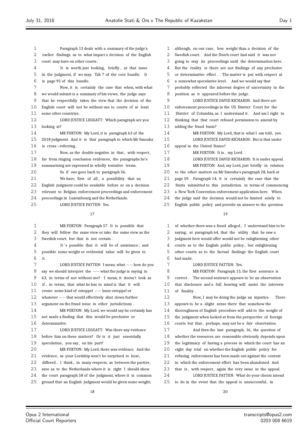looking at?

16<br>17

 $\equiv$ 

| 1  | Paragraph 13 deals with a summary of the judge's             | 1  | although, on our case, less weight than a decision of the    |
|----|--------------------------------------------------------------|----|--------------------------------------------------------------|
| 2  | earlier findings as to what impact a decision of the English | 2  | Swedish court. And the Dutch court had said it was not       |
| 3  | court may have on other courts.                              | 3  | going to stay its proceedings until the determination here.  |
| 4  | It is worth just looking, briefly, at that issue             | 4  | But the reality is there are not findings of any preclusive  |
| 5  | in the judgment, if we may. Tab 7 of the core bundle. It     | 5  | or determinative effect. The matter is put with respect at   |
| 6  | is page 95 of this bundle.                                   | 6  | a somewhat speculative level. And we would say that          |
| 7  | Now, it is certainly the case that when, with what           | 7  | probably reflected the inherent degree of uncertainty in the |
| 8  | we would submit is a summary of his views, the judge says    | 8  | position as it appeared before the judge.                    |
| 9  | that he respectfully takes the view that the decision of the | 9  | LORD JUSTICE DAVID RICHARDS: And there are                   |
| 10 | English court will not be without use to courts of at least  | 10 | enforcement proceedings in the US District Court for the     |
| 11 | some other countries.                                        | 11 | District of Columbia, as I understand it. And am I right in  |
| 12 | LORD JUSTICE LEGGATT: Which paragraph are you                | 12 | thinking that that court refused permission to amend by      |
| 13 | looking at?                                                  | 13 | adding the fraud basis?                                      |
| 14 | MR FOXTON: My Lord, it is paragraph 63 of the                | 14 | MR FOXTON: My Lord, that is what I am told, yes.             |
| 15 | 2018 judgment. And it is that paragraph to which Mr Smouha   | 15 | LORD JUSTICE DAVID RICHARDS: But is that under               |
| 16 | is cross-referring.                                          | 16 | appeal in the United States?                                 |
| 17 | Now, as the double negative in that, with respect,           | 17 | MR FOXTON: It is, my Lord.                                   |
| 18 | far from ringing conclusion evidences, the paragraphs he's   | 18 | LORD JUSTICE DAVID RICHARDS: It is under appeal.             |
| 19 | summarising are expressed in wholly tentative terms.         | 19 | MR FOXTON: And, my Lord, just briefly in relation            |
| 20 | So if one goes back to paragraph 56.                         | 20 | to the other matters on Mr Smouha's paragraph 28, back at    |
| 21 | We have, first of all, a possibility that an                 | 21 | page 59. Paragraph 14, it is certainly the case that the     |
| 22 | English judgment could be available before or on a decision  | 22 | Statis submitted to this jurisdiction in terms of commencing |
| 23 | relevant to Belgian enforcement proceedings and enforcement  | 23 | a New York Convention enforcement application here. When     |
| 24 | proceedings in Luxembourg and the Netherlands.               | 24 | the judge said the decision would not be limited solely to   |
| 25 | LORD JUSTICE PATTEN: Yes.                                    | 25 | English public policy and provide an answer to the question  |
|    | 17                                                           |    | 19                                                           |
| 1  | MR FOXTON: Paragraph 57. It is possible that                 | 1  | of whether there was a fraud alleged, I understand him to be |
| 2  | they will follow the same view or take the same view as the  | 2  | saying, at paragraph 64, that the utility that he saw a      |
| 3  | Swedish court, but that is not certain.                      | 3  | judgment here would offer would not be enlightening other    |
| 4  | It's possible that it will be of assistance; and             | 4  | courts as to the English public policy, but enlightening     |
| 5  | possible some weight or evidential value will be given to    | 5  | other courts as to the factual findings the English court    |
| 6  | it.                                                          | 6  | had made.                                                    |
| 7  | LORD JUSTICE PATTEN: I mean, what -- how do you              | 7  | LORD JUSTICE PATTEN: Yes.                                    |
| 8  | say we should interpret the $--$ what the judge is saying in | 8  | MR FOXTON: Paragraph 15, the first sentence is               |
| 9  | 63, in terms of not without use? I mean, it doesn't look as  | 9  | correct. The second sentence appears to be an observation    |
| 10 | if, in terms, that what he has in mind is that it will       | 10 | that disclosure and a full hearing will assist the interests |
| 11 | create some kind of estoppel -- issue estoppel or            | 11 | of finality.                                                 |
| 12 | whatever $--$ that would effectively shut down further       | 12 | Now, I may be doing the judge an injustice. There            |
| 13 | argument on the fraud issue in other jurisdictions.          | 13 | appears to be a slight sense there that somehow the          |
| 14 | MR FOXTON: My Lord, we would say he certainly has            | 14 | thoroughness of English procedure will add to the weight of  |
| 15 | not made a finding that this would be preclusive or          | 15 | the judgment when looked at from the perspective of foreign  |
| 16 | determinative.                                               | 16 | courts but that, perhaps, may not be a fair observation.     |
| 17 | LORD JUSTICE LEGGATT: Was there any evidence                 | 17 | And then the last paragraph, 16, the question of             |
| 18 | before him on these matters? Or is it just essentially       | 18 | whether the resources are reasonable obviously depends upon  |
| 19 | speculation, you say, on his part?                           | 19 | the legitimacy of having a process in which the court has an |
| 20 | MR FOXTON: My Lord, there was evidence. And the              | 20 | eight day trial on whether the English public policy for     |
| 21 | evidence, as your Lordship won't be surprised to hear,       | 21 | refusing enforcement has been made out against the context   |
| 22 | differed, I think, in many respects, as between the parties, | 22 | in which the enforcement effort has been abandoned. And      |
| 23 | save as to the Netherlands where it is right I should show   | 23 | that is, with respect, again the very issue in the appeal.   |
| 24 | the court paragraph 58 of the judgment, where it is common   | 24 | LORD JUSTICE PATTEN: What do your clients intend             |
| 25 | ground that an English judgment would be given some weight;  | 25 | to do in the event that the appeal is unsuccessful, in       |
|    |                                                              |    |                                                              |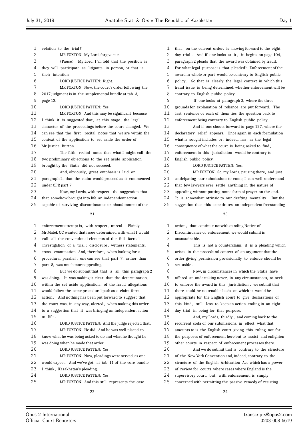| 1  | relation to the trial?                                       |              |
|----|--------------------------------------------------------------|--------------|
| 2  | MR FOXTON: My Lord, forgive me.                              |              |
| 3  | (Pause). My Lord, I'm told that the position is              |              |
| 4  | they will participate as litigants in person, or that is     |              |
| 5  | their intention.                                             |              |
| 6  | LORD JUSTICE PATTEN: Right.                                  |              |
| 7  | MR FOXTON: Now, the court's order following the              |              |
| 8  | 2017 judgment is in the supplemental bundle at tab 3,        |              |
| 9  | page 12.                                                     |              |
| 10 | LORD JUSTICE PATTEN: Yes.                                    | $\mathbf{1}$ |
| 11 | MR FOXTON: And this may be significant because               | 1            |
| 12 | I think it is suggested that, at this stage, the legal       | $\mathbf{1}$ |
| 13 | character of the proceedings before the court changed. We    | $\mathbf{1}$ |
| 14 | can see that the first recital notes that we are within the  | 1            |
| 15 | context of the application to set aside the order of         | $\mathbf{1}$ |
| 16 | Mr Justice Burton.                                           | $\mathbf{1}$ |
| 17 | The fifth recital notes that what I might call the           | 1            |
| 18 | two preliminary objections to the set aside application      | 1            |
| 19 | brought by the Statis did not succeed.                       | 1            |
| 20 | And, obviously, great emphasis is laid on                    | 2            |
| 21 | paragraph 2, that the claim would proceed as it commenced    | 2            |
| 22 | under CPR part 7.                                            | 2            |
| 23 | Now, my Lords, with respect, the suggestion that             | 2            |
| 24 | that somehow brought into life an independent action,        | 2            |
| 25 | capable of surviving discontinuance or abandonment of the    | 2            |
|    | 21                                                           |              |
|    |                                                              |              |
| 1  | enforcement attempt is, with respect, unreal.<br>Plainly.    |              |
| 2  | Mr Malek QC wanted that issue determined with what I would   |              |
| 3  | call all the conventional elements of the full factual       |              |
| 4  | investigation of a trial: disclosure, witness statements,    |              |
| 5  | cross-examination. And, therefore, when looking for a        |              |
| 6  | procedural parallel, one can see that part 7, rather than    |              |
| 7  | part 8, was much more appealing.                             |              |
| 8  | But we do submit that that is all this paragraph 2           |              |
| 9  | was doing. It was making it clear that the determination,    |              |
| 10 | within the set aside application, of the fraud allegations   | 1            |
| 11 | would follow the same procedural path as a claim form        | 1            |
| 12 | And nothing has been put forward to suggest that<br>action . | 1            |
| 13 | the court was, in any way, alerted, when making this order   | 1            |
| 14 | to a suggestion that it was bringing an independent action   | 1            |
| 15 | to life.                                                     | $\mathbf{1}$ |
| 16 | LORD JUSTICE PATTEN: And the judge rejected that.            | $\mathbf{1}$ |
| 17 | MR FOXTON: He did. And he was well placed to                 | 1            |
| 18 | know what he was being asked to do and what he thought he    | 1            |
| 19 | was doing when he made that order.                           | $\mathbf{1}$ |
| 20 | LORD JUSTICE PATTEN: Yes.                                    | 2            |
| 21 | MR FOXTON: Now, pleadings were served, as one                | 2            |
| 22 | would expect. And we've got, at tab 11 of the core bundle,   | 2            |
| 23 | I think, Kazakhstan's pleading.                              | 2            |
| 24 | LORD JUSTICE PATTEN: Yes.                                    | 2            |

MR FOXTON: And this still represents the case

1 that, on the current order, is moving forward to the eight day trial . And if one looks at it , it begins on page 104, paragraph 2 pleads that the award was obtained by fraud. For what legal purpose is that pleaded? Enforcement of the award in whole or part would be contrary to English public policy . So that is clearly the legal context in which this fraud issue is being determined, whether enforcement will be contrary to English public policy . If one looks at paragraph 3, where the three grounds for explanation of reliance are put forward. The last sentence of each of them ties the question back to enforcement being contrary to English public policy . And if one shoots forward to page 127, where the declaratory relief appears. Once again in each formulation what is sought includes or, indeed, has, as the legal consequence of what the court is being asked to find , enforcement in this jurisdiction would be contrary to English public policy . LORD JUSTICE PATTEN: Yes. MR FOXTON: So, my Lords, pausing there, and just anticipating our submissions to come, I can well understand 2 that few lawyers ever settle anything in the nature of appealing without putting some form of prayer on the end. It is somewhat intrinsic to our drafting mentality. But the suggestion that this constitutes an independent freestanding 1 action, that continue notwithstanding Notice of Discontinuance of enforcement, we would submit is unsustainable. This is not a counterclaim; it is a pleading which arises in the procedural context of an argument that the order giving permission provisionally to enforce should be set aside . Now, in circumstances in which the Statis have offered an undertaking never, in any circumstances, to seek to enforce the award in this jurisdiction , we submit that there could be no tenable basis on which it would be appropriate for the English court to give declarations of this kind, still less to keep an action ending in an eight day trial in being for that purpose. And, my Lords, thirdly , and coming back to the recurrent coda of our submissions, in effect what that amounts to is the English court giving this ruling not for

- the purposes of enforcement here but to assist and enlighten
- other courts in respect of enforcement processes there.

 And we do submit that is contrary to the structure of the New York Convention and, indeed, contrary to the

- structure of the English Arbitration Act which has a power
- of review for courts where cases where England is the
- 4 supervisory court, but, with enforcement, is simply
- concerned with permitting the passive remedy of resisting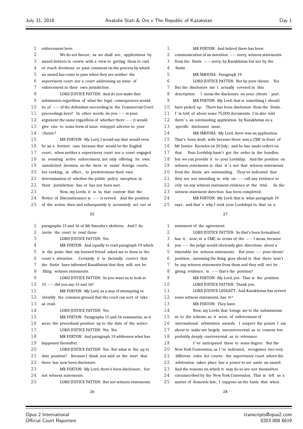| 1      | enforcement here.                                              |
|--------|----------------------------------------------------------------|
| 2      | We do not favour, as we shall see, applications by             |
| 3      | award debtors to courts with a view to getting them to cast    |
| 4      | or reach decisions or pass comment on the process by which     |
| 5      | an award has come to pass when they are neither the            |
| 6      | supervisory court nor a court addressing an issue of           |
| 7      | enforcement in their own jurisdiction.                         |
| 8      | LORD JUSTICE PATTEN: And do you make that                      |
| 9      | submission regardless of what the legal consequences would     |
| 10     | be of $--$ of the defendant succeeding in the Commercial Court |
| 11     | proceedings here? In other words, do you $--$ is your          |
| 12     | argument the same regardless of whether there $--$ it would    |
| 13     | give rise to some form of issue estoppel adverse to your       |
| 14     | clients?                                                       |
| 15     | MR FOXTON: My Lord, I would say that would even                |
| 16     | be an a fortiori case because that would be the English        |
| 17     | court, when neither a supervisory court nor a court engaged    |
| 18     | in resisting active enforcement, not only offering its own     |
| 19     | unsolicited decision on the facts to assist foreign courts,    |
| 20     | but seeking, in effect, to predetermine their own              |
| 21     | determination of whether the public policy exception in        |
| 22     | their jurisdiction has or has not been met.                    |
| 23     | Now, my Lords, it is in that context that the                  |
| 24     | Notice of Discontinuance is $--$ is served. And the position   |
| 25     | of the action then and subsequently is accurately set out at   |
|        |                                                                |
|        |                                                                |
|        | 25                                                             |
|        |                                                                |
| 1      | paragraphs 15 and 16 of Mr Smouha's skeleton. And I do         |
| 2      | invite the court to read those.                                |
| 3<br>4 | LORD JUSTICE PATTEN: Yes.                                      |
|        | MR FOXTON: And equally to read paragraph 19 which              |
| 5      | is the point that my learned friend asked me to draw to the    |
| 6      | court's attention. Certainly it is factually correct that      |
| 7      | the Statis have informed Kazakhstan that they will not be      |
| 8      | filing witness statements.                                     |
| 9      | LORD JUSTICE PATTEN: So you want us to look at                 |
| 10     | $15 - -$ did you say 15 and 16?                                |
| 11     | MR FOXTON: My Lord, as a way of attempting to                  |
| 12     | identify the common ground that the court can sort of take     |
| 13     | as read.                                                       |
| 14     | LORD JUSTICE PATTEN: Yes.                                      |
| 15     | MR FOXTON: Paragraphs 15 and 16 summarise, as it               |
| 16     | were, the procedural position up to the date of the notice.    |
| 17     | LORD JUSTICE PATTEN: Yes. Yes.                                 |
| 18     | MR FOXTON: And paragraph 19 addresses what has                 |
| 19     | happened thereafter.                                           |
| 20     | LORD JUSTICE PATTEN: Yes. But what is the up to                |
| 21     | date position? Because I think you said at the start that      |
| 22     | there has now been disclosure.                                 |
| 23     | MR FOXTON: My Lord, there's been disclosure, but               |
| 24     | not witness statements.                                        |
| 25     | LORD JUSTICE PATTEN: But not witness statements.               |

| 1  | MR FOXTON: And indeed there has been                          |
|----|---------------------------------------------------------------|
| 2  | communication of an intention $--$ sorry, witness statements  |
| 3  | from the Statis $--$ sorry, by Kazakhstan but not by the      |
| 4  | Statis.                                                       |
| 5  | MR SMOUHA: Paragraph 19.                                      |
| 6  | LORD JUSTICE PATTEN: Not by your clients. Yes.                |
| 7  | But the disclosure isn't actually covered in this             |
| 8  | I mean the disclosure on your clients' part.<br>description . |
| 9  | MR FOXTON: My Lord, that is something I should                |
| 10 | have picked up. There has been disclosure from the Statis,    |
| 11 | I'm told of about some 75,000 documents. I'm also told        |
| 12 | there's an outstanding application by Kazakhstan on a         |
| 13 | specific disclosure issue.                                    |
| 14 | MR SMOUHA: My Lord, there was an application.                 |
| 15 | That's been dealt with because there was a CMC in front of    |
| 16 | Mr Justice Knowles on 20 July; and he has made orders on      |
| 17 | that. Your Lordship hasn't got the order in the bundles,      |
| 18 | but we can provide it to your Lordship. And the position on   |
| 19 | witness statements is that it's not that witness statements   |
| 20 | from the Statis are outstanding. They've indicated that       |
| 21 | they are not intending to rely on $--$ call any evidence or   |
| 22 | rely on any witness statement evidence at the trial. So the   |
| 23 | witness statement direction has been completed.               |
| 24 | MR FOXTON: My Lord, that is what paragraph 19                 |
| 25 | says; and that's why I took your Lordships to that as a       |
|    | 27                                                            |
|    |                                                               |
| 1  | statement of the agreement.                                   |
| 2  | LORD JUSTICE PATTEN: So that's been formalised,               |
| 3  | has it, now, at a CMC, in terms of the $--$ I mean, because   |
| 4  | $you -- the judge would obviously give directions about a$    |
| 5  | timetable for witness statements. But your $--$ your clients' |
| 6  | position, assuming the thing goes ahead is that there won't   |
| 7  | be any witness statements from them and they will not be      |

8 giving evidence, is *−−* that's the position?<br>9 MR FOXTON: Mv Lord. ves. That i

MR FOXTON: My Lord, yes. That is the position.

10 LORD JUSTICE PATTEN: Thank you.

- LORD JUSTICE LEGGATT: And Kazakhstan has served
- some witness statements, has it ?
- 13 MR FOXTON: They have.

Now, my Lords, that brings me to the submissions

as to the scheme, as it were, of enforcement of

international arbitration awards. I suspect the points I am

- about to make are largely uncontroversial as to content but
- probably deeply controversial as to relevance.

19 I've anticipated these to some degree. But the 20 New York Convention, as I've indicated, recognises two very

different roles for courts: the supervisory court where the

arbitration takes place has a power to set aside an award.

- And the reasons on which it may do so are not themselves
- circumscribed by the New York Convention. That is left as a

matter of domestic law, I suppose on the basis that when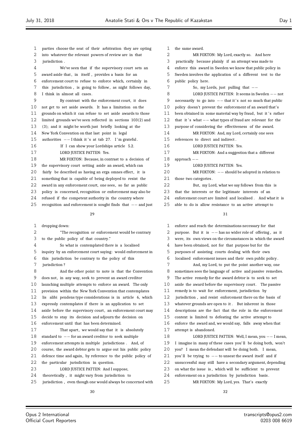- parties choose the seat of their arbitration they are opting into whatever the relevant powers of review are in that jurisdiction . We've seen that if the supervisory court sets an 5 award aside that, in itself, provides a basis for an enforcement court to refuse to enforce which, certainly in 7 this jurisdiction, is going to follow, as night follows day, I think in almost all cases . By contrast with the enforcement court, it does not get to set aside awards. It has a limitation on the grounds on which it can refuse to set aside awards to those limited grounds we've seen reflected in sections 103(2) and (3); and it might be worth just briefly looking at the New York Convention on that last point in legal 15 authorities *−−* I think it 's at tab 27. I'm grateful. If I can show your Lordships article 5.2. 17 LORD JUSTICE PATTEN: Yes. MR FOXTON: Because, in contrast to a decision of the supervisory court setting aside an award, which can 20 fairly be described as having an erga omnes effect, it is something that is capable of being deployed to resist the 22 award in any enforcement court, one sees, so far as public policy is concerned, recognition or enforcement may also be refused if the competent authority in the country where recognition and enforcement is sought finds that *−−* and just
	-

| 1              | dropping down:                                               | $\mathbf 1$ | enforce  |
|----------------|--------------------------------------------------------------|-------------|----------|
| $\overline{2}$ | "The recognition or enforcement would be contrary            | 2           | purpose  |
| 3              | to the public policy of that country."                       | 3           | were, it |
| 4              | So what is contemplated there is a localised                 | 4           | have be  |
| 5              | inquiry by an enforcement court saying: would enforcement in | 5           | purpose  |
| 6              | this jurisdiction be contrary to the policy of this          | 6           | localise |
| 7              | jurisdiction?                                                | 7           |          |
| 8              | And the other point to note is that the Convention           | 8           | sometin  |
| 9              | does not, in any way, seek to prevent an award creditor      | 9           | The acti |
| 10             | launching multiple attempts to enforce an award. The only    | 10          | aside th |
| 11             | provision within the New York Convention that contemplates   | 11          | remedy   |
| 12             | lis alibi pendens type considerations is in article 6, which | 12          | jurisdic |
| 13             | expressly contemplates if there is an application to set     | 13          | whateve  |
| 14             | aside before the supervisory court, an enforcement court may | 14          | descript |
| 15             | decide to stay its decision and adjourn the decision on      | 15          | context  |
| 16             | enforcement until that has been determined.                  | 16          | enforce  |
| 17             | That apart, we would say that it is absolutely               | 17          | attempt  |
| 18             | standard to $--$ for an award creditor to seek multiple      | 18          |          |
| 19             | enforcement attempts in multiple jurisdictions. And, of      | 19          | I imagi  |
| 20             | course, the award debtor gets to argue out his public policy | 20          | vou? I   |
| 21             | defence time and again, by reference to the public policy of | 21          | you'll 1 |
| 22             | the particular jurisdiction in question.                     | 22          | unsucce  |
| 23             | LORD JUSTICE PATTEN: And I suppose,                          | 23          | on what  |
| 24             | theoretically, it might vary from jurisdiction to            | 24          | enforce  |
| 25             | jurisdiction, even though one would always be concerned with | 25          |          |
|                |                                                              |             |          |

| 1  | the same award.                                               |
|----|---------------------------------------------------------------|
| 2  | MR FOXTON: My Lord, exactly so. And here                      |
| 3  | practically because plainly if an attempt was made to         |
| 4  | enforce this award in Sweden we know that public policy in    |
| 5  | Sweden involves the application of a different test to the    |
| 6  | public policy here.                                           |
| 7  | So, my Lords, just pulling that $-$                           |
| 8  | LORD JUSTICE PATTEN: It seems in Sweden -- not                |
| 9  | necessarily to go into $--$ that it's not so much that public |
| 10 | policy doesn't prevent the enforcement of an award that's     |
| 11 | been obtained in some material way by fraud, but it's rather  |
| 12 | that it's what $--$ what types of fraud are relevant for the  |
| 13 | purpose of considering the effectiveness of the award.        |
| 14 | MR FOXTON: And, my Lord, certainly one sees                   |
| 15 | references to direct and indirect.                            |
| 16 | LORD JUSTICE PATTEN: Yes.                                     |
| 17 | MR FOXTON: And a suggestion that a different                  |
| 18 | $approach - -$                                                |
| 19 | LORD JUSTICE PATTEN: Yes.                                     |
| 20 | $MR$ FOXTON: $--$ should be adopted in relation to            |
| 21 | those two categories.                                         |
| 22 | But, my Lord, what we say follows from this is                |
| 23 | that the interests or the legitimate interests of an          |
| 24 | enforcement court are limited and localised. And what it is   |
| 25 | able to do is allow resistance to an active attempt to        |

and reach the determinations necessary for that e. But it is *−−* has no wider role of offering, as it ts own views on the circumstances in which the award een obtained, not for that purpose but for the es of assisting courts dealing with their own ed enforcement issues and their own public policy. And, my Lord, to put the point another way, one nes sees the language of active and passive remedies. ive remedy for the award debtor is to seek to set he award before the supervisory court. The passive is to wait for enforcement, jurisdiction by ttion , and resist enforcement there on the basis of er grounds are open to it . But inherent in those tions are the fact that the role in the enforcement is limited to defeating the active attempt to the award and, we would say, falls away when that is abandoned. LORD JUSTICE PATTEN: Well, I mean, you *−−* I mean, ine in many of these cases you'll be doing both, won't mean the defendant will be doing both. I mean, be trying to *−−* to unseat the award itself and if essful may still have a secondary argument, depending it the issue is, which will be sufficient to prevent ment on a jurisdiction by jurisdiction basis. MR FOXTON: My Lord, yes. That's exactly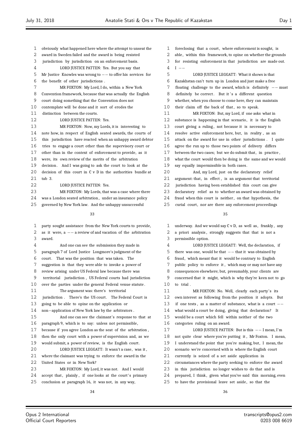tab 3.

award.

July 31, 2018 Anatolie Stati & Ors v The Republic of Kazakstan Day 1 obviously what happened here where the attempt to unseat the award in Sweden failed and the award is being resisted jurisdiction by jurisdiction on an enforcement basis. LORD JUSTICE PATTEN: Yes. But you say that Mr Justice Knowles was wrong to *−−* to offer his services for the benefit of other jurisdictions . MR FOXTON: My Lord, I do, within a New York Convention framework, because that was actually the English court doing something that the Convention does not contemplate will be done and it sort of erodes the distinction between the courts. 12 LORD JUSTICE PATTEN: Yes. MR FOXTON: Now, my Lords, it is interesting to note how, in respect of English seated awards, the courts of this jurisdiction have reacted when an unhappy award debtor tries to engage a court other than the supervisory court or other than in the context of enforcement to provide, as it were, its own review of the merits of the arbitration 19 decision. And I was going to ask the court to look at the 20 decision of this court in C v D in the authorities bundle at 22 LORD JUSTICE PATTEN: Yes. MR FOXTON: My Lords, that was a case where there was a London seated arbitration , under an insurance policy governed by New York law. And the unhappy unsuccessful party sought assistance from the New York courts to provide, as it were, a *−−* a review of and vacation of the arbitration And one can see the submission they made in paragraph 7 of Lord Justice Longmore's judgment of the court . That was the position that was taken. The suggestion is that they were able to invoke a power of review arising under US Federal law because there was territorial jurisdiction , US Federal courts had jurisdiction over the parties under the general Federal venue statute . The argument was: there's territorial jurisdiction . There's the US court. The Federal Court is going to be able to opine on the application or 14 non−application of New York law by the arbitrators .<br>15 And one can see the claimant's response t And one can see the claimant's response to that at paragraph 9, which is to say: unless not permissible, because if you agree London as the seat of the arbitration , then the only court with a power of supervision and, as we would submit, a power of review, is the English court . LORD JUSTICE LEGGATT: It wasn't a case, was it , where the claimant was trying to enforce the award in the United States or in New York? MR FOXTON: My Lord, it was not. And I would 24 accept that, plainly, if one looks at the court's primary conclusion at paragraph 16, it was not, in any way, 1 foreclosing that a court, where enforcement is sought, is 2 able, within this framework, to opine on whether the grounds for resisting enforcement in that jurisdiction are made out. <sup>I</sup> *−−* LORD JUSTICE LEGGATT: What it shows is that Kazakhstan can't turn up in London and just make a free floating challenge to the award, which is definitely *−−* must 8 definitely be correct. But it's a different question whether, when you choose to come here, they can maintain 10 their claim off the back of that, so to speak. MR FOXTON: But, my Lord, if one asks what in substance is happening in that scenario , it is the English 13 court giving a ruling, not because it is necessary to resolve active enforcement here, but, in reality , as an attack on the award for use in other jurisdictions . I quite agree the run up to those two points of delivery differs 17 between the two cases; but we do submit that, in practice, what the court would then be doing is the same and we would say equally impermissible in both cases . And, my Lord, just on the declaratory relief argument: that, in effect , is an argument that territorial jurisdiction having been established this court can give declaratory relief as to whether an award was obtained by 24 fraud when this court is neither, on that hypothesis, the 25 curial court, nor are there any enforcement proceedings underway. And we would say C v D, as well as , frankly , any 2 a priori analysis, strongly suggests that that is not a permissible option. LORD JUSTICE LEGGATT: Well, the declaration, if there was one, would be that *−−* that it was obtained by fraud, which meant that it would be contrary to English public policy to enforce it , which may or may not have any consequences elsewhere; but, presumably, your clients are concerned that it might, which is why they're keen not to go to trial . MR FOXTON: No. Well, clearly each party's its own interest as following from the position it adopts. But if one tests , as a matter of substance, what is a court *−−* what would a court be doing, giving that declaration? It would be a court which fell within neither of the two categories ruling on an award. LORD JUSTICE PATTEN: But is this *−−* I mean, I'm not quite clear where you're putting it , Mr Foxton. I mean, I understand the point that you're making, but, I mean, the scenario we're concerned with is where the English court currently is seized of a set aside application in circumstances where the party seeking to enforce the award in this jurisdiction no longer wishes to do that and is 24 prepared, I think, given what you've said this morning, even 25 to have the provisional leave set aside, so that the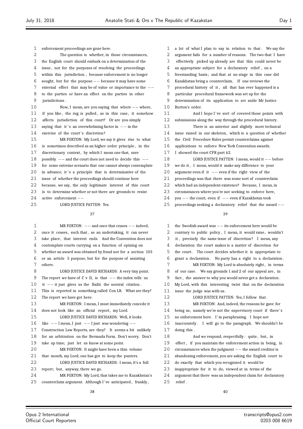| 1  | enforcement proceedings are gone here.                             |
|----|--------------------------------------------------------------------|
| 2  | The question is whether, in those circumstances,                   |
| 3  | the English court should embark on a determination of the          |
| 4  | issue, not for the purposes of resolving the proceedings           |
| 5  | within this jurisdiction, because enforcement is no longer         |
| 6  | sought, but for the purpose $-$ because it may have some           |
| 7  | external effect that may be of value or importance to the $--$     |
| 8  | to the parties or have an effect on the parties in other           |
| 9  | jurisdictions.                                                     |
| 10 | Now, I mean, are you saying that where $--$ where,                 |
| 11 | if you like, the rug is pulled, as in this case, it somehow        |
| 12 | affects jurisdiction of this court? Or are you simply              |
| 13 | saying that it's an overwhelming factor in $--$ in the             |
| 14 | exercise of the court's discretion?                                |
| 15 | MR FOXTON: My Lord, we say it gives rise to what                   |
| 16 | is sometimes described as an higher order principle, in the        |
| 17 | discretionary context, by which I mean one that, save              |
| 18 | possibly $--$ and the court does not need to decide this $--$      |
| 19 | for some extreme scenario that one cannot always contemplate       |
| 20 | in advance, it's a principle that is determinative of the          |
| 21 | issue of whether the proceedings should continue here              |
| 22 | because, we say, the only legitimate interest of this court        |
| 23 | is to determine whether or not there are grounds to resist         |
| 24 | $active\$ enforcement $--$                                         |
| 25 | LORD JUSTICE PATTEN: Yes.                                          |
|    | 37                                                                 |
|    |                                                                    |
| 1  | MR FOXTON: $-$ and once that ceases $-$ indeed,                    |
| 2  | once it ceases, such that, as an undertaking, it can never         |
| 3  | take place, that interest ends. And the Convention does not        |
| 4  | contemplate courts carrying on a function of opining on            |
|    |                                                                    |
| 5  | whether an award was obtained by fraud not for a section 103       |
| 6  | or an article 5 purpose, but for the purpose of assisting          |
| 7  | others.                                                            |
| 8  | LORD JUSTICE DAVID RICHARDS: A very tiny point.                    |
| 9  | The report we have of $C \vee D$ , is that $--$ the index tells us |
| 10 | it $--$ it just gives us the Bailii the neutral citation.          |
| 11 | This is reported in something called Con LR. What are they?        |
| 12 | The report we have got here.                                       |
| 13 | MR FOXTON: I mean, I must immediately concede it                   |
| 14 | does not look like an official report, my Lord.                    |
| 15 | LORD JUSTICE DAVID RICHARDS: Well, it looks                        |
| 16 | like $--$ I mean, I just $--$ I just was wondering $--$            |
| 17 | Construction Law Reports, are they? It seems a bit unlikely        |
| 18 | for an arbitration on the Bermuda Form. Don't worry. Don't         |
| 19 | take up time; just let us know at some point.                      |
| 20 | MR FOXTON: It might have been a thin volume                        |
| 21 | that month, my Lord; one has got to keep the punters.              |
| 22 | LORD JUSTICE DAVID RICHARDS: I mean, it's a full                   |
| 23 | report; but, anyway, there we go.                                  |
| 24 | MR FOXTON: My Lord, that takes me to Kazakhstan's                  |
| 25 | counterclaim argument. Although I've anticipated, frankly,         |

| 1  | a lot of what I plan to say in relation to that. We say the  |
|----|--------------------------------------------------------------|
| 2  | argument fails for a number of reasons. The two that I have  |
| 3  | effectively picked up already are that this could never be   |
| 4  | an appropriate subject for a declaratory relief, on a        |
| 5  | freestanding basis; and that at no stage in this case did    |
| 6  | Kazakhstan bring a counterclaim. If one reviews the          |
| 7  | procedural history of it, all that has ever happened is a    |
| 8  | particular procedural framework was set up for the           |
| 9  | determination of its application to set aside Mr Justice     |
| 10 | Burton's order.                                              |
| 11 | And I hope I've sort of covered those points with            |
| 12 | submissions along the way through the procedural history.    |
| 13 | There is an anterior and slightly more technical             |
| 14 | issue raised in our skeleton, which is a question of whether |
| 15 | the Civil Procedure Rules permit counterclaims against       |
| 16 | applications to enforce New York Convention awards.          |
| 17 | I showed the court CPR part 62.                              |
| 18 | LORD JUSTICE PATTEN: I mean, would it -- before              |
| 19 | we do it, I mean, would it make any difference to your       |
| 20 | argument even if it $-$ even if the right view of the        |
| 21 | proceedings was that there was some sort of counterclaim     |
| 22 | which had an independent existence? Because, I mean, in      |
| 23 | circumstances where you're not seeking to enforce here,      |
| 24 | you $--$ the court, even if $--$ even if Kazakhstan took     |
| 25 | proceedings seeking a declaratory relief that the award $--$ |
|    | 39                                                           |
| 1  | the Swedish award was $--$ its enforcement here would be     |
| 2  | contrary to public policy, I mean, it would raise, wouldn't  |
| 3  | it, precisely the same issue of discretion? I mean, any      |

 declaration the court makes is a matter of discretion for the court . The court decides whether it is appropriate to grant a declaration . No party has a right to a declaration . 7 MR FOXTON: My Lord is absolutely right, in terms 8 of our case. We say grounds 1 and 2 of our appeal are, in fact , the answer to why you would never get a declaration . My Lord, with this interesting twist that on the declaration

12 LORD JUSTICE PATTEN: Yes, I follow that. MR FOXTON: And, indeed, the reasons he gave for being us, namely we're not the supervisory court if there' s no enforcement here. I 'm paraphrasing. I hope not inaccurately . I will go to the paragraph. We shouldn't be

 And we respond, respectfully : quite , but, in effect , if you maintain the enforcement action in being, in circumstances when the judgment *−−* the award creditor is abandoning enforcement, you are asking the English court to

 do exactly that which you recognised it would be inappropriate for it to do, viewed at in terms of the argument that there was an independent claim for declaratory

issue the judge was with us.

doing this .

relief .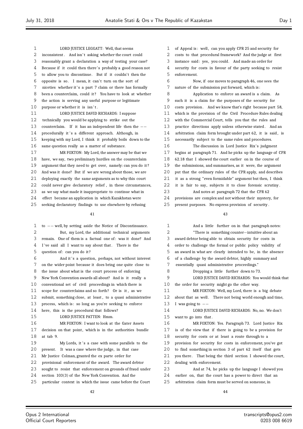LORD JUSTICE LEGGATT: Well, that seems 2 inconsistent. And isn't asking whether the court could reasonably grant a declaration a way of testing your case? Because if it could then there' s probably a good reason not to allow you to discontinue. But if it couldn't then the 6 opposite is so. I mean, it can't turn on the sort of 7 niceties whether it's a part 7 claim or there has formally 8 been a counterclaim, could it? You have to look at whether the action is serving any useful purpose or legitimate 10 purpose or whether it is isn't. LORD JUSTICE DAVID RICHARDS: I suppose technically you would be applying to strike out the counterclaim. If it has an independent life then the *−−* 14 procedurally it 's a different approach. Although, in keeping with my Lord, I think it probably boils down to the same question really as a matter of substance. MR FOXTON: My Lord, the answer may be that we have, we say, two preliminary hurdles on the counterclaim argument that they need to get over, namely: can you do it ? And was it done? But if we are wrong about those, we are deploying exactly the same arguments as to why this court 22 could never give declaratory relief, in these circumstances, as we say what made it inappropriate to continue what in effect became an application in which Kazakhstan were seeking declaratory findings to use elsewhere by refusing 

 to *−−* well, by setting aside the Notice of Discontinuance. But, my Lord, the additional technical arguments remain. One of them is a factual one of: was it done? And 4 I've said all I want to say about that. There is the question of: can you do it ? 6 And it's a question, perhaps, not without interest on the wider point because it does bring one quite close to the issue about what is the court process of enforcing New York Convention awards all about? And is it really a conventional set of civil proceedings in which there is scope for counterclaims and so forth? Or is it , as we submit, something close, at least , to a quasi administrative process, which is : so long as you're seeking to enforce here, this is the procedural that follows? 15 LORD JUSTICE PATTEN: Hmm. MR FOXTON: I want to look at the Gater Assets 17 decision on that point, which is in the authorities bundle at tab 9. 19 My Lords, it 's a case with some parallels to the present. It was a case where the judge, in that case Mr Justice Colman, granted the ex parte order for provisional enforcement of the award. The award debtor sought to resist that enforcement on grounds of fraud under section 103(3) of the New York Convention. And the

 particular context in which the issue came before the Court 

1 of Appeal is: well, can you apply CPR 25 and security for costs to that procedural framework? And the judge at first instance said: yes, you could. And made an order for security for costs in favour of the party seeking to resist enforcement. Now, if one moves to paragraph 46, one sees the nature of the submission put forward, which is : Application to enforce an award is a claim. As such it is a claim for the purposes of the security for 10 costs provision. And we know that's right because part 58, which is the provision of the Civil Procedure Rules dealing with the Commercial Court, tells you that the rules and practice directions apply unless otherwise stated . And an 14 arbitration claim form brought under part 62, it is said, is necessarily subject to the same rules and procedures. 16 The discussion in Lord Justice Rix's judgment begins at paragraph 71. And he picks up the language of CPR 62.18 that I showed the court earlier on in the course of the submissions, and summarises, as it were, the argument 20 put that the ordinary rules of the CPR apply, and describes it as a strong "even formidable" argument but then, I think it is fair to say, subjects it to close forensic scrutiny .

And notes at paragraph 72 that the CPR 62

provisions are complex and not without their mystery, for

present purposes. No express provision of security .

| $\mathbf 1$ | And a little further on in that paragraph notes:            |
|-------------|-------------------------------------------------------------|
| 2           | "There is something counter-intuitive about an              |
| 3           | award debtor being able to obtain security for costs in     |
| 4           | order to challenge the formal or public policy validity of  |
| 5           | an award in what are clearly intended to be, in the absence |
| 6           | of a challenge by the award debtor, highly summary and      |
| 7           | essentially quasi administrative proceedings."              |
| 8           | Dropping a little further down to 73.                       |
| 9           | LORD JUSTICE DAVID RICHARDS: You would think that           |
| 10          | the order for security might go the other way.              |
| 11          | MR FOXTON: Well, my Lord, there is a big debate             |
| 12          | about that as well. There not being world enough and time,  |
| 13          | I was going to $-$                                          |
| 14          | LORD JUSTICE DAVID RICHARDS: No, no. We don't               |
| 15          | want to go into that.                                       |
| 16          | MR FOXTON: Yes. Paragraph 73. Lord Justice Rix              |
| 17          | is of the view that if there is going to be a provision for |
| 18          | security for costs or at least a route through to a         |
| 19          | provision for security for costs in enforcement, you've got |
| 20          | to find something in section 3 of part 62 itself that gets  |
| 21          | you there. That being the third section I showed the court, |
| 22          | dealing with enforcement.                                   |
| 23          | And at 74, he picks up the language I showed you            |
| 24          | earlier on, that the court has a power to direct that an    |
| 25          | arbitration claim form must be served on someone, in        |
|             |                                                             |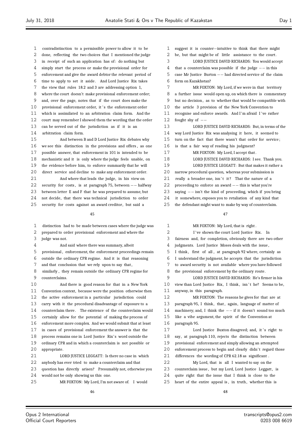- contradistinction to a permissible power to allow it to be
- done, reflecting the two choices that I mentioned the judge
- in receipt of such an application has of: do nothing but
- simply start the process or make the provisional order for
- enforcement and give the award debtor the relevant period of
- time to apply to set it aside . And Lord Justice Rix takes the view that rules 18.2 and 3 are addressing option 1,
- where the court doesn't make provisional enforcement order;
- and, over the page, notes that if the court does make the
- 
- 10 provisional enforcement order, it 's the enforcement order
- which is assimilated to an arbitration claim form. And the court may remember I showed them the wording that the order
- can be served out of the jurisdiction as if it is an
- arbitration claim form.

 And between B and D Lord Justice Rix debates why we see this distinction in the provisions and offers , as one possible answer, that enforcement in 101 is intended to be mechanistic and it is only where the judge feels unable, on the evidence before him, to enforce summarily that he will direct service and decline to make any enforcement order. And where that leads the judge, in his view on 22 security for costs, is at paragraph 75, between *−*− halfway<br>23 between letter **F** and **F** that he was prenared to assume but between letter E and F that he was prepared to assume, but not decide, that there was technical jurisdiction to order

25 security for costs against an award creditor, but said a

- distinction had to be made between cases where the judge was
- prepared to order provisional enforcement and where the
- judge was not.
- And said where there was summary, albeit
- provisional , enforcement, the enforcement proceedings remain
- outside the ordinary CPR regime. And it is that reasoning
- and that conclusion that we rely upon to say that ,
- similarly , they remain outside the ordinary CPR regime for counterclaims.
- And there is good reason for that in a New York Convention context, because were the position otherwise then the active enforcement in a particular jurisdiction could carry with it the procedural disadvantage of exposure to a 14 counterclaim there. The existence of the counterclaim would certainly allow for the potential of making the process of enforcement more complex. And we would submit that at least in cases of provisional enforcement the answer is that the 18 process remains one in Lord Justice Rix's word outside the ordinary CPR and in which a counterclaim is not possible or appropriate. LORD JUSTICE LEGGATT: Is there no case in which anybody has ever tried to make a counterclaim and that
- question has directly arisen? Presumably not, otherwise you
- would not be only showing us this one.
- MR FOXTON: My Lord, I'm not aware of. I would
- suggest it is counter*−*intuitive to think that there might be, but that might be of little assistance to the court. LORD JUSTICE DAVID RICHARDS: You would accept that a counterclaim was possible if the judge *−−* in this case Mr Justice Burton *−−* had directed service of the claim form on Kazakhstan? 7 MR FOXTON: My Lord, if we were in that territory a further issue would open up, on which there is commentary but no decision , as to whether that would be compatible with the article 3 provision of the New York Convention to 11 recognise and enforce awards. And I'm afraid I've rather fought shy of *−−* LORD JUSTICE DAVID RICHARDS: But, in terms of the way Lord Justice Rix was analysing it here, it seemed to turn on the fact that there wasn't that order for service ; is that a fair way of reading his judgment? 17 MR FOXTON: My Lord, I accept that. 18 LORD JUSTICE DAVID RICHARDS: I see. Thank you.
- LORD JUSTICE LEGGATT: But that makes it rather a
- narrow procedural question, whereas your submission is
- 21 really a broader one, isn't it? That the nature of a
- 22 proceeding to enforce an award *−*− this is what you're<br>23 saving *−*− isn't the kind of proceeding, which if you l
- 23 saying *−−* isn't the kind of proceeding, which if you bring<br>24 it somewhere exposes you to retaliation of any kind that
- it somewhere, exposes you to retaliation of any kind that
- the defendant might want to make by way of counterclaim.

- MR FOXTON: My Lord, that is right . 2 I've shown the court Lord Justice Rix. In fairness and, for completion, obviously there are two other judgments. Lord Justice Moses deals with the issue , I think , first of all , at paragraph 92 where, certainly as I understand the judgment, he accepts that the jurisdiction to award security is not available where you have followed the provisional enforcement by the ordinary route. LORD JUSTICE DAVID RICHARDS: He's firmer in his 10 view than Lord Justice Rix, I think, isn't he? Seems to be, anyway, in this paragraph. MR FOXTON: The reasons he gives for that are at 13 paragraph 95, I think, that, again, language of matter of machinery; and, I think the *−−* if it doesn't sound too much like a vibe argument, the spirit of the Convention at paragraph 95.
- 17 Lord Justice Buxton disagreed; and, it 's right to say, at paragraph 110, rejects the distinction between provisional enforcement and simply allowing an attempted 20 enforcement process to begin and clearly didn't regard those differences the wording of CPR 62.18 as significant . My Lord, that is all I wanted to say on the 23 counterclaim issue, but my Lord, Lord Justice Leggatt, is
- quite right that the issue that I think is close to the
- 25 heart of the entire appeal is, in truth, whether this is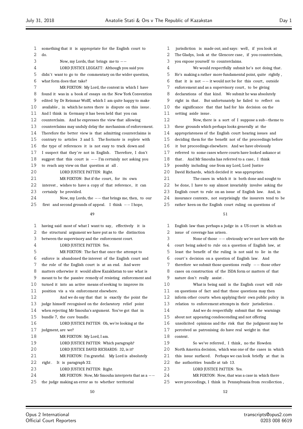| 1           | something that it is appropriate for the English court to    | 1  | jurisdiction is made out; and says: well, if you look at   |
|-------------|--------------------------------------------------------------|----|------------------------------------------------------------|
| 2           | do.                                                          | 2  | The Gladys, look at the Glencore case, if you countercla   |
| 3           | Now, my Lords, that brings me to $--$                        | 3  | you expose yourself to counterclaims.                      |
| 4           | LORD JUSTICE LEGGATT: Although you said you                  | 4  | We would respectfully submit he's not doing th             |
| 5           | didn't want to go to the commentary on the wider question,   | 5  | He's making a rather more fundamental point, quite right   |
| 6           | what form does that take?                                    | 6  | that it is not $--$ it would not be for this court, outsid |
| 7           | MR FOXTON: My Lord, the context in which I have              | 7  | enforcement and as a supervisory court, to be giving       |
| 8           | found it was in a book of essays on the New York Convention  | 8  | declarations of that kind. We submit he was absolutely     |
| 9           | edited by Dr Reinmar Wolff, which I am quite happy to make   | 9  | right in that. But unfortunately he failed to reflect o    |
| 10          | available, in which he notes there is dispute on this issue. | 10 | the significance that that had for his decision on the     |
| 11          | And I think in Germany it has been held that you can         | 11 | setting aside issue.                                       |
| 12          | counterclaim. And he expresses the view that allowing        | 12 | Now, there is a sort of I suppose a sub-them               |
| 13          | counterclaims may unduly delay the mechanism of enforcement. | 13 | these grounds which perhaps looks generally at the         |
| 14          | Therefore the better view is that admitting counterclaims is | 14 | appropriateness of the English court hearing issues and    |
| 15          | contrary to articles 3 and 5. The footnote is replete with   | 15 | deciding them for the benefit not of the proceedings bef   |
| 16          | the type of references it is not easy to track down and      | 16 | it but proceedings elsewhere. And we have obviously        |
| 17          | I suspect that they're not in English. Therefore, I don't    | 17 | referred to some cases where courts have looked askance    |
| 18          | suggest that this court is $--$ I'm certainly not asking you | 18 | that. And Mr Smouha has referred to a case, I think        |
| 19          | to reach any view on that question at all.                   | 19 | possibly including one from my Lord, Lord Justice          |
| 20          | LORD JUSTICE PATTEN: Right.                                  | 20 | David Richards, which decided it was appropriate.          |
| 21          | MR FOXTON: But if the court, for its own                     | 21 | The cases in which it is both done and sought              |
| 22          | interest, wishes to have a copy of that reference, it can    | 22 | be done, I have to say almost invariably involve asking    |
| 23          | certainly be provided.                                       | 23 | English court to rule on an issue of English law. And,     |
| 24          | Now, my Lords, the $--$ that brings me, then, to our         | 24 | insurance contexts, not surprisingly the insurers tend to  |
| 25          | first and second grounds of appeal. I think $--$ I hope,     | 25 | rather keen on the English court ruling on questions of    |
|             | 49                                                           |    | 51                                                         |
| $\mathbf 1$ | having said most of what I want to say, effectively it is    | 1  | English law than perhaps a judge in a US court in which    |
| 2           | the structural argument we have put as to the distinction    | 2  | issue of coverage has arisen.                              |
| 3           | between the supervisory and the enforcement court.           | 3  | None of those $--$ obviously we're not here with           |
| 4           | LORD JUSTICE PATTEN: Yes.                                    | 4  | court being asked to rule on a question of English law,    |
| 5           | MR FOXTON: The fact that once the attempt to                 | 5  | least the benefit of the ruling is not said to lie in th   |
| 6           | enforce is abandoned the interest of the English court and   | 6  | court's decision on a question of English law. And         |
| 7           | the role of the English court is at an end. And were         | 7  | therefore we submit those questions really $--$ those oth  |
| 8           | matters otherwise it would allow Kazakhstan to use what is   | 8  | cases on construction of the ISDA form or matters of tha   |
| 9           | meant to be the passive remedy of resisting enforcement and  | 9  | nature don't really assist.                                |
| 10          | turned it into an active means of seeking to improve its     | 10 | What is being said is the English court will r             |
| 11          | position vis a vis enforcement elsewhere.                    | 11 | on questions of fact and that those questions may then     |
| 12          | And we do say that that is exactly the point the             | 12 | inform other courts when applying their own public polic   |
| 13          | judge himself recognised on the declaratory relief point     | 13 | relation to enforcement attempts in their jurisdiction.    |
| 14          | when rejecting Mr Smouha's argument. You've got that in      | 14 | And we do respectfully submit that the warning             |
| 15          | bundle 7, the core bundle.                                   | 15 | about not appearing condescending and not offering         |
| 16          | LORD JUSTICE PATTEN: Oh, we're looking at the                | 16 | unsolicited opinions and the risk that the judgment may    |
| 17          | judgment, are we?                                            | 17 | perceived as patronising do have real weight in that       |
| 18          | MR FOXTON: My Lord, I am.                                    | 18 | context.                                                   |
| 19          | LORD JUSTICE PATTEN: Which paragraph?                        | 19 | So we've referred, I think, no the Howden                  |
| 20          | LORD JUSTICE DAVID RICHARDS: 32, is it?                      | 20 | North America decision, which was one of the cases in wl   |
| 21          | MR FOXTON: I'm grateful. My Lord is absolutely               | 21 | this issue surfaced. Perhaps we can look briefly at tha    |
| 22          | It is paragraph 32.<br>right.                                | 22 | the authorities bundle at tab 13.                          |
| 23          | LORD JUSTICE PATTEN: Right.                                  | 23 | LORD JUSTICE PATTEN: Yes.                                  |
| 24          | MR FOXTON: Now, Mr Smouha interprets that as a $--$          | 24 | MR FOXTON: Now, that was a case in which ther              |
| 25          | the judge making an error as to whether territorial          | 25 | were proceedings, I think in Pennsylvania from recollecti  |
|             |                                                              |    |                                                            |

 $\lambda$  advs, look at the Glencore case, if you counterclaim, spose yourself to counterclaims. We would respectfully submit he's not doing that. making a rather more fundamental point, quite rightly, it is not *−−* it would not be for this court, outside ement and as a supervisory court, to be giving ations of that kind. We submit he was absolutely in that. But unfortunately he failed to reflect on ignificance that that had for his decision on the g aside issue. 12 Now, there is a sort of I suppose a sub*−*theme to grounds which perhaps looks generally at the priateness of the English court hearing issues and ng them for the benefit not of the proceedings before proceedings elsewhere. And we have obviously ed to some cases where courts have looked askance at And Mr Smouha has referred to a case, I think bly including one from my Lord, Lord Justice Richards, which decided it was appropriate. The cases in which it is both done and sought to ne, I have to say almost invariably involve asking the 23 English court to rule on an issue of English law. And, in ince contexts, not surprisingly the insurers tend to be keen on the English court ruling on questions of 51 h law than perhaps a judge in a US court in which an

of coverage has arisen. 3 None of those *−−* obviously we're not here with the being asked to rule on a question of English law, at the benefit of the ruling is not said to lie in the s decision on a question of English law. And  $\frac{1}{\pi}$  ore we submit those questions really *−−* those other on construction of the ISDA form or matters of that e don't really assist. What is being said is the English court will rule estions of fact and that those questions may then n other courts when applying their own public policy in on to enforcement attempts in their jurisdiction . And we do respectfully submit that the warnings not appearing condescending and not offering icited opinions and the risk that the judgment may be ived as patronising do have real weight in that kt. So we've referred, I think, no the Howden

America decision, which was one of the cases in which ssue surfaced. Perhaps we can look briefly at that in

52

proceedings, I think in Pennsylvania from recollection,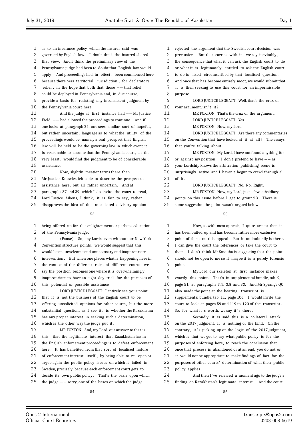- as to an insurance policy which the insurer said was
- governed by English law. I don't think the insured shared
- that view. And I think the preliminary view of the
- Pennsylvania judge had been to doubt that English law would
- apply. And proceedings had, in effect , been commenced here
- because there was territorial jurisdiction , for declaratory
- relief , in the hope that both that those *−−* that relief could be deployed in Pennsylvania and, in due course,
- provide a basis for resisting any inconsistent judgment by
- the Pennsylvania court here.
- And the judge at first instance had *−−* Mr Justice Field *−−* had allowed the proceedings to continue. And if one looks at paragraph 25, one sees similar sort of hopeful, but rather uncertain, language as to what the utility of the
- proceedings would be, namely a real prospect that English
- law will be held to be the governing law in which event it
- 17 is reasonable to assume that the Pennsylvania court, at the
- very least , would find the judgment to be of considerable assistance .
- Now, slightly meatier terms there than
- 21 Mr Justice Knowles felt able to describe the prospect of
- assistance here, but all rather uncertain. And at
- paragraphs 37 and 39, which I do invite the court to read,
- 24 Lord Justice Aikens, I think, it is fair to say, rather
- disapproves the idea of this unsolicited advisory opinion

#### 

 being offered up for the enlightenment or perhaps education of the Pennsylvania judge.

- (Pause). So, my Lords, even without our New York
- Convention structure points , we would suggest that this
- would be an unwelcome and unnecessary and inappropriate
- intervention . But when one places what is happening here in
- 7 the context of the different roles of different courts, we say the position becomes one where it is overwhelmingly
- inappropriate to have an eight day trial for the purposes of
- this potential or possible assistance .

 LORD JUSTICE LEGGATT: I entirely see your point that it is not the business of the English court to be 13 offering unsolicited opinions for other courts, but the more substantial question, as I see it , is whether the Kazakhstan has any proper interest in seeking such a determination, which is the other way the judge put it .

 MR FOXTON: And, my Lord, our answer to that is this : that the legitimate interest that Kazakhstan has in the English enforcement proceedings is to defeat enforcement here. It has benefited from that sort of localised nature of enforcement interest itself , by being able to re*−*open or argue again the public policy issues on which it failed in Sweden, precisely because each enforcement court gets to decide its own public policy . That's the basis upon which the judge *−−* sorry, one of the bases on which the judge

- rejected the argument that the Swedish court decision was 2 preclusive . But that carries with it , we say inevitably . the consequence that what it can ask the English court to do or what it is legitimately entitled to ask the English court to do is itself circumscribed by that localised question. And once that has become entirely moot, we would submit that it is then seeking to use this court for an impermissible purpose. LORD JUSTICE LEGGATT: Well, that's the crux of 10 your argument, isn't it? MR FOXTON: That's the crux of the argument. 12 LORD JUSTICE LEGGATT: Yes. MR FOXTON: Now, my Lord *−−* LORD JUSTICE LEGGATT: Are there any commentaries 15 on the Convention that have looked at it at all? The essays that you're talking about ... MR FOXTON: My Lord, I have not found anything for or against my position. I don't pretend to have *−−* as your Lordship knows the arbitration publishing scene is surprisingly active and I haven't begun to crawl through all
- of it .
- LORD JUSTICE LEGGATT: No. No. Right.
- MR FOXTON: Now, my Lord, just a few subsidiary
- points on this issue before I get to ground 3. There is
- some suggestion the point wasn't argued below.

# 

 Now, as with most appeals, I quite accept that it has been buffed up and has become rather more exclusive point of focus on this appeal. But it undoubtedly is there . I can give the court the references or take the court to them. I don't think Mr Smouha is suggesting that the point should not be open to me so it maybe it is a purely forensic 7 point. My Lord, our skeleton at first instance makes

9 exactly this point. That's in supplemental bundle, tab 9, page 51, at paragraphs 3.4, 3.8 and 33. And Mr Sprange QC also made the point at the hearing, transcript is supplemental bundle, tab 11, page 106. I would invite the court to look at pages 59 and 119 to 120 of the transcript . 14 So, for what it's worth, we say it's there. Secondly, it is said this is a collateral attack on the 2017 judgment. It is nothing of the kind. On the 17 contrary, it's picking up on the logic of the 2017 judgment,

- which is that we get to say what public policy is for the purposes of enforcing here, to reach the conclusion that
- once that process is abandoned or at an end, you do not or
- it would not be appropriate to make findings of fact for the
- 22 purposes of other courts' determination of what their public
- 23 policy applies.
- 24 And then I've referred a moment ago to the judge's finding on Kazakhstan's legitimate interest . And the court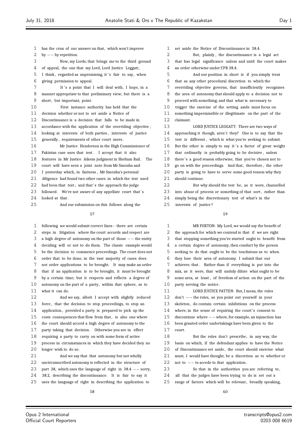has the crux of our answer on that, which won't improve by *−−* by repetition. Now, my Lords, that brings me to the third ground 4 of appeal, the one that my Lord, Lord Justice Leggatt, 5 I think, regarded as unpromising, it's fair to say, when giving permission to appeal. 7 It's a point that I will deal with, I hope, in a manner appropriate to that preliminary view; but there is a 9 short, but important, point. First instance authority has held that the decision whether or not to set aside a Notice of Discontinuance is a decision that falls to be made in accordance with the application of the overriding objective , looking at interests of both parties , interests of justice generally , requirements of other court users. Mr Justice Henderson in the High Commissioner of 17 Pakistan case uses that test. I accept that it also features in Mr Justice Aikens judgment in Sheltam Rail . The court will have seen a joint note from Mr Smouha and I yesterday which, in fairness , Mr Smouha's personal diligence had found two other cases in which the test used 22 had been that test; and that's the approach the judge 23 followed. We're not aware of any appellate court that's 24 looked at that. And our submission on this follows along the

 following we would submit correct lines : there are certain steps in litigation where the court accords and respect are a high degree of autonomy on the part of those *−−* the entity deciding will or not to do them. The classic example would be the decision to commence proceedings. The court does not order that to be done, in the vast majority of cases does not order applications to be brought. It may make an order that if an application is to be brought, it must be brought by a certain time; but it respects and reflects a degree of autonomy on the part of a party, within that sphere, as to what it can do. And we say, albeit I accept with slightly reduced force , that the decision to stop proceedings, to stop an application , provided a party is prepared to pick up the 15 costs consequences that flow from that, is also one where the court should accord a high degree of autonomy to the 17 party taking that decision. Otherwise you are in effect requiring a party to carry on with some form of active

 process in circumstances in which they have decided they no longer wish to do so.

 And we say that that autonomy but not wholly uncircumscribed autonomy is reflected in the structure of part 38, which uses the language of right in 38.4 *−−* sorry, 38.2, describing the discontinuance. It is fair to say it uses the language of right in describing the application to

set aside the Notice of Discontinuance in 38.4.

 But, plainly , the discontinuance is a legal act that has legal significance unless and until the court makes an order otherwise under CPR 38.4.

 And our position in short is if you simply treat that as any other procedural discretion to which the

 overriding objective governs, that insufficiently recognises the area of autonomy that should apply to a decision not to

proceed with something; and that what is necessary to

trigger the exercise of the setting aside must focus on

 something impermissible or illegitimate on the part of the claimant.

 LORD JUSTICE LEGGATT: There are two ways of 14 approaching it though, aren't they? One is to say that the test is different , which is what you're seeking to submit. 16 But the other is simply to say it 's a factor of great weight that ordinarily is probably going to be decisive , unless 18 there's a good reason otherwise, that you've chosen not to go on with the proceedings. And that, therefore , the other party is going to have to serve some good reason why they should continue.

 But why should the test be, as it were, channelled 23 into abuse of process or something of that sort, rather than simply being the discretionary test of what's in the

25 interests of justice?

#### 

 MR FOXTON: My Lord, we would say the benefit of the approach for which we contend is that if we are right that stopping something you've started ought to benefit from a certain degree of autonomy, then conduct by the person seeking to do that ought to be the touchstone as to when they lose their area of autonomy. I submit that our 7 achieves that. Rather than if everything is put into the mix, as it were, that will unduly dilute what ought to be some area, at least , of freedom of action on the part of the party serving the notice . LORD JUSTICE PATTEN: But, I mean, the rules 12 don't *−−* the rules, as you point out yourself in your 13 skeleton, do contain certain inhibitions on the proces skeleton, do contain certain inhibitions on the process 14 where, in the sense of requiring the court's consent to discontinue where *−−* where, for example, an injunction has been granted order undertakings have been given to the court . 18 But the rules don't prescribe, in any way, the basis on which, if the defendant applies to have the Notice 20 of Discontinuance set aside, the court should exercise what must, I would have thought, be a discretion as to whether or not to *−−* to accede to that application . 23 So that in the authorities you are referring to, all that the judges have been trying to do is set out a

25 range of factors which will be relevant, broadly speaking,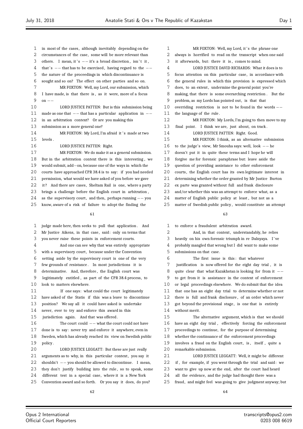- in most of the cases , although inevitably depending on the circumstances of the case, some will be more relevant than 3 others. I mean, it 's  $-$  it's a broad discretion, isn't it, that ' s *−−* that has to be exercised , having regard to the *−−* the nature of the proceedings in which discontinuance is sought and so on? The effect on other parties and so on. MR FOXTON: Well, my Lord, our submission, which I have made, is that there is , as it were, more of a focus on *−−* LORD JUSTICE PATTEN: But is this submission being made as one that *−−* that has a particular application in *−−* in an arbitration context? Or are you making this submission as a more general one? 14 MR FOXTON: My Lord, I'm afraid it 's made at two levels . 16 LORD JUSTICE PATTEN: Right. MR FOXTON: We do make it as a general submission. But in the arbitration context there is this interesting , we would submit, add*−*on, because one of the ways in which the courts have approached CPR 38.4 is to say: if you had needed permission, what would we have asked of you before we gave 22 it? And there are cases, Sheltam Rail is one, where a party brings a challenge before the English court in arbitration ,
- 24 as the supervisory court, and then, perhaps running *−*−you<br>25 know aware of a risk of failure to adont the finding the know, aware of a risk of failure to adopt the finding the

 judge made here, then seeks to pull that application . And Mr Justice Aikens, in that case, said: only on terms that you never raise these points in enforcement courts. And one can see why that was entirely appropriate with a supervisory court , because under the Convention setting aside by the supervisory court is one of the very few grounds of resistance . In most jurisdictions it is determinative. And, therefore , the English court was legitimately entitled , as part of the CPR 38.4 process, to look to matters elsewhere. If one says: what could the court legitimately have asked of the Statis if this was a leave to discontinue position? We say all it could have asked is undertake never, ever to try and enforce this award in this jurisdiction again. And that was offered . 16 The court could *−−* what the court could not have<br>17 done is to say: never try and enforce it anywhere even in done is to say: never try and enforce it anywhere, even in Sweden, which has already reached its view on Swedish public policy . LORD JUSTICE LEGGATT: But these are just really 21 arguments as to why, in this particular context, you say it shouldn't *−−* you should be allowed to discontinue. I mean, 23 they don't justify building into the rule, so to speak, some different test in a special case, where it is a New York Convention award and so forth. Or you say it does, do you? 

1 MR FOXTON: Well, my Lord, it's the phrase one always is horrified to read on the transcript when one said it afterwards, but: there it is , comes to mind. LORD JUSTICE DAVID RICHARDS: What it does is to focus attention on this particular case, in accordance with the general rules in which this provision is expressed which 7 does, to an extent, undermine the general point you're making, that there is some overarching restriction . But the problem, as my Lords has pointed out, is that that overriding restriction is not to be found in the words *−−* 11 the language of the rule. MR FOXTON: My Lords, I'm going to then move to my 13 final point. I think we are, just about, on track. 14 LORD JUSTICE PATTEN: Right. Good. MR FOXTON: I think, as an alternative submission to the judge's view, Mr Smouha says: well, look *−−* he doesn't put it in quite these terms and I hope he will forgive me for forensic paraphrase but: leave aside the question of providing assistance to other enforcement 20 courts, the English court has its own legitimate interest in determining whether the order granted by Mr Justice Burton ex parte was granted without full and frank disclosure and/or whether this was an attempt to enforce what, as a matter of English public policy at least , but not as a matter of Swedish public policy , would constitute an attempt

#### 

 to enforce a fraudulent arbitration award. 2 And, in that context, understandably, he relies heavily on his own forensic triumph in re Dalnyaya. I ' ve probably mangled that wrong but I did want to make some submissions on that case. The first issue is this : that whatever justification is now offered for the eight day trial , it is quite clear that what Kazakhstan is looking for from it *−−* to get from it is assistance in the context of enforcement or legal proceedings elsewhere. We do submit that the idea that one has an eight day trial to determine whether or not there is full and frank disclosure , of an order which never 13 got beyond the provisional stage, is one that is entirely without merit. The alternative argument, which is that we should have an eight day trial , effectively forcing the enforcement proceedings to continue, for the purpose of determining whether the continuance of the enforcement proceedings

19 involves a fraud on the English court, is, itself, quite a remarkable submission.

- LORD JUSTICE LEGGATT: Well, it might be different if , for example, if you went through the trial and said: we
- want to give up now at the end, after the court had heard
- all the evidence, and the judge had thought there was a
- fraud, and might feel was going to give judgment anyway; but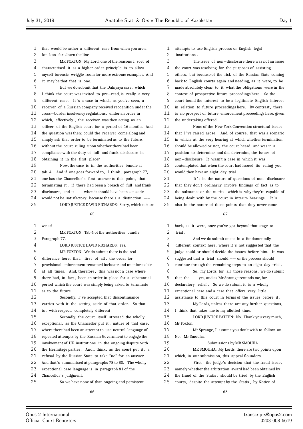that would be rather a different case from when you are a 2 lot less far down the line. MR FOXTON: My Lord, one of the reasons I sort of characterised it as a higher order principle is to allow myself forensic wriggle room for more extreme examples. And it may be that that is one. But we do submit that the Dalnyaya case, which I think the court was invited to pre*−*read, is really a very 9 different case. It's a case in which, as you've seen, a receiver of a Russian company received recognition under the cross*−*border insolvency regulations, under an order in which, effectively , the receiver was then acting as an officer of the English court for a period of 16 months. And the question was then: could the receiver come along and simply ask that order to be terminated as to the future , without the court ruling upon whether there had been compliance with the duty of full and frank disclosure in obtaining it in the first place? Now, the case is in the authorities bundle at 20 tab 4. And if one goes forward to, I think, paragraph 77, 21 one has the Chancellor's first answer to this point, that terminating it , if there had been a breach of full and frank 23 disclosure, and it *−−* when it should have been set aside<br>24 would not be satisfactory because there's a distinction 24 would not be satisfactory because there's a distinction −−<br>25 LORD HISTICE DAVID RICHARDS: Sorry which tab a LORD JUSTICE DAVID RICHARDS: Sorry, which tab are we at? MR FOXTON: Tab 4 of the authorities bundle. Paragraph 77. LORD JUSTICE DAVID RICHARDS: Yes. MR FOXTON: We do submit there is the real 6 difference here, that, first of all, the order for provisional enforcement remained inchoate and unenforceable at all times. And, therefore , this was not a case where there had, in fact , been an order in place for a substantial period which the court was simply being asked to terminate as to the future . 12 Secondly, I've accepted that discontinuance carries with it the setting aside of that order. So that 14 is, with respect, completely different. Secondly, the court itself stressed the wholly 16 exceptional, as the Chancellor put it, nature of that case, where there had been an attempt to use neutral language of repeated attempts by the Russian Government to engage the involvement of UK institutions in the ongoing dispute with 20 the Hermitage parties. And I think, as the court put it, a refusal by the Russian State to take "no" for an answer. And that's summarised at paragraphs 78 to 80. The wholly exceptional case language is in paragraph 81 of the Chancellor's judgment. So we have none of that ongoing and persistent 

 attempts to use English process or English legal institutions . The issue of non*−*disclosure there was not an issue the court was resolving for the purposes of assisting others, but because of the risk of the Russian State coming back to English courts again and needing, as it were, to be made absolutely clear to it what the obligations were in the context of prospective future proceedings here. So the court found the interest to be a legitimate English interest 10 in relation to future proceedings here. By contrast, there is no prospect of future enforcement proceedings here, given the undertaking offered . None of the New York Convention structural issues 14 that I've raised arose. And, of course, that was a scenario in which, at the very hearing at which whether termination should be allowed or not, the court heard, and was in a position to determine, and did determine, the issues of non*−*disclosure. It wasn't a case in which it was contemplated that when the court had issued its ruling you would then have an eight day trial . 21 It's in the nature of questions of non−disclosure that they don't ordinarily involve findings of fact as to the substance or the merits, which is why they're capable of 24 being dealt with by the court in interim hearings. It's

also in the nature of those points that they never come

# 

| 1  | back, as it were, once you've got beyond that stage to      |
|----|-------------------------------------------------------------|
| 2  | trial.                                                      |
| 3  | And we do submit one is in a fundamentally                  |
| 4  | different context here, where it's not suggested that the   |
| 5  | judge could or should decide the issues before him. It was  |
| 6  | suggested that a trial should $--$ or the process should    |
| 7  | continue through the remaining steps to an eight day trial. |
| 8  | So, my Lords, for all those reasons, we do submit           |
| 9  | that the $--$ yes, and as Mr Sprange reminds me, for        |
| 10 | declaratory relief. So we do submit it is a wholly          |
| 11 | exceptional case and a case that offers very little         |
| 12 | assistance to this court in terms of the issues before it.  |
| 13 | My Lords, unless there are any further questions,           |
| 14 | I think that takes me to my allotted time.                  |
| 15 | LORD JUSTICE PATTEN: No. Thank you very much,               |
| 16 | Mr Foxton.                                                  |
| 17 | Mr Sprange, I assume you don't wish to follow on.           |
| 18 | No. Mr Smouha.                                              |
| 19 | Submissions by MR SMOUHA                                    |
| 20 | MR SMOUHA: My Lords, there are two points upon              |
| 21 | which, in our submission, this appeal flounders.            |
| 22 | First, the judge's decision that the fraud issue,           |
| 23 | namely whether the arbitration award had been obtained by   |
| 24 | the fraud of the Statis, should be tried by the English     |
| 25 | courts, despite the attempt by the Statis, by Notice of     |
|    | $\epsilon$ o                                                |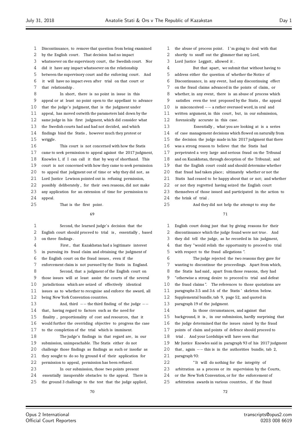- Discontinuance, to remove that question from being examined
- 2 by the English court. That decision had no impact
- 3 whatsoever on the supervisory court, the Swedish court. Nor
- did it have any impact whatsoever on the relationship
- between the supervisory court and the enforcing court . And
- it will have no impact even after trial on that court or
- that relationship .

8 In short, there is no point in issue in this appeal or at least no point open to the appellant to advance that the judge's judgment, that is the judgment under appeal, has moved outwith the parameters laid down by the same judge in his first judgment, which did consider what the Swedish courts had and had not decided, and which findings bind the Statis , however much they protest or wriggle. This court is not concerned with how the Statis came to seek permission to appeal against the 2017 judgment, Knowles 1, if I can call it that by way of shorthand. This court is not concerned with how they came to seek permission 20 to appeal that judgment out of time or why they did not, as

Lord Justice Lewison pointed out in refusing permission,

possibly deliberately , for their own reasons, did not make

- any application for an extension of time for permission to appeal.
- 25 That is the first point.

#### 

 Second, the learned judge's decision that the English court should proceed to trial is , essentially , based on three findings . First , that Kazakhstan had a legitimate interest in pursuing its fraud claim and obtaining the judgment of the English court on the fraud issues , even if the enforcement claim is not pursued by the Statis in England. Second, that a judgment of the English court on those issues will at least assist the courts of the several jurisdictions which are seized of effectively identical issues as to whether to recognise and enforce the award, all being New York Convention countries. 13 And, third *−−* the third finding of the judge  $-$ -<br>14 that having regard to factors such as the need for that, having regard to factors such as the need for finality , proportionality of cost and resources, that it would further the overriding objective to progress the case to the completion of the trial which is imminent. The judge's findings in that regard are , in our submission, unimpeachable. The Statis either do not challenge those findings as findings as such or insofar as they sought to do so by ground 4 of their application for permission to appeal, permission has been refused. In our submission, those two points present essentially insuperable obstacles to the appeal. There is the ground 3 challenge to the test that the judge applied,

- 1 the abuse of process point. I'm going to deal with that
- shortly to snuff out the glimmer that my Lord,
- 3 Lord Justice Leggatt, allowed it.

4 But that apart, we submit that without having to address either the question of whether the Notice of Discontinuance, in any event, had any discontinuing effect on the fraud claims advanced in the points of claim, or whether, in any event, there is an abuse of process which satisfies even the test proposed by the Statis , the appeal is misconceived *−−* a rather overused word, in oral and 11 written argument, in this court, but, in our submission, forensically accurate in this case. Essentially , what you are looking at is a series of case management decisions which flowed on naturally from the decision the judge made in his 2017 judgment that there was a strong reason to believe that the Statis had perpetrated a very large and serious fraud on the Tribunal and on Kazakhstan, through deception of the Tribunal; and that the English court could and should determine whether that fraud had taken place; ultimately whether or not the Statis had ceased to be happy about that or not; and whether or not they regretted having seized the English court themselves of those issued and participated in the action to 24 the brink of trial.

And they did not help the attempt to stop the

#### 

 English court doing just that by giving reasons for their discontinuance which the judge found were not true . And they did tell the judge, as he recorded in his judgment, that they "would relish the opportunity to proceed to trial with respect to the fraud allegations ". The judge rejected the two reasons they gave for wanting to discontinue the proceedings. Apart from which, 8 the Statis had said, apart from those reasons, they had "otherwise a strong desire to proceed to trial and defeat the fraud claims ". The references to those quotations are paragraphs 3.5 and 3.6 of the Statis ' skeleton below. Supplemental bundle, tab 9, page 52, and quoted in paragraph 19 of the judgment. In those circumstances, and against that background, it is , in our submission, hardly surprising that the judge determined that the issues raised by the fraud points of claim and points of defence should proceed to trial . And your Lordships will have seen that Mr Justice Knowles said in paragraph 93 of his 2017 judgment that , again *−−* this is in the authorities bundle, tab 2, paragraph 93: " It will do nothing for the integrity of arbitration as a process or its supervision by the Courts,

- or the New York Convention, or for the enforcement of
- 25 arbitration awards in various countries, if the fraud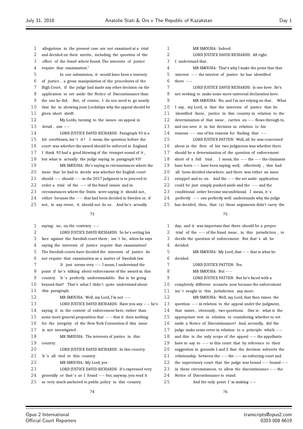| 1  | allegations in the present case are not examined at a trial    | 1  |      |
|----|----------------------------------------------------------------|----|------|
| 2  | and decided on their merits, including the question of the     | 2  |      |
| 3  | effect of the fraud where found. The interests of justice      | 3  | Ιu   |
| 4  | require that examination."                                     | 4  |      |
| 5  | In our submission, it would have been a travesty               | 5  | int  |
| 6  | of justice, a gross manipulation of the procedures of the      | 6  | the: |
| 7  | High Court, if the judge had made any other decision on the    | 7  |      |
| 8  | application to set aside the Notice of Discontinuance than     | 8  | not  |
| 9  | the one he did. But, of course, I do not need to go nearly     | 9  |      |
| 10 | that far in showing your Lordships why the appeal should be    | 10 | I s: |
| 11 | given short shrift.                                            | 11 | ide  |
| 12 | My Lords, turning to the issues on appeal in                   | 12 | det  |
| 13 | detail, one $--$                                               | 13 | and  |
| 14 | LORD JUSTICE DAVID RICHARDS: Paragraph 93 is a                 | 14 | rea  |
| 15 | bit overblown, isn't it? I mean, the question before the       | 15 |      |
| 16 | court was whether the award should be enforced in England.     | 16 | abo  |
| 17 | I think 93 had a good blowing of the trumpet sound of it,      | 17 | sho  |
| 18 | but what is actually the judge saying in paragraph 93?         | 18 | sho  |
| 19 | MR SMOUHA: He's saying in circumstances where the              | 19 | hav  |
| 20 | issue that he had to decide was whether the English court      | 20 | all  |
| 21 | should $--$ should $--$ in the 2017 judgment is to proceed to  | 21 | esto |
| 22 | order a trial of the $--$ of the fraud issues and in           | 22 | cou  |
| 23 | circumstances where the Statis were saying it should not,      | 23 | con  |
| 24 | either because the $--$ that had been decided in Sweden or, if | 24 | per  |
| 25 | not, in any event, it should not do so. And he's actually      | 25 | has  |
|    |                                                                |    |      |
|    | 73                                                             |    |      |
|    |                                                                |    |      |
| 1  | saying: no, on the contrary $--$                               | 1  | day  |
| 2  | LORD JUSTICE DAVID RICHARDS: So he's setting his               | 2  | tria |
| 3  | face against the Swedish court there, isn't he, when he says   | 3  | dec  |
| 4  | saying the interests of justice require that examination?      | 4  | dec  |
| 5  | The Swedish courts have decided the interests of justice do    | 5  |      |
| 6  | not require that examination as a matter of Swedish law.       | 6  | dec  |
| 7  | It just seems very $--$ I mean, I understand the               | 7  |      |
| 8  | point if he's talking about enforcement of the award in this   | 8  |      |
| 9  | country. It's perfectly understandable. But is he going        | 9  |      |
| 10 | beyond that? That's what I didn't quite understand about       | 10 | con  |
| 11 | this paragraph.                                                | 11 | isn  |
| 12 | MR SMOUHA: Well, my Lord, I'm not --                           | 12 |      |
| 13 | LORD JUSTICE DAVID RICHARDS: Have you any $-$ he's             | 13 | que  |
| 14 | saying it in the context of enforcement here, rather than      | 14 | tha  |
| 15 | some more general proposition that $--$ that it does nothing   | 15 | app  |
| 16 | for the integrity of the New York Convention if this issue     | 16 | asio |
| 17 | is not investigated.                                           | 17 | jud  |
| 18 | MR SMOUHA: The interests of justice in this                    | 18 | and  |
| 19 | country.                                                       | 19 | hav  |
| 20 | LORD JUSTICE DAVID RICHARDS: In this country.                  | 20 | sug  |
| 21 | It's all tied to this country.                                 | 21 | rel  |
| 22 | MR SMOUHA: My Lord, yes.                                       | 22 | the  |
| 23 | LORD JUSTICE DAVID RICHARDS: It's expressed very               | 23 | in : |
| 24 | generally or that's as I found $--$ but, anyway, you read it   | 24 | Not  |
| 25 |                                                                | 25 |      |

MR SMOUHA: Indeed. LORD JUSTICE DAVID RICHARDS: All right. inderstand that. MR SMOUHA: That's why I make the point that that interest *−−* the interest of justice he has identified re *−*− LORD JUSTICE DAVID RICHARDS: Is one here. He's seeking to make some more universal declaration here. MR SMOUHA: No; and I'm not relying on that . What ay, my Lord, is that the interests of justice that he entified there, justice in this country in relation to the determination of that issue , carries on *−−* flows through to, one sees it in his decision in relation to his reasons *−−* one of his reasons for finding that *−−* LORD JUSTICE PATTEN: Well, all he was concerned but in the first of his two judgments was whether there uld be a determination of the question of enforcement short of a full trial . I mean, the *−−* the *−−* the claimants have been *−−* have been saying: well, effectively , this had been decided elsewhere, and there was either an issue estoppel and so on. And the *−−* the set aside application could be just simply pushed aside and the *−−* and the .<br>23 aditional order become unconditional. I mean, it 's perfectly *−−* one perfectly well understands why the judge decided, then, that (a) those arguments didn't carry the 

|   | $\mathbf{1}$ | day; and it was important that there should be a proper        |
|---|--------------|----------------------------------------------------------------|
|   | 2            | trial of the $--$ of the fraud issue, in this jurisdiction, to |
|   | 3            | decide the question of enforcement. But that's all he          |
|   | 4            | decided.                                                       |
|   | 5            | MR SMOUHA: My Lord, that $--$ that is what he                  |
|   | 6            | decided.                                                       |
|   | 7            | LORD JUSTICE PATTEN: Yes.                                      |
|   | 8            | MR SMOUHA: But $--$                                            |
|   | 9            | LORD JUSTICE PATTEN: But he's faced with a                     |
|   | 10           | completely different scenario now because the enforcement      |
|   | 11           | isn't sought in this jurisdiction any more.                    |
|   | 12           | MR SMOUHA: Well, my Lord, that then raises the                 |
| Ś | 13           | question $--$ in relation to the appeal under the judgment,    |
|   | 14           | that raises, obviously, two questions. One is: what is the     |
|   | 15           | appropriate test in relation to considering whether to set     |
|   | 16           | aside a Notice of Discontinuance? And, secondly, did the       |
|   | 17           | judge make some error in relation to a principle which $--$    |
|   | 18           | and this is the only scope of the appeal $--$ the appellants   |
|   | 19           | have to say to $--$ to this court that by reference to their   |
|   | 20           | suggestion in grounds 1 and 2 that the decision subverts the   |
|   | 21           | relationship between the $--$ the $--$ an enforcing court and  |
|   | 22           | the supervisory court that the judge was bound $--$ bound $--$ |
|   | 23           | in these circumstances, to allow the discontinuance $-$ the    |
|   | 24           | Notice of Discontinuance to stand.                             |
|   | 25           | And the only point I'm making $--$                             |
|   |              |                                                                |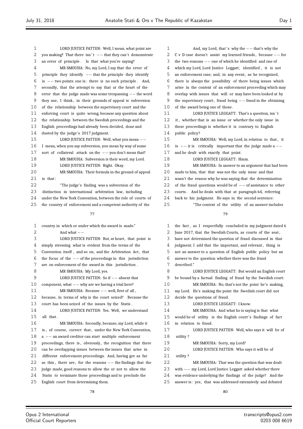| 1              | LORD JUSTICE PATTEN: Well, I mean, what point are              | 1  | And, my Lord, that's why the $--$ that's why the               |
|----------------|----------------------------------------------------------------|----|----------------------------------------------------------------|
| 2              | you making? That there isn't $--$ that they can't demonstrate  | 2  | C v D case doesn't assist my learned friends, because $--$ for |
| $\mathfrak{Z}$ | an error of principle. Is that what you're saying?             | 3  | the two reasons $--$ one of which he identified and one of     |
| 4              | MR SMOUHA: No, my Lord, I say that the error of                | 4  | which my Lord, Lord Justice Leggatt, identified, it is not     |
| 5              | principle they identify $--$ that the principle they identify  | 5  | an enforcement case; and, in any event, as he recognised,      |
| 6              | is $--$ two points: one is: there is no such principle. And,   | 6  | there is always the possibility of there being issues which    |
| 7              | secondly, that the attempt to say that at the heart of the     | 7  | arise in the context of an enforcement proceeding which may    |
| 8              | error that the judge made was some trespassing $--$ the word   | 8  | overlap with issues that will or may have been looked at by    |
| 9              | they use, I think, in their grounds of appeal is subversion    | 9  | the supervisory court, fraud being $--$ fraud in the obtaining |
| 10             | of the relationship between the supervisory court and the      | 10 | of the award being one of those.                               |
| 11             | enforcing court is quite wrong, because any question about     | 11 | LORD JUSTICE LEGGATT: That's a question, isn't                 |
| 12             | the relationship between the Swedish proceedings and the       | 12 | it, whether that is an issue or whether the only issue in      |
| 13             | English proceedings had already been decided, done and         | 13 | these proceedings is whether it is contrary to English         |
| 14             | dusted by the judge's 2017 judgment.                           | 14 | public policy?                                                 |
| 15             | LORD JUSTICE PATTEN: Well, what you mean --                    | 15 | MR SMOUHA: Well, my Lord, in relation to that, it              |
| 16             | I mean, when you say subversion, you mean by way of some       | 16 | is $--$ it is critically important that the judge made a $--$  |
| 17             | sort of collateral attack on the $--$ you don't mean that?     | 17 | and he dealt with exactly that point.                          |
| 18             | MR SMOUHA: Subversion is their word, my Lord.                  | 18 | LORD JUSTICE LEGGATT: Hmm.                                     |
| 19             | LORD JUSTICE PATTEN: Right. Okay.                              | 19 | MR SMOUHA: In answer to an argument that had been              |
| 20             | MR SMOUHA: Their formula in the ground of appeal               | 20 | made to him, that that was not the only issue and that         |
| 21             | is that:                                                       | 21 | wasn't the reason why he was saying that the determination     |
| 22             | "The judge's finding was a subversion of the                   | 22 | of the fraud questions would be of $--$ of assistance to other |
| 23             | distinction in international arbitration law, including        | 23 | courts. And he deals with that at paragraph 64, referring      |
| 24             | under the New York Convention, between the role of courts of   | 24 | back to his judgment. He says in the second sentence:          |
| 25             | the country of enforcement and a competent authority of the    | 25 | "The context of the utility of an answer includes              |
|                | 77                                                             |    | 79                                                             |
|                |                                                                |    |                                                                |
|                |                                                                |    |                                                                |
| 1              | country in which or under which the award is made."            | 1  | the fact, as I respectfully concluded in my judgment dated 6   |
| 2              | And what $--$                                                  | 2  | June 2017, that the Swedish Courts, as courts of the seat,     |
| 3              | LORD JUSTICE PATTEN: But, at heart, that point is              | 3  | have not determined the question of fraud discussed in that    |
| 4              | simply stressing what is evident from the terms of the         | 4  | judgment. I add that the important, and relevant, thing is     |
| 5              | Convention itself, and so on, and the Arbitration Act, that    | 5  | not an answer to a question of English public policy but an    |
| 6              | the focus of the $--$ of the proceedings in this jurisdiction  | 6  | answer to the question whether there was the fraud             |
| 7              | are on enforcement of the award in this jurisdiction.          | 7  | described."                                                    |
| 8              | MR SMOUHA: My Lord, yes.                                       | 8  | LORD JUSTICE LEGGATT: But would an English court               |
| 9              | LORD JUSTICE PATTEN: So if $--$ absent that                    | 9  | be bound by a factual finding of fraud by the Swedish court.   |
| 10             | component, what $--$ why are we having a trial here?           | 10 | MR SMOUHA: No, that's not the point he's making,               |
| 11             | MR SMOUHA: Because $--$ well, first of all,                    | 11 | my Lord. He's making the point the Swedish court did not       |
| 12             | because, in terms of why is the court seized? Because the      | 12 | decide the questions of fraud.                                 |
| 13             | court has been seized of the issues by the Statis.             | 13 | LORD JUSTICE LEGGATT: I know.                                  |
| 14             | LORD JUSTICE PATTEN: Yes. Well, we understand                  | 14 | MR SMOUHA: And what he is saying is that what                  |
| 15             | all that.                                                      | 15 | would be of utility is the English court's findings of fact    |
| 16             | MR SMOUHA: Secondly, because, my Lord, while it                | 16 | in relation to fraud.                                          |
| 17             | is, of course, correct that, under the New York Convention,    | 17 | LORD JUSTICE PATTEN: Well, who says it will be of              |
| 18             | $a$ -- an award creditor can start multiple enforcement        | 18 | utility?                                                       |
| 19             | proceedings, there is, obviously, the recognition that there   | 19 | MR SMOUHA: Sorry, my Lord?                                     |
| 20             | can be overlapping issues between the issues that arise in     | 20 | LORD JUSTICE PATTEN: Who says it will be of                    |
| 21             | different enforcement proceedings. And, having got as far      | 21 | utility?                                                       |
| 22             | as this, there are, for the reasons $--$ the findings that the | 22 | MR SMOUHA: That was the question that was dealt                |
| 23             | judge made, good reasons to allow the or not to allow the      | 23 | with $--$ my Lord, Lord Justice Leggatt asked whether there    |
| 24             | Statis to terminate those proceedings and to preclude the      | 24 | was evidence underlying the findings of the judge? And the     |
| 25             | English court from determining them.                           | 25 | answer is: yes, that was addressed extensively and debated     |

Ξ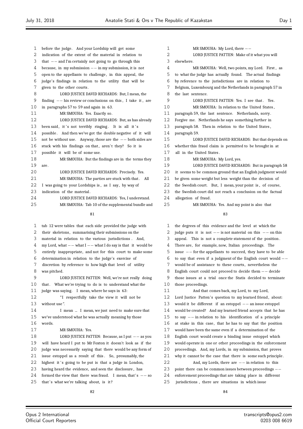before the judge. And your Lordship will get some indication of the extent of the material in relation to that *−−* and I'm certainly not going to go through this because, in my submission *−−* in my submission, it is not open to the appellants to challenge , in this appeal, the judge's findings in relation to the utility that will be given to the other courts . LORD JUSTICE DAVID RICHARDS: But, I mean, the finding *−−* his review or conclusions on this , I take it , are in paragraphs 57 to 59 and again in 63. MR SMOUHA: Yes. Exactly so. LORD JUSTICE DAVID RICHARDS: But, as has already 13 been said, it's not terribly ringing. It is all it's 14 possible. And then we've got the double negative of it will not be without use. Anyway, those are the *−−* both sides are 16 stuck with his findings on that, aren't they? So it is possible it will be of some use. MR SMOUHA: But the findings are in the terms they are . 20 LORD JUSTICE DAVID RICHARDS: Precisely. Yes. 21 MR SMOUHA: The parties are stuck with that. All I was going to your Lordships is , as I say, by way of 23 indication of the material. 24 LORD JUSTICE DAVID RICHARDS: Yes, I understand. MR SMOUHA: Tab 10 of the supplemental bundle and 

- tab 12 were tables that each side provided the judge with 2 their skeletons, summarising their submissions on the material in relation to the various jurisdictions . And, my Lord, what *−−* what I *−−* what I do say is that it would be entirely inappropriate, and not for this court to make some determination in relation to the judge's exercise of discretion by reference to how high that level of utility was pitched. LORD JUSTICE PATTEN: Well, we're not really doing 10 that. What we're trying to do is to understand what the judge was saying. I mean, where he says in 63: 12 <sup>"I</sup> respectfully take the view it will not be without use ". I mean ... I mean, we just need to make sure that we've understood what he was actually meaning by those words. MR SMOUHA: Yes. LORD JUSTICE PATTEN: Because, as I put *−−* as you will have heard I put to Mr Foxton it doesn't look as if the judge was necessarily saying that there would be any form of 21 issue estoppel as a result of this. So, presumably, the 22 highest it's going to be put is that a judge in London, having heard the evidence, and seen the disclosure , has 24 formed the view that there was fraud. I mean, that's  $-$  so 25 that's what we're talking about, is it?
- 1 MR SMOUHA: My Lord, there *−−*<br>2 CORD HISTICE PATTEN: Make of i LORD JUSTICE PATTEN: Make of it what you will elsewhere. MR SMOUHA: Well, two points, my Lord. First , as to what the judge has actually found. The actual findings by reference to the jurisdictions are in relation to Belgium, Luxembourg and the Netherlands in paragraph 57 in the last sentence. 9 LORD JUSTICE PATTEN: Yes. I see that. Yes. MR SMOUHA: In relation to the United States , paragraph 59, the last sentence. Netherlands, sorry. Forgive me. Netherlands he says something further in paragraph 58. Then in relation to the United States , paragraph 59. LORD JUSTICE DAVID RICHARDS: But that depends on whether this fraud claim is permitted to be brought in at all in the United States . 18 MR SMOUHA: My Lord, yes. LORD JUSTICE DAVID RICHARDS: But in paragraph 58 it seems to be common ground that an English judgment would be given some weight but less weight than the decision of the Swedish court. But, I mean, your point is , of course, the Swedish court did not reach a conclusion on the factual allegation of fraud. MR SMOUHA: Yes. And my point is also that
	- $9<sub>2</sub>$

 the degrees of this evidence and the level at which the judge puts it is not *−−* is not material on this *−−* on this appeal. This is not a complete statement of the position . There are, for example, now, Italian proceedings. The issue *−−* for the appellants to succeed, they have to be able to say that even if a judgment of the English court would *−−* would be of assistance to these courts , nevertheless the English court could not proceed to decide them *−−* decide those issues at a trial once the Statis decided to terminate those proceedings. And that comes back, my Lord, to my Lord, 12 Lord Justice Patten's question to my learned friend, about: would it be different if an estoppel *−−* an issue estoppel would be created? And my learned friend accepts that he has to say *−−* in relation to his identification of a principle at stake in this case, that he has to say that the position would have been the same even if a determination of the English court would create a binding issue estoppel which would operate in one or other proceedings in the enforcement proceedings. And, my Lords, in my submission, that proves why it cannot be the case that there is some such principle . And, my Lords, there are *−−* in relation to this point there can be common issues between proceedings *−−* enforcement proceedings that are taking place in different jurisdictions , there are situations in which issue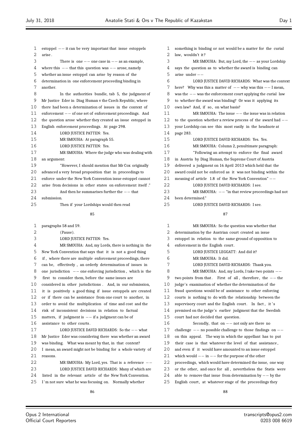| 1  | estoppel $--$ it can be very important that issue estoppels  |
|----|--------------------------------------------------------------|
| 2  | arise.                                                       |
| 3  | There is one $--$ one case in $--$ as an example,            |
| 4  | where this $--$ that this question was $--$ arose, namely    |
| 5  | whether an issue estoppel can arise by reason of the         |
| 6  | determination in one enforcement proceeding binding in       |
| 7  | another.                                                     |
| 8  | In the authorities bundle, tab 5, the judgment of            |
| 9  | Mr Justice Eder in Diag Human v the Czech Republic, where    |
| 10 | there had been a determination of issues in the context of   |
| 11 | enforcement $--$ of one set of enforcement proceedings. And  |
| 12 | the question arose whether they created an issue estoppel in |
| 13 | English enforcement proceedings. At page 298.                |
| 14 | LORD JUSTICE PATTEN: Yes.                                    |
| 15 | MR SMOUHA: At paragraph 55.                                  |
| 16 | LORD JUSTICE PATTEN: Yes.                                    |
| 17 | MR SMOUHA: Where the judge who was dealing with              |
| 18 | an argument:                                                 |
| 19 | "However, I should mention that Mr Cox originally            |
| 20 | advanced a very broad proposition that in proceedings to     |
| 21 | enforce under the New York Convention issue estoppel cannot  |
| 22 | arise from decisions in other states on enforcement itself." |
| 23 | And then he summarises further the $--$ that                 |
| 24 | submission.                                                  |
| 25 | Then if your Lordships would then read                       |

| 1                 | paragraphs 58 and 59.                                                    |
|-------------------|--------------------------------------------------------------------------|
| 2                 | (Pause).                                                                 |
| 3                 | LORD JUSTICE PATTEN: Yes.                                                |
| 4                 | MR SMOUHA: And, my Lords, there is nothing in the                        |
| 5                 | New York Convention that says that it is not a good thing                |
| 6                 | if, where there are multiple enforcement proceedings, there              |
| 7                 | can be, effectively, an orderly determination of issues in               |
| 8                 | one jurisdiction $-\frac{1}{2}$ one enforcing jurisdiction, which is the |
| 9                 | first to consider them, before the same issues are                       |
| $10 \,$           | considered in other jurisdictions. And, in our submission,               |
| 11                | it is positively a good thing if issue estoppels are created             |
| $12 \overline{ }$ | or if there can be assistance from one court to another, in              |
| 13                | order to avoid the multiplication of time and cost and the               |
| 14                | risk of inconsistent decisions in relation to factual                    |
| 15                | matters, if judgment is $--$ if a judgment can be of                     |
| 16                | assistance to other courts.                                              |
| 17                | LORD JUSTICE DAVID RICHARDS: So the -- what                              |
| 18                | Mr Justice Eder was considering there was whether an award               |
| 19                | was binding. What was meant by that, in that context?                    |
| 20                | I mean, an award might not be binding for a whole variety of             |
| 21                | reasons.                                                                 |
| 22                | MR SMOUHA: My Lord, yes. That is a reference $--$                        |
| 23                | LORD JUSTICE DAVID RICHARDS: Many of which are                           |
| 24                | listed in the relevant article of the New York Convention.               |
| 25                | I'm not sure what he was focusing on. Normally whether                   |
|                   |                                                                          |

 something is binding or not would be a matter for the curial 2 law, wouldn't it? MR SMOUHA: But, my Lord, the *−−* as your Lordship says the question as to whether the award is binding can arise under *−−* LORD JUSTICE DAVID RICHARDS: What was the context here? Why was this a matter of *−−* why was this *−−* I mean, was the *−−* was the enforcement court applying the curial law to whether the award was binding? Or was it applying its own law? And, if so, on what basis? MR SMOUHA: The issue *−−* the issue was in relation to the question whether a review process of the award had *−−* your Lordship can see this most easily in the headnote at page 283. LORD JUSTICE DAVID RICHARDS: Yes. Yes. MR SMOUHA: Column 2, penultimate paragraph: "Following an attempt to enforce the final award in Austria by Diag Human, the Supreme Court of Austria delivered a judgment on 16 April 2013 which held that the award could not be enforced as it was not binding within the meaning of article 1.8 of the New York Convention" *−−* LORD JUSTICE DAVID RICHARDS: I see. 23 MR SMOUHA:  $-−$  "in that review proceedings had not 24 heen determined" been determined."

25 LORD JUSTICE DAVID RICHARDS: I see.

| 1  | MR SMOUHA: So the question was whether that                    |
|----|----------------------------------------------------------------|
| 2  | determination by the Austrian court created an issue           |
| 3  | estoppel in relation to the same ground of opposition to       |
| 4  | enforcement in the English court.                              |
| 5  | LORD JUSTICE LEGGATT: And did it?                              |
| 6  | MR SMOUHA: It did.                                             |
| 7  | LORD JUSTICE DAVID RICHARDS: Thank you.                        |
| 8  | MR SMOUHA: And, my Lords, I take two points $--$               |
| 9  | two points from that. First of all, therefore, the $-$ the     |
| 10 | judge's examination of whether the determination of the        |
| 11 | fraud questions would be of assistance to other enforcing      |
| 12 | courts is nothing to do with the relationship between the      |
| 13 | supervisory court and the English court. In fact, it's         |
| 14 | premised on the judge's earlier judgment that the Swedish      |
| 15 | court had not decided that question.                           |
| 16 | Secondly, that on $--$ not only are there no                   |
| 17 | challenge $--$ no possible challenge to those findings on $--$ |
| 18 | on this appeal. The way in which the appellant has to put      |
| 19 | their case is that whatever the level of that assistance,      |
| 20 | and even if it would have amounted to an issue estoppel        |
| 21 | which would $--$ in $--$ for the purpose of the other          |
| 22 | proceedings, which would have determined the issue, one way    |
| 23 | or the other, and once for all, nevertheless the Statis were   |
| 24 | able to remove that issue from determination by $--$ by the    |
| 25 | English court, at whatever stage of the proceedings they       |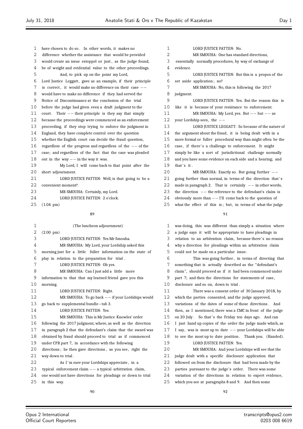have chosen to do so. In other words, it makes no difference whether the assistance that would be provided would create an issue estoppel or just , as the judge found, be of weight and evidential value to the other proceedings. And, to pick up on the point my Lord, 6 Lord Justice Leggatt, gave as an example, if their principle is correct , it would make no difference on their case *−−* would have to make no difference if they had served the Notice of Discontinuance at the conclusion of the trial before the judge had given even a draft judgment to the court . Their *−−* their principle is they say that simply because the proceedings were commenced as an enforcement proceeding, if they stop trying to enforce the judgment in England, they have complete control over the question whether the English court can decide the fraud question, regardless of the progress and regardless of the *−−* of the case; and regardless of the fact that the case was pleaded 18 out in the way *−*− in the way it was.<br>19 My Lord I will come back My Lord, I will come back to that point after the 20 short adjournment. LORD JUSTICE PATTEN: Well, is that going to be a convenient moment? MR SMOUHA: Certainly, my Lord. 24 LORD JUSTICE PATTEN: 2 o'clock. (1.04 pm) (The luncheon adjournment) (2.00 pm) LORD JUSTICE PATTEN: Yes Mr Smouha. MR SMOUHA: My Lord, your Lordship asked this morning just for a little fuller information on the state of play in relation to the preparation for trial . LORD JUSTICE PATTEN: Oh yes. MR SMOUHA: Can I just add a little more information to that that my learned friend gave you this morning. LORD JUSTICE PATTEN: Right. 12 MR SMOUHA: To go back *−−* if your Lordships would<br>13 go back to supplemental bundle−tab 3 go back to supplemental bundle*−*tab 3. LORD JUSTICE PATTEN: Yes. MR SMOUHA: This is Mr Justice Knowles' order following the 2017 judgment, where, as well as the direction in paragraph 2 that the defendant's claim that the award was obtained by fraud should proceed to trial as if commenced under CPR part 7, in accordance with the following directions ; he then gave directions , as you see, right the way down to trial . 22 As I'm sure your Lordships appreciate, in a typical enforcement claim *−−* a typical arbitration claim, one would not have directions for pleadings or down to trial in this way. evidence. set aside application ; no? judgment. your Lordship sees, the *−−*  $that's it$ . 

1 LORD JUSTICE PATTEN: No. MR SMOUHA: One has standard directions, essentially normally procedures, by way of exchange of LORD JUSTICE PATTEN: But this is a propos of the 7 MR SMOUHA: No, this is following the 2017 LORD JUSTICE PATTEN: Yes. But the reason this is like it is because of your resistance to enforcement. MR SMOUHA: My Lord, yes. But *−−* but *−−* as LORD JUSTICE LEGGATT: So because of the nature of the argument about the fraud, it is being dealt with in a more formal or fuller procedural way than might often be the 16 case, if there's a challenge to enforcement. It might simply be like a sort of jurisdictional challenge normally and you have some evidence on each side and a hearing; and MR SMOUHA: Exactly so. But going further *−−* 21 going further than normal, in terms of the direction that's 22 made in paragraph 2. That is certainly *−*− in other words,<br>23 the direction *−*− the reference to the defendant's claim is 23 the direction *−−* the reference to the defendant's claim is<br>24 obviously more than  $-$ − I'll come back to the question of 24 obviously more than *−*− I'll come back to the question of 25 what the effect of this is: but in terms of what the ju what the effect of this is: but, in terms of what the judge was doing, this was different than simply a situation where a judge says it will be appropriate to have pleadings in relation to an arbitration claim, because there's no reason why a direction for pleadings within an arbitration claim could not be made on a particular issue . This was going further , in terms of directing that something that is actually described as the "defendant's claim ", should proceed as if it had been commenced under part 7; and then the directions for statements of case, disclosure and so on, down to trial . There was a consent order of 30 January 2018, by

 which the parties consented, and the judge approved, variations of the dates of some of those directions . And then, as I mentioned, there was a CMC in front of the judge 15 on 20 July. So that's the Friday ten days ago. And can I just hand up copies of the order the judge made which, as I say, was is most up to date *−−* your Lordships will be able 18 to see the most up to date position. Thank you. (Handed). LORD JUSTICE PATTEN: Yes. MR SMOUHA: And your Lordships will see that the judge dealt with a specific disclosure application that followed on from the disclosure that had been made by the parties pursuant to the judge's order. There was some variation of the directions in relation to expert evidence, which you see at paragraphs 8 and 9. And then some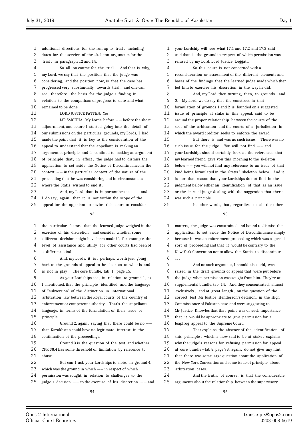- additional directions for the run up to trial , including
- dates for the service of the skeleton arguments for the
- trial , in paragraph 12 and 14.
- So all on course for the trial . And that is why,
- my Lord, we say that the position that the judge was
- considering, and the position now, is that the case has
- progressed very substantially towards trial ; and one can
- see, therefore , the basis for the judge's finding in
- relation to the comparison of progress to date and what remained to be done.
- 11 LORD JUSTICE PATTEN: Yes.

12 MR SMOUHA: My Lords, before *−−* before the short<br>13 adiournment. and before I started going into the detail of adjournment, and before I started going into the detail of our submissions on the particular grounds, my Lords, I had made the point that it is key to the consideration of the appeal to understand that the appellant is making an argument of principle and is confined to making an argument 18 of principle that, in effect, the judge had to dismiss the application to set aside the Notice of Discontinuance in the context *−−* in the particular context of the nature of the proceeding that he was considering and in circumstances 22 where the Statis wished to end it. 23 And, my Lord, that is important because *−*− and<br>24 I do say, again, that it is not within the scope of the

- I do say, again, that it is not within the scope of the
- appeal for the appellant to invite this court to consider

- the particular factors that the learned judge weighed in the exercise of his discretion , and consider whether some different decision might have been made if, for example, the level of assistance and utility for other courts had been of a different kind. And, my Lords, it is , perhaps, worth just going back to the grounds of appeal to be clear as to what is and 8 is not in play. The core bundle, tab 1, page 15. As your Lordships see, in relation to ground 1, as I mentioned, that the principle identified and the language of "subversion" of the distinction in international arbitration law between the Royal courts of the country of enforcement or competent authority. That's the appellants language, in terms of the formulation of their issue of principle . Ground 2, again, saying that there could be no *−−* that Kazakhstan could have no legitimate interest in the continuation of the proceedings. Ground 3 is the question of the test and whether CPR 38.4 has some threshold or limitation by reference to abuse. But can I ask your Lordships to note, in ground 4, which was the ground in which *−−* in respect of which permission was sought, in relation to challenges to the judge's decision *−−* to the exercise of his discretion *−−* and
	-
- your Lordship will see what 17.1 and 17.2 and 17.3 said .
- And that is the ground in respect of which permission was
- refused by my Lord, Lord Justice Leggatt . So this court is not concerned with a reconsideration or assessment of the different elements and bases of the findings that the learned judge made which then led him to exercise his discretion in the way he did. And, my Lord, then turning, then, to grounds 1 and 2. My Lord, we do say that the construct in that formulation of grounds 1 and 2 is founded on a suggested issue of principle at stake in this appeal, said to be around the proper relationship between the courts of the seat of the arbitration and the courts of a jurisdiction in which the award creditor seeks to enforce the award. But there is and was no such issue . There was no such issue for the judge. You will not find *−−* and your Lordships should certainly look at the references that my learned friend gave you this morning to the skeleton below *−−* you will not find any reference to an issue of that kind being formulated in the Statis ' skeleton below. And it is for that reason that your Lordships do not find in the judgment below either an identification of that as an issue or the learned judge dealing with the suggestion that there was such a principle .
- 25 In other words, that, regardless of all the other
	-
	- matters, the judge was constrained and bound to dismiss the application to set aside the Notice of Discontinuance simply because it was an enforcement proceeding which was a special sort of proceeding and that it would be contrary to the New York Convention not to allow the Statis to discontinue it .
- And no such argument, I should also add, was raised in the draft grounds of appeal that were put before the judge when permission was sought from him. They're at supplemental bundle, tab 14. And they concentrated, almost 11 exclusively, and at great length, on the question of the correct test Mr Justice Henderson's decision, in the High Commissioner of Pakistan case and were suggesting to Mr Justice Knowles that that point was of such importance that it would be appropriate to give permission for a leapfrog appeal to the Supreme Court. That explains the absence of the identification of 18 this principle, which is now said to be at stake, explains why the judge's reasons for refusing permission for appeal
- at core bundle*−*tab 8, page 98, again, do not give any hint that there was some large question about the application of the New York Convention and some issue of principle about
- 23 arbitration cases.
- And the truth , of course, is that the considerable arguments about the relationship between the supervisory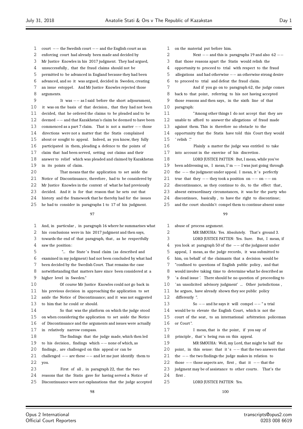- 1 court *−−* the Swedish court *−−* and the English court as an<br>2 enforcing court had already been made and decided by
- enforcing court had already been made and decided by
- Mr Justice Knowles in his 2017 judgment. They had argued,
- unsuccessfully , that the fraud claims should not be
- permitted to be advanced in England because they had been
- advanced, and so it was argued, decided in Sweden, creating
- an issue estoppel. And Mr Justice Knowles rejected those arguments.
- It was *−−* as I said before the short adjournment, 10 it was on the basis of that decision, that they had not been decided, that he ordered the claims to be pleaded and to be deemed *−−* and that Kazakhstan's claim be deemed to have been commenced as a part 7 claim. That is not a matter *−−* those directions were not a matter that the Statis complained about or sought to appeal. Indeed, as you know, they fully participated in them, pleading a defence to the points of claim that had been served, setting out claims and their answer to relief which was pleaded and claimed by Kazakhstan
- in its points of claim.
- That means that the application to set aside the 21 Notice of Discontinuance, therefore, had to be considered by Mr Justice Knowles in the context of what he had previously
- decided. And it is for that reason that he sets out that
- history and the framework that he thereby had for the issues
- he had to consider in paragraphs 1 to 17 of his judgment.

# 

- And, in particular , in paragraph 16 where he summarises what his conclusions were in his 2017 judgment and then says, 3 towards the end of that paragraph, that, as he respectfully saw the position : 5 "... the State's fraud claim (as described and examined in my judgment) had not been concluded by what had been decided by the Swedish Court. That remains the case notwithstanding that matters have since been considered at a higher level in Sweden." Of course Mr Justice Knowles could not go back in his previous decision in approaching the application to set aside the Notice of Discontinuance; and it was not suggested to him that he could or should. So that was the platform on which the judge stood on when considering the application to set aside the Notice of Discontinuance and the arguments and issues were actually in relatively narrow compass. The findings that the judge made, which then led to his decision , findings which *−−* none of which, as findings , are challenged on this appeal or can be challenged *−−* are these *−−* and let me just identify them to you. First of all , in paragraph 22, that the two reasons that the Statis gave for having served a Notice of
- Discontinuance were not explanations that the judge accepted

 on the material put before him. Next *−−* and this is paragraphs 19 and also 62 *−−* that those reasons apart the Statis would relish the opportunity to proceed to trial with respect to the fraud allegations and had otherwise *−−* an otherwise strong desire to proceed to trial and defeat the fraud claim. And if you go on to paragraph 62, the judge comes 8 back to that point, referring to his not having accepted those reasons and then says , in the sixth line of that paragraph: "Among other things I do not accept that they are unable to afford to answer the allegations of fraud made against them. This is therefore no obstacle to the opportunity that the Statis have told this Court they would ' relish '." Plainly a matter the judge was entitled to take into account in the exercise of his discretion . LORD JUSTICE PATTEN: But, I mean, while you've 19 been addressing us, I mean, I'm −−I was just going through<br>20 the −− the judgment under anneal. I mean, it's perfectly the *−−* the judgment under appeal. I mean, it 's perfectly

- true that they *−−* they took a position on *−−* on *−−* on
- 22 discontinuance, as they continue to do, to the effect that,
- absent extraordinary circumstances, it was for the party who
- 24 discontinues, basically, to have the right to discontinue;
- and the court shouldn't compel them to continue absent some

#### $\alpha$

abuse of process argument.

 MR SMOUHA: Yes. Absolutely. That's ground 3. LORD JUSTICE PATTEN: Yes. Sure. But, I mean, if you look at paragraph 50 of the *−−* of the judgment under appeal, I mean, as the judge records, it was submitted to him, on behalf of the claimants that a decision would be "confined to questions of English public policy , and that would involve taking time to determine what he described as 'a dead issue '. There should be no question of proceeding to 'an unsolicited advisory judgment' ... Other jurisdictions , he argues, have already shown they see public policy differently ". So *−−* and he says it will compel *−−* " a trial would be to elevate the English Court, which is not the 15 court of the seat, to an international arbitration policeman or Court ". 17 I mean, that is the point, if you say of 18 principle, that's being run on this appeal. MR SMOUHA: Well, my Lord, that might be half the 20 point, in this sense: that it 's −− that the two answers that the *−−* the two findings the judge makes in relation to those *−−* those aspects are, first , that it *−−* that the 23 judgment may be of assistance to other courts. That's the first .

LORD JUSTICE PATTEN: Yes.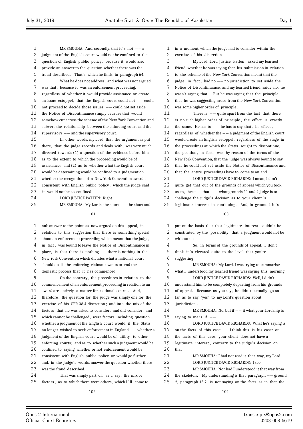| $\mathbf{1}$   | MR SMOUHA: And, secondly, that it's not $--$ a                 |
|----------------|----------------------------------------------------------------|
| $\overline{2}$ | judgment of the English court would not be confined to the     |
| 3              | question of English public policy, because it would also       |
| 4              | provide an answer to the question whether there was the        |
| 5              | fraud described. That's which he finds in paragraph 64.        |
| 6              | What he does not address, and what was not argued,             |
| 7              | was that, because it was an enforcement proceeding,            |
| 8              | regardless of whether it would provide assistance or create    |
| 9              | an issue estoppel, that the English court could not $--$ could |
| 10             | not proceed to decide those issues $--$ could not set aside    |
| 11             | the Notice of Discontinuance simply because that would         |
| 12             | somehow cut across the scheme of the New York Convention and   |
| 13             | subvert the relationship between the enforcing court and the   |
| 14             | supervisory $--$ and the supervisory court.                    |
| 15             | In other words, my Lord, that the argument as put              |
| 16             | there, that the judge records and deals with, was very much    |
| 17             | directed towards $(1)$ a question of the evidence before him,  |
| 18             | as to the extent to which the proceeding would be of           |
| 19             | assistance; and (2) as to whether what the English court       |
| 20             | would be determining would be confined to a judgment on        |
| 21             | whether the recognition of a New York Convention award is      |
| 22             | consistent with English public policy, which the judge said    |
| 23             | it would not be so confined.                                   |
| 24             | LORD JUSTICE PATTEN: Right.                                    |
| 25             | MR SMOUHA: My Lords, the short -- the short and                |
|                | 101                                                            |
| $\mathbf 1$    | nub answer to the point as now argued on this appeal, in       |

 relation to this suggestion that there is something special about an enforcement proceeding which meant that the judge, in fact , was bound to leave the Notice of Discontinuance in place , is that there is nothing *−−* there is nothing in the New York Convention which dictates what a national court should do if the enforcing claimant wants to end the domestic process that it has commenced. On the contrary, the procedures in relation to the commencement of an enforcement proceeding in relation to an 11 award are entirely a matter for national courts. And, therefore , the question for the judge was simply one for the exercise of his CPR 38.4 discretion ; and into the mix of the factors that he was asked to consider, and did consider, and which cannot be challenged, were factors including question whether a judgment of the English court would, if the Statis no longer wished to seek enforcement in England *−−* whether a judgment of the English court would be of utility to other enforcing courts; and as to whether such a judgment would be confined to saying whether or not enforcement would be consistent with English public policy or would go further and, in the judge's words, answer the question whether there was the fraud described. 24 That was simply part of, as I say, the mix of 25 factors, as to which there were others, which I'll come to

 in a moment, which the judge had to consider within the exercise of his discretion . My Lord, Lord Justice Patten, asked my learned friend whether he was saying that his submission in relation to the scheme of the New York Convention meant that the judge, in fact , had no *−−* no jurisdiction to set aside the Notice of Discontinuance, and my learned friend said: no, he wasn't saying that . But he was saying that the principle that he was suggesting arose from the New York Convention was some higher order of principle . There is *−−* quite apart from the fact that there is no such higher order of principle , the effect is exactly the same. He has to *−−* he has to say that , in effect , regardless of whether the *−−* a judgment of the English court would create an English estoppel, regardless of the stage in the proceedings at which the Statis sought to discontinue, 17 the position, in fact, was, by reason of the terms of the New York Convention, that the judge was always bound to say that he could not set aside the Notice of Discontinuance and that the entire proceedings have to come to an end. 21 LORD JUSTICE DAVID RICHARDS: I mean, I don't quite get that out of the grounds of appeal which you took us to , because that *−−* what grounds 11 and 2 judge is to 24 challenge the judge's decision as to your client's 25 legitimate interest in continuing. And, in ground 2 it 's 

 put on the basis that that legitimate interest couldn't be constituted by the possibility that a judgment would not be without use. So, in terms of the grounds of appeal, I don't 5 think it's elevated quite to the level that you're suggesting. MR SMOUHA: My Lord, I was trying to summarise what I understood my learned friend was saying this morning. LORD JUSTICE DAVID RICHARDS: Well, I didn't understand him to be completely departing from his grounds 11 of appeal. Because, as you say, he didn't actually go so far as to say "yes" to my Lord's question about jurisdiction . 14 MR SMOUHA: No, but if  $-$ − if what your Lordship is<br>15 saying to me is if  $-$  saying to me is if *−−* LORD JUSTICE DAVID RICHARDS: What he's saying is on the facts of this case *−−* I think this is his case: on the facts of this case, your client does not have a legitimate interest , contrary to the judge's decision on that. MR SMOUHA: I had not read it that way, my Lord. 22 LORD JUSTICE DAVID RICHARDS: I see. MR SMOUHA: Nor had I understood it that way from the skeleton . My understanding is that paragraph *−−* ground 2, paragraph 15.2, is not saying on the facts as in that the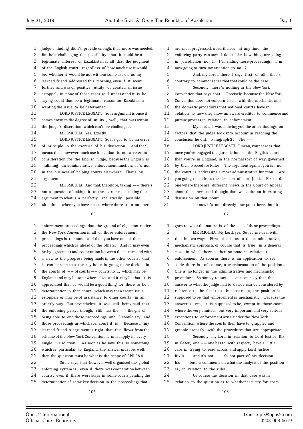- 1 judge's finding didn't provide enough, that more was needed.
- But he's challenging the possibility that it could be a
- legitimate interest of Kazakhstan at all that the judgment
- 4 of the English court, regardless of how much use it would
- be, whether it would be not without some use or, as my
- learned friend addressed this morning, even if it went
- further and was of positive utility or created an issue
- estoppel, in none of those cases as I understand it is he saying could that be a legitimate reason for Kazakhstan wanting the issue to be determined.
- LORD JUSTICE LEGGATT: Your argument is once it 12 comes down to the degree of utility, well, that was within the judge's discretion which can't be challenged.
- MR SMOUHA: Yes. Exactly.

 LORD JUSTICE LEGGATT: So it's got to be an error of principle in the exercise of his discretion . And that means that, however much use it is , that is not a relevant consideration for the English judge, because the English is 19 fulfilling an administrative enforcement function; it's not in the business of helping courts elsewhere. That's his argument.

 MR SMOUHA: And that, therefore, taking *−−* there's not a question of taking it to the extreme *−−* taking that argument to what is a perfectly realistically possible

situation , where you have a case where there are a number of

#### 

 enforcement proceedings; that the ground of objection under the New York Convention in all of those enforcement proceedings is the same; and that you have one of those proceedings which is ahead of the others. And it may even be by agreement and cooperation between the parties and with a view to the progress being made in the other courts , that it can be seen that the key issue is going to be decided in the courts of *−−* of courts *−−* courts no. 1, which may be England and may be somewhere else. And it may be that it is appreciated that it would be a good thing for there to be a 11 determination in that court, which may then create issue 12 estoppels or may be of assistance to other courts, in an orderly way. But nevertheless it was still being said that 14 the enforcing party, though, still has the *−−* the gift of<br>15 being able to end those proceedings: and I should say e being able to end those proceedings; and, I should say, end those proceedings in whichever court it is . Because if my 17 learned friend's argument is right that this flows from the scheme of the New York Convention, it must apply in every single jurisdiction . As soon as he says this is something 20 which is particular to England, the answer must be: well, then the question must be what is the scope of CPR 38.4. So he says that however well organised the global enforcing system is , even if there was cooperation between 24 courts, even if there were stays in some courts pending the determination of some key decision in the proceedings that

- 3 in jurisdiction no. 1. I'm ending those proceedings. I'm
- now going to turn my attention to no. 2.
- 5 And, my Lords, there I say, first of all, that's contrary to commonsense that that could be the case.
- 7 Secondly, there's nothing in the New York
- 8 Convention that says that. Precisely because the New York
- Convention does not concern itself with the mechanics and
- the domestic procedures that national courts have in
- relation to how they allow an award creditor to commence and pursue process in relation to enforcement.
- My Lords, I was showing you the other findings on factors that the judge took into account in reaching the
- conclusion he did . Paragraph 25. The *−−*

 LORD JUSTICE LEGGATT: I mean, your case is that once you've engaged the jurisdiction of the English court then you're in England, in the normal sort of way, governed by Civil Procedure Rules. The argument against you is : no, the court is addressing a more administrative function . Are you going to address the decision of Lord Justice Rix or the one where there are different views in the Court of Appeal 23 about that, because I thought that was quite an interesting 24 discussion on that point.

I know it's not directly our point here, but it

# 

1 goes to what the nature is of the *−−* of these proceedings.<br>2 MR SMOUHA: My Lord. ves. So let me deal with MR SMOUHA: My Lord, yes. So let me deal with that in two ways. First of all , as to the administrative , 4 mechanistic approach, of course that is true, in a general case, in which there is then no issue in relation to enforcement. As soon as there is an application to set aside there is , of course, a transformation of the position . One is no longer in the administrative and mechanistic procedure. So simply to say *−−* one can't say that the answer to what the judge had to decide can be considered by 11 reference to the fact that, in most cases, the position is supposed to be that enforcement is mechanistic. Because the answer is: yes, it is supposed to be, except in those cases where the very limited , but very important and very serious exceptions to enforcement arise under the New York Convention, where the courts then have to grapple, and grapple properly, with the procedures that are appropriate. Secondly, my Lord, in relation to Lord Justice Rix in Gater, one *−−* one has to, with respect , have a little care in trying to read across and apply Lord Justice Rix' s *−−* and it's not *−−* it's not part of his decision *−−* his *−−* but his comments on what the analysis of the position 23 is, in relation to the rules. Of course the decision in that case was in relation to the question as to whether security for costs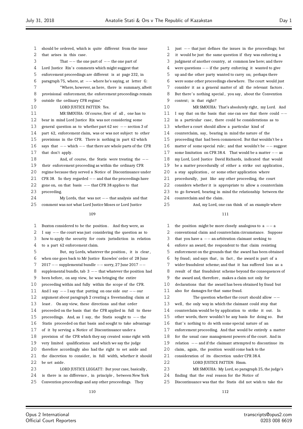should be ordered, which is quite different from the issue that arises in this case. That *−−* the one part of *−−* the one part of 4 Lord Justice Rix's comments which might suggest that enforcement proceedings are different is at page 232, in paragraph 75, where, at *−−* where he's saying, at letter G: "Where, however, as here, there is summary, albeit provisional enforcement, the enforcement proceedings remain outside the ordinary CPR regime." 10 LORD JUSTICE PATTEN: Yes. MR SMOUHA: Of course, first of all , one has to bear in mind Lord Justice Rix was not considering some general question as to whether part 62 sec *−−* section 3 of part 62, enforcement claim, was or was not subject to other provisions in the CPR. There is nothing in part 62 which says that *−−* which *−−* that there are whole parts of the CPR that don't apply. And, of course, the Statis were treating the *−−* their enforcement proceeding as within the ordinary CPR regime because they served a Notice of Discontinuance under 21 CPR 38. So they regarded *−*− and that the proceedings have<br>22 gone on, on that basis −− that CPR 38 annlies to that gone on, on that basis *−−* that CPR 38 applies to that proceeding. 24 My Lords, that was not *−−* that analysis and that 25 comment was not what Lord Iustice Moses or Lord Iustice comment was not what Lord Justice Moses or Lord Justice Buxton considered to be the position . And they were, as I say *−−* the court was just considering the question as to how to apply the security for costs jurisdiction in relation to a part 62 enforcement claim. But, my Lords, whatever the position , it is clear , when one goes back to Mr Justice Knowles' order of 28 June <sup>2017</sup> *−−* supplemental bundle *−−* sorry, 27 June 2017 *−−* supplemental bundle, tab 3 *−−* that whatever the position had been before, on any view, he was bringing the entire proceeding within and fully within the scope of the CPR. And I say *−−* I say that putting on one side our *−−* our argument about paragraph 2 creating a freestanding claim at least . On any view, these directions and that order proceeded on the basis that the CPR applied in full to these proceedings. And, as I say, the Statis sought to *−−* the Statis proceeded on that basis and sought to take advantage of it by serving a Notice of Discontinuance under a provision of the CPR which they say created some right with very limited qualifications and which we say the judge

therefore accordingly also had the right to set aside and

 the discretion to consider, in full width, whether it should 22 be set aside.

23 LORD JUSTICE LEGGATT: But your case, basically, is there is no difference , in principle , between New York

Convention proceedings and any other proceedings. They

 just *−−* that just defines the issues in the proceedings; but it would be just the same question if they was enforcing a judgment of another country, at common law here; and there were questions *−−* if the party enforcing it wanted to give up and the other party wanted to carry on; perhaps there were some other proceedings elsewhere. The court would just consider it as a general matter of all the relevant factors . 8 But there's nothing special, you say, about the Convention context; is that right? MR SMOUHA: That's absolutely right, my Lord. And I say that on the basis that one can see that there could *−−* in a particular case, there could be considerations as to whether a court should allow a particular kind of counterclaim, say, bearing in mind the nature of the proceeding that had been commenced. But that wouldn't be a matter of some special rule; and that wouldn't be *−−* suggest some limitation on CPR 38.4. That would be a matter *−−* as my Lord, Lord Justice David Richards, indicated that would be a matter procedurally of either a strike out application , 20 a stay application, or some other application where 21 procedurally, just like any other proceeding, the court considers whether it is appropriate to allow a counterclaim to go forward, bearing in mind the relationship between the counterclaim and the claim. And, my Lord, one can think of an example where

# 

 the position might be more closely analogous to a *−−* <sup>a</sup> conventional claim and counterclaim circumstance. Suppose that you have a *−−* an arbitration claimant seeking to enforce an award, the respondent to that claim resisting enforcement on the grounds that the award has been obtained by fraud; and says that , in fact , the award is part of a wider fraudulent scheme; and that it has suffered loss as a result of that fraudulent scheme beyond the consequences of the award and, therefore , makes a claim not only for declarations that the award has been obtained by fraud but also for damages for that same fraud. The question whether the court should allow *−−* 13 well, the only way in which the claimant could stop that counterclaim would be by application to strike it out. In other words, there wouldn't be any basis for doing so. But 16 that's nothing to do with some special nature of an enforcement proceeding. And that would be entirely a matter for the usual case management powers of the court. And in 19 relation *−−* and if the claimant attempted to discontinue its<br>20 claim again the position would come back to the claim, again, the position would come back to the consideration of its discretion under CPR 38.4. LORD JUSTICE PATTEN: Hmm. MR SMOUHA: My Lord, so paragraph 25, the judge's finding that the real reason for the Notice of Discontinuance was that the Statis did not wish to take the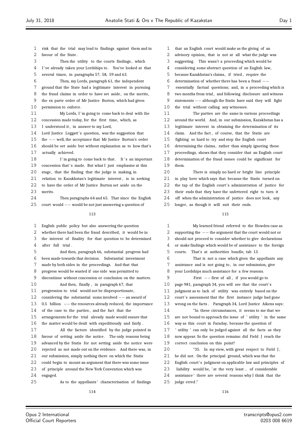risk that the trial may lead to findings against them and in favour of the State . Then the utility to the courts findings , which 4 I've already taken your Lordships to. You've looked at that several times, in paragraphs 57, 58, 59 and 63. Then, my Lords, paragraph 61, the independent ground that the State had a legitimate interest in pursuing 8 the fraud claims in order to have set aside, on the merits, the ex parte order of Mr Justice Burton, which had given permission to enforce. My Lords, I 'm going to come back to deal with the concession made today, for the first time, which, as 13 I understood it, in answer to my Lord, 14 Lord Justice Leggatt's question, was the suggestion that the *−−* well, the acceptance that Mr Justice Burton's order should be set aside but without explanation as to how that's actually achieved. 18 I'm going to come back to that. It 's an important 19 concession that's made. But what I just emphasise at this 20 stage, that the finding that the judge is making, in relation to Kazakhstan's legitimate interest , is in seeking 22 to have the order of Mr Justice Burton set aside on the merits. Then paragraphs 64 and 65. That since the English court would *−−* would be not just answering a question of English public policy but also answering the question whether there had been the fraud described, it would be in the interest of finality for that question to be determined after full trial . And then, paragraph 66, substantial progress had been made towards that decision. Substantial investment made by both sides in the proceedings. And that that progress would be wasted if one side was permitted to discontinue without concession or conclusion on the matters. And then, finally , in paragraph 67, that progression to trial would not be disproportionate, considering the substantial sums involved *−−* an award of 0.5 billion *−−* the resources already reduced, the importance of the case to the parties, and the fact that the arrangements for the trial already made would ensure that the matter would be dealt with expeditiously and fairly . All the factors identified by the judge pointed in favour of setting aside the notice . The only reasons being advanced by the Statis for not setting aside the notice were rejected as not made out on the evidence. And there was, in our submission, simply nothing there on which the Statis could begin to mount an argument that there was some issue

 of principle around the New York Convention which was engaged.

As to the appellants ' characterisation of findings

 that an English court would make as the giving of an advisory opinion, that is not at all what the judge was suggesting. This wasn't a proceeding which would be considering some abstract question of an English law, because Kazakhstan's claims, if tried , require the determination of whether there has been a fraud *−−* essentially factual questions; and, in a proceeding which is 8 two months from trial, and following disclosure and witness statements *−−* although the Statis have said they will fight the trial without calling any witnesses. The parties are the same in various proceedings around the world. And, in our submission, Kazakhstan has a legitimate interest in obtaining the determination of its claim. And the fact , of course, that the Statis are fighting so hard to try and stop the English court 16 determining the claims, rather than simply ignoring these proceedings, shows that they consider that an English court determination of the fraud issues could be significant for them. There is simply no hard or bright line principle in play here which says that because the Statis turned on 22 the tap of the English court's administration of justice for

their ends that they have the unfettered right to turn it

off when the administration of justice does not look, any

longer, as though it will suit their ends.

| 1  | My learned friend referred to the Howden case as             |
|----|--------------------------------------------------------------|
| 2  | supporting the $-$ the argument that the court would not or  |
| 3  | should not proceed to consider whether to give declarations  |
| 4  | or make findings which would be of assistance to the foreign |
| 5  | courts. That's at authorities bundle, tab 13.                |
| 6  | That is not a case which gives the appellants any            |
| 7  | assistance and is not going to, in our submission, give      |
| 8  | your Lordships much assistance for a few reasons.            |
| 9  | First $-$ first of all, if you would go to                   |
| 10 | page 981, paragraph 34, you will see that the court's        |
| 11 | judgment as to lack of utility was entirely based on the     |
| 12 | court's assessment that the first instance judge had gone    |
| 13 | wrong on the facts. Paragraph 34, Lord Justice Aikens says:  |
| 14 | "In these circumstances, it seems to me that we              |
| 15 | are not bound to approach the issue of 'utility' in the same |
| 16 | way as this court in Faraday, because the question of        |
| 17 | ' utility ' can only be judged against all the facts as they |
| 18 | now appear. So the question remains: did Field J reach the   |
| 19 | correct conclusion on this point?                            |
| 20 | "35. In my view, with great respect to Field J,              |
| 21 | he did not. On the principal ground, which was that the      |
| 22 | English court's judgment on applicable law and principles of |
| 23 | liability would be, 'at the very least  of considerable      |
| 24 | assistance' there are several reasons why I think that the   |
| 25 | judge erred."                                                |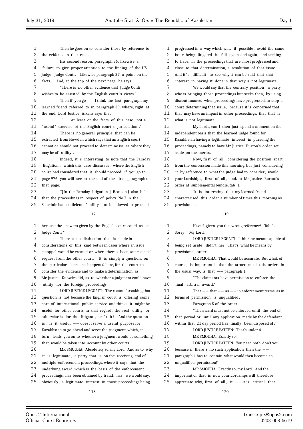Then he goes on to consider those by reference to the evidence in that case. His second reason, paragraph 36, likewise a failure to give proper attention to the finding of the US 5 judge, Judge Conti. Likewise paragraph 37, a point on the facts . And, at the top of the next page, he says: "There is no other evidence that Judge Conti 8 wishes to be assisted by the English court's views." Then if you go *−−* I think the last paragraph my learned friend referred to in paragraph 39, where, right at the end, Lord Justice Aikens says that : "... At least on the facts of this case, not a 13 "useful" exercise of the English court's jurisdiction ." There is no general principle that can be extracted from Howden which says that an English court cannot or should not proceed to determine issues where they may be of utility . 18 Indeed, it's interesting to note that the Faraday 19 litigation, which this case discusses, where the English court had considered that it should proceed, if you go to page 976, you will see at the end of the first paragraph on that page: "[ In the Faraday litigation ] Beatson J also held that the proceedings in respect of policy No 7 in the Schedule had sufficient ' utility ' to be allowed to proceed because the answers given by the English court could assist Judge Conti ." There is no distinction that is made in considerations of this kind between cases where an issue estoppel would be created or where there's been some special request from the other court . It is simply a question, on the particular facts , as happened here, for the court to consider the evidence and to make a determination, as Mr Justice Knowles did, as to whether a judgment could have utility for the foreign proceedings. LORD JUSTICE LEGGATT: The reason for asking that question is not because the English court is offering some sort of international public service and thinks it might be useful for other courts in that regard; the real utility or 15 otherwise is for the litigant, isn't it? And the question is : is it useful *−−* does it serve a useful purpose for Kazakhstan to go ahead and serve the judgment, which, in turn, leads you on to whether a judgment would be something that would be taken into account by other courts . MR SMOUHA: Absolutely so, my Lord. And as to why it is legitimate , a party that is on the receiving end of multiple enforcement proceedings, where it says that the underlying award, which is the basis of the enforcement proceedings, has been obtained by fraud, has, we would say, obviously, a legitimate interest in those proceedings being 

 progressed in a way which will, if possible , avoid the same issue being litigated in full again and again, and seeking to have, in the proceedings that are most progressed and close to that determination, a resolution of that issue . 5 And it's difficult to see why it can be said that that interest in having it done in that way is not legitimate . We would say that the contrary position , a party who is bringing those proceedings but seeks then, by using discontinuance, when proceedings have progressed, to stop a 10 court determining that issue, because it's concerned that that may have an impact in other proceedings, that that is what is not legitimate . My Lords, can I then just spend a moment on the independent basis that the learned judge found for Kazakhstan having a legitimate interest in pursuing the proceedings, namely to have Mr Justice Burton's order set aside on the merits. Now, first of all , considering the position apart from the concession made this morning, but just considering it by reference to what the judge had to consider, would your Lordships, first of all , look at Mr Justice Burton's order at supplemental bundle, tab 1. It is interesting that my learned friend characterised this order a number of times this morning as provisional .

# 

| 1                 | Have I given you the wrong reference? Tab 1.                 |
|-------------------|--------------------------------------------------------------|
| 2                 | Sorry. My Lord.                                              |
| 3                 | LORD JUSTICE LEGGATT: I think he meant capable of            |
| 4                 | being set aside, didn't he? That's what he means by          |
| 5                 | provisional order.                                           |
| 6                 | MR SMOUHA: That would be accurate. But what, of              |
| 7                 | course, is important is that the structure of this order, in |
| 8                 | the usual way, is that $--$ paragraph 1:                     |
| 9                 | "The claimants have permission to enforce the                |
| 10                | final arbitral award."                                       |
| 11                | That $--$ that $--$ as $--$ in enforcement terms, as in      |
| $12 \overline{ }$ | terms of permission, is unqualified.                         |
| 13                | Paragraph 5 of the order:                                    |
| 14                | "The award must not be enforced until the end of             |
| 15                | that period or until any application made by the defendant   |
| 16                | within that 21 day period has finally been disposed of."     |
| 17                | LORD JUSTICE PATTEN: That's under 4.                         |
| 18                | MR SMOUHA: Exactly so.                                       |
| 19                | LORD JUSTICE PATTEN: You need both, don't you,               |
| 20                | because if there's no such application then the $-$          |
| 21                | paragraph 1 has to contain what would then become an         |
| 22                | unqualified permission?                                      |
| 23                | MR SMOUHA: Exactly so, my Lord. And the                      |
| 24                | important of that is now your Lordships will therefore       |
| 25                | appreciate why, first of all, it $--$ it is critical that    |
|                   |                                                              |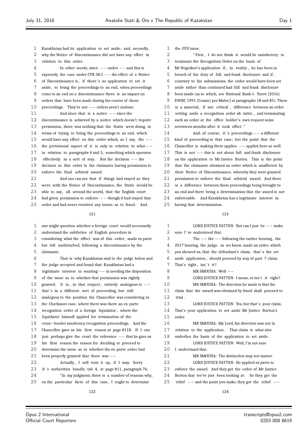Kazakhstan had its application to set aside; and, secondly, why the Notice of Discontinuance did not have any effect in relation to this order. In other words, since *−−* under *−−* and this is expressly the case under CPR 38.5 *−−* the effect of a Notice of Discontinuance is , if there' s no application to set it 7 aside, to bring the proceedings to an end, when proceedings come to an end on a discontinuance there is no impact on orders that have been made during the course of those proceedings. They're not *−−* orders aren't undone. And since that is a notice *−−* since the discontinuance is achieved by a notice which doesn't require permission, there was nothing that the Statis were doing, in terms of trying to bring the proceedings to an end, which would have any effect on this order which, as I say, the *−−* the provisional aspect of it is only in relation to what *−−* in relation to paragraphs 4 and 5, something which operates effectively as a sort of stay . But the decision *−−* the decision in this order is the claimants having permission to enforce the final arbitral award. And one can see that if things had stayed as they were, with the Notice of Discontinuance, the Statis would be able to say, all around the world, that the English court 24 had given permission to enforce *−*− though it had stayed that <br>25 order and had never resolved any issues as to fraud. And order and had never resolved any issues as to fraud. And

#### 

| $\mathbf{1}$ | one might question whether a foreign court would necessarily  |
|--------------|---------------------------------------------------------------|
| 2            | understand the subtleties of English procedure in             |
| 3            | considering what the effect was of this order, made ex parte  |
| 4            | but left undisturbed, following a discontinuance by the       |
| 5            | claimants.                                                    |
| 6            | That is why Kazakhstan said to the judge below and            |
| 7            | the judge accepted and found that Kazakhstan had a            |
| 8            | legitimate interest in wanting $-$ in needing the disposition |
| 9            | of the issue as to whether that permission was rightly        |
| 10           | granted. It is, in that respect, entirely analogous to $-$    |
| 11           | that's in a different sort of proceeding, but still           |
| 12           | analogous to the position the Chancellor was considering in   |
| 13           | the Cherkasov case, where there was there an ex parte         |
| 14           | recognition order of a foreign liquidator, where the          |
| 15           | liquidator himself applied for termination of the             |
| 16           | cross-border insolvency recognition proceedings. And the      |
| 17           | Chancellor gave as his first reason at page 811B. If I can    |
| 18           | just perhaps give the court the reference $-$ that he gave as |
| 19           | his first reason the reason for deciding to proceed to        |
| 20           | determine the issue as to whether the ex parte order had      |
| 21           | been properly granted that there was $-$                      |
| 22           | Actually, I will turn it up, if I may. Sorry.                 |
| 23           | It's authorities bundle, tab 4, at page 811, paragraph 76:    |
| 24           | "In my judgment, there is a number of reasons why,            |
| 25           | on the particular facts of this case, I ought to determine    |

- the FFD issue.
- " First , I do not think it would be satisfactory to
- terminate the Recognition Order on the basis of
- Mr Nogotkov's application if , in reality , he has been in
- breach of his duty of full and frank disclosure and if ,
- contrary to his submissions, the order would have been set
- aside rather than continued had full and frank disclosure
- been made (as to which, see National Bank v. Yurov [2016]
- EWHC 1991 (Comm) per Males J at paragraphs 18 and 85). There
- 10 is a material, if not critical, difference between an order
- setting aside a recognition order ab initio , and terminating such an order at the office holder's own request some
- seventeen months after it took effect ."
- And, of course, it ' s proceedings *−−* a different kind of proceeding in that case; but the point that the Chancellor is making there applies *−−* applies here as well . This is not *−−* this is not about full and frank disclosure on the application to Mr Justice Burton. This is the point that the claimants obtained an order which is unaffected by their Notice of Discontinuance, whereby they were granted permission to enforce the final arbitral award. And there is a difference between these proceedings being brought to an end and there being a determination that the award is not enforceable. And Kazakhstan has a legitimate interest in having that determination.

| 1  | LORD JUSTICE PATTEN: But can I just be $--$ make            |
|----|-------------------------------------------------------------|
| 2  | sure I've understood that.                                  |
| 3  | The $--$ the $--$ following the earlier hearing, the        |
| 4  | 2017 hearing, the judge, as we know, made an order, which   |
| 5  | you showed us, that the defendant's claim, that's the set   |
| 6  | aside application, should proceed by way of part 7 claim.   |
| 7  | That's right, isn't it?                                     |
| 8  | MR SMOUHA: Well $--$                                        |
| 9  | LORD JUSTICE PATTEN: I mean, or isn't it right?             |
| 10 | MR SMOUHA: The direction he made is that the                |
| 11 | claim that the award was obtained by fraud shall proceed to |
| 12 | trial.                                                      |
| 13 | LORD JUSTICE PATTEN: Yes, but that's your claim.            |
| 14 | That's your application to set aside Mr Justice Burton's    |
| 15 | order.                                                      |
| 16 | MR SMOUHA: My Lord, his direction was not in                |
| 17 | relation to the application. That claim is what also        |
| 18 | underlies the basis of the application to set aside.        |
| 19 | LORD JUSTICE PATTEN: Well, I'm not sure                     |
| 20 | I understand that.                                          |
| 21 | MR SMOUHA: The distinction may not matter.                  |
| 22 | LORD JUSTICE PATTEN: He applied ex parte to                 |
| 23 | enforce the award. And they got the order of Mr Justice     |
| 24 | Burton that we've just been looking at. So they got the     |
| 25 | relief $-$ and the point you make, they got the relief $-$  |
|    |                                                             |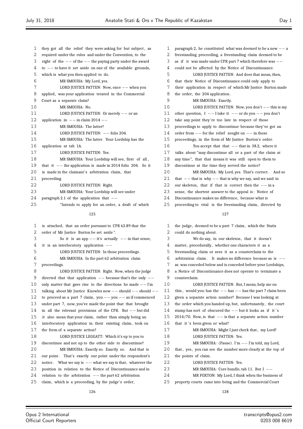| 1  | they got all the relief they were asking for but subject, as   |
|----|----------------------------------------------------------------|
| 2  | required under the rules and under the Convention, to the      |
| 3  | right of the $--$ of the $--$ the paying party under the award |
| 4  | to $--$ to have it set aside on one of the available grounds,  |
| 5  | which is what you then applied to do.                          |
| 6  | MR SMOUHA: My Lord, yes.                                       |
| 7  | LORD JUSTICE PATTEN: Now, once $--$ when you                   |
| 8  | applied, was your application treated in the Commercial        |
| 9  | Court as a separate claim?                                     |
| 10 | MR SMOUHA: No.                                                 |
| 11 | LORD JUSTICE PATTEN: Or merely $--$ or an                      |
| 12 | application in $--$ in claim 2014 $--$                         |
| 13 | MR SMOUHA: The latter?                                         |
| 14 | LORD JUSTICE PATTEN: -- folio 204.                             |
| 15 | MR SMOUHA: The latter. Your Lordship has the                   |
| 16 | application at tab 1A.                                         |
| 17 | LORD JUSTICE PATTEN: Yes.                                      |
| 18 | MR SMOUHA: Your Lordship will see, first of all,               |
| 19 | that it $-$ the application is made in 2014 folio 204. So it   |
| 20 | is made in the claimant's arbitration claim, that              |
| 21 | proceeding.                                                    |
| 22 | LORD JUSTICE PATTEN: Right.                                    |
| 23 | MR SMOUHA: Your Lordship will see under                        |
| 24 | paragraph 2.1 of the application that $-$                      |
| 25 | "Intends to apply for an order, a draft of which               |
|    |                                                                |

| 1  | is attached, that an order pursuant to CPR 62.89 that the         |
|----|-------------------------------------------------------------------|
| 2  | order of Mr Justice Burton be set aside".                         |
| 3  | So it is an app $--$ it's actually $--$ in that sense,            |
| 4  | it is an interlocutory application $-$                            |
| 5  | LORD JUSTICE PATTEN: In those proceedings.                        |
| 6  | MR SMOUHA: In the part 62 arbitration claim                       |
| 7  | proceedings.                                                      |
| 8  | LORD JUSTICE PATTEN: Right. Now, when the judge                   |
| 9  | directed that that application $--$ because that's the only $--$  |
| 10 | only matter that gave rise to the directions he made $--$ I'm     |
| 11 | talking about Mr Justice Knowles now $--$ should $--$ should $--$ |
| 12 | to proceed as a part 7 claim, you $--$ you $--$ as if commenced   |
| 13 | under part 7, now, you've made the point that that brought        |
| 14 | in all the relevant provisions of the CPR. But $--$ but did       |
| 15 | it also mean that your claim, rather than simply being an         |
| 16 | interlocutory application in their existing claim, took on        |
| 17 | the form of a separate action?                                    |
| 18 | LORD JUSTICE LEGGATT: Which it's up to you to                     |
| 19 | discontinue and not up to the other side to discontinue?          |
| 20 | MR SMOUHA: Exactly so. Exactly so. And that is                    |
| 21 | our point. That's exactly our point under the respondent's        |
| 22 | notice. What we say is $-$ what we say is that, whatever the      |
| 23 | position in relation to the Notice of Discontinuance and in       |
| 24 | relation to the arbitration $--$ the part 62 arbitration          |
| 25 | claim, which is a proceeding, by the judge's order,               |
|    |                                                                   |

| $\mathbf{1}$ | paragraph 2, he constituted what was deemed to be a new $--$ a |
|--------------|----------------------------------------------------------------|
| 2            | freestanding proceeding, a freestanding claim deemed to be     |
| 3            | as if it was made under CPR part 7 which therefore was $--$    |
| 4            | could not be affected by the Notice of Discontinuance.         |
| 5            | LORD JUSTICE PATTEN: And does that mean, then,                 |
| 6            | that their Notice of Discontinuance could only apply to        |
| 7            | their application in respect of which Mr Justice Burton made   |
| 8            | the order, the 204 application.                                |
| 9            | MR SMOUHA: Exactly.                                            |
| 10           | LORD JUSTICE PATTEN: Now, you don't $--$ this is my            |
| 11           | other question, $I$ - I take it - or do you - you don't        |
| 12           | take any point they're too late in respect of those            |
| 13           | proceedings to apply to discontinue because they've got an     |
| 14           | order from $--$ for the relief sought on $--$ in those         |
| 15           | proceedings, in the form of Mr Justice Burton's order.         |
| 16           | You accept that that $--$ that in 38.2, where it               |
| 17           | talks about "may discontinue all or a part of the claim at     |
| 18           | any time", that that means it was still open to them to        |
| 19           | discontinue at the time they served the notice?                |
| 20           | MR SMOUHA: My Lord, yes. That's correct. And so                |
| 21           | that $--$ that is why $--$ that is why we say, and we said in  |
| 22           | our skeleton, that if that is correct then the $--$ in a       |
| 23           | sense, the shortest answer to the appeal is: Notice of         |
| 24           | Discontinuance makes no difference, because what is            |
| 25           | proceeding to trial is the freestanding claim, directed by     |
|              |                                                                |

#### 

 the judge, deemed to be a part 7 claim, which the Statis could do nothing about. 3 We do say, in our skeleton, that it doesn't 4 matter, procedurally, whether one characters it as a freestanding claim or sees it as a counterclaim to the arbitration claim. It makes no difference because as is *−−* as was conceded below and is conceded before your Lordships, a Notice of Discontinuance does not operate to terminate a counterclaim. LORD JUSTICE PATTEN: But, I mean, help me on this , would you: has the *−−* has *−−* has the part 7 claim been given a separate action number? Because I was looking at the order which you handed up, but, unfortunately , the court 14 stamp has sort of obscured the *−*− but it looks as if it's<br>15 2014/70. Now, is that *−*− is that a separate action numb 2014/70. Now, is that *−−* is that a separate action number 16 that it's been given or what? 17 MR SMOUHA: Might I just check that, my Lord? 18 LORD JUSTICE PATTEN: Yes. 19 MR SMOUHA: (Pause). I'm −− I'm told, my Lord,<br>20 that yes you can see the number more clearly at the ton that, yes, you can see the number more clearly at the top of the points of claim. LORD JUSTICE PATTEN: Yes. MR SMOUHA: Core bundle, tab 11. But I *−−* MR FOXTON: My Lord, I think when the business of property courts came into being and the Commercial Court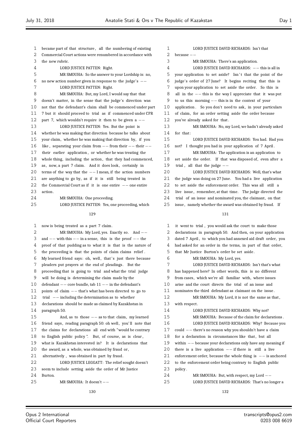Commercial Court actions were renumbered in accordance with the new rubric. LORD JUSTICE PATTEN: Right. MR SMOUHA: So the answer to your Lordship is: no, no new action number given in response to the judge's *−−* LORD JUSTICE PATTEN: Right. MR SMOUHA: But, my Lord, I would say that that doesn't matter, in the sense that the judge's direction was not that the defendant's claim shall be commenced under part 7 but it should proceed to trial as if commenced under CPR part 7, which wouldn't require it then to be given a *−−* LORD JUSTICE PATTEN: Yes. But the point is whether he was making that direction because he talks about your claim, whether he was making that direction by, if you like , separating your claim from *−−* from their *−−* their *−−* their earlier application, or whether he was treating the 18 whole thing, including the action, that they had commenced, 19 as, now, a part 7 claim. And it does look, certainly in terms of the way that the *−−* I mean, if the action numbers are anything to go by, as if it is still being treated in the Commercial Court as if it is one entire *−−* one entire action. MR SMOUHA: One proceeding. **LORD JUSTICE PATTEN:** Yes, one proceeding, which now is being treated as a part 7 claim. MR SMOUHA: My Lord, yes. Exactly so. And *−−* and *−−* with this *−−* in a sense, this is the proof *−−* the proof of that pudding as to what it is that is the nature of the proceeding is that the points of claim claims relief . 6 My learned friend says: oh, well, that's just there because pleaders put prayers at the end of pleadings. But the proceeding that is going to trial and what the trial judge will be doing is determining the claim made by the defendant *−−* core bundle, tab 11 *−−* in the defendant's 11 points of claim *−−* that's what has been directed to go to<br>12 trial *−−* including the determination as to whether 12 trial *−−* including the determination as to whether<br>13 declarations should be made as claimed by Kazakhsta declarations should be made as claimed by Kazakhstan in paragraph 50. 15 And, as to those *−*− as to that claim, my learned<br>16 friend says reading paragraph 50; ob well you'll note that friend says, reading paragraph 50: oh well, you'll note that the claims for declarations all end with "would be contrary to English public policy ". But, of course, as is clear , what is Kazakhstan interested in? It is declarations that the award, as a whole, was obtained by fraud or, alternatively , was obtained in part by fraud. LORD JUSTICE LEGGATT: The relief sought doesn't seem to include setting aside the order of Mr Justice Burton. MR SMOUHA: It doesn't *−−*

became part of that structure , all the numbering of existing

 LORD JUSTICE DAVID RICHARDS: Isn't that because *−−* MR SMOUHA: There's an application. LORD JUSTICE DAVID RICHARDS: *−−* this is all in 5 your application to set aside? Isn't that the point of the judge's order of 27 June? It begins reciting that this is upon your application to set aside the order. So this is all in the *−−* this is the way I appreciate that it was put to us this morning *−−* this is in the context of your application . So you don't need to ask, in your particulars of claim, for an order setting aside the order because you've already asked for that . MR SMOUHA: No, my Lord, we hadn't already asked for that : LORD JUSTICE DAVID RICHARDS: You had. Had you not? I thought you had in your application of 7 April . MR SMOUHA: The application is an application to 18 set aside the order. If that was disposed of, even after a 19 trial, all that the judge *−−*<br>20 **LORD IUSTICE DAVI** LORD JUSTICE DAVID RICHARDS: Well, that's what the judge was doing on 27 June. You had a live application to set aside the enforcement order. This was all still a 23 live issue, remember, at that time. The judge directed the trial of an issue and nominated you, the claimant, on that issue , namely whether the award was obtained by fraud. If it went to trial , you would ask the court to make those declarations in paragraph 50. And then, on your application dated 7 April , to which you had annexed aid draft order, you had asked for an order in the terms, in part of that order,

- that Mr Justice Burton's order be set aside .
- MR SMOUHA: My Lord, yes. LORD JUSTICE DAVID RICHARDS: Isn't that's what has happened here? In other words, this is no different from cases, which we're all familiar with, where issues arise and the court directs the trial of an issue and nominates the third defendant as claimant on the issue . MR SMOUHA: My Lord, it is not the same as that , with respect . 14 LORD JUSTICE DAVID RICHARDS: Why not? MR SMOUHA: Because of the claim for declarations . LORD JUSTICE DAVID RICHARDS: Why? Because you could *−−* there's no reason why you shouldn't have a claim 18 for a declaration in circumstances like that, but all within *−−* because your declarations only have any meaning if there is a live application *−−* if there is still a live enforcement order, because the whole thing is *−−* is anchored to the enforcement order being contrary to English public policy . MR SMOUHA: But, with respect, my Lord *−−* LORD JUSTICE DAVID RICHARDS: That's no longer a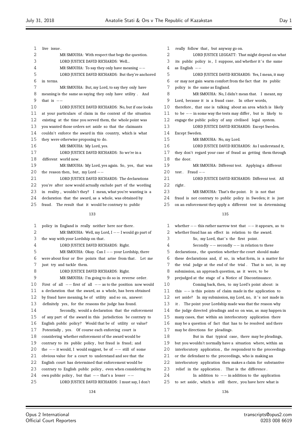| 1  | live issue.                                                  |
|----|--------------------------------------------------------------|
| 2  | MR SMOUHA: With respect that begs the question.              |
| 3  | LORD JUSTICE DAVID RICHARDS: Well                            |
| 4  | MR SMOUHA: To say they only have meaning $--$                |
| 5  | LORD JUSTICE DAVID RICHARDS: But they're anchored            |
| 6  | in terms.                                                    |
| 7  | MR SMOUHA: But, my Lord, to say they only have               |
| 8  | meaning is the same as saying they only have utility. And    |
| 9  | that is $-\frac{1}{2}$                                       |
| 10 | LORD JUSTICE DAVID RICHARDS: No, but if one looks            |
| 11 | at your particulars of claim in the context of the situation |
| 12 | existing at the time you served them, the whole point was    |
| 13 | you wanted those orders set aside so that the claimants      |
| 14 | couldn't enforce the award in this country, which is what    |
| 15 | they were otherwise proposing to do.                         |
| 16 | MR SMOUHA: My Lord, yes.                                     |
| 17 | LORD JUSTICE DAVID RICHARDS: So we're in a                   |
| 18 | different world now.                                         |
| 19 | MR SMOUHA: My Lord, yes again. So, yes, that was             |
| 20 | the reason then, but, my Lord $--$                           |
| 21 | LORD JUSTICE DAVID RICHARDS: The declarations                |
| 22 | you're after now would actually exclude part of the wording  |
| 23 | in reality, wouldn't they? I mean, what you're wanting is a  |
| 24 | declaration that the award, as a whole, was obtained by      |
| 25 | fraud. The result that it would be contrary to public        |
|    | 133                                                          |
| 1  | policy in England is really neither here nor there.          |

| ı  | policy in England is really neither here nor there.              |
|----|------------------------------------------------------------------|
| 2  | MR SMOUHA: Well, my Lord, $I$ -- I would go part of              |
| 3  | the way with your Lordship on that.                              |
| 4  | LORD JUSTICE DAVID RICHARDS: Right.                              |
| 5  | MR SMOUHA: Okay. Can $I$ - your Lordship, there                  |
| 6  | were about four or five points that arise from that. Let me      |
| 7  | just try and tackle them.                                        |
| 8  | LORD JUSTICE DAVID RICHARDS: Right.                              |
| 9  | MR SMOUHA: I'm going to do so in reverse order.                  |
| 10 | First of all $--$ first of all $--$ as to the position now would |
| 11 | a declaration that the award, as a whole, has been obtained      |
| 12 | by fraud have meaning, be of utility and so on, answer:          |
| 13 | definitely yes, for the reasons the judge has found.             |
| 14 | Secondly, would a declaration that the enforcement               |
| 15 | of any part of the award in this jurisdiction be contrary to     |
| 16 | English public policy? Would that be of utility or value?        |
| 17 | Potentially, yes. Of course each enforcing court is              |
| 18 | considering whether enforcement of the award would be            |
| 19 | contrary to its public policy, but fraud is fraud; and           |
| 20 | the $--$ it would, I would suggest, be of $--$ still of some     |
| 21 | obvious value for a court to understand and see that the         |
| 22 | English court has determined that enforcement would be           |
| 23 | contrary to English public policy, even when considering its     |
| 24 | own public policy, but that $--$ that's a lesser $--$            |
| 25 | LORD JUSTICE DAVID RICHARDS: I must say, I don't                 |
|    |                                                                  |

1 really follow that, but anyway go on. LORD JUSTICE LEGGATT: That might depend on what 3 its public policy is, I suppose, and whether it's the same as English *−−* LORD JUSTICE DAVID RICHARDS: Yes, I mean, it may or may not gain warm comfort from the fact that its public policy is the same as England. MR SMOUHA: No, I didn't mean that. I meant, my Lord, because it is a fraud case. In other words, therefore , that one is talking about an area which is likely to be *−−* in some way the tests may differ , but is likely to engage the public policy of any civilised legal system. LORD JUSTICE DAVID RICHARDS: Except Sweden. Except Sweden. MR SMOUHA: No, my Lord. LORD JUSTICE DAVID RICHARDS: As I understand it, they don't regard your case of fraud as getting them through the door. MR SMOUHA: Different test. Applying a different test . Fraud *−−* 21 LORD JUSTICE DAVID RICHARDS: Different test. All 22 right. MR SMOUHA: That's the point. It is not that fraud is not contrary to public policy in Sweden; it is just on an enforcement they apply a different test in determining whether *−−* this rather narrow test that *−−* it appears, as to whether fraud has an effect in relation to the award. 3 So, my Lord, that's the first point.

 Secondly *−−* secondly *−−* in relation to these declarations , the question whether the court should make these declarations and, if so, in what form, is a matter for the trial judge at the end of the trial . That is not, in my submission, an approach question, as it were, to be prejudged at the stage of a Notice of Discontinuance. Coming back, then, to my Lord's point about: is 11 this *−−* is this points of claim made in the application to 12 set aside? In my submission, my Lord, no, it's not made i set aside? In my submission, my Lord, no, it's not made in it . The point your Lordship made was that the reason why the judge directed pleadings and so on was, as may happen in many cases, that within an interlocutory application there may be a question of fact that has to be resolved and there

 may be directions for pleadings. But in that typical case, there may be pleadings, but you wouldn't normally have a situation where, within an interlocutory application , the respondent to the proceedings or the defendant to the proceedings, who is making an interlocutory application then makes a claim for substantive 23 relief in the application. That is the difference. In addition to *−−* in addition to the application 25 to set aside, which is still there, you have here what is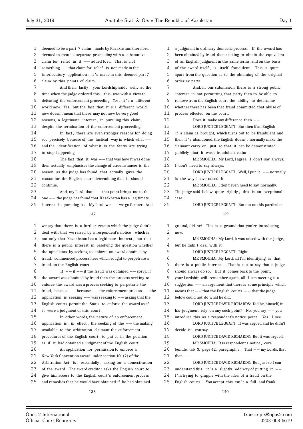deemed to be a part 7 claim, made by Kazakhstan; therefore, deemed to create a separate proceeding with a substantive claim for relief in it *−−* added to it. That is not something *−−* that claim for relief is not made in the 5 interlocutory application; it's made in this deemed part 7 claim by this points of claim. 7 And then, lastly, your Lordship said: well, at the time when the judge ordered this , this was with a view to 9 defeating the enforcement proceeding. Yes, it 's a different 10 world now. Yes, but the fact that it's a different world now doesn't mean that there may not now be very good reasons, a legitimate interest , in pursuing this claim, despite the termination of the enforcement proceeding. In fact , there are even stronger reasons for doing so, precisely because of the tactical way in which what *−−* and the identification of what it is the Statis are trying to stop happening. 18 The fact that it was *−−* that was how it was done<br>19 then actually emphasises the change of circumstances is the then actually emphasises the change of circumstances is the reason, as the judge has found, that actually gives the reason for the English court determining that it should continue. 23 And, my Lord, that *−−* that point brings me to the <br>24 one *−−* the judge has found that Kazakhstan has a legitimate 24 one *−−* the judge has found that Kazakhstan has a legitimate 25 interest in pursuing it. My Lord we *−−* we go further. At interest in pursuing it . My Lord, we *−−* we go further. And we say that there is a further reason which the judge didn' t deal with that we raised by a respondent's notice , which is not only that Kazakhstan has a legitimate interest , but that there is a public interest in resolving the question whether the appellants by seeking to enforce an award obtained by fraud, commenced process here which sought to perpetrate a fraud on the English court . If *−−* if *−−* if the fraud was obtained *−−* sorry, if the award was obtained by fraud then the process seeking to enforce the award was a process seeking to perpetrate the fraud, because *−−* because *−−* the enforcement process *−−* the application is seeking *−−* was seeking to *−−* asking that the English courts permit the Statis to enforce the award as if 14 it were a judgment of this court. In other words, the nature of an enforcement application is , in effect , the seeking of the *−−* the making available to the arbitration claimant the enforcement 18 procedures of the English court, to put it in the position as if it had obtained a judgment of the English court . An application for permission to enforce a New York Convention award under section 101(2) of the 22 Arbitration Act, is, essentially, asking for a domestication of the award. The award creditor asks the English court to 24 give him access to the English court's enforcement process and remedies that he would have obtained if he had obtained a judgment in ordinary domestic process. If the award has been obtained by fraud then seeking to obtain the equivalent of an English judgment in the same terms, and on the basis 4 of the award itself, is itself fraudulent. This is quite apart from the question as to the obtaining of the original order ex parte . And, in our submission, there is a strong public interest in not permitting that party then to be able to remove from the English court the ability to determine whether there has been that fraud committed, that abuse of 11 process effected on the court. Does it make any difference then *−−* LORD JUSTICE LEGGATT: But then if an English *−−* if a claim is brought, which turns out to be fraudulent and 15 then it's abandoned, the English doesn't normally make the claimant carry on, just so that it can be demonstrated publicly that it was a fraudulent claim. MR SMOUHA: My Lord, I agree. I don't say always; I don't need to say always. LORD JUSTICE LEGGATT: Well, I put it *−−* normally 21 is the way I have raised it. MR SMOUHA: I don't even need to say normally. The judge said below, quite rightly , this is an exceptional  $cose$  LORD JUSTICE LEGGATT: But not on this particular ground, did he? This is a ground that you're introducing now. MR SMOUHA: My Lord, it was raised with the judge, 4 but he didn't deal with it. LORD JUSTICE LEGGATT: Right. MR SMOUHA: My Lord, all I'm identifying is that there is a public interest . That is not to say that a judge 8 should always do so. But it comes back to the point, your Lordship will remember, again, all I am meeting is a suggestion *−−* an argument that there is some principle which means that *−−* that the English courts *−−* that the judge below could not do what he did. LORD JUSTICE DAVID RICHARDS: Did he, himself, in his judgment, rely on any such point? No, you say *−−* you introduce this as a respondent's notice point. Yes, I see. LORD JUSTICE LEGGATT: It was argued and he didn't 17 decide it, you say. 18 LORD JUSTICE DAVID RICHARDS: But it was argued. MR SMOUHA: It is respondent's notice , core bundle, tab 3, page 42, paragraph 3. That *−−* my Lords, that then *−−* LORD JUSTICE DAVID RICHARDS: But, just so I can 23 understand this, it 's a slightly odd way of putting it  $−−$ 24 I'm trying to grapple with the idea of a fraud on the 25 English courts. You accept this isn't a full and frank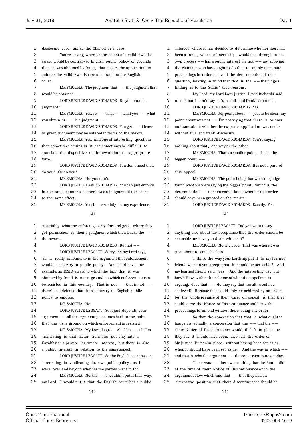| $\mathbf{1}$ | disclosure case, unlike the Chancellor's case.               |
|--------------|--------------------------------------------------------------|
| 2            | You're saying where enforcement of a valid Swedish           |
| 3            | award would be contrary to English public policy on grounds  |
| 4            | that it was obtained by fraud, that makes the application to |
| 5            | enforce the valid Swedish award a fraud on the English       |
| 6            | court.                                                       |
| 7            | MR SMOUHA: The judgment that $--$ the judgment that          |
| 8            | would be obtained $-$                                        |
| 9            | LORD JUSTICE DAVID RICHARDS: Do you obtain a                 |
| 10           | judgment?                                                    |
| 11           | MR SMOUHA: Yes, so $--$ what $--$ what you $--$ what         |
| 12           | you obtain is $-$ is a judgment $-$                          |
| 13           | LORD JUSTICE DAVID RICHARDS: You get $--$ if leave           |
| 14           | is given judgment may be entered in terms of the award.      |
| 15           | MR SMOUHA: Yes. And one of interesting questions             |
| 16           | that sometimes arising is it can sometimes be difficult to   |
| 17           | translate the dispositive of the award into the appropriate  |
| 18           | form.                                                        |
| 19           | LORD JUSTICE DAVID RICHARDS: You don't need that,            |
| 20           | do you? Or do you?                                           |
| 21           | MR SMOUHA: No, you don't.                                    |
| 22           | LORD JUSTICE DAVID RICHARDS: You can just enforce            |
| 23           | in the same manner as if there was a judgment of the court   |
| 24           | to the same effect.                                          |
| 25           | MR SMOUHA: Yes; but, certainly in my experience,             |

| 1  | invariably what the enforcing party for and gets, where they   |
|----|----------------------------------------------------------------|
| 2  | get permission, is then a judgment which then tracks the $-$   |
| 3  | the award.                                                     |
| 4  | LORD JUSTICE DAVID RICHARDS: But not --                        |
| 5  | LORD JUSTICE LEGGATT: Sorry. As my Lord says,                  |
| 6  | all it really amounts to is the argument that enforcement      |
| 7  | would be contrary to public policy. You could have, for        |
| 8  | example, an ICSID award to which the fact that it was          |
| 9  | obtained by fraud is not a ground on which enforcement can     |
| 10 | be resisted in this country. That is not $--$ that is not $--$ |
| 11 | there's no defence that it's contrary to English public        |
| 12 | policy to enforce.                                             |
| 13 | MR SMOUHA: No.                                                 |
| 14 | LORD JUSTICE LEGGATT: So it just depends, your                 |
| 15 | $argument$ -- all the argument just comes back to the point    |
| 16 | that this is a ground on which enforcement is resisted.        |
| 17 | MR SMOUHA: My Lord, I agree. All $I'm$ -- all $I'm$            |
| 18 | translating is that factor translates not only into a          |
| 19 | Kazakhstan's private legitimate interest, but there is also    |
| 20 | a public interest in relation to the same aspect.              |
| 21 | LORD JUSTICE LEGGATT: So the English court has an              |
| 22 | interesting in vindicating its own public policy, as it        |
| 23 | were, over and beyond whether the parties want it to?          |
| 24 | MR SMOUHA: No, the $--$ I wouldn't put it that way,            |
| 25 | my Lord. I would put it that the English court has a public    |
|    | 142                                                            |

| $\mathbf{1}$ | interest where it has decided to determine whether there has  |
|--------------|---------------------------------------------------------------|
| 2            | been a fraud, which, of necessity, would feed through to its  |
| 3            | own process $-$ has a public interest in not $-$ not allowing |
| 4            | the claimant who has sought to do that to simply terminate    |
| 5            | proceedings in order to avoid the determination of that       |
| 6            | question, bearing in mind that that is the $--$ the judge's   |
| 7            | finding as to the Statis' true reasons.                       |
| 8            | My Lord, my Lord Lord Justice David Richards said             |
| 9            | to me that I don't say it's a full and frank situation.       |
| 10           | LORD JUSTICE DAVID RICHARDS: Yes.                             |
| 11           | MR SMOUHA: My point about $--$ just to be clear, my           |
| 12           | point about was not $--$ I'm not saying that there is or was  |
| 13           | no issue about whether the ex parte application was made      |
| 14           | without full and frank disclosure.                            |
| 15           | LORD JUSTICE DAVID RICHARDS: You're saying                    |
| 16           | nothing about that, one way or the other.                     |
| 17           | MR SMOUHA: That's a smaller point. It is the                  |
| 18           | bigger point $-$                                              |
| 19           | LORD JUSTICE DAVID RICHARDS: It is not a part of              |
| 20           | this appeal.                                                  |
| 21           | MR SMOUHA: The point being that what the judge                |
| 22           | found what we were saying the bigger point, which is the      |
| 23           | determination -- the determination of whether that order      |
| 24           | should have been granted on the merits.                       |
| 25           | LORD JUSTICE DAVID RICHARDS: Exactly. Yes.                    |

| $\mathbf{1}$ | LORD JUSTICE LEGGATT: Did you want to say                          |
|--------------|--------------------------------------------------------------------|
| 2            | anything else about the acceptance that the order should be        |
| 3            | set aside or have you dealt with that?                             |
| 4            | MR SMOUHA: No, my Lord. That was where I was                       |
| 5            | just about to come back to.                                        |
| 6            | I think the way your Lordship put it to my learned                 |
| 7            | friend was: do you accept that it should be set aside? And         |
| 8            | my learned friend said: yes. And the interesting is: but           |
| 9            | how? How, within the scheme of what the appellant is               |
| 10           | arguing, does that $-\frac{1}{2}$ do they say that result would be |
| 11           | achieved? Because that could only be achieved by an order;         |
| 12           | but the whole premise of their case, on appeal, is that they       |
| 13           | could serve the Notice of Discontinuance and bring the             |
| 14           | proceedings to an end without there being any order.               |
| 15           | So that the concession that that is what ought to                  |
| 16           | happen is actually a concession that the $--$ that the $--$        |
| 17           | their Notice of Discontinuance would, if left in place, as         |
| 18           | they say it should have been, have left the order of               |
| 19           | Mr Justice Burton in place, without having been set aside,         |
| 20           | when it should have been set aside. And the way in which $--$      |
| 21           | and that's why the argument $--$ the concession is new today.      |
| 22           | There was $-$ there was nothing that the Statis did                |
| 23           | at the time of their Notice of Discontinuance or in the            |
| 24           | argument below which said that $--$ that they had an               |
| 25           | alternative position that their discontinuance should be           |
|              |                                                                    |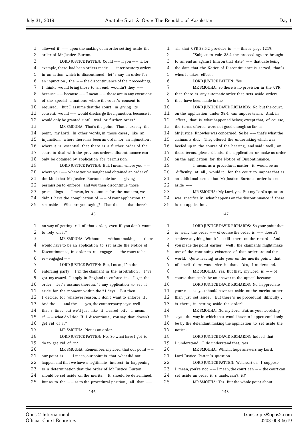allowed if *−−* upon the making of an order setting aside the order of Mr Justice Burton. LORD JUSTICE PATTEN: Could *−−* if you *−−* if, for example, there had been orders made *−−* interlocutory orders 5 in an action which is discontinued, let's say an order for an injunction , the *−−* the discontinuance of the proceedings, I think , would bring those to an end, wouldn't they *−−* because *−−* because *−−* I mean *−−* those are in any event one of the special situations where the court's consent is 10 required. But I assume that the court, in giving its consent, would *−−* would discharge the injunction, because it would only be granted until trial or further order? MR SMOUHA: That's the point. That's exactly the 14 point, my Lord. In other words, in those cases, like an injunction , where there has been an order for an injunction , where it is essential that there is a further order of the court to deal with the previous orders, discontinuance can only be obtained by application for permission. LORD JUSTICE PATTEN: But, I mean, where you *−−* where you *−−* where you've sought and obtained an order of the kind that Mr Justice Burton made for *−−* giving permission to enforce, and you then discontinue those 23 proceedings *−*− I mean, let's assume, for the moment, we<br>24 didn't have the complication of *−*− of vour application to 24 didn't have the complication of *−*− of your application to<br>25 set aside. What are you saying? That the *−*− that there' set aside . What are you saying? That the *−−* that there's no way of getting rid of that order, even if you don't want to rely on it ? MR SMOUHA: Without *−−* without making *−−* there would have to be an application to set aside the Notice of Discontinuance, in order to re*−*engage *−−* the court to be re*−*engaged *−−* 7 LORD JUSTICE PATTEN: But, I mean, I'm the 8 enforcing party. I'm the claimant in the arbitration. I've got my award. I apply in England to enforce it . I get the 10 order. Let's assume there isn't any application to set it aside for the moment, within the 21 days. But then I decide, for whatever reason, I don't want to enforce it . And the *−−* and the *−−* yes, the counterparty says: well , 14 that's fine, but we'd just like it cleared off. I mean, if *−−* what do I do? If I discontinue, you say that doesn't get rid of it? MR SMOUHA: Not as an order. 18 LORD JUSTICE PATTEN: No. So what have I got to 19 do to get rid of it? MR SMOUHA: Remember, my Lord, that our point *−−* our point is *−−* I mean, our point is that what did not happen and that we have a legitimate interest in happening is a determination that the order of Mr Justice Burton should be set aside on the merits. It should be determined. But as to the *−−* as to the procedural position , all that *−−* 

 all that CPR 38.5.2 provides is *−−* this is page 1219: "Subject to rule 38.4 the proceedings are brought to an end as against him on that date" *−−* that date being 4 the date that the Notice of Discontinuance is served, that's when it takes effect . LORD JUSTICE PATTEN: Yes. MR SMOUHA: So there is no provision in the CPR that there is any automatic order that sets aside orders that have been made in the *−−* LORD JUSTICE DAVID RICHARDS: No, but the court, on the application under 38.4, can impose terms. And, in effect , that is what happened below; except that, of course, the terms offered were not good enough so far as Mr Justice Knowles was concerned. So he *−−* that's what the 15 claimants did. They offered the undertaking which was 16 beefed up in the course of the hearing, and said: well, on those terms, please dismiss the application or make no order on the application for the Notice of Discontinuance. I mean, as a procedural matter, it would be no 20 difficulty at all, would it, for the court to impose that as an additional term, that Mr Justice Burton's order is set aside *−−*

MR SMOUHA: My Lord, yes. But my Lord's question was specifically what happens on the discontinuance if there 25 is no application.

| 1  | LORD JUSTICE DAVID RICHARDS: So your point then                  |
|----|------------------------------------------------------------------|
| 2  | is well, the order $--$ of course the order is $--$ doesn't      |
| 3  | achieve anything but it's still there on the record. And         |
| 4  | you made the point earlier: well, the claimants might make       |
| 5  | use of the continuing existence of that order around the         |
| 6  | world. Quite leaving aside your on the merits point, that        |
| 7  | of itself there was a vice in that. Yes, I understand.           |
| 8  | MR SMOUHA: Yes. But that, my Lord, is $-$ of                     |
| 9  | course that can't be an answer to the appeal because $--$        |
| 10 | LORD JUSTICE DAVID RICHARDS: No, I appreciate                    |
| 11 | your case is you should have set aside on the merits rather      |
| 12 | than just set aside. But there's no procedural difficulty,       |
| 13 | is there, in setting aside the order?                            |
| 14 | MR SMOUHA: No, my Lord. But, as your Lordship                    |
| 15 | says, the way in which that would have to happen could only      |
| 16 | be by the defendant making the application to set aside the      |
| 17 | notice.                                                          |
| 18 | LORD JUSTICE DAVID RICHARDS: Indeed, that                        |
| 19 | I understand. I do understand that, yes.                         |
| 20 | MR SMOUHA: Which I hope answers my Lord,                         |
| 21 | Lord Justice Patten's question.                                  |
| 22 | LORD JUSTICE PATTEN: Well, sort of, I suppose.                   |
| 23 | I mean, you're not $--$ I mean, the court can $--$ the court can |
| 24 | set aside an order it's made, can't it?                          |
| 25 | MR SMOUHA: Yes. But the whole point about                        |
|    | 140                                                              |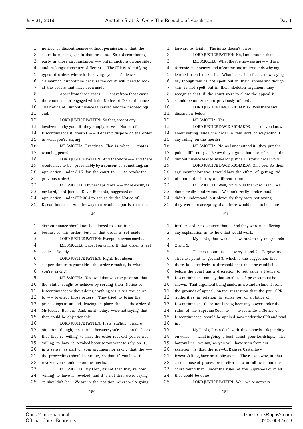- notices of discontinuance without permission is that the court is not engaged in that process. So a discontinuing party in those circumstances *−−* put injunctions on one side , undertakings, those are different . The CPR is identifying 5 types of orders where it is saying: you can't leave a claimant to discontinue because the court will need to look at the orders that have been made. Apart from those cases *−−* apart from those cases, the court is not engaged with the Notice of Discontinuance. The Notice of Discontinuance is served and the proceedings end. LORD JUSTICE PATTEN: So that, absent any involvement by you, if they simply serve a Notice of Discontinuance it doesn't *−−* it doesn't dispose of the order is what you're saying . MR SMOUHA: Exactly so. That is what *−−* that is what happened. LORD JUSTICE PATTEN: And therefore *−−* and there would have to be, presumably by a consent or something, an application under 3.1.7 for the court to *−−* to revoke the previous order? MR SMOUHA: Or, perhaps more *−−* more easily, as my Lord, Lord Justice David Richards, suggested an application under CPR 38.4 to set aside the Notice of Discontinuance. And the way that would be put is that the discontinuance should not be allowed to stay in place because of this order, but, if that order is set aside *−−* LORD JUSTICE PATTEN: Except on terms maybe. MR SMOUHA: Except on terms. If that order is set 5 aside. Exactly. LORD JUSTICE PATTEN: Right. But absent cooperation from your side , the order remains, is what you're saying? MR SMOUHA: Yes. And that was the position that the Statis sought to achieve by serving their Notice of Discontinuance without doing anything vis a vis the court 12 to −− to effect those orders. They tried to bring the<br>13 proceedings to an end leaving in place the −− the org proceedings to an end, leaving in place the *−−* the order of Mr Justice Burton. And, until today, were not saying that that could be objectionable . LORD JUSTICE PATTEN: It's a slightly bizarre 17 situation though, isn't it? Because you're  $-$ − on the basis that they're willing to have the order revoked, you're not willing to have it revoked because you want to rely on it , in a sense, as part of your argument for saying that the *−−* the proceedings should continue, so that if you have it revoked you should be on the merits. MR SMOUHA: My Lord, it's not that they're now 24 willing to have it revoked; and it's not that we're saying it shouldn't be. We are in the position where we're going
	- forward to trial . The issue doesn't arise . **LORD JUSTICE PATTEN:** No. I understand that. MR SMOUHA: What they're now saying *−−* it is a forensic manoeuvre and of course one understands why my learned friend makes it . What he is , in effect , now saying is , though this is not spelt out in their appeal and though this is not spelt out in their skeleton argument, they recognise that if the court were to allow the appeal it should be on terms not previously offered . LORD JUSTICE DAVID RICHARDS: Was there any discussion below *−−* MR SMOUHA: Yes. LORD JUSTICE DAVID RICHARDS: *−−* do you know, about setting aside the order in this sort of way without any ruling on the merits? MR SMOUHA: No, as I understand it, they put the point differently . Below they argued that the effect of the discontinuance was to make Mr Justice Burton's order void. LORD JUSTICE DAVID RICHARDS: Oh, I see. So their argument below was it would have the effect of getting rid 21 of that order but by a different route. MR SMOUHA: Well, "void" was the word used. We 23 don't really understand. We don't really understand −−<br>24 didn't understand: but obviously they were not saying −− didn' t understand; but obviously they were not saying *−−* they were not accepting that there would need to be some

 further order to achieve that . And they were not offering any explanation as to how that would work. My Lords, that was all I wanted to say on grounds 2 and 3. The next point is *−−* sorry, 1 and 2. Forgive me. The next point is ground 3, which is the suggestion that there is effectively a threshold that must be established before the court has a discretion to set aside a Notice of Discontinuance, namely that an abuse of process must be shown. That argument being made, as we understand it from the grounds of appeal, on the suggestion that the pre*−*CPR authorities in relation to strike out of a Notice of Discontinuance, there not having been any power under the rules of the Supreme Court to *−−* to set aside a Notice of Discontinuance, should be applied now under the CPR and read in . My Lords, I can deal with this shortly , depending on what *−−* what is going to best assist your Lordships. The bottom line , we say, as you will have seen from our 20 skeleton, is that the pre−CPR cases, Castanho v Brown & Root, have no application . The reason why, in that case, abuse of process was referred to at all was that the 23 court found that, under the rules of the Supreme Court, all that could be done *−−* LORD JUSTICE PATTEN: Well, we're not very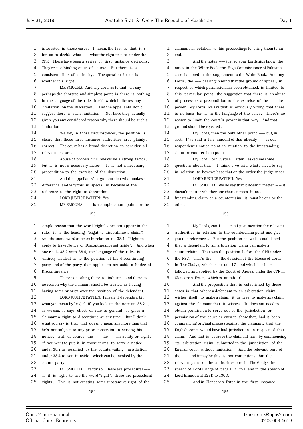other.

 interested in those cases . I mean, the fact is that it ' s for us to decide what *−−* what the right test is under the CPR. There have been a series of first instance decisions . They're not binding on us of course. But there is a 5 consistent line of authority. The question for us is 6 whether it's right. MR SMOUHA: And, my Lord, as to that, we say perhaps the shortest and simplest point is there is nothing in the language of the rule itself which indicates any limitation on the discretion . And the appellants don't suggest there is such limitation . Nor have they actually given you any considered reason why there should be such a limitation . We say, in those circumstances, the position is 15 clear, that those first instance authorities are, plainly, 16 correct. The court has a broad discretion to consider all relevant factors . Abuse of process will always be a strong factor , but it is not a necessary factor . It is not a necessary precondition to the exercise of the discretion . 21 And the appellants' argument that what makes a difference and why this is special is because of the reference to the right to discontinue *−−* LORD JUSTICE PATTEN: Yes. MR SMOUHA: *−−* is a complete non*−*point, for the 

 simple reason that the word "right" does not appear in the rule; it is the heading, "Right to discontinue a claim ". And the same word appears in relation to 38.4, "Right to apply to have Notice of Discontinuance set aside ". And when one reads 38.2 with 38.4, the language of the rules is entirely neutral as to the position of the discontinuing party and of the party that applies to set aside a Notice of Discontinuance. There is nothing there to indicate , and there is no reason why the claimant should be treated as having *−−* having some priority over the position of the defendant. LORD JUSTICE PATTEN: I mean, it depends a bit what you mean by "right" if you look at the note at 38.2.1, as we can, it says effect of rule is general; it gives a claimant a right to discontinue at any time. But I think what you say is that that doesn't mean any more than that he's not subject to any prior constraint in serving his 18 notice. But, of course, the *−−* the *−−* his ability or right,<br>19 if you want to put it in those terms, to serve a notice if you want to put it in those terms, to serve a notice under 38.2 is qualified by the countervailing jurisdiction 21 under 38.4 to set it aside, which can be invoked by the counterparty. MR SMOUHA: Exactly so. These are procedural *−−* if it is right to use the word "right ", these are procedural rights . This is not creating some substantive right of the

 end. And the notes *−−* just so your Lordships know, the notes in the White Book, the High Commissioner of Pakistan case is noted in the supplement to the White Book. And, my Lords, the *−−* bearing in mind that the ground of appeal, in respect of which permission has been obtained, is limited to 8 this particular point, the suggestion that there is an abuse of process as a precondition to the exercise of the *−−* the power. My Lords, we say that is obviously wrong: that there is no basis for it in the language of the rules . There's no 12 reason to limit the court's power in that way. And that ground should be rejected . My Lords, then the only other point *−−* but, in fact , I ' ve said a fair amount of this already *−−* is our respondent's notice point in relation to the freestanding claim or counterclaim point . My Lord, Lord Justice Patten, asked me some 19 questions about that. I think I've said what I need to say in relation to how we base that on the order the judge made. 21 LORD JUSTICE PATTEN: Yes. MR SMOUHA: We do say that it doesn't matter *−−* it doesn't matter whether one characterises it as a freestanding claim or a counterclaim; it must be one or the

claimant in relation to his proceedings to bring them to an

#### 

 My Lords, can I *−−* can I just mention the relevant authorities in relation to the counterclaim point and give you the references . But the position is well*−*established that a defendant to an arbitration claim can make a counterclaim. That was the position before the CPR under the RSC. That's the *−−* the decision of the House of Lords in The Gladys, which is at tab 17, and which has been followed and applied by the Court of Appeal under the CPR in Glencore v Exter, which is at tab 10. And the proposition that is established by those cases is that where a defendant to an arbitration claim wishes itself to make a claim, it is free to make any claim against the claimant that it wishes. It does not need to obtain permission to serve out of the jurisdiction or permission of the court or even to show that, had it been commencing original process against the claimant, that the English court would have had jurisdiction in respect of that claim. And that is because the claimant has, by commencing its arbitration claim, submitted to the jurisdiction of the English court without limitation . And the relevant part of the *−−* and it may be this is not contentious, but the relevant parts of the authorities are in The Gladys the speech of Lord Bridge at page 117F to H and in the speech of Lord Brandon at 128D to 130D. And in Glencore v Exter in the first instance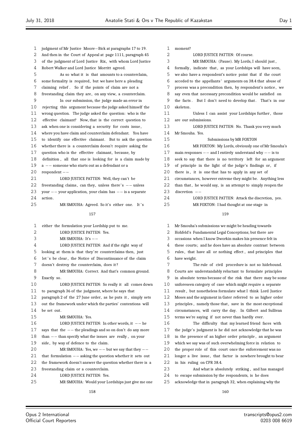moment?

 judgment of Mr Justice Moore*−*Bick at paragraphs 17 to 19. And then in the Court of Appeal at page 1111, paragraph 45 3 of the judgment of Lord Justice Rix, with whom Lord Justice Robert Walker and Lord Justice Morritt agreed. As so what it is that amounts to a counterclaim, some formality is required, but we have here a pleading claiming relief . So if the points of claim are not a 8 freestanding claim they are, on any view, a counterclaim. In our submission, the judge made an error in rejecting this argument because the judge asked himself the wrong question. The judge asked the question: who is the effective claimant? Now, that is the correct question to ask when one is considering a security for costs issue , where you have claim and counterclaim defendant. You have to identify one effective claimant. But to ask the question whether there is a counterclaim doesn't require asking the question who is the effective claimant, because, by definition , all that one is looking for is a claim made by <sup>a</sup> *−−* someone who starts out as a defendant or a respondent *−−* 21 LORD JUSTICE PATTEN: Well, they can't be 22 freestanding claims, can they, unless there's *−*− unless<br>23 your −− your application your claim has −− is a senarate your *−−* your application, your claim has *−−* is a separate action . MR SMOUHA: Agreed. So it's either one. It ' s either the formulation your Lordship put to me. 2 LORD JUSTICE PATTEN: Yes. MR SMOUHA: It's *−−* LORD JUSTICE PATTEN: And if the right way of looking at them is that they're counterclaims then, just 6 let 's be clear, the Notice of Discontinuance of the claim doesn't destroy the counterclaim, does it ?

 MR SMOUHA: Correct. And that's common ground. Exactly so. LORD JUSTICE PATTEN: So really it all comes down to paragraph 36 of the judgment, where he says that paragraph 2 of the 27 June order, as he puts it , simply sets out the framework under which the parties' contentions will be set out. MR SMOUHA: Yes. 16 LORD JUSTICE PATTEN: In other words, it *−−* he<br>17 says that the *−−* the pleadings and so on don't do any mor says that the  $-−$  the pleadings and so on don't do any more 18 than *−*− than specify what the issues are really, on your 19 side. by wav of defence to the claim. side, by way of defence to the claim. MR SMOUHA: Yes, we *−−* but we say that they *−−* that formulation *−−* asking the question whether it sets out the framework doesn't answer the question whether there is a freestanding claim or a counterclaim. LORD JUSTICE PATTEN: Yes. MR SMOUHA: Would your Lordships just give me one

2 LORD JUSTICE PATTEN: Of course. MR SMOUHA: (Pause). My Lords, I should just , 4 formally, indicate that, as your Lordships will have seen, we also have a respondent's notice point that if the court acceded to the appellants ' arguments on 38.4 that abuse of process was a precondition then, by respondent's notice , we say even that necessary precondition would be satisfied on the facts . But I don't need to develop that . That's in our skeleton . 11 Unless I can assist your Lordships further, those are our submissions. 13 LORD JUSTICE PATTEN: No. Thank you very much Mr Smouha. Yes. Submissions by MR FOXTON MR FOXTON: My Lords, obviously one of Mr Smouha's main responses *−−* and I entirely understand why *−−* is to seek to say that there is no territory left for an argument of principle in the light of the judge's findings or, if there is , it is one that has to apply in any set of circumstances, however extreme they might be. Anything less 22 than that, he would say, is an attempt to simply reopen the discretion *−−*

#### 

MR FOXTON: I had thought at one stage in

LORD JUSTICE PATTEN: Attack the discretion, yes.

 Mr Smouha's submissions we might be heading towards Hohfeld's Fundamental Legal Conceptions; but there are occasions when I know Dworkin makes his presence felt in these courts; and he does have an absolute contrast between rules , that have all or nothing effect , and principles that have weight. The rule of civil procedure is not so hidebound. Courts are understandably reluctant to formulate principles in absolute terms because of the risk that there may be some unforeseen category of case which might require a separate result , but nonetheless formulate what I think Lord Justice Moses and the argument in Gater referred to as higher order 13 principles, namely those that, save in the most exceptional circumstances, will carry the day. In Gilbert and Sullivan terms we're saying if not never than hardly ever. The difficulty that my learned friend faces with the judge's judgment is he did not acknowledge that he was in the presence of an higher order principle , an argument which we say was of such overwhelming force in relation to the proper role of this court once the enforcement was no 21 longer a live issue, that factor is nowhere brought to bear in his ruling on CPR 38.4. And what is absolutely striking , and has managed to escape submission by the respondents, is he does acknowledge that in paragraph 32, when explaining why the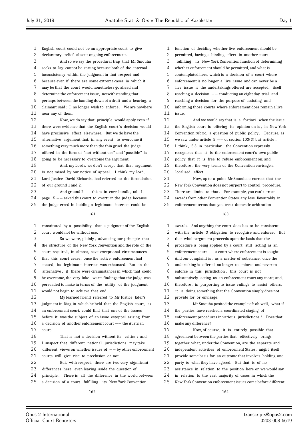English court could not be an appropriate court to give declaratory relief absent ongoing enforcement. And so we say the procedural trap that Mr Smouha seeks to lay cannot be sprung because both of the internal inconsistency within the judgment in that respect and because even if there are some extreme cases, in which it may be that the court would nonetheless go ahead and determine the enforcement issue, notwithstanding that perhaps between the handing down of a draft and a hearing, a claimant said: I no longer wish to enforce. We are nowhere near any of them. Now, we do say that principle would apply even if 13 there were evidence that the English court's decision would have preclusive effect elsewhere. But we do have the alternative argument that, in any event, to overcome it, something very much more than the thin gruel the judge offered in the form of "not without use" and "possible" is going to be necessary to overcome the argument.

 And, my Lords, we don't accept that that argument is not raised by our notice of appeal. I think my Lord,

 Lord Justice David Richards, had referred to the formulation of our ground 1 and 2.

23 And ground 2 *−−* this is in core bundle, tab 1,<br>24 nage 15 −− asked this court to overturn the judge becaus

24 page 15 *−−* asked this court to overturn the judge because<br>25 the judge erred in holding a legitimate interest could be

the judge erred in holding a legitimate interest could be

 constituted by a possibility that a judgment of the English court would not be without use.

 So we were, plainly , advancing our principle that the structure of the New York Convention and the role of the

court required, in almost, save exceptional circumstances,

that this court cease, once the active enforcement had

ceased, its legitimate interest was exhausted. But, in the

alternative , if there were circumstances in which that could

 be overcome, the very luke*−*warm findings that the judge was persuaded to make in terms of the utility of the judgment,

would not begin to achieve that end.

 My learned friend referred to Mr Justice Eder's 13 judgment in Diag in which he held that the English court, as

an enforcement court, could find that one of the issues

before it was the subject of an issue estoppel arising from

 a decision of another enforcement court *−−* the Austrian court.

 That is not a decision without its critics ; and I suspect that different national jurisdictions may take different views on whether issues of *−−* by other enforcement courts will give rise to preclusion or not.

22 But, with respect, there are two very significant

differences here, even leaving aside the question of

24 principle. There is all the difference in the world between

a decision of a court fulfilling its New York Convention

- function of deciding whether live enforcement should be
- permitted, having a binding effect in another court
- fulfilling its New York Convention function of determining
- whether enforcement should be permitted, and what is
- contemplated here, which is a decision of a court where
- enforcement is no longer a live issue and can never be a
- live issue if the undertakings offered are accepted, itself
- reaching a decision *−−* conducting an eight day trial and

reaching a decision for the purpose of assisting and

 informing those courts where enforcement does remain a live issue .

 And we would say that is a fortiori when the issue the English court is offering its opinion on is , in New York Convention rubric, a question of public policy . Because, as

- we saw under article 5 *−−* or section 103(3) but article ,
- 16 I think, 5.3 in particular, the Convention expressly

recognises that it is the enforcement court's own public

policy that it is free to refuse enforcement on; and,

therefore , the very terms of the Convention envisage a

2.0 localised effect.

Now, up to a point Mr Smouha is correct that the

 New York Convention does not purport to control procedure. 23 There are limits to that. For example, you can't treat

awards from other Convention States any less favourably in

enforcement terms than you treat domestic arbitration

#### 

 awards. And anything the court does has to be consistent with the article 3 obligation to recognise and enforce. But that whole argument proceeds upon the basis that the procedure is being applied by a court still acting as an enforcement court *−−* a court where enforcement is sought. And our complaint is , as a matter of substance, once the undertaking is offered no longer to enforce and never to enforce in this jurisdiction , this court is not substantively acting as an enforcement court any more; and, 10 therefore, in purporting to issue rulings to assist others, it is doing something that the Convention simply does not provide for or envisage. 13 Mr Smouha posited the example of: oh well, what if the parties have reached a coordinated staging of enforcement procedures in various jurisdictions ? Does that make any difference? Now, of course, it is entirely possible that agreement between the parties that effectively brings together what, under the Convention, are the separate and independent activities of enforcement States, might itself provide some basis for an outcome that involves holding one party to what they have agreed. But that is of no assistance in relation to the position here or we would say in relation to the vast majority of cases in which the New York Convention enforcement issues come before different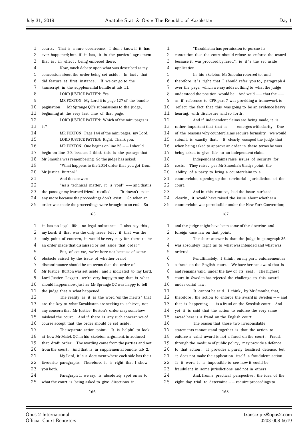$13$ 

 $2.0$ 

| 1  | That is a rare occurrence. I don't know if it has<br>courts.  | 1  |            |
|----|---------------------------------------------------------------|----|------------|
| 2  | ever happened; but, if it has, it is the parties' agreement   | 2  | contentio: |
| 3  | that is, in effect, being enforced there.                     | 3  | because i  |
| 4  | Now, much debate upon what was described as my                | 4  | applicatic |
| 5  | concession about the order being set aside. In fact, that     | 5  |            |
| 6  | did feature at first instance. If we can go to the            | 6  | therefore  |
| 7  | transcript in the supplemental bundle at tab 11.              | 7  | over the   |
| 8  | LORD JUSTICE PATTEN: Yes.                                     | 8  | understoo  |
| 9  | MR FOXTON: My Lord it is page 127 of the bundle               | 9  | as if refe |
| 10 | Mr Sprange QC's submissions to the judge,<br>pagination.      | 10 | reflect tl |
| 11 | beginning at the very last line of that page.                 | 11 | hearing,   |
| 12 | LORD JUSTICE PATTEN: Which of the mini pages is               | 12 |            |
| 13 | it?                                                           | 13 | rather im  |
| 14 | MR FOXTON: Page 144 of the mini pages, my Lord.               | 14 | of the rea |
| 15 | LORD JUSTICE PATTEN: Right. Thank you.                        | 15 | submit, is |
| 16 | MR FOXTON: One begins on line $25$ -- I should                | 16 | when beir  |
| 17 | begin on line 20, because I think this is the passage that    | 17 | being ask  |
| 18 | Mr Smouha was remembering. So the judge has asked:            | 18 |            |
| 19 | "What happens to the 2014 order that you got from             | 19 | costs. T   |
| 20 | Mr Justice Burton?"                                           | 20 | ability o  |
| 21 | And the answer:                                               | 21 | countercla |
| 22 | "As a technical matter, it is void" $--$ and that is          | 22 | court.     |
| 23 | the passage my learned friend recalled $--$ "it doesn't exist | 23 |            |
| 24 | any more because the proceedings don't exist. So when an      | 24 | clearly,   |
| 25 | order was made the proceedings were brought to an end. So     | 25 | countercla |
|    | 165                                                           |    |            |
| 1  | it has no legal life, no legal substance. I also say this,    | 1  | and the ju |
| 2  | my Lord: if that was the only issue left, if that was the     | 2  | foreign c  |
| 3  | only point of concern, it would be very easy for there to be  | 3  |            |
| 4  | an order made that dismissed or set aside that order."        | 4  | was absol  |
| 5  | But, of course, we're here not because of some                | 5  | ordered.   |
| 6  | obstacle raised by the issue of whether or not                | 6  |            |
| 7  | discontinuance should be on terms that the order of           | 7  | a fraud o  |
| 8  | Mr Justice Burton was set aside; and I indicated to my Lord,  | 8  | and remai  |
| 9  | Lord Justice Leggatt, we're very happy to say that is what    | 9  | court in   |
| 10 | should happen now, just as Mr Sprange QC was happy to tell    | 10 | under cur  |
| 11 | the judge that's what happened.                               | 11 |            |
| 12 | The reality is it is the word "on the merits" that            | 12 | therefore  |
| 13 | are the key to what Kazakhstan are seeking to achieve, not    | 13 | that is h  |
| 14 | any concern that Mr Justice Burton's order may somehow        | 14 | yet it is  |
| 15 | mislead the court. And if there is any such concern we of     | 15 | award hei  |
| 16 | course accept that the order should be set aside.             | 16 |            |
| 17 | The separate action point. It is helpful to look              | 17 | statement  |
| 18 | at how Mr Malek QC, in his skeleton argument, introduced      | 18 | enforce a  |
| 19 | that draft order. The wording came from the parties and not   | 19 | through tl |
| 20 | from the court. And that is in supplemental bundle, tab 2.    | 20 | to that a  |
| 21 | My Lord, it's a document where each side has their            | 21 | it does n  |
| 22 | favourite paragraphs. Therefore, it is right that I show      | 22 | If it wer  |
|    |                                                               |    |            |

23 you both.

24 Paragraph 1, we say, is absolutely spot on as to 25 what the court is being asked to give directions in .

"Kazakhstan has permission to pursue its n that the court should refuse to enforce the award t was procured by fraud", ie it 's the set aside 4 application . 5 In his skeleton Mr Smouha referred to, and it 's right that I should refer you to, paragraph 4 page, which we say adds nothing to what the judge 8 understood the position would be. And we'd  $-$ − that the  $$ erence to CPR part 7 was providing a framework to he fact that this was going to be an evidence heavy with disclosure and so forth. And if independent claims are being made, it is 13 rather important that that is *−−* emerges with clarity. One asons why counterclaims require formality , we would s exactly that. It clearly escaped the judge that ng asked to approve an order in these terms he was ed to give life to an independent claim. Independent claims raise issues of security for hey raise, per Mr Smouha's Gladys point, the f a party to bring a counterclaim to a aim, opening up the territorial jurisdiction of the And in this context, had the issue surfaced it would have raised the issue about whether a

aim was permissible under the New York Convention:

#### 167

idge might have been some of the doctrine and ase law on that point. The short answer is that the judge in paragraph 36

utely right as to what was intended and what was

Penultimately, I think, on my part, enforcement as n the English court. We have here an award that is ins valid under the law of its seat. The highest Sweden has rejected the challenge to this award ial law.

It cannot be said, I think, by Mr Smouha, that, , the action to enforce the award in Sweden *−*− and 13 that is happening *−−* is a fraud on the Swedish court. And said that the action to enforce the very same re is a fraud on the English court. The reason that those two irreconcilable

ts cannot stand together is that the action to

valid award is not a fraud on the court. Fraud,

he medium of public policy , may provide a defence

ction. It provides a purely localised defence, but

ot make the application itself a fraudulent action.

re, it is impossible to see how it could be

23 fraudulent in some jurisdictions and not in others.

24 And, from a practical perspective, the idea of the 25 eight day trial to determine *−−* require proceedings to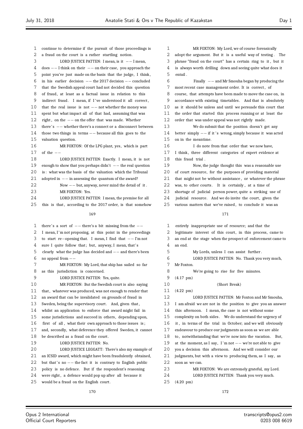entail .

| 1        | continue to determine if the pursuit of those proceedings is                                      | 1        |
|----------|---------------------------------------------------------------------------------------------------|----------|
| 2        | a fraud on the court is a rather startling notion.                                                | 2        |
| 3        | LORD JUSTICE PATTEN: I mean, is it $--$ I mean,                                                   | 3        |
| 4        | $does -- I think on their -- on their case, you approach the$                                     | 4        |
| 5        | point you've just made on the basis that the judge, I think,                                      | 5        |
| 6        | in his earlier decision $--$ the 2017 decision $--$ concluded                                     | 6        |
| 7        | that the Swedish appeal court had not decided this question                                       | 7        |
| 8        | of fraud, at least as a factual issue in relation to this                                         | 8        |
| 9        | indirect fraud. I mean, if I've understood it all correct,                                        | 9        |
| 10       | that the real issue is not $--$ not whether the money was                                         | 10       |
| 11       | spent but what impact all of that had, assuming that was                                          | 11       |
| 12       | right, on the $--$ on the offer that was made. Whether                                            | 12       |
| 13       | there's $--$ whether there's a connect or a disconnect between                                    | 13       |
| 14       | those two things in terms $--$ because all this goes to the                                       | 14       |
| 15       | valuation question.                                                                               | 15       |
| 16       | MR FOXTON: Of the LPG plant, yes, which is part                                                   | 16       |
| 17       | of the $--$                                                                                       | 17       |
| 18       | LORD JUSTICE PATTEN: Exactly. I mean, it is not                                                   | 18       |
| 19       | enough to show that you perhaps didn't $--$ the real question                                     | 19       |
| 20       | is: what was the basis of the valuation which the Tribunal                                        | 20       |
| 21       | adopted in $--$ in assessing the quantum of the award?                                            | 21       |
| 22       | Now $--$ but, anyway, never mind the detail of it.                                                | 22       |
| 23       | MR FOXTON: Yes.                                                                                   | 23       |
| 24       | LORD JUSTICE PATTEN: I mean, the premise for all                                                  | 24       |
| 25       | this is that, according to the 2017 order, is that somehow                                        | 25       |
|          | 169                                                                                               |          |
|          |                                                                                                   |          |
| 1        | there's a sort of $-$ there's a bit missing from the $-$                                          | 1        |
| 2        | I mean, I'm not proposing, at this point in the proceedings                                       | 2        |
| 3        | to start re-opening that. I mean, I find that $--$ I'm not                                        | 3        |
| 4        | sure I quite follow that; but, anyway, I mean, that's                                             | 4        |
| 5        | clearly what the judge has decided and $--$ and there's been                                      | 5        |
| 6        | no appeal from $--$                                                                               | 6        |
| 7        | MR FOXTON: My Lord, that ship has sailed so far                                                   | 7        |
| 8        | as this jurisdiction is concerned.                                                                | 8        |
| 9        | LORD JUSTICE PATTEN: Yes, quite.                                                                  | 9        |
| 10       | MR FOXTON: But the Swedish court is also saying                                                   | 10       |
| 11       | that, whatever was produced, was not enough to render that                                        | 11       |
| 12       | an award that can be invalidated on grounds of fraud in                                           | 12<br>13 |
| 13       | Sweden, being the supervisory court. And, given that,                                             |          |
| 14       | whilst an application to enforce that award might fail in                                         | 14       |
| 15       | some jurisdictions and succeed in others, depending upon,                                         | 15       |
| 16       | first of all, what their own approach to those issues is;                                         | 16       |
| 17       | and, secondly, what deference they offered Sweden, it cannot                                      | 17       |
| 18       | be described as a fraud on the court.                                                             | 18       |
| 19       | LORD JUSTICE PATTEN: No.                                                                          | 19       |
| 20       | LORD JUSTICE LEGGATT: There's also my example of                                                  | 20       |
| 21       | an ICSID award, which might have been fraudulently obtained,                                      | 21       |
| 22       |                                                                                                   |          |
|          | but that's no $-$ the fact it is contrary to English public                                       | 22       |
| 23       | policy is no defence. But if the respondent's reasoning                                           | 23       |
| 24<br>25 | were right, a defence would pop up after all because it<br>would be a fraud on the English court. | 24<br>25 |

170

6 Finally *−−* and Mr Smouha began by producing the most recent case management order. It is correct, of course, that attempts have been made to move the case on, in accordance with existing timetables. And that is absolutely as it should be unless and until we persuade this court that the order that started this process running or at least the order that was under appeal was not rightly made. We do submit that the position doesn't get any 14 better simply *−−* if it ' s wrong, simply because it was acted on in the meantime. I do note from that order that we now have, I think, three different categories of expert evidence at this fraud trial. Now, the judge thought this was a reasonable use of court resource, for the purposes of providing material that might not be without assistance, or whatever the phrase was, to other courts. It is certainly, at a time of shortage of judicial person power, quite a striking use of judicial resource. And we do invite the court, given the various matters that we've raised, to conclude it was an 171 entirely inappropriate use of resource; and that the legitimate interest of this court, in this process, came to an end at the stage when the prospect of enforcement came to an end. 5 My Lords, unless I can assist further . LORD JUSTICE PATTEN: No. Thank you very much, Mr Foxton. We're going to rise for five minutes.  $(4.17 \text{ pm})$ (Short Break)  $(4.22 \text{ pm})$ 12 LORD JUSTICE PATTEN: Mr Foxton and Mr Smouha,

MR FOXTON: My Lord, we of course forensically adopt the argument. But it is a useful way of testing. The 3 phrase "fraud on the court" has a certain ring to it , but it is always worth drilling down and seeing quite what does it

I am afraid we are not in the position to give you an answer this afternoon. I mean, the case is not without some complexity on both sides. We do understand the urgency of it, in terms of the trial in October; and we will obviously endeavour to produce our judgments as soon as we are able to, notwithstanding that we're now into the vacation. But, 19 at the moment, as I say, I 'm not *−−* we're not able to give 20 you a decision this afternoon. And we will consider our judgments, but with a view to producing them, as I say, as soon as we can. MR FOXTON: We are extremely grateful, my Lord. LORD JUSTICE PATTEN: Thank you very much.  $(4.20 \text{ pm})$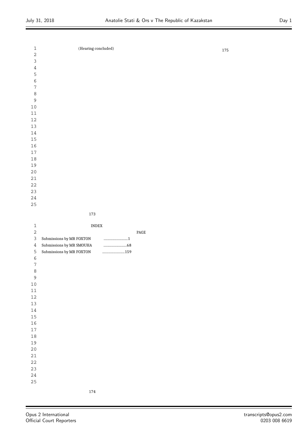ż

| $\mathbf 1$      | (Hearing concluded)             |      |  | 175 |
|------------------|---------------------------------|------|--|-----|
| $\overline{2}$   |                                 |      |  |     |
| $\mathfrak{Z}$   |                                 |      |  |     |
| $\sqrt{4}$       |                                 |      |  |     |
| 5                |                                 |      |  |     |
| $\epsilon$       |                                 |      |  |     |
| $\boldsymbol{7}$ |                                 |      |  |     |
| $\,8\,$          |                                 |      |  |     |
| $\mathsf 9$      |                                 |      |  |     |
| 10               |                                 |      |  |     |
| $11\,$           |                                 |      |  |     |
| 12               |                                 |      |  |     |
| 13               |                                 |      |  |     |
| 14               |                                 |      |  |     |
| 15               |                                 |      |  |     |
| 16               |                                 |      |  |     |
| $17\,$           |                                 |      |  |     |
| $18\,$           |                                 |      |  |     |
| 19               |                                 |      |  |     |
| 20               |                                 |      |  |     |
| 21               |                                 |      |  |     |
| 22               |                                 |      |  |     |
| 23               |                                 |      |  |     |
| $2\sqrt{4}$      |                                 |      |  |     |
| 25               |                                 |      |  |     |
|                  | 173                             |      |  |     |
|                  |                                 |      |  |     |
| $\mathbf 1$      | $\ensuremath{\text{INDEX}}$     |      |  |     |
| $\overline{2}$   |                                 | PAGE |  |     |
| $\mathfrak{Z}$   | Submissions by MR FOXTON<br>1   |      |  |     |
| $\sqrt{4}$       | Submissions by MR SMOUHA        |      |  |     |
| 5                | Submissions by MR FOXTON<br>159 |      |  |     |
| $\epsilon$       |                                 |      |  |     |
| $\boldsymbol{7}$ |                                 |      |  |     |
| 8                |                                 |      |  |     |

 

 

 $\equiv$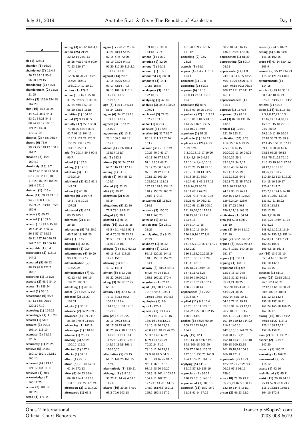**A**

**arises (2)** 24:5 109:2 **arising (4)** 4:16 34:8

**ab (1)** 123:11 **abandon (1)** 16:20 **abandoned (7)** 15:4,7 20:22 32:17 50:6 56:20 139:15 **abandoning (1)** 40:21 **abandonment (2)** 15:25 21:25 **ability (3)** 139:9 154:18 167:20 **able (16)** 1:18 31:25 34:7,13 35:2 44:3 53:21 54:21 84:5 88:24 92:17 106:15 121:23 139:8 172:17,19 **absence (2)** 44:5 96:17 **absent (6)** 78:9 99:23,25 149:12 150:6 161:2 **absolute (3)** 1:25 160:4,9 **absolutely (13)** 3:7 30:17 40:7 50:21 51:8 67:7 100:2 111:10 118:20 160:23 166:24 168:4 171:9 **abstract (1)** 115:4 **abuse (11)** 59:23 71:1,8 94:21 100:1 139:10 152:9,22 153:18 155:8 159:6 **accede (1)** 60:22 **acceded (1)** 159:6 **accept (15)** 13:6 15:10 16:7 34:24 47:3,17 56:1 57:17 58:12 99:11 127:16 140:25 144:7 161:19 166:16 **acceptable (1)** 3:4 **acceptance (2)** 113:15 144:2 **accepted (5)** 66:12 98:25 99:8 122:7 163:7 **accepting (1)** 151:25 **accepts (2)** 48:6 84:14 **access (1)** 138:24 **accord (1)** 58:16 **accordance (6)** 6:23 57:13 63:5 90:19 129:2 171:9 **according (1)** 169:25 **accordingly (1)** 110:20 **accords (1)** 58:2 **account (3)** 99:17 107:14 118:19 **accurate (2)** 71:12  $120.6$ **accurately (1)** 25:25 **achieve (5)** 148:3 150:10 152:1 162:11 166:13 **achieved (4)** 113:17 121:12 144:11,11 **achieves (1)** 60:7 **acknowledge (2)** 160:17,25 **across (2)** 101:12 108:20 **acted (1)** 171:14 96:7 147:21 107:21 26:18 169:21

**acting (3)** 65:12 164:4,9 **action (25)** 21:24 22:12,14 24:1,13 25:25 40:19 41:9 60:9 71:23 126:17 128:12,15 129:6,18,20,23 145:5 157:24 166:17 168:12,14,17,20,21 **actions (1)** 129:2 **active (13)** 16:1 25:18 31:25 32:8,9,15 35:14 37:24 46:12 50:10 55:20 58:18 162:6 **activities (1)** 164:20 **actual (2)** 9:19 83:5 **actually (17)** 27:7 33:8 73:18,25 82:15 83:5 92:7 98:16 104:11 113:17 122:22 126:3 133:22 137:19,20 144:16 153:11 **add (4)** 20:14 80:4 90:8 **added (1)** 137:3 **adding (1)** 19:13 **addition (3)** 1:11 136:24,24 **additional (3)** 42:2 93:1 **addon (1)** 61:19 **address (6)** 3:19 4:6 16:5 71:5 101:6 **addressed (3)** 6:21 80:25 105:6 **addresses (2)** 8:14 **addressing (5)** 7:8 25:6 45:7 99:19 107:20 **adds (1)** 167:7 **adjourn (1)** 30:15 **adjourned (1)** 9:24 **adjournment (4)** 89:20 90:1 93:13 97:9 **administration (2)** 115:22,24 **administrative (7)** 9:1 42:12 44:7 105:19 107:20 108:3,8 **admitting (1)** 49:14 **adopt (2)** 61:25 171:2 **adopted (2)** 31:20 **adopts (1)** 36:12 **advance (2)** 37:20 69:9 **advanced (6)** 9:9 71:7 85:20 97:5,6 114:19 **advancing (1)** 162:3 **advantage (1)** 110:16 **adverse (1)** 25:13 **advisory (3)** 53:25 100:10 115:2 **affected (1)** 127:4 **affects (1)** 37:12 **afford (1)** 99:12 **afraid (5)** 2:1,16 47:11 61:14 172:13 **after (8)** 64:23 69:6 89:19 114:4 123:13 131:18 133:22 170:24 **afternoon (2)** 172:14,20 **afterwards (1)** 63:3

**again (17)** 20:23 23:14 30:21 48:13 54:22 62:15 67:6 72:20 81:10 93:24 94:16 96:20 112:20 119:2,2 133:19 140:9 **against (14)** 20:21 39:15 45:25 55:18 69:17 72:14 74:3 99:13 107:19 113:1 116:17 147:3 156:13,16 **ago (5)** 11:14 15:5,13 56:24 92:15 **agree (4)** 34:17 35:16 139:18 142:17 **agreed (3)** 157:4,25 164:22 **agreement (5)** 13:11 28:1 106:5 164:18 165:2 **ahead (4)** 28:6 106:4 118:17 161:7 **aid (1)** 132:3 **aikens (5)** 53:24 57:18 62:2 116:13 117:11 **aiming (1)** 14:19 **albeit (3)** 46:4 58:12 109:7 **alerted (1)** 22:13 **alibi (1)** 30:12 **allegation (2)** 6:20 83:24 **allegations (5)** 22:10 72:5 73:1 99:5,12 **alleged (1)** 20:1 **allotted (1)** 68:14 **allow (16)** 1:15 31:25 41:5 45:1 46:15 50:8 65:4 76:23 78:23,23 96:5 107:11 111:13,22 112:12 151:8 **allowed (7)** 53:12 62:22 67:16 71:3 117:25 145:1 150:1 **allowing (3)** 48:19 49:12 143:3 **almost (5)** 8:23 29:8 51:22 96:10 162:5 **along (3)** 39:12 57:25 65:14 **already (12)** 39:3 62:18 77:13 81:12 97:2 100:11 113:4 114:13,15 131:12,13 155:15 **also (23)** 6:19 9:22 27:11 29:23 56:11 57:17 58:15 67:25 83:25 96:7 99:2 101:3 110:20 112:11 114:1 117:23 124:17 126:15 142:19 159:5 166:1 170:10,20 **alternative (5)** 63:15 64:15 144:25 161:15 162:8 **alternatively (1)** 130:21 **although (7)** 9:8 19:1 38:25 41:14 49:4 61:1 115:9 **always (10)** 30:25 37:19 63:2 79:6 103:18

139:18,19 140:8 153:18 171:4 **amend (1)** 19:12 **america (1)** 52:20 **among (1)** 99:11 **amount (1)** 155:15 **amounted (1)** 88:20 **amounts (3)** 24:17 142:6 157:5 **analogous (3)** 112:1 122:10,12 **analysing (1)** 47:14 **analysis (3)** 36:2 108:22 109:24 **anchored (3)** 74:25 132:21 133:5 **andor (1)** 63:23 **annexed (1)** 132:3 **another (6)** 32:7 85:7 86:12 111:3 162:16 163:2 **answer (33)** 2:19 3:24 19:25 40:9 41:17 45:17 46:17 54:17 57:1 65:21 66:21 79:19,25 80:5,6,25 97:18 99:12 101:4 102:1,22 106:20 108:10,13 113:13 127:23 129:5 134:12 148:9 158:22 165:21 168:3 172:13 **answering (2)** 113:25 114:1 **answers (3)** 100:20 118:1 148:20 **anterior (1)** 39:13 **anticipated (2)** 28:19 38:25 **anticipating (2)** 9:13 23:21 **anybody (1)** 46:22 **anything (8)** 23:22 55:17 129:21 144:2 148:3 150:11 159:21 164:1 **anyway (8)** 38:23 48:11 64:25 74:24 81:15 135:1 169:22 170:4 **anywhere (1)** 62:17 **apart (10)** 30:17 71:4 72:7,8 99:3 103:11 119:18 139:5 149:8,8 **apologise (1)** 2:6 **app (1)** 126:3 **appeal (71)** 1:11 4:7 10:9 11:10 12:11,16 13:5,16 16:8,12,21 19:16,18 20:23,25 40:8 43:1 48:25 49:25 56:3 57:4,6 68:21 69:9,11,17,20,24 70:22,24 71:9 73:10,12 76:13,18 77:9,20 81:5 84:3 88:18 93:16,25 94:7 95:11 96:8,16,19 97:15 98:20 99:20 100:5,18 102:1 103:22 104:4,11 107:22 127:23 143:20 144:12 148:9 151:6,8 152:11 155:6 156:8 157:2

161:20 169:7 170:6 171:12 **appealing (2)** 22:7 23:23 **appeals (1)** 56:1 **appear (4)** 1:4,7 116:18 154:1 **appeared (1)** 19:8 **appearing (1)** 52:15 **appears (6)** 12:10 20:9,13 23:14 136:1 154:3 **appellant (5)** 69:9 88:18 93:16,25 144:9 **appellants (12)** 1:5 3:21 76:18 81:5 84:5 94:13 114:25 116:6 138:5 153:10,21 159:6 **appellate (1)** 57:23 **applicable (1)** 116:22 **application (120)** 4:13 5:19 6:24 7:3,10,13,16,17,19,20 8:3,4,5,5,19 9:4,16 12:16 14:1,4,6,10,13 19:23 21:15,18 22:10 27:12,14 30:13 31:5 34:13 36:21 39:9 41:24 43:8 45:3 57:13 58:8,14,25 60:22 61:11 62:1 69:23 70:21 73:8 75:21 91:6 92:21 93:19 96:2,21 97:20 98:11,15 108:6 111:19,20,20 112:14 120:15,20 121:1,6 123:4,18 124:6,14,17,18 125:8,12,16,19,24 126:4,9,16 127:7,8 129:17 131:3,5,7,10,16,17,17,21 132:2,20 136:11,15,20,22,23,24 137:5 138:12,16,20 141:4 143:13 145:18,24 146:4,10 147:11,17,18,25 148:16 149:20,24 152:21 157:23 167:4 168:21 170:14 **applications (3)** 25:2 39:16 58:7 **applied (11)** 9:3 10:6 70:25 110:14 122:15 124:22 125:5,8 152:15 156:8 164:4 **applies (6)** 56:23 60:19 109:22 123:16,16 154:7 **apply (19)** 12:1 43:1,13,20 45:6 53:5 59:8 106:18 108:20 109:17 110:3 125:25 127:6,13 135:25 146:9 154:4 159:20 161:12 **applying (5)** 41:12 52:12 87:8,9 135:19 **appreciate (4)** 90:22 120:25 131:8 148:10 **appreciated (1)** 106:10 **approach (11)** 15:2 16:9 31:18 41:14 57:22

60:2 108:4 116:15 136:8 169:4 170:16 **approached (1)** 61:20 **approaching (2)** 59:14 98:11 **appropriate (17)** 4:9 24:12 39:4 40:5 46:20 49:1 51:20 56:21 57:8 62:4 76:15 92:2 96:15 108:17 111:22 141:17 161:1 **appropriateness (1)** 51:14 **approve (1)** 167:16 **approved (1)** 92:12 **april (3)** 87:19 131:16 132:3 **arbitral (3)** 120:10 121:20 123:21 **arbitration (57)** 3:23 4:14,15 5:6 6:13,25 7:5,9,10,14,15 10:20,22 11:16 24:22 28:16,22 29:1 33:18,24 34:2,17 38:18 43:14 44:25 45:11,14 55:19 61:12,18,23 64:1 68:23 72:23,25 77:23 78:5 90:23 92:3,4 94:12 95:13 96:23 100:15 112:3 125:20 126:6,24,24 128:6 138:17,22 146:8 156:4,11,19 163:25 **arbitrators (1)** 34:14 **area (4)** 59:8 60:6,9 135:10 **arent (3)** 59:14 81:16 121:10 **argue (2)** 30:20 54:22 **argued (8)** 55:25 97:3,6 101:6 102:1 140:16,18 151:17 **argues (1)** 100:11 **arguing (1)** 144:10 **argument (61)** 6:6 12:14 18:13 24:5 25:12 32:22 34:11 35:21,21 38:25 39:2,20 40:24 41:19 43:19,21 48:15 50:2,14 55:1,10,11 64:15 71:11 79:19 85:18 91:14 93:17,17 96:7 100:1 101:15 105:11,21,24 106:17 107:19 110:12 114:22 116:2 140:10 142:6,15,15 144:21,24 150:20 151:7,20 152:10 153:21 157:10 159:18 160:12,18 161:15,18,19 164:3 166:18 171:2 **arguments (9)** 41:21 42:2 62:21 75:25 93:2 96:25 97:8 98:16 159:6 **arise (10)** 78:20 79:7 85:2,5,22 87:5 108:15 132:10 134:6 151:1 **arisen (2)** 46:23 52:2

141:16 162:15 **arose (4)** 67:14 85:4,12 103:9 **around (5)** 95:12 114:23 115:12 121:23 148:5 **arrangements (1)** 114:15 **article (9)** 29:16 30:12 38:6 47:10 86:24 87:21 163:15,15 164:2 **articles (1)** 49:15 **aside (114)** 6:11,15 8:3 9:3,4,8,17,23 10:5 11:16,19 14:4,10,12 15:8 21:15,18 22:10 24:7 28:22 29:5,10,11,19 30:14 32:10 36:21,25 39:9 42:1 45:6 51:11 57:11 59:1,10 60:20 62:6 63:18 65:23 66:13 73:8 75:21,22 76:16 91:6 93:19 96:2 97:20 98:12,15 101:10 103:6,19 108:7 110:20,22 113:8,16,22 114:18,19 119:17 120:4 121:1,7 123:7,11 124:6,14,18 125:4 126:2 130:23 131:5,7,11,18,22 132:5 133:13 136:12,25 144:3,7,19,20 145:1,25 146:4,11,24 147:8,22 148:6,11,12,13,16,24 149:24 150:2,5 151:14 152:8,14 154:4,7,21 162:23 165:5 166:4,8,16 167:3 **ask (10)** 13:9 33:19 55:3,4 65:15 94:22 131:10 132:1 157:13,15 **askance (1)** 51:17 **asked (23)** 22:18 23:16 26:5 52:4 61:21 62:12,13 66:10 80:23 90:4 102:14 103:3 131:12,13 132:4 155:18 157:10,11 161:24 165:18 166:25 167:16,17 **asking (10)** 40:21 41:2 49:18 51:22 118:11 125:1 138:12,22 157:16 158:21 **asks (2)** 35:11 138:23 **aspect (2)** 121:16 142:20 **aspects (1)** 100:22 **assessing (1)** 169:21 **assessment (2)** 95:5 116:12 **assets (1)** 42:16 **assimilated (1)** 45:11 **assist (11)** 20:10 24:18 25:19 52:9 70:9 79:2 118:1 152:18 159:11 164:10 172:5

Opus 2 International Official Court Reporters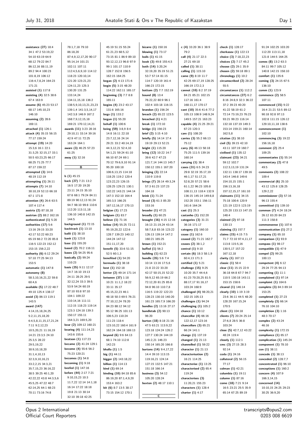**assistance (27)** 18:4 34:1 47:2 53:19,22 54:10 63:19 64:9 68:12 79:22 84:7 86:12,16 88:11,19 89:2 94:4 100:23 101:8,19 106:12 116:4,7,8,24 164:23 171:21 **assisted (1)** 117:8 **assisting (4)** 32:5 38:6 67:4 163:9 **assume (6)** 45:23 53:17 68:17 145:10,23 146:10 **assuming (2)** 28:6 169:11 **attached (1)** 126:1 **attack (4)** 35:15 56:15 77:17 159:24 **attempt (19)** 14:20 15:3,6 16:1 22:1 31:3,25 32:15,17 33:1 50:5 63:23,25 66:17 68:25 71:25 77:7 87-17 150-22 **attempted (3)** 14:6 48:19 112:19 **attempting (1)** 26:11 **attempts (7)** 14:10 30:10,19 52:13 66:18 67:1 171:8 **attention (4)** 26:6 63:5 107:4 117:4 **austria (2)** 87:18,18 **austrian (2)** 88:2 162:16 **authenticated (1)** 5:20 **authorities (17)** 5:6 13:16 29:15 33:20 42:17 52:22 60:23 65:19 66:2 72:20 85:8 116:5 122:23 152:12 153:15 156:2,22 **authority (6)** 6:12 29:24 57:10 77:25 94:13 153:5 **automatic (1)** 147:8 **autonomy (8)** 58:3,10,16,21,22 59:8 60:4,6 **available (5)** 17:22 48:7 49:10 125:4 138:17 **avoid (3)** 86:13 119:1 143:5 **award (147)** 4:14,15,18,24,25 5:2,11,15,18,20 6:4,5,8,11,15,17,21,24 7:11 9:2,12,23 10:5,20,21 11:16,19 14:21 23:3,5 24:10 25:3,5 28:22 29:5,19,22 30:9,10,18,20 31:1,4,10,13 32:3,9,10,16,21 33:2,2,15 34:3,21 35:7,15,23 36:16,22 38:5 39:25 40:1,20  $42.2222243844356$ 45:5,25 47:22 48:7 62:14,25 64:1 68:23 70:11 73:16 74:8

78:1,7,18 79:10 86:18,20 87:4,9,12,17,20 90:17 95:14,14 101:21 102:11 107:11 112:4,5,6,9,10 114:12 118:23 120:10,14 121:20 123:21,23 124:11,23 125:3 130:20 131:25 133:14,24 134:11,15,18 136:2 138:5,9,10,13,21,23,23 139:1,4 141:3,5,14,17 142:3,8 146:9 167:2 168:7,9,12,15,18 169:21 170:12,14,21 **awards (11)** 3:23 28:16 29:10,11 33:14 39:16 42:9 47:11 72:25 163:24 164:1 **aware (3)** 46:25 57:23 61:25 **away (1)** 32:16 **B b (1)** 45:15 **back (27)** 7:21 13:2 16:5 17:20 19:20 23:11 24:15 35:10 67:6 68:1 79:24 84:11 89:19 90:12,13 91:24 94:7 98:10 99:8 110:6 112:20 113:11,18 136:10 140:8 142:15 144:5 **background (1)** 72:15 **backtrack (1)** 13:10 **bailii (1)** 38:10 **bank (1)** 123:8 **base (1)** 155:20 **based (2)** 70:2 116:11 **bases (2)** 54:25 95:6 **basically (2)** 99:24 110:23 **basis (35)** 9:11 12:17 14:7 16:10 19:13 24:11 28:25 29:5 32:12,24 33:3 39:5 53:9 54:24 60:19 87:10 93:8 97:10 104:1 109:22 110:14,16 111:11 112:15 118:23 119:14 123:3 124:18 139:3 150:17 155:11 164:3,21 169:5,20 **bear (2)** 109:12 160:21 **bearing (4)** 111:14,23 143:6 155:6 **beatson (1)** 117:23 **became (2)** 41:24 129:1 **become (4)** 55:6 56:2 75:23 120:21 **becomes (1)** 54:8 **becoming (1)** 9:18 **beefed (1)** 147:16 **before (44)** 2:17 7:21 9:10,15,23 10:3 11:7,22 12:14 14:1,18 16:14 17:22 18:18 19:8 21:13 30:14 32:10 39:18 42:25

45:19 51:15 55:24 61:21,23 68:5,12 73:15 81:1 86:9 89:10 93:12,12,13 96:8 97:9 99:1 101:17 110:9 128:7 152:8 156:5 162:15 164:25 **began (2)** 4:13 171:6 **begin (5)** 3:15 48:20 114:22 162:11 165:17 **beginning (3)** 7:7 8:8 165:11 **begins (4)** 23:2 43:17 131:6 165:16 **begs (1)** 133:2 **begun (1)** 55:20 **behalf (1)** 100:6 **being (59)** 3:8,9 8:4 14:8 16:11 22:18 23:7,12,16 24:14 29:21 33:2 40:14,19 44:3,12,21 52:4,10 54:1,21 59:24 61:10 66:10 67:24 69:1 70:12 79:6,9,10 91:14 95:20 100:18 106:6,13,15 114:18 118:25 119:2 120:4 123:22,23 126:15 128:25 129:21 130:1 132:22 143:21 144:14 147:3 152:10 164:4 165:3,5 166:25 167:12,16,17 170:13 **belgian (1)** 17:23 **belgium (1)** 83:7 **believe (1)** 71:16 **below (14)** 55:25 72:11 95:19,20,22 122:6 128:7 139:23 140:12 144:24 147:12 151:11,17,20 **benefit (5)** 33:6 51:15  $52.560.13$ **benefited (1)** 54:20 **bermuda (1)** 38:18 **best (1)** 152:18 **better (2)** 49:14 171:14 **between (37)** 1:18 10:21 11:1,2 18:22 33:11 35:17 45:15,22,23 46:1 48:18 50:3 69:5 76:21 77:10,12,24 78:20 84:23 88:12 94:12 95:12 96:25 101:13 106:5,23 110:24 111:23 118:4 123:10,22 160:4 161:9 162:24 164:18 169:13 **beyond (6)** 9:6 64:13 68:1 74:10 112:8 142:23 **bhalla (1)** 1:5 **big (1)** 44:11 **bigger (2)** 143:18,22 **billion (1)** 114:13 **bind (1)** 69:14 **binding (10)** 84:18 85:6 86:19,20,87:1,4,9,20 153:4 163:2 **bit (6)** 8:7 13:5 38:17 73:15 154:12 170:1

**bizarre (1)** 150:16 **blowing (1)** 73:17 **boils (1)** 41:15 **book (3)** 49:8 155:4,5 **both (14)** 3:20,24 32:19,20 35:19 51:21 53:7 57:14 81:15 114:7 120:19 161:4 166:23 172:15 **bottom (2)** 7:7 152:19 **bound (8)** 13:4 76:22,22 80:9 96:1 102:4 103:18 116:15 **brandon (1)** 156:24 **breach (2)** 65:22 123:5 **breached (1)** 4:21 **break (1)** 172:10 **bridge (1)** 156:23 **brief (2)** 3:15 4:10 **briefly (5)** 14:14 17:4 19:19 29:13 52:21 **bright (1)** 115:20 **bring (12)** 10:22 14:7 39:6 42:7 47:23 121:7,14 144:13 145:7 150:12 155:1 167:20 **bringing (3)** 22:14 110:9 119:8 **brings (7)** 28:14 49:3,24 57:3 61:23 137:23 164:18 **brink (1)** 71:24 **broad (3)** 61:3 85:20 153:16 **broader (1)** 47:21 **broadly (1)** 60:25 **brought (16)** 4:15 12:16 16:13 21:19,24 43:14 58:7,8,8 83:16 123:22 126:13 139:14 147:2 160:21 165:25 **brown (1)** 152:21 **buffed (1)** 56:2 **building (1)** 62:23 **bundle (35)** 5:6 7:4 10:14 13:16 17:5,6 21:8 22:22 33:20 42:17 50:15,15 52:22 56:9,12 65:19 66:2 72:12,20 81:25 85:8 94:8 96:10 110:7,8 116:5 119:22 122:23 128:23 130:10 140:20 161:23 165:7,9 166:20 **bundles (2)** 13:16 27:17 **bundletab (2)** 90:13 96:20 **burton (18)** 8:18 21:16 47:5 63:21 113:0.22 123:18 124:24 126:2 127:7 130:24 144:19 145:2,21 146:23 150:14 165:20 166:8 **burtons (14)** 9:4,17,22 14:4 39:10 113:15 119:16,21 124:14 127:15 132:5 147:21 151:18 166:14 **business (3)** 54:12 105:20 128:24 **buxton (2)** 48:17 110:1 **C**

**c (4)** 33:20 36:1 38:9 79:2 **call (4)** 21:17 22:3 27:21 69:18 **called (1)** 38:11 **calling (1)** 115:10 **came (9)** 8:19 11:7 42:25 69:17,19 128:25 166:19 172:2,3 **cannot (10)** 8:2 37:19 84:21 85:21 102:15 117:16 161:4 168:11,17 170:17 **cant (10)** 35:6 41:6 77:2 105:13 108:9 148:9,24 149:5 157:21 163:23 **capable (4)** 21:25 29:21 67:23 120:3 **care (1)** 108:20 **carries (3)** 55:2 66:13 75:12 **carry (6)** 46:13 58:18 75:25 111:5 139:16 160:14 **carrying (1)** 38:4 **cases (31)** 6:5 24:23 29:8 32:19 35:17,19 46:1,17 51:17,21 52:8,20 57:21 58:6 61:1,22 96:23 105:8 108:11,13 118:4 132:9 136:15 145:14 149:8,8 152:20 153:1 156:11 161:6 164:24 **cast (1)** 25:3 **castanho (1)** 152:20 **categories (3)** 31:21 36:16 171:17 **category (1)** 160:10 **cease (1)** 162:6 **ceased (2)** 71:21 162:7 **ceases (2)** 38:1,2 **central (1)** 9:10 **certain (6)** 18:3 58:1,9 60:4,13 171:3 **certified (1)** 5:21 **challenge (15)** 9:25 10:20 35:7 44:4,6 61:23 70:20,25 81:5 88:17,17 91:16,17 103:24 168:9 **challenged (4)** 98:20,21 102:15 105:13 **challenges (1)** 94:24 **challenging (1)** 105:2 **chance (1)** 10:12 **chancellor (4)** 66:16 122:12,17 123:16 **chancellors (3)** 65:21 66:24 141:1 **change (1)** 137:19 **changed (1)** 21:13 **channelled (1)** 59:22 **character (1)** 21:13 **characterisation (2)** 16:21 114:25 **characterise (1)** 13:25 **characterised (2)** 65:4 119:24 **characterises (3)** 11:20,21 155:23 **characters (1)** 128:4 **charter (1)** 4:17

**check (1)** 128:17 **cherkasov (1)** 122:13 **choice (3)** 7:18,22,23 **choices (2)** 7:17 45:2 **choose (2)** 29:1 35:9 **chosen (2)** 59:18 89:1 **chronology (1)** 10:2 **circumscribed (2)** 28:24 55:5 **circumstance (1)** 112:2 **circumstances (27)** 6:2 8:16 24:8,9 32:3 36:22 37:2 39:23 40:20 41:22 58:19 61:2 72:14 73:19,23 76:23 93:21 99:23 116:14 132:18 137:19 149:3 153:14 159:21 160:14 162:5,8 **citation (1)** 38:10 **civil (5)** 39:15 42:10 43:11 107:19 160:7 **civilised (1)** 135:12 **claimant (23)** 34:21 59:12 102:7 112:3,13,19 131:24 132:11 138:17 139:16 143:4 146:8 149:6 154:10,15 155:1 156:13,16,18 157:12,15,17 161:10 **claimants (11)** 34:15 75:18 100:6 120:9 121:19 122:5 123:19 125:20 133:13 147:15 148:4 **claimed (2)** 97:18 130:13 **claiming (1)** 157:7 **claims (15)** 4:15 7:5 71:7 72:10 97:4,11,17 113:8 115:5,16 130:5,17 157:22 167:12,18 **clarity (1)** 167:13 **classic (1)** 58:4 **clear (11)** 15:15 22:9 36:18 64:8 67:7 94:7 110:5 130:18 143:11 153:15 158:6 **cleared (1)** 146:14 **clearly (10)** 1:19 3:19 23:6 36:11 44:5 48:20 128:20 167:15,24 170:5 **client (1)** 104:18 **clients (7)** 20:24 25:14 27:6,8 28:5 36:8 103:24 **close (5)** 42:7,12 43:22 48:24 119:4 **closely (1)** 112:1 **cmc (3)** 27:15 28:3 92:14 **coda (1)** 24:16 **collateral (2)** 56:15 77:17 **colman (1)** 42:21 **columbia (1)** 19:11 **column (1)** 87:16 **come (18)** 7:21 9:14 16:5 23:21 25:5 35:9 65:14 67:25 89:19

91:24 102:25 103:20 112:20 113:11,18 121:8 144:5 164:25 **comes (8)** 13:2 63:3 84:11 99:7 105:12 140:8 142:15 158:10 **comfort (1)** 135:6 **coming (3)** 24:15 67:5 136:10 **comm (1)** 123:9 **commence (2)** 58:5 107:11 **commenced (15)** 9:22 16:4 21:21 53:5 89:12 90:18 92:8 97:13 102:8 111:15 126:12 129:10,11,18 138:6 **commencement (1)** 102:10 **commencing (3)** 19:22 156:16,18 **comment (2)** 25:4 109:25 **commentaries (1)** 55:14 **commentary (2)** 47:8 49:5 **comments (2)** 108:22 109:4 **commercial (6)** 25:10 43:12 125:8 128:25 129:2,22 **commissioner (3)** 57:16 96:13 155:4 **committed (1)** 139:10 **common (7)** 4:24 18:24 26:12 83:20 84:23 111:3 158:8 **commonsense (1)** 107:6 **communication (1)** 27:2 **company (1)** 65:10 **comparison (1)** 93:9 **compass (1)** 98:17 **compatible (1)** 47:9 **compel (2)** 99:25 100:13 **competent (4)** 6:12 29:24 77:25 94:13 **competing (1)** 11:1 **complained (1)** 97:14 **complaint (1)** 164:6 **complete (3)** 84:3 89:14 153:25 **completed (1)** 27:23 **completely (3)** 66:14 76:10 104:10 **completion (3)** 1:16 48:3 70:17 **complex (2)** 43:24 46:16 **complexity (1)** 172:15 **compliance (1)** 65:17 **complication (1)** 145:24 **component (1)** 78:10 **con (1)** 38:11 **concede (1)** 38:13 **conceded (2)** 128:7,7 **concentrated (1)** 96:10 **conceptions (1)** 160:2 **concern (4)** 107:9 166:3,14,15 **concerned (14)** 10:10,15 24:25 29:23 30:25 36:9,20

Opus 2 International Official Court Reporters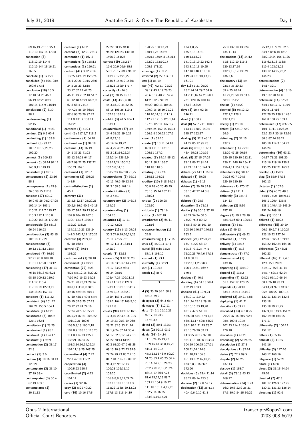| 69:16,19 75:15 95:4                           | contend $(1)$ 60:2                                | 22:22 50:15 94:8                               | 128:25 138:13,24                                  | 134:4,8,25                                   | 75:8 132:18 133:24                          | 75:12,17 79:21 82:6                         |
|-----------------------------------------------|---------------------------------------------------|------------------------------------------------|---------------------------------------------------|----------------------------------------------|---------------------------------------------|---------------------------------------------|
| 119:10 147:14 170:8<br>concession (8)         | content (2) 12:21 28:17<br>contention $(1)$ 167:2 | 96:20 128:23 130:10                            | 140:11,25 145:9                                   | 135:5,13,16,21                               | 134:11,14<br>declarations (13) 24:12        | 84:17 85:6,10 86:7<br>88:2,10,24 106:11,25  |
| 113:12,19 114:9                               | contentions $(1)$ 158:13                          | 140:19 161:23<br>correct (19) 15:2,17          | 155:12 160:4,8 161:13<br>162:21 163:10,17         | 140:13,18,22<br>141:9,13,19,22 142:4         | 51:8 112:10 116:3                           | 115:6,13,18 118:8                           |
| 119:19 144:15,16,21                           | contentious $(1)$ 156:21                          | 16:6 20:9 26:6 35:8                            | 165:1 171:22                                      | 143:8,10,15,19,25                            | 130:13,17,19                                | 119:4 123:23,25                             |
| 165:5                                         | context (41) 3:22 9:14                            | 58:1 78:17 89:7 96:12                          | coverage $(1)$ 52:2                               | 147:10 148:1,10,18                           | 132:2,15,19 133:21                          | 130:12 143:5,23,23                          |
| conclude (1) 171:25                           | 13:25 14:4,19 15:3,24                             | 116:19 127:20,22                               | covered (2) 27:7 39:11                            | 149:23 151:10,13,19                          | 136:5.6                                     | 146:23                                      |
| concluded (4) 80:1 98:6                       | 16:1 20:21 21:15 23:6                             | 153:16 157:12 158:8                            | $\cos(1) 85:19$                                   | 161:21                                       | declaratory (13) 4:4                        | determinations (2)                          |
| 169:6 173:1                                   | 24:5 25:23 32:15                                  | 163:21 169:9 171:7                             | cpr (46) 7:2,5,7 21:22                            | day (16) 1:21 20:20                          | 23:14 35:20,23                              | 14:17 32:1                                  |
| conclusion $(10)$ 10:5                        | 33:17 37:17 42:25                                 | correctly $(1)$ 16:3                           | 39:17 43:1,17,20,23                               | 23:2 24:14 29:7 54:9                         | 39:4,25 40:24                               | determinative (4) 18:16                     |
| 17:18 34:25 46:7                              | 46:11 49:7 52:18 54:7                             | cost (2) 70:15 86:13                           | 46:6,8,19 48:21 59:4                              | 64:7,11,16 67:20 68:7                        | 41:22,25 50:13 53:6                         | 19:5 37:20 62:8                             |
| 56:19 83:23 89:9                              | 61:12,18 62:21 64:2,9                             | costs (13) 43:2,4,10                           | 61:20 62:9 90:19                                  | 76:1 120:16 160:14                           | 68:10 161:2                                 | determine (14) 37:23                        |
| 107:15 114:9 116:19<br>conclusions (2) 81:9   | 67:8 68:4 74:14<br>79:7,25 85:10 86:19            | 44:3,18,19 45:22,25<br>58:15 108:25 110:3      | 94:20 102:13 106:21<br>109:9, 15, 16, 19, 21, 22  | 163:8 168:25<br>days (3) 10:4 92:15          | decline (1) 45:20                           | 64:11 67:17,17 71:19<br>100:8 117:16        |
| 98:2                                          | 87:6 93:20,20 97:22                               | 157:13 167:19                                  | 110:10,14,18 111:17                               | 146:11                                       | deemed $(8)$ 97:12,12<br>127:1,2 128:1      | 122:20,25 139:9 143:1                       |
| condescending (1)                             | 111:9 131:9 133:11                                | couldnt (3) 41:5 104:1                         | 112:21 121:5 126:1,14                             | dead (1) 100:9                               | 137:1,2,5                                   | 161:8 168:25 169:1                          |
| 52:15                                         | 167:23                                            | 133:14                                         | 127:3 129:11 147:1,7                              | deal (8) 57:7 71:1 108:2                     | deeply $(1)$ 28:18                          | determined (17) 8:6 9:5                     |
| conditional $(1)$ 75:23                       | contexts $(1)$ 51:24                              | counterclaim (37) 4:4                          | 149:4,24 152:15 153:3                             | 113:11 138:2 140:4                           | defeat (3) 54:19 72:9                       | 10:1 11:11 14:23,24                         |
| conduct (2) 6:5 60:4                          | conti (3) 117:5,7 118:2                           | 24:4 38:25 39:6,21                             | 156:5,8 160:22 167:9                              | 145:17 152:17                                | 99:6                                        | 22:2 23:7 30:16 72:16                       |
| conducting $(1)$ 163:8                        | continuance $(1)$ 64:18                           | 41:8,13,18                                     | crawl (1) 55:20                                   | dealing (5) 32:5 43:11                       | defeating $(2)$ 32:15                       | 80:3 87:24 88:22                            |
| confined $(6)$ 93:17                          | continuation $(1)$ 94:18                          | 46:14,14,19,22                                 | create (7) 18:11 84:18                            | 44:22 85:17 95:23                            | 137:9                                       | 105:10 114:3 134:22                         |
| 100:7 101:2,20,23                             | continue (13) 16:19                               | 47:4,25 48:23 49:12                            | 89:3 101:8 103:15                                 | deals (6) 6:10,18 17:1                       | defendant (14) 25:10                        | 146:24                                      |
| 102:20                                        | 24:1 37:21 41:23                                  | 51:2 111:14,22,24                              | 106:11 137:2                                      | 48:4 79:23 101:16                            | 32:20 47:25 60:19                           | determining $(10)$ 63:21                    |
| connect (1) 169:13                            | 53:12 59:21 64:17                                 | 112:2,14 128:5,9                               | created (7) 84:14 85:12                           | dealt (8) 27:15 67:24                        | 120:15 130:10 132:11                        | 64:17 78:25 101:20                          |
| consent (5) 60:14 92:11                       | 68:7 99:22,25 137:22                              | 155:17,24 156:2,5                              | 86:11 88:2 105:7                                  | 79:17 80:22 91:14                            | 136:21 148:16 154:11                        | 115:16 119:10 130:9                         |
| 145:9,11 149:19                               | 150:21 169:1                                      | 157:5,8,14,16                                  | 110:18 118:5                                      | 92:21 114:16 144:3                           | 156:4,11 157:14,19                          | 135:25 137:21 163:3                         |
| consented $(1)$ 92:12                         | continued $(1)$ 123:7                             | 158:7,23 167:20,21,25                          | creating $(3)$ 97:6                               | debate (2) 44:11 165:4                       | defendants $(6)$ 90:17                      | develop (1) 159:9                           |
| consequence $(2)$ 23:16<br>55:3               | continuing (2) 103:25<br>148:5                    | counterclaims (8) 39:15<br>42:11 46:9 49:13,14 | 110:12 154:25<br>creditor $(10)$ 5:18 14:21       | debated (1) 80:25<br>debates (1) 45:15       | 91:23 92:7 124:5<br>129:10 130:10           | diag (3) 85:9 87:18<br>162:13               |
| consequences (4) 25:9                         | contradistinction (1)                             | 51:3 158:5 167:14                              | 30:9,18 40:20 45:25                               | debtor (7) 30:20 32:9                        | deference (1) 170:17                        | dictates (1) 102:6                          |
| 36:8 58:15 112:8                              | 45:1                                              | counterintuitive (2)                           | 78:18 95:14 107:11                                | 33:15 42:22 44:3,6                           | defines (1) 111:1                           | didnt (15) 48:20 49:5                       |
| consider (17) 69:12                           | contrary (31)                                     | 44:2 47:1                                      | 138:23                                            | 45:5                                         | definitely (3) 35:7,8                       | 74:10 75:25 104:9,11                        |
| 86:9 93:25 94:2 97:25                         | 23:5,8,12,17 24:20,21                             | counterparty (2) 146:13                        | critical (2) 120:25                               | debtors $(1)$ 25:3                           | 134:13                                      | 105:1 120:4 135:8                           |
| 102:14,14 103:1                               | 30:2,6 36:6 40:2 49:15                            | 154:22                                         | 123:10                                            | deception $(1)$ 71:18                        | definition $(2)$ 5:10                       | 138:1 140:4,16 145:24                       |
| 110:21 111:7 115:17                           | 56:17 74:1 79:13 96:4                             | countervailing (1)                             | critically (1) 79:16                              | decide (16) 30:15 37:18                      | 157:18                                      | 151:24 169:19                               |
| 116:3 117:1 118:8                             | 102:9 104:19 107:6                                | 154:20                                         | critics $(1)$ 162:18                              | 45:24 54:24 68:5                             | degree (7) 19:7 28:19                       | differ (1) 135:11                           |
| 119:20 153:16 172:20                          | 119:7 123:6 130:17                                | countries (3) 17:11                            | crossborder (2) 65:11                             | 73:20 76:3 80:12                             | 58:3,9,16 60:4 105:12                       | differed (1) 18:22                          |
| considerable $(3)$ 53:18                      | 132:22 133:25                                     | 70:12 72:25                                    | 122:16                                            | 84:8,8 89:15 101:10                          | degrees $(1)$ 84:1                          | difference (15) 39:19                       |
| 96:24 116:23                                  | 134:15,19,23 135:24                               | country (15) 6:13 29:24                        | crossexamination (1)                              | 108:10 140:17 146:12                         | delay (1) 49:13                             | 66:6 89:2,7,8 110:24                        |
| consideration $(3)$ 93:15                     | 141:3 142:7,11 170:22                             | 30:3 74:9,19,20,21,25                          | 22:5                                              | 153:2                                        | deliberately (1) 69:22                      | 123:10,22 127:24                            |
| 105:18 112:21                                 | contrast (4) 29:9,18<br>67:10 160:4               | 75:11 77:25 78:1                               | crossreferring (1) 17:16<br>crux (3) 55:9,11 57:1 | decided (25) 12:20,22                        | delivered $(1)$ 87:19                       | 128:6 136:23 139:12<br>153:22 162:24 164:16 |
| considerations (3)<br>30:12 111:12 118:4      | control (2) 89:14                                 | 94:12 111:3 133:14<br>142:10                   | curial (5) 6:15 35:25                             | 13:7 51:20 58:19<br>69:13 73:2,24 74:5       | delivery $(1)$ 35:16<br>demands (1) 5:18    | differences (2) 48:21                       |
| considered $(7)$ 86:10                        | 163:22                                            | couple (1) 13:12                               | 87:1,8 168:10                                     | 75:20,25 76:4,6 77:13                        | demonstrate (1) 77:2                        | 162:23                                      |
| 97:21 98:8 108:10                             | controversial (1) 28:18                           | course (35) 9:10 30:20                         | current $(1)$ 23:1                                | 84:9 88:15                                   | demonstrated (1)                            | different (46) 11:2,4,5                     |
| 110:1 117:20 153:12                           | convenient $(1)$ 89:22                            | 43:18 53:8 67:14 73:9                          | currently $(1)$ 36:21                             | 97:2,6,11,23 98:7                            | 139:16                                      | 12:4 15:2 28:21                             |
| considering $(17)$ 31:13                      | convention $(72)$ 3:23                            | 78:17 83:22 93:4                               | cut (1) 101:12                                    | 106:7 143:1 169:7                            | departing (1) 104:10                        | 31:5,17 35:8 41:14                          |
| 76:15 86:18 93:6,21                           | 4:25 5:5,12,15 6:20,22                            | 96:24 98:10                                    | czech (1) 85:9                                    | 170:5                                        | depend (1) 135:2                            | 54:7,7 59:15 62:24                          |
| 98:15 109:12 110:2                            | 7:10 9:2 16:23 19:23                              | 108:4,7,24 109:11,18                           |                                                   | decides (1) 40:5                             | depending $(4)$ 32:22                       | 64:21 65:1,9 66:14                          |
| 114:12 115:4                                  | 24:21 28:20,24 29:14                              | 115:14 120:7 121:9                             | D                                                 | deciding (4) 51:15 58:4                      | 61:1 152:17 170:15                          | 68:4 76:10 78:21                            |
| 119:18,19 122:3,12                            | 30:8,11 33:8,9 38:3                               | 123:14 130:18 134:17                           |                                                   | 122:19 163:1                                 | depends (4) 20:18                           | 84:13,24 92:1 94:3,5                        |
| 134:18,23 157:13                              | 39:16 42:9,24 46:11                               | 147:12,16 148:2,9                              | d (5) $33:20$ $36:1$ $38:9$                       | decision (61) 10:9,24                        | 83:15 142:14 154:12                         | 95:5 107:22 109:1,5                         |
| considers $(1)$ 111:22                        | 47:10 48:15 49:8 54:4                             | 151:4 153:4 154:18                             | 45:15 79:2<br>dalnyaya (2) 64:3 65:7              | 16:19 17:2,9,22                              | deployed (2) 29:21 53:8                     | 122:11 123:14 132:8                         |
| consistent $(4)$ 101:22<br>102:21 153:5 164:1 | 55:15 62:5,25 67:13                               | 159:2 164:17 166:5,16                          | damages (1) 112:11                                | 19:1,24 25:19 29:18                          | deploying $(1)$ 41:21<br>describe (1) 53:21 | 133:18                                      |
| constitute $(1)$ 63:25                        | 70:12 72:24 74:16<br>77:24 78:5,17 85:21          | 171:1,8<br>courts (90) 10:9,17 16:3            | date (9) 2:1 26:16,21                             | 30:15,15 33:19,20<br>42:17 47:9 51:10        | described (13) 4:3 8:25                     | 135:19,19,21,25<br>137:9,10 149:4 151:21    |
| constituted $(3)$ 104:2                       | 86:5,24 87:21 96:5,22                             | 17:3,10 20:4,5,16 21:7                         | 92:17,18 93:9                                     | 52:6,20 55:1 57:11,12                        | 29:20 37:16 80:7 92:7                       | 162:19,20 164:25                            |
| 127:1 162:1                                   | 101:12,21 102:6                                   | 24:19,23 25:3,19 26:6                          | 147:3,3,4                                         | 58:5,13,17 59:8 68:22                        | 98:5 100:8 101:5                            | 171:17                                      |
| constitutes $(1)$ 23:25                       | 103:5,9,18 106:2,18                               | 28:21 32:5 33:11,14                            | dated (2) 80:1 132:3                              | 69:2 70:1 71:15 73:7                         | 102:23 114:2 165:4                          | differently (2) 100:12                      |
| constrained $(1)$ 96:1                        | 107:8,9 108:16 110:25                             | 34:1,9,24 37:14 38:4                           | dates (2) 92:13 93:2                              | 75:13 76:20 83:21                            | 170:18                                      | 151:17                                      |
| constraint $(1)$ 154:17                       | 111:8 114:23 125:2                                | 51:17 52:6,12 54:7,13                          | david (91) 2:4,14                                 | 94:3,25 96:12 97:10                          | describes $(1)$ 43:20                       | differs (1) 35:16                           |
| construct $(1)$ 95:9                          | 138:21 162:4,25                                   | 56:22 60:14 61:20                              | 11:13,24 15:19,22                                 | 98:11,19 100:6 103:24                        | describing (2) 58:24,25                     | difficult (2) 119:5                         |
| construction (2) 38:17                        | 163:3,14,16,19,22,24                              | 62:3 63:20 67:6 68:25                          | 19:9,15,18 38:8,15,22                             | 104:19 106:25 107:21                         | description (1) 27:8                        | 141:16                                      |
| 52:8                                          | 164:11,19,25 167:25                               | 69:13 70:9 72:23 74:5                          | 41:11 44:9,14                                     | 108:21,24 114:6                              | descriptions $(1)$ 32:14                    | difficulty (3) 147:20                       |
| contact $(1)$ 3:6                             | conventional (4) 7:22                             | 77:24 79:23 80:2,2,15                          | 47:3,13,18 48:9 50:20                             | 121:18,19 156:6                              | desire (2) 72:9 99:5                        | 148:12 160:16                               |
| contain (3) 10:16 60:13                       | 22:3 42:10 112:2                                  | 81:7 84:7 86:16 88:12                          | 51:20 63:4 65:25 66:4                             | 161:13 162:16,18,25                          | despite (2) 68:25                           | diligence (1) 57:21                         |
| 120:21                                        | cooperation (3)                                   | 94:4,12 95:12,13                               | 73:14 74:2,13,20,23                               | 163:5,8,9 169:6,6                            | 137:13                                      | dilute (1) 60:8                             |
| contemplate $(3)$ 33:10                       | 106:5,23 150:7                                    | 100:23 102:11,19                               | 75:2,7 81:8,12,20,24                              | 172:20                                       | destroy (1) 158:7                           | direct (3) 31:15 44:24                      |
| 37:19 38:4                                    | coordinated (2) 4:23                              | 105:20                                         | 83:15,19 86:17,23<br>87:6,15,22,25 88:7           | decisions (5) 25:4 71:14                     | detail (3) 73:13 93:13                      | 45:20                                       |
| contemplated (3) 30:4<br>67:19 163:5          | 164:14<br>copies (1) 92:16                        | 106:6,8,8,8,12,24,24<br>107:10 108:16 113:3    | 103:21 104:9,16,22                                | 85:22 86:14 153:3<br>decisive (2) 12:8 59:17 | 169:22<br>determination (34) 1:23           | directed (7) 47:5<br>101:17 126:9 127:25    |
| contemplates (2)                              | copy (2) 5:21 49:22                               | 115:22 116:5,10,12,22                          | 111:18 131:1,4,15,20                              | declaration (13) 36:4,14                     | 16:2 19:3 22:9 25:21                        | 130:11 131:23 136:14                        |
| 30:11,13                                      | core (10) 10:16 17:5                              | 117:8,13 118:14,19                             | 132:7,14,16,25                                    | 40:4,6,6,9,10 41:3                           | 37:3 39:9 54:15 56:22                       | directing (1) 92:6                          |
|                                               |                                                   |                                                | 133:3,5,10,17,21                                  |                                              |                                             |                                             |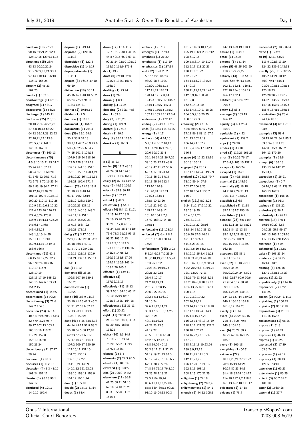| direction $(10)$ 27:23     | dispose (1) 149:14       | down (17) 1:14 11:7       | embark (1) 37:3          | 101:7 102:3,10,17,20      | 147:13 169:19 170:11     | evidential (2) 18:5 89:4 |
|----------------------------|--------------------------|---------------------------|--------------------------|---------------------------|--------------------------|--------------------------|
| 90:16 91:21,23 92:4        | disposed (2) 120:16      | 12:7 18:12 30:1 41:15     | emerges (1) 167:13       | 105:19 106:1,2 107:12     | ensure (1) 114:15        | ewhc (1) 123:9           |
| 124:10,16 129:9,14,15      | 131:18                   | 44:8 49:16 65:2 69:11     | emphasis $(1)$ 21:20     | 108:6,12,15               | entail (1) 171:5         | ex (9) 42:21 63:22       |
|                            |                          |                           |                          |                           |                          |                          |
| directions $(15)$ 28:4     | disposition $(1)$ 122:8  | 90:21,24 92:10 105:12     | emphasise (1) 113:19     | 109:5,8,8,14,19 110:4     | entered (1) 141:14       | 113:9 122:3,13,20        |
| 43:13 90:20,20,24          | dispositive $(1)$ 141:17 | 158:10 161:9 171:4        | emphasises $(1)$ 137:19  | 112:5,17 118:22,23        | entire (5) 48:25 103:20  | 124:22 139:6 143:13      |
| 91:2 92:9,13,24 93:1       | disproportionate (1)     | dr $(1)$ 49:9             | end (32) 1:20 23:23      | 120:11 131:22             | 110:9 129:22,22          | exactly (26) 31:2 32:25  |
| 97:14 110:13 126:10        | 114:11                   | draft (6) 89:10 96:8      | 50:7 56:20 64:23         | 132:21,22                 | entirely (14) 13:6 54:11 | 40:22 41:21 50:12        |
| 136:17 166:25              | dispute (3) 16:16 49:10  | 125:25 132:3 161:9        | 93:22 98:3 102:7         | 134:14,18,22 135:25       | 55:6 62:4 64:13 82:5     | 56:9 79:17 81:11         |
| directly $(2)$ 46:23       | 66:19                    | 166:19                    | 103:20 106:15,15         | 137:9,13                  | 102:11 112:17 116:11     | 91:20 103:12 105:14      |
| 107:25                     | distinction $(10)$ 33:11 | drafting $(1)$ 23:24      | 117:11,21 118:21         | 138:11,15,17,24 141:2     | 122:10 154:6 159:17      | 120:18,23                |
| directs (1) 132:10         | 45:16 46:1 48:18 50:2    | draw $(1)$ 26:5           | 120:14 121:7,8,14        | 142:6,9,16 160:20         | 164:17 172:1             | 126:20,20,21 127:9       |
| disadvantage $(1)$ 46:13   | 65:24 77:23 94:11        | drawn (1) 8:11            | 123:23 130:7,17 136:7    | 161:2,8                   | entitled (3) 55:4 62:9   | 130:2 143:25 145:13      |
|                            |                          |                           |                          |                           |                          |                          |
| disagreed $(1)$ 48:17      | 118:3 124:21             | drilling (1) 171:4        | 144:14 145:7 147:3       | 162:6,14,16,20            | 99:16                    | 149:16 150:5 154:23      |
| disapproves $(1)$ 53:25    | district (2) 19:10,11    | dropping (2) 30:1 44:8    | 149:11 150:13 155:2      | 163:1,4,6,10,17,18,25     | entity (1) 58:3          | 158:9 167:15 169:18      |
| discharge $(1)$ 145:11     | divided $(1)$ 7:5        | due (1) 53:8              | 162:11 165:25 172:3,4    | 164:5,5,9,15,20,25        | envisage (2) 163:19      | examination (4) 73:4     |
| disclosure (25) 2:8,10     | doctrine (1) 168:1       | duly (2) 5:20,20          | endeavour (1) 172:17     | 168:6 172:3               | 164:12                   | 74:4,6 88:10             |
| 20:10 22:4 26:22,23        | document (1) 166:21      | during (1) 121:9          | ending (2) 24:13 107:3   | enforcing $(20)$ 6:16     | equally (3) 4:1 26:4     | examined (3) 69:1 73:1   |
| 27:7,8,10,13 63:22         | documents $(1)$ 27:11    | dusted (1) 77:14          | ends (3) 38:3 115:23,25  | 42:8 56:19 69:5 76:21     | 35:19                    | 98:6                     |
| 64:12 65:17,23 82:23       | does (39) 15:1 29:9      | dutch (1) 19:2            | energy $(1)$ 4:17        | 77:11 86:8 88:11 97:2     | equitable $(1)$ 4:22     | example (13) 58:4        |
| 92:10,21,22 115:8          | 30:9 33:9 37:18          | duty (2) 65:17 123:5      | enforce (64) 4:14,16     | 101:13 102:7,19           | equivalent $(1)$ 139:2   | 60:15 64:22 84:4 85:3    |
| 123:5,7,17 141:1           | 38:3,14 42:7 45:9 49:6   | dworkin (1) 160:3         | 5:2,14 6:16 7:10,17      | 106:14,23 107:2           | erga (1) 29:20           | 89:6 94:3 111:25         |
|                            |                          |                           |                          |                           |                          |                          |
| 143:14 167:11              | 58:5,6 62:25 63:4,7      |                           | 9:1 14:20 16:1 24:6,10   | 111:2,4 134:17 142:1      | erodes (1) 33:10         | 142:8 145:4 163:23       |
| disconnect (1) 169:13      | 74:15 101:6 104:18       | Ε                         | 29:6 30:10 31:4          | 146:8                     | erred (2) 116:25 161:25  | 164:13 170:20            |
| discontinuance (75)        | 107:9 115:24 118:16      |                           | 32:1,16 34:21 36:7,22    | engage (4) 11:22 33:16    | error (7) 50:25 76:17    | examples $(1)$ 65:5      |
| 4:5,8 16:10 21:25 24:2     | 127:5 128:8 129:19       | e $(1)$ 45:23             | 39:16,23 42:13 43:8      | 66:18 135:12              | 77:3,4,8 105:15 157:9    | except (6) 108:13        |
| 25:24 42:1 57:12           | 139:12 144:10 154:1      | earlier (8) 17:2 43:18    | 45:19 47:11,22 50:6      | engaged (5) 25:17         | escape (1) 160:24        | 135:13,14 147:12         |
| 58:24 59:1,2 60:20         | 156:13 158:7 160:4,24    | 44:24 88:14 124:3         | 62:14,17 63:23 64:1      | 107:17 114:24 149:2,9     | escaped (1) 167:15       | 150:3,4                  |
| 61:5 66:12 69:1 71:6       | 163:10,22 164:1,11,15    | 129:17 148:4 169:6        | 70:11 85:21 87:17        | england (12) 24:23 70:7   | essays (2) 49:8 55:15    | exception $(1)$ 25:21    |
| 72:2 73:8 76:16,23,24      | 168:21 169:4 171:4       | easily (2) 87:13 149:22   | 89:13 95:14 112:4        | 73:16 89:14 97:5          | essential $(1)$ 145:16   | exceptional (7) 6:7      |
| 89:9 93:19 96:2 97:21      | doesnt (28) 11:18 18:9   | easy (2) 49:16 166:3      | 113:10 120:9             | 102:17 106:9,20           | essentially (8) 18:18    | 66:16,23 68:11 139:23    |
|                            |                          | eder (2) 85:9 86:18       |                          |                           |                          |                          |
| 98:12,16,25 99:22          | 31:10 45:8 48:14         |                           | 121:20,24 123:21         | 107:18 134:1 135:7        | 44:7 70:2,24 71:13       | 160:13 162:5             |
| 101:11 102:4 103:7,19      | 63:17 79:2 82:19         | eders (1) 162:12          | 124:23 133:14            | 146:9                     | 91:3 115:7 138:22        | exceptions $(1)$ 108:15  |
| 109:20 110:17 112:25       | 121:12 128:3 129:9       | edited (1) 49:9           | 138:5,10,13,20           | english (151) 5:2,3,23    | establish $(1)$ 6:3      | exchange $(1)$ 91:3      |
| 119:9 121:2,6,8,12,22      | 130:22,25 137:11         | education $(1)$ 54:1      | 141:5,22 142:12          | 9:24 11:2 17:2,10,22      | established $(4)$ 11:18  | exclude (1) 133:22       |
| 122:4 123:20 126:23        | 139:15 146:15 148:2      | effect (44) 5:4 11:11,21  | 145:22 146:9,12          | 18:25 19:25               | 35:22 152:7 156:10       | exclusive $(1)$ 56:2     |
| 127:4,6,24 128:8           | 149:14,14 151:1          | 12:15 14:17 19:5          | 161:10 164:2,7,8         | 20:4,5,14,20              | establishes $(1)$ 6:7    | exclusively $(1)$ 96:11  |
| 136:9 144:13,17,23,25      | 154:16 155:22,23         | 24:16 25:20 29:20         | 167:2 168:12,14,18       | 23:5,8,12,18              | estoppel (23) 6:6 14:9   | exercise (14) 37:14      |
| 145:6,17 146:5             | 157:16 158:7,22          | 35:21 37:7,8 40:19        | 170:14                   | 24:12,17,22 25:16         | 18:11,11 25:13 75:21     | 59:10 60:20 82:6         |
| 147:4,18,24                | 165:23 171:13            | 41:24 53:5 58:17 61:6     | enforceable $(1)$ 123:24 | 33:8,14 34:19 35:12       | 82:21 84:13,13,18        | 94:2,25 95:7 99:17       |
|                            |                          | 71:6 73:3 91:25 93:18     |                          |                           |                          |                          |
| 149:1,9,10,14,25           | doing (21) 3:17 20:12    | 99:22 103:12,13           | enforced (7) 6:4,9 8:2   | 36:6,20 37:3 40:21        | 85:1,5,12,21 88:3,20     | 102:13 103:2 105:16      |
| 150:1,11 151:18            | 22:9,19 32:19,20 33:9    |                           | 73:16 87:20 120:14       | 49:1,17 50:6,7            | 89:3 97:7 101:9          | 117:13 153:20 155:9      |
| 152:9,13,15 154:4,8        | 35:18 36:14 40:17        | 121:2,5,15 122:3          | 165:3                    | 51:14,23,23,25            | 103:15 105:8 118:5       | exercised $(1)$ 61:4     |
| 158:6 166:7                | 51:4 72:1 82:9 92:1      | 123:13 136:2 138:16       | enforcement (195) 3:23   | 52:1,4,6,10 53:2,4,15     | 162:15                   | exhausted $(1)$ 162:7    |
| discontinue (21) 41:5      | 112:15 121:13 130:9      | 141:24 147:5,12           | 5:5,24 6:24 7:6,21,24    | 54:12,19 55:3,4 61:23     | estoppels $(3)$ 85:1     | exist (2) 165:23,24      |
| 60:15 62:12,22 72:7        | 131:21 137:14 150:11     | 150:12 151:5,17,20        | 9:6,7,18,19,25 14:5,20   | 62:8 63:20,24 64:19       | 86:11 106:12             | existence (3) 39:22      |
| 96:5 99:24 103:16          | 164:11                   | 154:14 160:5 161:14       | 15:3,25 16:20            | 65:13 67:1,1,6,9 68:24    | even (32) 11:18 25:15    | 46:14 148:5              |
| 112:19 114:9               | doll $(1)$ 3:12          | 163:2,20 165:3            | 17:23,23 19:10,23        | 69:2 70:2,6,8 71:19,22    | 30:25 36:24              | existing (4) 126:16      |
| 126:19,19                  | domestic (5) 28:25       | effected (1) 139:11       | 20:21,22 22:1            | 72:1 73:20 77:13          | 39:20,20,24,24 43:21     | 129:1 133:12 171:9       |
| 127:13,17,19 145:22        | 102:8 107:10 139:1       | effective (3)             | 23:4,7,12,17             | 78:25 79:13 80:5,8,15     | 54:3 62:17 69:6 70:6     | expect (1) 22:22         |
|                            |                          | 157:12,15,17              |                          |                           |                          |                          |
| 146:15 149:6 153:23        | 163:25                   | effectively $(11)$ 18:12  | 24:2,18,19,24            | 83:20 84:6,8,18 85:13     | 71:9 84:6,17 88:20       | expeditiously (1) 114:16 |
| 154:2,15                   | domestication (1)        |                           | 25:1,7,18 28:15          | 88:4,13,25 89:15 97:1     | 89:10 105:6              | experience (2) 8:22      |
| discontinued $(1)$ 145:5   | 138:22                   | 39:3 50:1 64:16 65:12     | 29:6,9,22,23,25          | 100:7,14                  | 106:4,23,24 131:18       | 141:25                   |
| discontinues (1) 99:24     | done (16) 3:8,9 11:13    | 70:10 75:19 86:7          | 30:2,5,5,14,16,19        | 101:2,3,9,19,22           | 134:23 137:14 139:22     | expert (2) 92:24 171:17  |
| discontinuing (3) 71:6     | 33:10 41:20 42:3 45:2    | 121:18 152:7 164:18       | 31:10,24                 | 102:16,18,21              | 146:1 156:15 159:8       | explaining $(1)$ 160:25  |
| 149:2 154:6                | 51:21,22 58:6 62:17      | effectiveness $(1)$ 31:13 | 32:6,11,12,14,24         | 103:14,15 105:4,18,18     | 161:6,12 162:23          | explains (2) 96:17,18    |
| discretion $(23)$ 37:14    | 77:13 93:10 119:6        | effort (1) 20:22          | 33:3,17 35:1,3,14,25     | 107:17 113:24 114:1       | evenly (1) 1:14          | explanation (3) 23:10    |
| 40:3,4 59:6 60:21 61:3     | 137:18 152:24            | eight (11) 20:20 23:1     | 37:1,5,24                | 115:1,4,15,17,22          | event (8) 20:25 53:16    | 113:16 152:2             |
| 82:7 94:2,25 95:7          | dont (41) 6:25 38:18,18  | 24:13 54:9 64:7,11,16     | 40:1,15,19,21            | 116:22 117:8,13,15,19     | 71:6,8 73:25 79:5        | explanations (1) 98:25   |
| 99:17 102:13 103:2         | 44:14 49:17 52:9 53:2    | 67:20 68:7 163:8          | 42:22,23 43:5            | 118:1,12 121:23 122:2     | 145:8 161:15             | expose (1) 51:3          |
|                            |                          | 168:25                    |                          |                           |                          | exposes (1) 47:24        |
| 105:13,16 110:21           | 55:18 56:5 60:12,18      | either (10) 8:3 14:7      | 44:19,22                 | 130:18 132:22             | ever (6) 23:22 39:7      |                          |
| 112:21 152:8               | 62:23 67:22 68:17        |                           | 45:5,8,10,10,17,20       | 134:16,22,23 135:4        | 46:22 62:14 160:15       | exposure $(1)$ 46:13     |
| 153:10,16,20               | 77:17 103:21 104:4       | 70:19 71:5 73:24          | 46:2,5,5,12,16,17        | 137:21                    | 165:2                    | express (1) 43:25        |
| 159:23,24                  | 107:2 109:17 120:19      | 75:20 95:22 111:19        | 48:8,19,20 49:13         | 138:7,13,18,19,23,24      | every (1) 106:18         | expressed $(3)$ 17:19    |
| discretionary (2) 37:17    | 127:10,11 131:10         | 157:25 158:1              | 50:3,9,11 51:7 52:13     | 139:3,9,13,15             | everything $(1)$ 60:7    | 63:6 74:23               |
| 59:24                      | 134:25 135:17            | elapsed $(1)$ 8:4         | 54:19,19,21,23 62:3      | 140:11,25 141:3,5         | evidence (22)            | expresses $(1)$ 49:12    |
| discussed $(1)$ 80:3       | 139:18,19,22             | elements (2) 22:3 95:5    | 63:19 64:9,16,18 66:7    | 142:11,21,25              | 18:17,20,21 27:21,22     | expressly $(3)$ 30:13    |
| discusses $(1)$ 117:19     | 141:19,21 143:9          | elevate (1) 100:14        | 67:11 70:7 72:24         | 156:17,20 161:1,13        | 28:8 45:19 64:24         | 121:5 163:16             |
| discussion $(4)$ 3:3 43:16 | 146:1,12 151:23,23       | elevated $(1)$ 104:5      | 74:8,14 75:17 76:3,10    | 162:1,13 163:13           | 80:24 82:23 84:1         | extension $(1)$ 69:23    |
|                            |                          | else (2) 106:9 144:2      |                          |                           |                          |                          |
| 107:24 151:11              | 153:10 158:17 159:9      | elsewhere $(11)$ 36:8     | 77:25 78:7,18,21         | 168:7,15 170:22,25        | 91:4,18 92:24 101:17     | extensively (1) 80:25    |
| dismiss (3) 93:18 96:1     | 161:19 165:1,24          |                           | 79:5,7 84:19,24          | enlighten $(1)$ 24:18     | 114:20 117:2,7 118:8     | extent (3) 63:7 81:2     |
| 147:17                     | door (1) 135:18          | 41:25 50:11 51:16         | 85:6,11,11,13,22 86:6    | enlightening $(2)$ 20:3,4 | 161:13 167:10 171:17     | 101:18                   |
| dismissed $(4)$ 12:17      | double (2) 17:17 81:14   | 62:10 64:10 75:20         | 87:8 88:4 89:12 90:23    | enlightenment (1) 54:1    | evidences $(1)$ 17:18    | exter (2) 156:9,25       |
| 14:6,10 166:4              | doubt (1) 53:4           | 83:3 105:20 111:6         | 91:10,16 94:13 96:3      | enough (5) 44:12 105:1    | evident (1) 78:4         | external $(1)$ 37:7      |
|                            |                          | 161:14                    |                          |                           |                          |                          |

Opus 2 International Official Court Reporters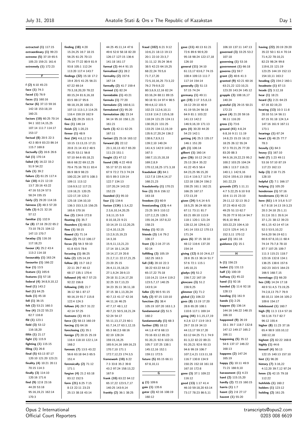**extracted (1)** 117:15

**extraordinary (1)** 99:23 **extreme (5)** 37:19 65:5 105:23 159:21 161:6 **extremely (1)** 172:23 **F f (2)** 6:10 45:23 **face (1)** 74:3 **faced (1)** 76:9 **faces (1)** 160:16 **factor (6)** 37:13 59:16 142:18 153:18,19 160:21 **factors (10)** 60:25 70:14 94:1 102:14,15,25 107:14 111:7 114:17 153:17 **factual (8)** 20:5 22:3 42:3 80:9 83:23 86:14 115:7 169:8 **factually (2)** 16:6 26:6 **fail (1)** 170:14 **failed (4)** 16:22 33:2 51:9 54:22 **fails (1)** 39:2 **failure (2)** 61:25 117:4 **fair (10)** 4:21 12:19 13:7 20:16 43:22 47:16 53:24 57:5 58:24 155:15 **fairly (2)** 29:20 114:16 **fairness (2)** 48:3 57:20 **falls (3)** 6:21 32:16 57:12 **familiar (1)** 132:9 **far (8)** 17:18 29:22 65:2 73:10 78:21 104:12 147:13 170:7 **faraday (3)** 116:16 117:18,23 **favour (4)** 25:2 43:4 113:2 114:18 **favourably (1)** 163:24 **favourite (1)** 166:22 **fear (1)** 13:5 **feature (1)** 165:6 **features (1)** 57:18 **federal (4)** 34:8,9,10,12 **feed (1)** 143:2 **feel (1)** 64:25 **feels (1)** 45:18 **fell (1)** 36:15 **felt (2)** 53:21 160:3 **few (4)** 23:22 55:23 62:7 116:8 **ffd (1)** 123:1 **field (3)** 53:12 116:18,20 **fifth (1)** 21:17 **fight (1)** 115:9 **fighting (1)** 115:15 **filing (1)** 26:8 **final (5)** 63:13 87:17 120:10 121:20 123:21 **finality (4)** 10:21 20:11 70:15 114:3 **finally (3)** 114:10 120:16 171:6 **find (9)** 12:8 23:16 44:20 53:18 95:16,19,21 162:14 170:3

**finding (18)** 4:20 15:24,25 16:7 18:15 56:25 61:25 70:13 75:14 77:22 80:9 81:9 93:8 105:1 112:24 113:20 117:4 143:7 **findings (32)** 15:18 17:2 19:4 20:5 41:25 56:21 67:22 69:14 70:3,18,20,20 78:22 80:15,24 81:6,16,18 83:5 88:17 95:6 98:18,19,20 100:21 107:13 113:1,3 114:25 116:4 159:19 162:9 **finds (2)** 29:25 101:5 **fine (1)** 146:14 **finish (2)** 1:20,23 **firmer (1)** 48:9 **first (54)** 4:6,12 5:9 10:15 13:13,15 17:21 20:8 21:14 43:2 48:5 49:25 53:11 56:8 57:10 64:6 65:18,21 66:6 68:22 69:12,25 70:4 75:16 78:11 83:4 86:9 88:9 98:23 100:22,24 107:5 108:3 109:11 113:12 116:9,9,12 117:21 119:18,21 120:25 122:17,19 123:2 125:18 134:10,10 136:3 153:3,15 156:25 165:6 170:16 **five (2)** 134:6 172:8 **floating (1)** 35:7 **flounders (1)** 68:21 **flow (1)** 58:15 **flowed (1)** 71:14 **flows (2)** 75:12 106:17 **focus (5)** 56:3 59:10 61:8 63:5 78:6 **focusing (1)** 86:25 **folio (2)** 125:14,19 **follow (8)** 15:7 18:2 22:11 29:7 40:12 68:17 135:1 170:4 **followed (4)** 48:7 57:23 92:22 156:8 **following (10)** 21:7 36:12 58:1 87:17 90:16,19 91:7 115:8 122:4 124:3 **follows (4)** 29:7 31:22 42:14 57:25 **footnote (1)** 49:15 **force (2)** 58:13 160:19 **forcing (1)** 64:16 **foreclosing (1)** 35:1 **foreign (7)** 20:15 25:19 116:4 118:10 122:1,14 168:2 **forensic (7)** 13:5 43:22 56:6 63:18 64:3 65:5 151:4 **forensically (2)** 71:12 171:1 **forgive (4)** 21:2 63:18 83:12 152:5 **form (21)** 6:25 7:15 8:13 22:11 23:23 25:13 38:18 43:14

44:25 45:11,14 47:6 49:6 52:8 58:18 82:20 126:17 127:15 136:6 141:18 161:17 **formal (2)** 44:4 91:15 **formalised (1)** 28:2 **formality (2)** 157:6 167:14 **formally (2)** 41:7 159:4 **formed (1)** 82:24 **formidable (1)** 43:21 **formula (1)** 77:20 **formulate (2)** 160:8,11 **formulated (1)** 95:20 **formulation (6)** 23:14 94:14 95:10 158:1,21 161:21 **forth (3)** 42:11 62:25 167:11 **fortiori (2)** 25:16 163:12 **forward (8)** 22:12 23:1,10,13 43:7 65:20 111:23 151:1 **fought (1)** 47:12 **found (18)** 4:22 49:8 55:17 57:21 63:10 67:9 72:2 73:3 74:24 83:5 89:3 119:14 122:7 134:13 137:20,24 143:22 152:23 **founded (1)** 95:10 **four (1)** 134:6 **foxton (134)** 1:3,4,22 2:3,6,10,14,20,25 3:8,11,15 5:9 8:10,18,23 9:21 10:14,19 11:12,20,25 12:4,10,13,25 13:2,9,15,19,23 14:3,16 15:9,11,13,21,23 17:14 18:1,14,20 19:14,17,19 20:8 21:2,7,11 22:17,21,25 23:20 25:15 26:4,11,15,18,23 27:1,9,24 28:9,13 29:18 31:2,14,17,20 32:25 33:7,13,23 34:23 35:11 36:11,18 37:15 38:1,13,20,24 40:7,13 41:17 42:16 44:11,16 46:25 47:7,17 48:1,12 49:7,21 50:5,18,21,24 52:24 54:17 55:11,13,17,23 60:1 61:7,14,17 63:1,12,15 65:3 66:2,5 68:16 82:19 128:24 159:15,16,25 165:9,14,16 169:16,23 170:7,10 171:1 172:7,12,23 174:3,5 **framework (10)** 6:22 7:3 33:8 35:2 39:8 43:2 97:24 158:13,22 167:9 **frank (10)** 63:22 64:12 65:17,22 123:5,7,17 140:25 143:9,14 **frankly (2)** 36:1 38:25

**fraud (102)** 6:21 9:12 10:6,21 18:13 19:13 20:1 22:10 23:3,7 31:11,12 35:24 36:6 38:5 42:23 64:19,25 68:22,24 70:5,6 71:7,17,20 72:5,10,16,25 73:3,22 76:2 79:9,9,22 80:3,6,9,12,16 82:24 83:16,24 88:11 89:15 90:18 91:14 97:4 98:5 99:4,6,12 101:5 102:23 112:6,10,11 113:8 114:2 115:6,18 118:24 121:25 124:11 130:20,21 131:25 133:25 134:12,19,19 135:9,17,20,24 136:2 138:6,7,8,9,11 139:2,10 140:24 141:4,5 142:9 143:2 167:3 168:7,13,15,18,18 169:2,8,9 170:12,18,25 171:3,18 **fraudulent (8)** 64:1 112:7,8 139:4,14,17 168:21,23 **fraudulently (1)** 170:21 **free (3)** 35:6 156:12 163:18 **freedom (1)** 60:9 **freestanding (13)** 4:4 23:25 39:5 110:12 127:2,2,25 128:5 155:16,24 157:8,22 158:23 **friday (1)** 92:15 **friends (3)** 1:6 79:2 106:17 **front (3)** 2:16 27:15 92:14 **fulfilling (3)** 105:19 162:25 163:3 **full (18)** 20:10 22:3 38:22 63:22 64:12 65:17,22 75:18 110:14,21 114:4 119:2 123:5,7,17 140:25 143:9,14 **fuller (2)** 90:5 91:15 **fully (2)** 97:15 110:10 **function (5)** 38:4 105:19 107:20 163:1,3 **fundamental (2)** 51:5 160:2 **fundamentally (1)** 68:3 **further (20)** 18:12 44:1,8 47:8 68:13 70:16 83:12 85:23 91:20,21 92:6 102:21 105:7 137:25 138:1 145:12,16 152:1 159:11 172:5 **future (5)** 65:15 66:11 67:8,10,11 **G g (1)** 109:6 **gain (1)** 135:6 **gater (3)** 42:16 108:19

160:12

**gave (11)** 40:13 61:21 72:6 89:6 90:9,20 95:18 98:24 122:17,18 126:10 **general (11)** 34:10 61:13,17 63:6,7 74:15 108:4 109:13 111:7 117:14 154:14 **generally (3)** 51:13 57:15 74:24 **germany (1)** 49:11 **get (19)** 2:17 3:5,6,13 16:12 29:10 40:9 41:19 55:24 56:18 64:9 81:1 103:22 141:13 142:2 146:9,16,19 171:13 **gets (4)** 30:20 44:20 54:23 142:1 **getting (4)** 25:3 135:17 146:1 151:20 **gift (1)** 106:14 **gilbert (1)** 160:14 **give (26)** 10:12 24:12 25:13 28:4 35:22 41:22 45:5 56:4 64:23,25 96:15,20 111:4 116:3,7 117:4 122:18 138:24 156:2 158:25 161:1 162:21 166:25 167:17 172:13,19 **given (24)** 5:4,14 6:5 18:5,25 36:24 60:16 67:11 73:11 81:7 83:21 89:10 113:9 118:1 120:1 121:24 128:12,16 129:6,12 141:14 153:12 170:13 171:24 **gives (6)** 37:15 38:10 48:12 116:6 137:20 154:14 **giving (12)** 8:10 24:6,17 28:8 35:13 36:14 51:7 57:6 72:1 115:1 145:10,21 **gladys (4)** 51:2 156:7,22 167:19 **glencore (3)** 51:2 156:9,25 **glimmer (1)** 71:2 **global (1)** 106:22 **goes (8)** 13:19 17:20 28:6 65:20 108:1 110:6 117:1 169:14 **going (44)** 3:1,15,17,19 4:2,6 12:7 13:9 19:3 29:7 33:19 34:13 44:13,17 59:17,20 63:12 64:25 71:1 74:9 81:3,22 82:22 89:21 91:20,21 92:6 93:13 94:6 99:19 106:7 107:2,4,21 113:11,18 116:7 130:8 134:9 150:25 152:18 161:18 167:10 172:8 **gone (3)** 37:1 109:22 116:12 **good (13)** 1:17 41:4 46:10 59:18,20 63:14 73:17 78:23 86:5,11

106:10 137:11 147:13 **governed (3)** 33:25 53:2 107:18 **governing (1)** 53:16 **government (1)** 66:18 **governs (1)** 59:7 **grant (2)** 40:6 41:3 **granted (9)** 42:21 60:16 63:21,22 122:10,21 123:20 143:24 145:12 **grapple (3)** 108:16,17 140:24 **grateful (3)** 29:15 50:21 172:23 **great (4)** 21:20 59:16 96:11 116:20 **gross (1)** 73:6 **ground (41)** 4:8,24 6:8,16 9:11 11:19 14:8,23 15:15 16:12 18:25 26:12 55:24 57:3 70:21,25 77:20 83:20 88:3 94:9,16,19,22,23 95:2 100:2 103:25 104:24 106:1 113:7 116:21 140:1,1 142:9,16 152:6 155:6,13 158:8 161:22,23 **grounds (37)** 1:11,11  $4.75.22256.1098$ 10:6 11:15 23:10 29:11,12 32:13 35:2 37:23 40:8 42:23 49:25 51:13 62:7 76:20 77:9 93:14 94:7 95:8,10 96:8 103:22,23 104:4,10 112:5 125:4 141:3 152:3,11 170:12 **gruel (1)** 161:16 **guidance (1)** 15:1 **H h (1)** 156:23 **hadnt (1)** 131:13 **half (1)** 100:19 **halfway (1)** 45:22 **hand (1)** 92:16 **handed (3)** 11:6 92:18 128:13 **handing (1)** 161:9 **hands (1)** 2:25 **happen (5)** 136:14 144:16 146:22 148:15 166:10 **happened (9)** 26:19 33:1 39:7 118:7 132:8 147:12 149:17 165:2 166:11 **happening (5)** 35:12 54:6 137:17 146:22 168:13 **happens (2)** 147:24 165:19 **happy (5)** 10:11 49:9 71:21 166:9,10 **harassment (1)** 4:23 **hard (2)** 115:15,20 **hardly (2)** 72:15 160:15 **harris (1)** 1:7

**hasnt (2)** 2:8 27:17 **havent (1)** 55:20

**having (22)** 20:19 29:20 35:22 50:1 61:4 70:14 71:4,22 78:10,21 82:23 98:24 99:8 119:6,15 121:19 123:25 144:19 152:13 154:10,11 163:2 **heading (2)** 154:2 160:1 **headnote (1)** 87:13 **heads (2)** 3:12,18 **hear (1)** 18:21 **heard (5)** 2:21 64:23 67:16 82:19,23 **hearing (13)** 10:3 11:8 20:10 51:14 56:11 67:15 91:18 124:3,4 147:16 161:9 167:11 173:1 **hearings (1)** 67:24 **heart (3)** 48:25 77:7 78:3 **heavily (1)** 64:3 **heavy (1)** 167:10 **held (7)** 1:23 49:11 53:16 57:10 87:19 117:23 162:13 **help (3)** 2:18 71:25 128:10 **helpful (2)** 7:1 166:17 **helping (1)** 105:20 **henderson (1)** 57:16 **hendersons (1)** 96:12 **here (61)** 1:9 3:5,6 5:17 6:7 8:18 14:13 19:3,23 20:3 24:18 25:1,11 31:2,6 33:1 35:9,14 37:1,21 38:12 39:23 40:1,15 42:14 47:14 52:3 53:5,10,22 54:6,20 56:19 62:1 66:6 67:8,10,11 68:4 74:14 75:7,8 78:10 87:7 107:25 109:7 111:3 115:21 118:7 123:16 132:8 134:1 136:25 138:6 157:6 162:23 163:5 164:23 166:5 168:7,15 **hermitage (1)** 66:20 **hes (18)** 14:24 17:18 48:9 51:4,5 73:19,25 74:2,8,13 75:7 76:9 80:10,11 104:16 105:2 109:6 154:17 **hidebound (1)** 160:7 **high (9)** 11:3 13:4 57:16 58:3,16 73:7 82:7 96:12 155:4 **higher (8)** 11:23 37:16 65:4 98:9 103:10,12 160:12,18 **highest (2)** 82:22 168:8 **highly (1)** 44:6 **himself (4)** 50:13 122:15 140:13 157:10 **hint (1)** 96:20 **history (7)** 3:16,22 4:12,20 39:7,12 97:24 **hmm (3)** 42:15 79:18 112:22 **hohfelds (1)** 160:2 **holders (1)** 123:12 **holding (2)** 161:25

Opus 2 International Official Court Reporters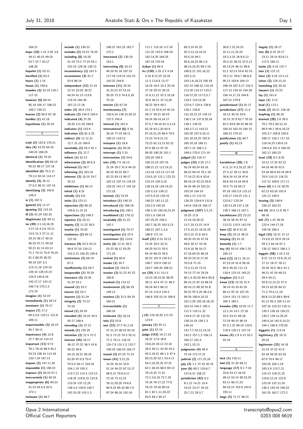164:21

**hope (10)** 1:14 2:20 3:8 39:11 40:15 49:25 53:7 57:7 63:17 148:20 **hopeful (1)** 53:13 **horrified (1)** 63:2 **hours (1)** 1:14 **house (1)** 156:6 **howden (3)** 52:19 116:1 117:15 **however (6)** 69:14 85:19 105:17 106:22 109:7 159:21 **human (2)** 85:9 87:18 **hurdles (1)** 41:18 **hypothesis (1)** 35:24 **I icsid (2)** 142:8 170:21 **idea (4)** 53:25 64:10 140:24 168:24 **identical (1)** 70:10 **identification (4)** 84:15 95:22 96:17 137:16 **identified (6)** 75:5,11 79:3,4 94:10 114:17 **identify (5)** 26:12 77:5,5 98:21 157:15 **identifying (2)** 140:6 149:4 **ie (1)** 167:3 **ignored (1)** 11:17 **ignoring (1)** 115:16 **ill (2)** 91:24 102:25 **illegitimate (1)** 59:11 **im (49)** 2:1,10,16,25 3:17,19 4:2,6 10:11 13:9 21:3 27:11,11 29:15 36:17 40:15 46:25 47:11 49:18 50:21 61:14 63:12 71:1 74:12 75:9 76:25 81:3 86:25 90:22 99:19 107:3,3 113:11,18 124:19 126:10 128:19,19 134:9 140:6,24 142:17,17 143:12 146:7,8 170:2,3 172:19 **imagine (1)** 32:19 **immediately (1)** 38:13 **imminent (1)** 70:17 **impact (7)** 17:2 69:2,4,6 119:11 121:8 169:11 **impermissible (3)** 35:19 55:7 59:11 **importance (4)** 12:8 37:7 96:14 114:13 **important (11)** 57:9 76:1 79:16 80:4 85:1 93:23 108:14 113:18 120:7,24 167:13 **impose (2)** 147:11,20 **impossible (1)** 168:22 **improve (2)** 50:10 57:1 **inaccurately (1)** 40:16 **inappropriate (6)** 40:23  $41.235459825$ 172:1 **inchoate (1)** 66:7

**include (1)** 130:23 **includes (2)** 23:15 79:25 **including (8)** 10:20 51:19 73:2 77:23 93:1 102:15 129:18 130:12 **inconsistency (1)** 161:5 **inconsistent (3)** 41:2 53:9 86:14 **independent (12)** 21:24 22:14 23:25 39:22 40:24 41:13 113:6 119:14 164:20 167:12,17,18 **index (2)** 38:9 174:1 **indicate (2)** 154:9 159:4 **indicated (4)** 27:20 28:20 111:18 166:8 **indicates (1)** 153:9 **indication (2)** 81:2,23 **indirect (5)** 11:11,21 12:7 31:15 169:9 **inevitably (2)** 55:2 61:1 **influence (1)** 12:7 **inform (1)** 52:12 **information (2)** 90:5,9 **informed (1)** 26:7 **informing (1)** 163:10 **inherent (3)** 10:19 19:7 32:13 **inhibitions (1)** 60:13 **initial (1)** 8:25 **initially (1)** 9:8 **initio (1)** 123:11 **injunction (5)** 60:15 145:6,11,15,15 **injunctions (1)** 149:3 **injustice (1)** 20:12 **inquiry (2)** 11:22 30:5 **insofar (1)** 70:20 **insolvency (2)** 65:11 122:16 **instance (9)** 43:3 53:11 56:8 57:10 116:12 153:3,15 156:25 165:6 **institutions (2)** 66:19 67:2 **insufficiently (1)** 59:7 **insuperable (1)** 70:24 **insurance (3)** 33:24 51:24 53:1 **insured (1)** 53:2 **insurer (1)** 53:1 **insurers (1)** 51:24 **integrity (2)** 72:22 74:16 **intend (1)** 20:24 **intended (4)** 10:22 44:5 45:17 168:4 **intending (1)** 27:21 **intends (1)** 125:25 **intention (2)** 21:5 27:2 **interest (45)** 16:17 36:12 37:22 38:3 42:6 49:22 50:6 54:15,18,21 56:25 63:20 67:9,9 70:4 75:5,5 94:17 103:25 104:1,19 105:3 113:7,21 114:3 115:13 118:25 119:6,15 122:8 123:24 137:12,25 138:3,4 139:8 140:7 142:19,20 143:1,3

146:22 161:25 162:7 172:2 **interested (2)** 130:19 153:1 **interesting (9)** 33:13 40:10 61:18 107:23 117:18 119:23 141:15 142:22 144:8 **interests (11)** 20:10 31:23,23 57:14,14 59:25 73:3 74:4,5,18 75:10 **interim (1)** 67:24 **interlocutory (7)** 126:4,16 136:15,20,22 137:5 145:4 **internal (1)** 161:4 **international (6)** 4:16 28:16 77:23 94:11 100:15 118:13 **interpret (1)** 18:8 **interprets (1)** 50:24 **interrupt (1)** 2:15 **intervention (1)** 54:6 **into (19)** 7:5 16:13 21:24 29:2 31:9 44:15 50:10 59:23 60:7 62:23 93:13 99:17 102:13 107:14 118:19 128:25 141:17 142:18 172:18 **intrinsic (1)** 23:24 **introduce (1)** 140:15 **introduced (1)** 166:18 **introducing (1)** 140:1 **invalidated (1)** 170:12 **invariably (2)** 51:22 142:1 **investigated (1)** 74:17 **investigation (1)** 22:4 **investment (1)** 114:6 **invite (6)** 12:21 26:2 53:23 56:12 93:25 171:24 **invited (1)** 65:8 **invoke (1)** 34:7 **invoked (1)** 154:21 **involve (3)** 51:22 67:22 100:8 **involved (1)** 114:12 **involvement (2)** 66:19 149:13 **involves (3)** 31:5 64:19 164:21 **irreconcilable (1)** 168:16 **irrelevant (1)** 16:14 **isda (1)** 52:8 **isnt (22)** 27:7 41:2,10 47:21,23 48:10 55:10 61:3 73:15 74:3 76:11 77:2 79:11 118:15 124:7,9 131:1,5 132:7 140:25 146:10 150:17 **issued (2)** 67:19 71:23 **issues (41)** 3:21,25 14:24 16:14 32:6 51:14 54:22 67:13,17 68:5,12 70:6,9,11 72:16 73:12,22 78:13,20,20 79:6,8 84:9,23 85:10 86:7,9 97:24 98:16 101:10

111:1 115:18 117:16 121:25 132:9 158:18 162:14,20 164:25 167:18 170:16 **italian (1)** 84:4 **its (130)** 1:25 2:3 4:24 5:10 8:12,25 10:24 11:3 12:6,8 13:17 16:24 18:4 19:3 25:18 27:19 29:15 30:15 31:9,11,12 32:3 33:18 35:8 36:11 37:13,20 38:22 39:9 40:1 41:7,14 42:6,19 45:10 48:17 49:21 50:10 54:24 56:14,14,17 57:5,7 59:16 61:3,3,14 62:18 63:1,20 65:9 67:19,21,24 68:4 70:5 72:23 74:0, 21, 23 75:23 81:13,13 82:22 87:9 88:13 97:19 99:20 100:20 101:1 103:25 104:5 105:15,19 107:25 108:21,21 112:19,21 113:18 115:13 117:18 119:5,10 121:1 122:23 123:14 126:3,18 128:14,16 134:19,23 135:3,3,6 136:12 137:5,9,10 139:15 140:23 142:11,22 143:2,9 145:10 148:3,24 150:16,23,24 153:1,6 156:19 157:25,25 158:3 162:7,18,25 163:3,13 166:21 167:1,3,6 168:8 171:14 **itself (21)** 6:15 10:12 13:24 29:5 32:21 44:20 54:21 55:5 64:19 66:15 78:5 85:22 107:9 139:4,4 148:7 153:9 156:12 163:7 164:20 168:21 **ive (20)** 3:11 13:11 15:23 28:19,20 38:25 39:11 42:4 47:11 48:2 56:24 64:3 66:12 67:14 113:4 124:2 146:8 155:15,19 169:9 **J j (4)** 116:18,20 117:23 123:9 **january (1)** 92:11 **joint (1)** 57:19 **judge (142)** 14:17,19 16:22 17:8 18:8 19:8,24 20:12 22:16 28:4 40:11 42:20 43:2 45:2,18,21 46:1,3 47:4 50:13,25 52:1 53:4,11 54:2,16,25,25 57:22 62:1 64:24 68:5 69:12 70:13,25 71:15 72:2,3,6,16 73:7,18 75:24 76:17,22 77:8 78:23 79:16 80:24 81:1 82:1,11,20,22

83:5 84:2 85:17

89:3,10 91:25 92:2,12,14,16,21 93:5,18 94:1 95:6,16,23 96:1,9 98:14,18,25 99:7,16 100:5,21 101:16,22 102:3,12 103:1,6,18,23 105:18 107:14 108:10 110:19 113:20 114:17 115:2 116:12,25 117:5,5,7 118:2 119:14,20 122:6,7 124:4 126:8 128:1 130:8 131:19,21,23 134:13 136:7,14 137:8,20,24 138:1 139:23 140:3,7,11 143:21 155:20 157:9,10,11 161:16,24,25 162:9 165:10,18 166:11 167:7,15 168:1,3 169:5 170:5 171:19 **judged (1)** 116:17 **judges (32)** 3:25 17:1 56:24 60:24 63:16 68:22 69:10 70:1,18 77:14,22 81:6 82:6 88:10,14 92:23 93:8 94:25 96:19 102:22 103:24 104:19 105:1,13 112:23 126:25 129:6,9 131:6 143:6 159:19 160:17 **judgment (107)** 5:3,15 10:25 11:6 12:15,19,20,22 13:7,10,13,15 14:9 17:5,15,22 18:24,25 20:3,15 21:8 34:5 40:20 43:16 47:16 48:6 50:17 52:16 53:9,18 56:16,17 57:18 64:25 66:24 69:10,10,12,17,20 70:5,8 71:15 72:3,13,19 73:21 76:13 77:14 79:24 80:1,4 83:20 84:6 85:8 86:15,15 87:19 88:14 89:10,13 90:16 91:8 95:22 97:3,25 98:2,6 99:20 100:4,10,23 101:2,20 102:16,18,19 103:14 104:2 105:3 111:3 116:11,22 118:9,17,18 122:24 138:14,19 139:1,3 140:14 141:7,7,10,12,14,23 142:2 157:1,3 158:11 160:17 161:5 162:1,10,13 **judgments (4)** 48:4 75:16 172:17,21 **judicial (2)** 171:23,24 **july (3)** 1:1 27:16 92:15 **june (6)** 80:2 110:6,7 131:6,21 158:12 **jurisdiction (62)** 6:2 8:1,12 14:21 15:4 19:22 23:17 24:10 25:7,22 29:3,7

30:6,7,22,24,25 32:11,12,24,24 33:3,3,15 34:9,9,12 35:3,22 36:23 37:5,12 45:13,24 46:12 48:6 51:1 52:13 53:6 62:15 76:2,11 78:6,7 86:8,8 95:13 103:6 104:13 106:19 107:3,17 110:3 117:13 134:15 154:20 156:14,17,19 164:8 167:21 170:8 **jurisdictional (1)** 91:17 **jurisdictions (17)** 11:4 18:13 30:19 33:6 35:15 37:9 62:7 70:10 82:3 83:6 84:25 86:10 100:10 162:19 164:15 168:23 170:15 **justification (1)** 64:7 **justify (1)** 62:23 **K kazakhstan (39)** 1:8 4:11,21 9:3,16,22 26:7 27:3,12 28:11 35:6 39:6,24 41:24 47:6 50:8 54:14,18 64:8 70:4 71:18 94:17 97:18 105:3,9 115:12 118:17 119:15 121:1 122:6,7 123:24 130:13,19 137:1,24 138:3 166:13 167:1 **kazakhstans (7)** 22:23 38:24 56:25 97:12 113:21 115:5 142:19 **keen (2)** 36:9 51:25 **keep (2)** 24:13 38:21 **keeping (1)** 41:15 **kennelly (1)** 1:7 **key (4)** 93:15 106:7,25 166:13 **kind (12)** 18:11 24:13 47:23,24 51:8 56:16 94:5 95:20 111:13 118:4 123:15 145:21 **kingdom (1)** 5:12 **know (13)** 22:18 31:4 38:19 43:10 61:25 80:13 97:15 107:25 124:4 151:13 155:3 160:3 165:1 **knowles (20)** 10:25 11:7 12:1,14 14:1 27:16 33:5 53:21 69:18 72:19 90:15 96:14 97:3,7,22 98:10 110:6 118:9 126:11 147:14 **knows (4)** 1:9 4:13 10:2 55:19 **L lack (1)** 116:11 **laid (2)** 21:20 69:11 **language (17)** 6:1 7:16 32:8 43:17 44:23 48:13 53:14 58:23,25 63:11 66:17,23 94:10,14 153:9 154:5 155:11 **large (2)** 71:17 96:21

**largely (1)** 28:17 **last (8)** 6:10 20:17 23:11 29:14 83:8,11 117:9 165:11 **lastly (2)** 4:10 137:7 **late (1)** 127:12 **later (3)** 3:18 13:2,12 **latter (2)** 125:13,15 **launching (1)** 30:10 **lawyers (1)** 23:22 **lay (1)** 161:4 **layer (1)** 3:13 **lead (1)** 113:1 **leads (2)** 45:21 118:18 **leapfrog (1)** 96:16 **learned (28)** 1:6 26:5 70:1 79:2 84:12,14 90:9 94:1 95:6,18,23 103:3,7 104:8 105:6 106:17 116:1 117:10 119:14,23 130:6,15 144:6,8 151:5 160:16 162:12 165:23 **least (18)** 6:2 8:25 10:12 17:10 42:12 44:18 46:16 52:5 53:18 60:9 63:24 69:9 70:9 110:13 116:23 117:12 169:8 171:11 **leave (8)** 5:1,14 36:25 62:12 63:18 102:4 141:13 149:5 **leaving (3)** 148:6 150:13 162:23 **led (4)** 10:4 11:8 95:7 98:18 **left (7)** 1:15 28:24 122:4 144:17,18 159:18 166:2 **legal (15)** 16:21 21:12 23:4,6,15 25:9 29:14 59:2,3 64:10 67:1 135:12 160:2 166:1,1 **leggatt (58)** 1:10 2:23 8:21 13:13 15:6,10,12 17:12 18:17 28:11 34:20 35:5 36:4 41:1 46:21 47:19 48:23 49:4 54:11 55:9,12,14,22 57:4 59:13 62:20 64:21 71:3 79:4,11,18 80:8,13,23 88:5 89:6 91:13 95:3 105:11,15 107:16 110:23 118:11 120:3 126:18 130:22 135:2 139:13,20,25 140:5,16 142:5,14,21 144:1 166:9 170:20 **leggatts (1)** 113:14 **legitimacy (2)** 16:21 20:19 **legitimate (33)** 16:18 31:23 37:22 41:9 54:18 56:25 63:20 67:9 70:4 94:17 103:25 104:1,19 105:3,9 113:7,21 115:13 118:21,25 119:6,12,15 122:8 123:24 137:12,24 138:3 142:19 146:22 161:25 162:7 172:2

Opus 2 International Official Court Reporters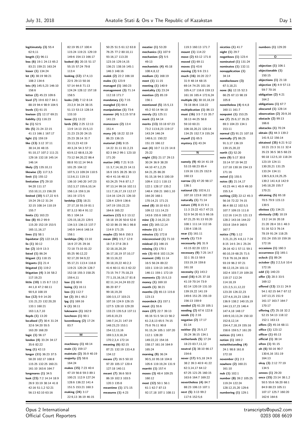$\equiv$ 

| legitimately (3) 55:4                           | 82:19 95:17 100:4                             | 50:25 51:5 61:12 63:8                           | meatier (1) 53:20                             | 119:3 160:13 171:7                                  | niceties $(1)$ 41:7                          | numbers (1) 129:20                             |
|-------------------------------------------------|-----------------------------------------------|-------------------------------------------------|-----------------------------------------------|-----------------------------------------------------|----------------------------------------------|------------------------------------------------|
| 62:9,11                                         | 115:24 119:21 129:19                          | 76:25 77:2 80:10,11                             | mechanics (1) 107:9                           | mount (1) 114:22                                    | <b>night (1) 29:7</b>                        |                                                |
| length $(1)$ 96:11                              | 149:6 154:13 166:17                           | 93:16,17 113:20                                 | mechanism $(2)$ 5:5                           | move (2) 63:12 171:8                                | nogotkovs (1) 123:4                          | 0                                              |
| less (6) 19:1 24:13 65:2<br>83:21 159:21 163:24 | looked (6) 20:15 51:17<br>55:15 57:24 79:8    | 123:16 129:14,15<br>136:21 138:16 145:1         | 49:13<br>mechanistic $(4)$ 45:18              | moved $(1)$ 69:11<br>moves $(1)$ 43:6               | nominated (1) 131:24<br>nominates (1) 132:11 | objection $(1)$ 106:1                          |
| lesser $(1)$ 134:24                             | 113:4                                         | 146:3 148:16                                    | 108:4,8,12                                    | moving (2) 9:6 23:1                                 | nonapplication (1)                           | objectionable (1)                              |
| let (4) 38:19 98:21                             | looking (12) 17:4,13                          | malek (2) 22:2 166:18                           | medium (1) 168:19                             | much (16) 16:20 22:7                                | 34:14                                        | 150:15                                         |
| 108:2 134:6                                     | 22:5 29:13 50:16                              | males (1) 123:9                                 | meet $(1)$ 11:15                              | 31:9 48:14 68:15                                    | nondisclosure (3)                            | objections $(1)$ 21:18                         |
| lets (4) $145:5,23$ $146:10$                    | 57:14 64:8 71:13                              | managed (1) 160:23                              | meeting (1) 140:9                             | 69:14 74:25 101:16                                  | 67:3,18,21                                   | objective (4) 4:9 57:13                        |
| 158:6                                           | 124:24 128:12 157:18                          | management $(3)$ 71:14                          | mentality $(1)$ 23:24                         | 105:4,17 116:8 159:13                               | none (6) 12:15 52:3                          | 59:7 70:16                                     |
| letter (2) 45:23 109:6                          | 158:5                                         | 112:18 171:7                                    | mention (2) 85:19                             | 161:16 165:4 172:6,24                               | 66:25 67:13 98:19                            | obligation (2) 4:21                            |
| level (7) 19:6 82:7 84:1                        | looks (10) 7:12 8:14                          | mandatory $(1)$ 7:15                            | 156:1                                         | multiple (6) 30:10,18,19                            | 105:8                                        | 164:2                                          |
| 88:19 94:4 98:9 104:5                           | 23:2,9 34:24 38:15                            | mangled (1) 64:4                                | mentioned (5) 15:5,13                         | 78:18 86:6 118:22                                   | nonetheless $(4)$ 6:4,8                      | obligations (1) 67:7<br>obscured (1) 128:14    |
| levels $(1)$ 61:15<br>lewison (2) 12:17 69:21   | 51:13 53:13 128:14<br>133:10                  | manipulation (1) 73:6<br>manner (4) 5:2,15 57:8 | 45:2 92:14 94:10<br>merely (1) 125:11         | multiplication (1) 86:13<br>must (16) 3:5 7:15 35:7 | 160:11 161:7                                 | observation $(2)$ 20:9,16                      |
| liability $(1)$ 116:23                          | loose (1) 13:22                               | 141:23                                          | merit (1) 64:14                               | 38:13 44:25 58:8                                    | nonpoint (1) 153:25<br>nor (7) 25:6,17 35:25 | obstacle (2) 99:13                             |
| lie $(1)$ 52:5                                  | lords (55) 2:25 12:13                         | manoeuvre $(2)$ 13:4                            | merits (13) 33:18 67:23                       | 59:10 60:21                                         | 69:3 104:23 134:1                            | 166:6                                          |
| life (5) 21:24 22:15                            | 13:9 14:13 15:5,13                            | 151:4                                           | 73:2 113:8,23 119:17                          | 106:18,20,21 120:14                                 | 153:11                                       | obstacles (1) 70:24                            |
| 41:13 166:1 167:17                              | 21:23 23:20 24:15                             | many (4) 18:22 32:19                            | 143:24 146:24                                 | 134:25 152:7,9 155:24                               | normal (2) 91:21 107:18                      | obtain (5) 44:3 139:2                          |
| light $(1)$ 159:19                              | 25:23 28:14 31:7                              | 86:23 136:15                                    | 148:6,11 150:22                               | myself (1) 65:5                                     | normally (7) 86:25                           | 141:9,12 156:14                                |
| like (13) 3:12 37:11                            | 33:13,23 42:19                                | material (10) 9:15                              | 151:15 166:12                                 | mystery (1) 43:24                                   | 91:3,17 136:19                               | obtained (35) 6:21 9:12                        |
| 38:14,16 48:15                                  | 49:3,24 54:3 57:3                             | 14:22 31:11 81:2,23                             | met (4) 10:7 11:23 14:8                       |                                                     | 139:15,20,22                                 | 10:21 23:3 31:11 32:4                          |
| 91:10,17 107:2 111:21                           | 63:9,12 68:8,13,20                            | 82:3 84:2 99:1 123:10                           | 25:22                                         | Ν                                                   | north (1) 52:20                              | 35:23 36:5 38:5 68:23<br>90:18 112:5,10 118:24 |
| 129:16 132:18 145:14                            | 73:12 84:20,22 86:4                           | 171:20                                          | might (31) 21:17 29:13                        | namely (9) 40:14 41:19                              | note (9) 5:17 30:8                           | 123:19 124:11                                  |
| 146:14<br>likely (2) 135:10,11                  | 88:8 93:12,14 94:6<br>101:25 104:12           | matter (40) 7:21 9:15<br>11:3,7,14,18,23 14:11  | 30:24 36:9 38:20<br>44:10 47:1,2,25           | 53:15 68:23 85:4                                    | 33:14 57:19 94:22<br>117:18 130:16 154:13    | 130:20,21 131:25                               |
| likewise (2) 117:3,5                            | 107:5,13 109:24 110:5                         | 16:9 19:5 28:25 36:13                           | 64:21,25 86:20                                | 119:16 131:25 152:9                                 | 171:16                                       | 133:24 134:11                                  |
| limit $(1)$ 155:12                              | 113:6,11 119:13                               | 40:4 41:16 48:13                                | 91:15,16 94:3 100:19                          | 160:13                                              | noted (1) 155:5                              | 138:5,8,9,19,25,25                             |
| limitation $(7)$ 29:10                          | 136:10 140:20 147:23                          | 63:24,25 74:6 87:1,7                            | 109:4 112:1 118:13                            | narrow (3) 47:20 98:17                              | notes (8) 21:14,17                           | 139:2 141:4,8 142:9                            |
| 94:20 111:17                                    | 152:3,17 155:6,10,14                          | 97:13,14 99:16 102:11                           | 122:1 128:17 135:2                            | 136:1                                               | 43:23 44:1 45:9 49:10                        | 145:18,20 155:7                                |
| 153:10,11,13 156:20                             | 156:1,6 159:3,16                              | 111:7,16,17,19 112:17                           | 148:4 159:21 160:1,10                         | national (5) 102:6,11                               | 155:3,4                                      | 170:21                                         |
| limited (10) 5:17,22 6:5                        | 161:19 172:5                                  | 114:16 124:21 126:10                            | 164:20 168:1                                  | 107:10 123:8 162:19                                 | nothing (22) 22:12 45:3                      | obtaining (5) 65:18                            |
| 19:24 29:12 31:24                               | lordship (23) 18:21                           | 128:4 129:9 136:6                               | 170:14,21 171:21                              | naturally $(1)$ 71:14                               | 56:16 72:22 74:15                            | 70:5 79:9 115:13                               |
| 32:15 108:14 110:19                             | 27:17,18 55:19 81:1                           | 147:19 155:22,23                                | mind (8) 18:10 63:3                           | nature (19) 8:15 9:1<br>11:3 23:22 43:7 47:21       | 86:4 88:12 102:5,5                           | 139:5<br>obvious $(1)$ 134:21                  |
| 155:7                                           | 87:3,13 90:4 91:12                            | 164:6 165:22                                    | 109:12 111:14,23                              | 52:9 54:20 61:5 66:16                               | 107:7 109:15 111:8                           | obviously $(18)$ 10:19                         |
| limits $(1)$ 163:23<br>line (8) $65:299:9$      | 95:1 104:14<br>125:15,18,23 129:5             | matters (12) 6:3 13:12<br>18:18 19:20 50:8 52:8 | 143:6 155:6 169:22<br>mine (3) 2:16,22,23     | 67:21,25 91:13 93:20                                | 112:16 114:21 121:13<br>128:2 143:16 144:22  | 13:2 14:16 20:18                               |
| 115:20 152:19 153:5                             | 134:3,5 136:13 137:7                          | 62:10 86:15 96:1 98:8                           | mini (2) 165:12,14                            | 108:1 111:14 112:16                                 | 153:8 154:9 160:5                            | 21:20 28:4 33:1 48:3                           |
| 165:11,16,17                                    | 140:9 144:6 148:14                            | 114:9 171:25                                    | minute $(1)$ 3:2                              | 130:4 138:15                                        | 167:7                                        | 51:16 52:3 76:14                               |
| lines $(1)$ 58:1                                | 158:1                                         | maybe (2) 56:6 150:3                            | minutes (1) 172:8                             | near (1) 161:11                                     | notice (79) 1:12                             | 78:19 91:24 118:25                             |
| liquidator (2) 122:14,15                        | lordships (26) 13:10                          | mean (84) 3:5,7 12:9                            | misconceived $(1)$ 71:10                      | nearly $(1)$ 73:9                                   | 3:21,21,25 4:8,11 7:24                       | 151:24 155:10 159:16                           |
| lis $(1)$ 30:12                                 | 16:9 27:25 29:16                              | 18:7,9 27:8 28:3                                | mislead (1) 166:15                            | necessarily $(4)$ 31:9                              | 8:15 14:5 24:1 25:24                         | 172:16                                         |
| list $(2)$ 10:9 13:3                            | 72:18 73:10 81:22                             | 32:18,18,20,20                                  | missing $(1)$ 170:1                           | 43:15 82:20 122:1                                   | 26:16 42:1 57:11 59:1                        | occasions $(1)$ 160:3                          |
| listed $(1)$ 86:24                              | 85:25 90:12,22                                | 36:17,18,19 37:10,17                            | mix (3) 60:8 102:13,24                        | necessary (9) 7:25 14:7<br>32:1 35:13 59:9          | 60:10,19 68:25 71:5                          | occurrence (1) 165:1<br>oclock (1) 89:24       |
| litigant $(1)$ 118:15                           | 92:17,20 94:9,22                              | 38:13,16,22<br>39:18,19,22 40:2,3               | moment (10) 11:14                             | 153:19,19 159:8                                     | 73:8 76:16,24 89:9                           | october (5) 2:2,5,6 10:4                       |
| litigants $(1)$ 21:4<br>litigated (1) 119:2     | 95:17,21 113:4 116:8<br>119:21 120:24 128:7   | 41:6 60:11 61:3 62:22                           | 16:5 56:24 89:22<br>103:1 119:13 145:23       | 161:18                                              | 93:19 96:2 97:21<br>98:12,15,24 101:11       | 172:16                                         |
| litigation (4) 3:16 58:2                        | 152:18 155:3 158:25                           | 73:15 74:7 75:18,23                             | 146:11 159:1 172:19                           | necessity $(1)$ 143:2                               | 102:4 103:7,19 109:20                        | odd (1) 140:23                                 |
| 117:19,23                                       | 159:4,11                                      | 77:1,15,16,16,17 81:8                           | moments (2) 15:5,13                           | need (16) 6:25 37:18                                | 110:17 112:24                                | offer (3) 20:3 33:5                            |
| little (10) 1:15 8:7 13:2                       | lose $(1)$ 60:6                               | 82:11,14,14,24 83:22                            | money (1) 169:10                              | 41:19 70:14 73:9                                    | 114:18,19                                    | 169:12                                         |
| 44:1,8 47:2 68:11                               | losing (1) 16:11                              | 86:20 87:7                                      | month $(1)$ 38:21                             | 82:14 120:19 131:10                                 | 121:2,5,11,12,22                             | offered (13) 13:11 24:9                        |
| 90:5,8 108:19                                   | loss (1) 112:7                                | 99:18,19,20                                     | months (3) 65:13 115:8                        | 139:19,22 141:19                                    | 123:20 126:22,23                             | 54:1 62:15 64:7 67:12                          |
| live (12) 9:9 14:20                             | lot (2) 39:1 65:2                             | 100:3,5,17 103:21                               | 123:13                                        | 149:6 151:25 155:19                                 | 127:4,6,19,23 128:8                          | 147:13.15 151:9                                |
| 131:21,23 132:20,20                             | lpg (1) 169:16                                | 107:16 124:9 126:15                             | moorebick $(1)$ 157:1                         | 156:13 159:9                                        | 136:9 138:2 140:15,19                        | 161:17 163:7 164:7                             |
| 133:1 160:21                                    | Ir $(1)$ 38:11                                | 127:5 128:10 129:20                             | moot $(1)$ 55:6                               | needed (2) 61:20 105:1<br>needing (2) 67:6 122:8    | 144:13,17,23 146:4                           | 170:17<br>offering (7) 25:18 32:2              |
| 163:1,6,7,10                                    | lukewarm (1) 162:9                            | 133:23 135:5,8 137:11                           | more (27) 22:7 39:13                          | needs $(1)$ 2:16                                    | 147:4,18 148:17                              | 52:15 54:13 118:12                             |
| lloyds (1) 13:20<br>localised (7) 30:4 31:24    | luncheon $(1)$ 90:1<br>luxembourg $(2)$ 17:24 | 145:8,19,23<br>146:7,14,21 147:19               | 46:16 51:5 54:13 56:2<br>61:2,8,13 65:5 74:15 | negative (2) 17:17                                  | 149:9,10,13,24 150:10<br>152:8,12,14         | 152:1 163:13                                   |
| 32:6 54:20 55:5                                 | 83:7                                          | 148:23,23 153:1                                 | 75:8 76:11 90:8                               | 81:14                                               | 154:4,7,18,19 155:16                         | offers (2) 45:16 68:11                         |
| 163:20 168:20                                   |                                               | 154:12,13,16                                    | 91:15,24 105:1 107:20                         | neither (5) 25:5,17                                 | 158:6 159:5,7 161:20                         | office (1) 123:12                              |
| logic (1) 56:17                                 | М                                             | 169:3,3,9,18,24                                 | 112:1 128:20                                  | 35:24 36:15 134:1                                   | notices (1) 149:1                            | officer (1) 65:13                              |
| london (4) 33:24 34:17                          |                                               | 170:2,3,4 172:14                                | 149:22,22 154:16                              | netherlands (5) 17:24                               | notion (1) 169:2                             | official (1) 38:14                             |
| 35:6 82:22                                      | machinery $(1)$ 48:14                         | meaning $(6)$ 82:15                             | 158:17 161:16 164:9                           | 18:23 83:7,11,12                                    | notwithstanding (4)                          | often (1) 91:15                                |
| long (1) 42:13                                  | main (1) 159:17                               | 87:21 132:19 133:4,8                            | 165:24                                        | neutral (3) 38:10 66:17                             | 24:1 98:8 161:8                              | oh (6) 50:16 90:7                              |
| longer (11) 36:23 37:5                          | maintain (2) 35:9 40:19                       | 134:12                                          | morning (9) 36:24                             | 154:6                                               | 172:18                                       | 130:6,16 151:19                                |
| 58:20 102:17 108:8                              | majority (2) 58:6                             | means (7) 16:5 50:10                            | 90:5,10 95:18 104:8                           | never (17) 9:5,18 24:9                              | november $(1)$ 2:3                           | 164:13                                         |
| 115:25 132:25 160:21                            | 164:24<br>makes (15) 7:23 40:4                | 97:20 105:17 120:4                              | 105:6 119:19,24 131:9                         | 38:2 39:3 40:9 41:22<br>62:3,14,17 64:12            | nowhere (2) 160:21                           | okay (3) 2:12 77:19<br>134:5                   |
| 161:10 163:6 164:7<br>longmores $(1)$ 34:5      | 47:19 56:8 59:3 89:1                          | 127:18 140:11<br>meant (7) 36:6 50:9            | morritt (1) 157:4<br>moses (3) 48:4 109:25    | 67:25 121:25 160:15                                 | 161:10<br>nub(1) 102:1                       | omnes (1) 29:20                                |
| look (23) 7:2 14:14 18:9                        | 100:21 112:9 127:24                           | 86:19 102:3 103:5                               | 160:12                                        | 163:6 164:7 169:22                                  | number (8) 39:2 105:25                       | once $(15)$ 23:14 38:1,2                       |
| 26:9 33:19 38:14 41:8                           | 128:6 136:22 141:4                            | 120:3 135:8                                     | most (12) 50:1 56:1                           | nevertheless (4) 84:7                               | 119:24 122:24                                | 50:5 55:6 56:20 68:1                           |
| 42:16 51:1,2 52:21                              | 151:5 153:21 160:3                            | meantime (1) 171:15                             | 61:1 62:7 87:13                               | 88:23 106:13 107:1                                  | 128:12,15,20 129:6                           | 84:9 88:23 105:11                              |
| 56:13 62:10 63:16                               | making (24) 3:17                              | measures $(1)$ 4:23                             | 92:17,18 107:1 108:11                         | $next(5)$ 3:13 99:2                                 | numbering $(1)$ 129:1                        | 107:17 125:7 160:20                            |
|                                                 | 22:9,13 36:19 46:15                           |                                                 |                                               | 117:6 152:5,6                                       |                                              | 162:6 164:6                                    |

Opus 2 International Official Court Reporters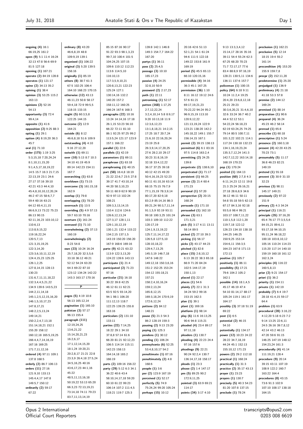**preclusion (1)** 162:21 **preclusive (5)** 12:14

**ongoing (4)** 16:1 66:19,25 161:2 **open (9)** 5:1 11:4 16:24 32:13 47:8 56:6 69:9 81:5 127:18 **opening (1)** 167:21 **operate (2)** 84:19 128:8 **operates (1)** 121:17 **opine (2)** 34:13 35:2 **opining (1)** 38:4 **opinion (3)** 53:25 115:2 163:13 **opinions (2)** 52:16 54:13 **opportunity (3)** 72:4 99:4,14 **opposite (1)** 41:6 **opposition (2)** 9:25 88:3 **opting (1)** 29:1 **option (4)** 8:19,20 36:3 45:7 **oral (1)** 71:10 **order (175)** 1:19 3:25 5:3,15,18 7:20,24,24 8:1,10,11,15,20 9:1,4,5,17,18,19,22 14:5 15:7 16:3 21:7,15 22:13,19 23:1 24:6 27:17 37:16 39:10 42:21 43:3 44:4,10 45:4,8,10,10,12,20,24 46:2 47:15 58:6,7,7 59:4 60:16 63:21 64:12 65:4,11,15 66:6,9,13 73:22 75:23 86:13 90:15 92:11,16,23 103:10,12 110:6,13 113:8,9,15,22 119:16,22,24 120:5,7,13 121:3,15,19,25 122:3,14,20 123:3,6,10,11,12,19 124:4,15,23 125:25 126:1,2,25 127:8,14,15 128:13 130:23 131:6,7,11,11,18,22 132:3,4,4,5,21,22 134:9 139:6 143:5,23 144:2,11,14,18 145:1,2,5,12,15,16,20 146:1,5,10,17,23 147:8,17,21 148:2,2,5,13,24 149:14,21 150:2,2,4,7,13,18 151:14,18,21 152:1 155:20 158:12 160:12,18 165:5,19,25 166:4,4,7,14,16,19 167:16 169:25 171:7,11,12,16 **ordered (4)** 97:11 109:1 137:8 168:5 **orderly (2)** 86:7 106:13 **orders (11)** 27:16 121:9,10 133:13 145:4,4,17 147:8 149:5,7 150:12 **ordinarily (2)** 59:17 67:22

**ordinary (8)** 43:20 46:6,8,19 48:8 109:9,19 139:1 **organised (1)** 106:22 **original (3)** 5:20 139:5 156:16 **originally (1)** 85:19 **others (8)** 38:7 61:3 67:5 102:25 106:4 164:10 168:23 170:15 **otherwise (12)** 43:13 46:11,23 50:8 58:17 59:4,18 72:9 99:5,5 118:15 133:15 **ought (5)** 60:3,5,8 122:25 144:15 **outcome (2)** 12:9 164:21 **outside (6)** 8:12 46:6,8,18 51:6 109:9 **outstanding (4)** 4:10 9:16 27:12,20 **outwith (1)** 69:11 **over (10)** 5:13 8:7 10:3 34:10 41:19 45:9 89:14 142:23 154:11 167:7 **overarching (1)** 63:8 **overblown (1)** 73:15 **overcome (3)** 161:15,18 162:9 **overlap (1)** 79:8 **overlapping (1)** 78:20 **overreach (1)** 13:5 **overriding (5)** 4:9 57:13 59:7 63:10 70:16 **overturn (1)** 161:24 **overused (1)** 71:10 **overwhelming (2)** 37:13 160:19 **overwhelmingly (2)** 8:23 54:8 **own (23)** 10:24 16:24 25:7,18,20 32:3,5,6 33:18 36:12 49:21 52:12 54:24 63:20 64:3 69:22 87:10 123:12 134:24 142:22 143:3 163:17 170:16 **P pages (5)** 4:19 10:8 56:13 165:12,14 **pagination (1)** 165:10 **pakistan (3)** 57:17 96:13 155:4 **paragraph (111)** 12:19,24,25 13:6,21,22 15:14,20,21,23 16:2,6,17 17:1,12,14,15,20 18:1,24 19:20,21 20:2,8,17 21:21 22:8 23:3,9 26:4,18 27:5,24 34:5,16,25 40:16 43:6,17,23 44:1,16 45:22 48:5,11,13,16,18 50:19,22 53:13 65:20 66:3,23 72:13,19,21 73:14,18 74:11 79:23

85:15 87:16 90:17 91:22 93:3 98:1,3,23 99:7,10 100:4 101:5 104:24,25 107:15 109:6 110:12 112:23 113:6 114:5,10 116:10,13 117:3,5,9,10,21 120:8,13,21 122:23 125:24 127:1 130:14,16 132:2 140:20 157:2 158:11,12 160:25 166:24 167:6 168:3 **paragraphs (22)** 10:16 13:24 14:14,16 17:18 26:1,15 53:23 56:10 66:22 72:11 81:10 86:1 92:25 97:25 99:2 113:5,24 121:17 123:9 157:1 166:22 **parallel (1)** 22:6 **parallels (1)** 42:19 **parameters (1)** 69:11 **paraphrase (1)** 63:18 **paraphrasing (1)** 40:15 **part (58)** 16:4,8 18:19 21:22 22:6,7 23:5 27:8 39:17 41:7 43:10,14 44:20 58:3,10,23 59:11 60:9 62:9 90:19 92:9 97:13 102:24 108:21 109:3,3,13,14,15 110:4 112:6 124:6 126:6,12,13,24 127:3,17 128:1,11 129:1,10,12,19 130:1,21 132:4 133:22 134:2,15 137:1,5 143:19 150:20 156:20 167:9 168:6 169:16 **parte (9)** 42:21 63:22 113:9 122:3,13,20 124:22 139:6 143:13 **participate (1)** 21:4 **participated (2)** 71:23 97:16 **particular (21)** 16:18 30:22 39:8 42:25 46:12 61:11 62:21 63:5 92:5 93:14,20 94:1 98:1 106:20 111:12,13 118:7 122:25 139:25 155:8 163:16 **particulars (2)** 131:10 133:11 **parties (22)** 7:14,25 18:22 29:1 34:10 37:8,8 57:14 61:6 66:20 81:21 92:12,23 106:5 114:14 115:11 142:23 158:13 164:14,18 165:2 166:19 **parts (2)** 109:16 156:22 **party (29)** 5:12 6:3 34:1 36:22 40:6 43:4 58:10,14,17,18 59:20 60:10 61:22 99:23 106:14 107:2 111:4,5 118:21 119:7 125:3

139:8 142:1 146:8 149:3 154:7,7 164:22 167:20 **partys (1)** 36:11 **pass (2)** 25:4,5 **passage (3)** 10:10 165:17,23 **passive (4)** 24:25 32:8,10 50:9 **password (2)** 2:17,23 **path (1)** 22:11 **patronising (1)** 52:17 **patten (168)** 1:17,25 2:7,12,22,24 3:2,4,10,14 5:8 8:9,17 9:20 10:13,18 11:9 12:3,6,12,23 13:1,8,18,21 14:2,15 17:25 18:7 20:7,24 21:6,10 22:16,20,24 23:19 25:8 26:3,9,14,17,20,25 27:6 28:2,10 29:17 30:23 31:8,16,19 32:18 33:4,12,22 36:17 37:25 39:18 40:12 42:15 49:20 50:4,16,19,23 52:23 60:11 61:10,16 63:14 68:15 75:15 76:7,9 77:1,15,19 78:3,9,14 80:17,20 82:9,18 83:2,9 85:14,16 86:3 89:21,24 90:3,7,11,14 91:1,5,9 92:19 93:11 99:18 100:3,25 101:24 103:3 109:10 112:22 120:17,19 124:1,9,13,19,22 125:7,11,14,17,22 126:5,8 127:5,10 128:10,18,22 129:4,7,13,25 145:3,19 146:7,18 147:6 148:22 149:12,18 150:3,6,16 151:2 152:25 153:24 154:12 155:18,21 157:21 158:2,4,10,16,24 159:2,13,24 165:8,12,15 169:3,18,24 170:9,19 172:6,12,24 **pattens (2)** 84:12 148:21 **pause (5)** 21:3 54:3 86:2 128:19 159:3 **pausing (2)** 9:13 23:20 **paying (1)** 125:3 **pendens (1)** 30:12 **pending (1)** 106:24 **pennsylvania (6)** 52:25 53:4,8,10,17 54:2 **penultimate (1)** 87:16 **penultimately (2)** 4:8 168:6 **people (1)** 3:6 **per (2)** 123:9 167:19 **perceived (1)** 52:17 **perfectly (5)** 74:9 75:24,24 99:20 105:24 **perhaps (15)** 10:12

20:16 42:6 51:13 52:1,21 54:1 61:24 94:6 111:5 122:18 149:22 153:8 161:9 169:19 **period (5)** 45:5 65:13 66:10 120:15,16 **permissible (4)** 34:16 36:3 45:1 167:25 **permission (36)** 1:10 8:11 16:12 19:12 24:6 57:6 61:21 69:17,19,21,23 70:22,22 94:24 95:2 96:9,15,19 113:10 120:9,12,22 121:13,19,24 122:9 123:21 138:20 142:2 145:18,22 149:1 155:7 156:14,15 167:1 **permit (2)** 39:15 138:13 **permitted (6)** 6:1 83:16 97:5 114:8 163:2,4 **permitting (2)** 24:25 139:8 **perpetrate (2)** 138:6,10 **perpetrated (1)** 71:17 **persistent (1)** 66:25 **person (3)** 21:4 60:4 171:23 **personal (1)** 57:20 **perspective (2)** 20:15 168:24 **persuade (1)** 171:10 **persuaded (1)** 162:10 **phrase (3)** 63:1 171:3,21 **pick (5)** 3:17 4:11 13:11 58:14 89:5 **picked (2)** 27:10 39:3 **picking (1)** 56:17 **picks (2)** 43:17 44:23 **pitched (1)** 82:8 **place (15)** 2:8,10,12 6:13 28:22 38:3 65:18 66:9 71:20 84:24 102:5 144:17,19 150:1,13 **placed (1)** 22:17 **places (1)** 54:6 **plainly (7)** 22:1 31:3 34:24 59:2 99:16 153:15 162:3 **plan (1)** 39:1 **plant (1)** 169:16 **platform (1)** 98:14 **play (6)** 11:6 16:13,25 90:6 94:8 115:21 **pleaded (4)** 23:4 89:17 97:11,18 **pleaders (1)** 130:7 **pleading (4)** 22:23 24:4 97:16 157:6 **pleadings (9)** 22:21 90:24 92:2,4 130:7 136:14,17,18 158:17 **pleads (1)** 23:3 **please (2)** 1:4 147:17 **pm (5)** 89:25 90:2 172:9,11,25 **pointed (3)** 63:9 69:21 114:17 **points (34)** 3:17 4:10

9:13 13:3,3,4,12 15:14,17 28:16 35:16 39:11 54:4 55:24 62:3 67:25 68:20 70:23 71:7 72:17,17 77:6 83:4 88:8,9 97:16,19 128:21 130:5,11 134:6 136:11 137:6 157:7 **policeman (1)** 100:15 **policy (64)** 6:18 9:11 10:24 11:2,4 19:25 20:4,20 23:6,8,12,18 25:21 29:23 30:3,6,20,21 31:4,6,10 32:6 33:24 36:7 40:2 44:4 52:12 53:1 54:22,24 56:18,23 62:19 63:24,25 74:25 79:14 80:5 100:7,11 101:3,22 102:21 114:1 117:24 130:18 132:23 134:1,16,19,23,24 135:3,7,12,24 141:3 142:7,12,22 163:14,18 168:19 170:23 **pop (1)** 170:24 **posited (1)** 164:13 **position (60)** 2:7,8 4:3 6:11,14,23 12:11 19:8 21:3 25:24 26:16,21 27:18 28:6,8,9 34:6 36:12 46:11 50:11 54:8 55:18 59:5 62:13 67:17 84:3,16 92:18 93:5,6 98:4 99:21 103:17 108:7,11,22 110:1,5,8 112:1,20 119:7,18 122:12 126:23 134:10 138:18 144:25 146:25 150:9,25 153:14 154:6,11 156:3,5 164:23 167:8 171:13 172:13 **positive (1)** 105:7 **positively (1)** 86:11 **possibility (5)** 17:21 79:6 104:2 105:2  $162.1$ **possible (14)** 18:1,4,5 45:17 46:19 47:4 54:10 81:14,17 88:17 105:24 119:1 161:17 164:17 **possibly (3)** 37:18 51:19  $69.22$ **post (1)** 6:5 **potential (2)** 46:15 54:10 **potentially (1)** 134:17 **power (12)** 10:23 24:22 28:22 34:7,18,19 44:24 45:1 152:13 155:10,12 171:23 **powers (2)** 29:2 112:18 **practical (1)** 168:24 **practically (1)** 31:3 **practice (2)** 35:17 43:13 **prayer (1)** 23:23 **prayers (1)** 130:7 **precisely (5)** 40:3 54:23 81:20 107:8 137:15 **preclude (1)** 78:24

18:15 19:4 55:2 161:14 **precondition (4)** 153:20 155:9 159:7,8 **precpr (2)** 152:11,20 **predetermine (1)** 25:20 **prejudged (1)** 136:9 **preliminary (4)** 21:18 41:18 53:3 57:8 **premise (2)** 144:12 169:24 **premised (1)** 88:14 **preparation (1)** 90:6 **prepared (4)** 36:24 45:23 46:2 58:14 **preread (1)** 65:8 **prescribe (1)** 60:18 **prescriptive (1)** 5:24 **presence (2)** 160:3,18 **present (4)** 42:20 43:25 70:23 73:1 **presumably (5)** 11:17 36:8 46:23 82:21 149:19 **pretend (1)** 55:18 **prevent (3)** 30:9 31:10 32:23 **previous (3)** 98:11 145:17 149:21 **previously (2)** 97:22 151:9 **primary (2)** 4:3 34:24 **principal (1)** 116:21 **principle (35)** 37:16,20 65:4 76:17 77:3,5,5,6 84:15,21 89:6,11 93:17,18 94:10,15 95:11,24 96:18,22 100:18 103:8,10,12 105:16 110:24 114:23 115:20 117:14 140:10 159:19 160:18 161:12 162:3,24 **principles (4)** 116:22 160:5,8,13 **prior (2)** 9:21 154:17 **priori (1)** 36:2 **priority (1)** 154:11 **private (1)** 142:19 **probably (7)** 6:4 19:7 28:18 41:4,15 59:17 64:4 **problem (1)** 63:9 **procedural (28)** 3:16,22 4:12,20 5:18 6:23 7:2 9:14 13:25 22:6,11 24:5 26:16 39:7,8,12 42:14 43:2 46:13 47:20 59:6 91:15 146:25 147:19 148:12 154:23,24 161:3 **procedurally (4)** 41:14 111:19,21 128:4 **procedure (9)** 20:14 39:15 43:11 107:19 108:9 122:2 160:7 163:22 164:4 **procedures (8)** 43:15 73:6 91:3 102:9 107:10 108:17 138:18 164:15

Opus 2 International Official Court Reporters

83:7,11,13,14,19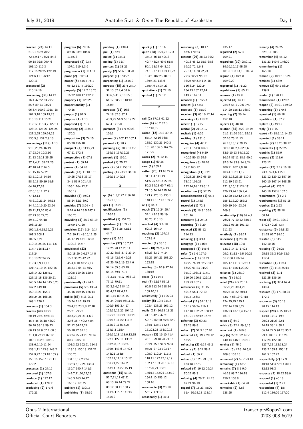| proceed (23) 14:11       | progress (6) 70:16       | pudding (1) 130:4            | quickly (1) 15:16                     | reasoning $(3)$ 10:17    | 135:17                     | remedy (4) 24:25         |
|--------------------------|--------------------------|------------------------------|---------------------------------------|--------------------------|----------------------------|--------------------------|
| 21:21 59:9 70:2          | 89:16 93:9 106:6         | pull (1) 62:1                | quite (28) 1:20,22 12:3               | 46:6 170:23              | regarded (2) 57:5          | 32:9,11 50:9             |
| 72:4.9.17 73:21 84:8     | 114:5.8                  | pulled (1) 37:11             | 35:15 36:18 40:18                     | reasons (29) 28:23 39:2  | 109:21                     | remember $(4)$ 45:12     |
| 90:18 92:8 99:4,6        | progressed (5) 93:7      | pulling (1) 31:7             | 42:7 48:24 49:9 51:5                  | 40:13 48:12 65:3 68:8    | regardless (10) 25:9,12    | 131:23 140:9 146:20      |
| 101:10 116:3             | 107:1 119:1,3,9          | punters (1) 38:21            | 56:1 63:17 64:8,19                    | 69:22 72:1,6,8           | 89:16,16,17 95:25          | remembering (1)          |
| 117:16,20,25 122:19      | progression $(1)$ 114:11 |                              | 74:10 77:11 103:11,22                 | 75:14,14 78:22,23        | 101:8 103:14.15 105:4      | 165:18                   |
|                          |                          | purely (2) 56:6 168:20       |                                       |                          |                            |                          |
| 124:6,11 126:12          | proof (2) 130:3,4        | purport (1) 163:22           | 104:5 107:23 109:1                    | 79:3 86:21 96:19         | regime (4) 46:6,8          | remind (2) 10:12 13:24   |
| 129:11                   | proper (5) 54:15 76:1    | purporting $(1)$ 164:10      | 139:4,23 148:6                        | 98:24 99:3,9 114:18      | 109:9,20                   | reminds $(1)$ 68:9       |
| proceeded (2)            | 95:12 117:4 160:20       | purpose (15) 23:4 24:14      | 170:4,9 171:4,23                      | 116:8,24 122:24          | regretted $(1)$ 71:22      | remove (3) 69:1 88:24    |
| 110:14,16                | properly (5) 12:2 13:25  | 31:13 32:2,4 37:6            | quotations $(1)$ 72:10                | 134:13 137:12,14         | regulations $(1)$ 65:11    | 139:9                    |
| proceeding $(36)$ 14:12  | 16:22 108:17 122:21      | 38:6,6 41:9,10 55:8          | quoted (1) 72:12                      | 143:7 167:14             | reinmar (1) 49:9           | render (1) 170:11        |
| 16:4 47:22,23 79:7       | property (1) 128:25      | 64:17 88:21 118:16           |                                       | recalled (1) 165:23      | rejected $(8)$ 14:11       | renumbered $(1)$ 129:2   |
| 85:6 89:13 93:21         | proportionality (1)      | 163:9                        |                                       | receipt $(1)$ 45:3       | 22:16 55:1 72:6 97:7       | reopen (2) 54:21 159:22  |
| 96:3,4 100:9 101:7,18    | 70:15                    | purposes (11) 16:8           | R                                     | received $(1)$ 65:10     | 114:20 155:13 168:9        | reopening $(1)$ 170:3    |
| 102:3,10 109:19,23       | propos (1) 91:5          | 24:18 32:5 37:4              |                                       | receiver (3) 65:10,12,14 | rejecting $(2)$ 50:14      | repeated (1) 66:18       |
|                          |                          |                              | rail (2) 57:18 61:22                  |                          |                            |                          |
| 110:10 111:15,21         | propose (1) 1:13         | 43:9,25 54:9 56:19,22        | raise (4) 40:2 62:3                   | receiving $(1)$ 118:21   | 157:10                     | repetition $(1)$ 57:2    |
| 112:17 115:3,7 122:11    | proposed $(1)$ 71:9      | 67:4 171:20                  |                                       | recent (1) 171:7         | rejects (1) 48:18          | replete (1) 49:15        |
| 123:15 125:21 126:25     | proposing $(2)$ 133:15   | pursuant (3) 1:9 92:23       | 167:18,19                             | recital (2) 21:14,17     | relation (65) 3:20 19:19   | reply (1) 1:15           |
| 127:2,25 129:24,25       | 170:2                    | 126:1                        | raised (12) 1:12 39:14                | recitals $(1)$ 4:20      | 21:1 31:20 39:1 52:13      | report (4) 38:9,12,14,23 |
| 130:5,8 137:2,9,13       | proposition (3) 74:15    | pursue (2) 107:12 167:1      | 67:14 72:16 96:8                      | reciting $(1)$ 131:6     | 67:10 75:11,13             | reported $(1)$ 38:11     |
| proceedings $(119)$ 4:13 | 85:20 156:10             | pursued (1) 70:7             | 138:2 139:21 140:3                    | recognise $(4)$ 47:11    | 76:13,15,17 79:15          | reports (2) 13:20 38:17  |
| 9:10,23,24 16:19         | prospect (4) 53:15,21    | pursuing (5) 70:5 113:7      | 161:20 166:6 167:24                   | 70:11 151:8 164:2        | 80:16 81:2,6 82:3,6        | represents $(1)$ 22:25   |
| 17:23,24 19:3,10         | 67:11 172:3              | 119:15 137:12,25             | 171:25                                | recognised $(4)$ 6:19    | 83:6,10,13 84:15,22        | republic (1) 85:9        |
| 21:13 25:11 35:25        | prospective $(1)$ 67:8   | pursuit (1) 169:1            | raises (2) 76:12,14                   | 40:22 50:13 79:5         | 86:14 87:11 88:3 90:6      | request (2) 118:6        |
|                          | protest (1) 69:14        |                              | range (1) 60:25                       |                          |                            | 123:12                   |
| 37:1,4,21 39:21,25       |                          | pushed (1) 75:22             | rare (1) 165:1                        | recognises $(3)$ 28:20   | 92:3,24 93:9 94:9,24       |                          |
| 42:10 44:7 46:5          | proves (1) 84:20         | puts (2) 84:2 158:12         |                                       | 59:7 163:17              | 100:21 102:2,9,10          | require (12) 7:19 16:19  |
| 51:15,16 52:25           | provide (13) 11:18 15:1  | putting (4) 23:23 36:18      | rather (23) 13:16 22:6                | recognition $(11)$ 5:23  | 103:4 107:11,12            | 73:4 74:4,6 115:5        |
| 53:5,12,15 54:19         | 19:25 27:18 33:17        | 110:11 140:23                | 31:11 47:11,19                        | 29:23,25 30:2 65:10      | 108:5,18,23,25 110:3       | 121:12 129:12 157:16     |
| 58:5,13 59:19 61:5       | 34:1 53:9 101:4,8        |                              | 51:5,25 53:14,22,24                   | 78:19 101:21             | 112:19 113:21              | 160:10 167:14 168:25     |
| 64:10,17,18              | 105:1 164:12,21          | Q                            | 56:2 59:23 60:7 65:1                  | 122:14,16 123:3,11       | 121:3,16,17 124:17         | required $(4)$ 125:2     |
| 67:8,10,11 72:7          | 168:19                   |                              | 71:10 74:14 115:16                    | recollection $(1)$ 52:25 | 126:23,24 136:2,4          | 145:10 157:6 162:5       |
| 77:12,13                 | provided $(4)$ 49:23     | qc (6) 1:5,7 22:2 56:10      | 123:7 126:15 136:1                    | reconsideration (1) 95:5 | 142:20 152:12 154:3        | requirement $(1)$ 2:1    |
| 78:6,19,21,24 79:13      | 58:14 82:1 89:2          | 166:10,18                    | 148:11 167:13 169:2                   | record (1) 148:3         | 155:1,16,20 156:2          | requirements $(1)$ 57:15 |
| 84:4,10,19,20,23,24      | provides (7) 3:24 4:9    | qcs (1) 165:10               | re $(1)$ 64:3                         | recorded $(1)$ 72:3      | 160:19 164:23,24           | requires $(1)$ 2:23      |
| 85:11,13,20 86:6         | 5:14 6:16 29:5 147:1     | qualifications (1)           | reach (7) 16:24 25:4                  | records (3) 16:3 100:5   | 169:8                      |                          |
|                          |                          | 110:19                       | 32:1 49:19 56:19                      |                          |                            | requiring $(2)$ 58:18    |
| 87:23 88:22,25           | 168:20                   |                              |                                       | 101:16                   | relationship $(10)$ 69:4,7 | 60:14                    |
| 89:4,12 94:18            | providing (4) 8:10 63:19 | qualified (1) 154:20         | 83:23 116:18                          | recurrent $(1)$ 24:16    | 76:21 77:10,12 88:12       | resist (5) 29:21 32:12   |
| 103:16,20                | 167:9 171:20             | quantum (1) 169:21           | reached $(4)$ 9:6,18                  | recurring $(1)$ 3:20     | 95:12 96:25 101:13         | 37:23 42:23 43:4         |
| 106:1,3,4,15,16,25       | provision (13) 5:24 6:14 | quasi (3) 8:25 42:12         | 62:18 164:14                          | reduced (2) 58:12        | 111:23                     | resistance (5) 14:8,23   |
| 107:3 108:1              | 7:2 30:11 43:10,11,25    | 44:7                         | reaching (3) 107:14                   | 114:13                   | relatively (1) 98:17       | 31:25 62:7 91:10         |
| 109:5,8,21               | 44:17,19 47:10 63:6      | query (1) 2:20               | 163:8,9                               | reducing $(1)$ 3:13      | relevance $(1)$ 28:18      | resisted $(3)$ 33:2      |
| 110:15,25,25 111:1,6     | 110:18 147:7             | question (97) 16:7,17        | reacted $(1)$ 33:15                   | reengage $(1)$ 146:5     | relevant $(18)$ 10:8       | 142:10.16                |
| 114:7 115:11,17          | provisional (23)         | 19:25 20:17 23:11            | read (10) 26:2,4,13                   | reengaged $(1)$ 146:6    | 13:12 14:17 17:23          | resisting $(6)$ 24:25    |
| 117:24                   | 8:2,15,20 9:6,17 14:5    | 30:22 35:8 37:2 39:14        | 53:23 63:2 74:24                      | refer (2) 1:6 167:6      | 29:2 31:12 45:5 60:25      | 25:18 35:3 50:9 53:9     |
| 118:10,22,24,25          | 15:7 36:25 42:22         | 41:16 42:5,6 46:23           | 85:25 104:21 108:20                   | reference (16) 30:21     | 61:2 80:4 86:24            | 112:4                    |
| 119:3,8,9,11,16          | 45:4,8,10 46:2,5,17      | 47:20 49:5,19 52:4,6         | 152:15                                | 49:22 76:19 82:7 83:6    | 105:17 111:7 126:14        | resolution $(1)$ 119:4   |
|                          |                          | 54:14 55:5 63:19             | reading (3) 10:9 47:16                |                          |                            |                          |
| 121:7,7,10,14 122:16     | 48:8,19 64:13 66:7       |                              | 130:16                                | 86:22 91:23 94:20        | 153:17 156:1,20,22         | resolve (2) 1:18 35:14   |
| 123:14,22 126:5,7        | 109:8 119:25 120:5       | 65:14 69:1 71:5              |                                       | 95:19 108:11 117:1       | reliance (1) 23:10         | resolved $(3)$ 11:1      |
| 127:13,15 136:20,21      | 121:16                   | 73:2,15 75:17 76:3,13        | reads (1) 154:5                       | 119:20 120:1 122:18      | relied (1) 14:16           | 121:25 136:16            |
| 143:5 144:14 145:6,23    | provisionally (1) 24:6   | 77:11 79:11                  | real (7) 52:17 53:15                  | 153:23 167:9             | relief (24) 4:5 23:14      | resolving (3) 37:4 67:4  |
| 147:2 149:10             | provisions (5) 5:5 43:24 | 80:3,5,6,22 84:12            | 66:5 112:24 118:14                    | references $(6)$ 31:15   | 35:20,23 39:4,25           | 138:4                    |
| 150:13,21 155:1          | 45:16 109:15 126:14      | 85:4,12 87:4,12              | 169:10,19                             | 49:16 56:4 72:10         | 40:25 41:22 50:13          | resource (3) 171:20,24   |
| 165:24,25 168:25         | public (66) 6:18 9:11    | 88:1,15 89:14,15             | realistically $(1)$ 105:24            | 95:17 156:3              | 53:7,7 68:10 97:18         | 172:1                    |
| 169:1 170:2              | 10:24 11:2 19:25         | 91:24 94:19 96:11,21         | reality (5) 19:4 35:14                | referred (11) 51:17,18   | 124:25,25 125:1            | resources $(3)$ 20:18    |
| proceeds (1) 164:3       | 20:4,20 23:5,8,12,18     | 100:9 101:3,4,17             | 123:4 133:23 166:12                   | 52:19 56:24 116:1        | 127:14 130:5,22            | 70:15 114:13             |
| process (40) 10:22       | 25:21 29:22              | 102:12,15,22 104:12          | really (17) 10:15 13:23               | 117:10 152:22 160:12     | 136:23 137:3,4 157:7       | respect (29) 4:15 10:23  |
| 20:19 25:4 42:8,13       | 30:3,20,21 31:4,6,9      | 105:23 106:21 108:25         | 41:16 42:9 47:21                      | 161:21 162:12 167:5      | 161:2                      | 14:18 17:17 19:5         |
|                          | 32:6 36:7 40:2 44:4      | 109:13 110:2 111:2           | 52:7,9 62:20 65:8 82:9                | referring $(3)$ 60:23    | relies (1) 64:2            | 20:23 21:23 22:1         |
| 45:4 46:15,18 48:20      |                          | 112:12 113:14,25             | 134:1 135:1 142:6                     |                          |                            |                          |
| 56:20 58:19 59:23        | 52:12 54:22,24           |                              |                                       | 79:23 99:8               | relish (3) 72:4 99:3,15    | 24:19 33:14 58:2         |
| 60:13 62:9 67:1 68:6     | 56:18,22 62:18           | 114:1,3 115:4                | 151:23,23 158:10,18                   | reflect (2) 51:9 167:10  | reluctant (1) 160:8        | 66:14 72:5 94:23 95:2    |
| 71:1,8 72:23 87:12       | 63:24,25 74:25 79:14     | 116:16,18 118:6,12,15        | reason (33) 16:10 41:4                | reflected (3) 19:7 29:12 | rely (6) 27:21,22 46:7     | 99:4 108:19 116:20       |
| 100:1 102:8 107:12       | 80:5 100:7,11            | 122:1 127:11 133:2           | 46:10 59:18,20 71:16                  | 58:22                    | 140:14 146:2 150:19        | 117:24 122:10            |
| 138:6,9,10,11,24         | 101:3,22 102:21 114:1    | 136:5,8,16 138:4             | 79:21 85:5 91:9 92:3                  | reflecting (2) 6:14 45:2 | relying (1) 75:9           | 127:7,12 132:13,24       |
| 139:1,11 143:3 149:2     | 118:13 130:18 132:22     | 139:5 143:6 147:23           | 95:21 97:23 103:17                    | reflects (2) 8:24 58:9   | remain (5) 42:3 46:5,8     | 133:2 155:7 156:17       |
| 152:9,22 153:18 155:9    | 133:25                   | 148:21 153:5                 | 105:9 112:24 117:3                    | refusal (1) 66:21        | 109:8 163:10               | 161:5 162:22             |
| 156:16 159:7 171:11      | 134:16,19,23,24          | 157:11,11,12,15,17           | 118:11 122:17,19,19                   | refuse (5) 5:23 29:6,11  | remained (2) 66:7 93:10    | respectfully (7) 17:9    |
| 172:2                    | 135:3,6,12,24 138:4      | 158:21,22 162:23             | 132:17 133:20 136:13                  | 163:18 167:2             | remaining $(1)$ 68:7       | 40:18 51:4 52:14 80:1    |
| processes $(1)$ 24:19    | 139:7 140:7 141:3        | 163:14 169:7,15,19           | 137:20,21 138:1                       | refused (4) 19:12 29:24  | remains (7) 8:1 9:9        | 82:12 98:3               |
| procured $(1)$ 167:3     | 142:7,11,20,22,25        | questions $(15)$ 51:25       | 146:12 152:21 153:12                  | 70:22 95:3               | 46:18 98:7 116:18          | respects (2) 18:22 58:9  |
|                          |                          |                              |                                       |                          |                            |                          |
|                          |                          |                              |                                       |                          |                            |                          |
| produce (1) 172:17       | 143:3 163:14,17          | 52:7,11,11 67:21             | 154:1,10 155:12                       | refusing (4) 20:21 41:25 | 150:7 168:8                | respond (1) 40:18        |
| produced (1) 170:11      | 168:19 170:22            | 68:13 76:14 79:22            | 168:16                                | 69:21 96:19              | remarkable (1) 64:20       | responded $(1)$ 2:21     |
| producing (2) 171:6      | publicly (1) 139:17      | 80:12 88:11 100:7            | reasonable $(3)$ 20:18                | regard (7) 16:23 48:20   | remedies (2) 32:8          | respondent $(4)$ 1:8     |
| 172:21                   | publishing (1) 55:19     | 111:4 115:7 141:15<br>155:19 | 53:17 171:19<br>reasonably $(1)$ 41:3 | 61:4 70:14,18 118:14     | 138:25                     | 112:4 136:20 157:20      |

**reasonably (1)** 41:3

 $\overline{\phantom{a}}$ 

Opus 2 International Official Court Reporters 155:19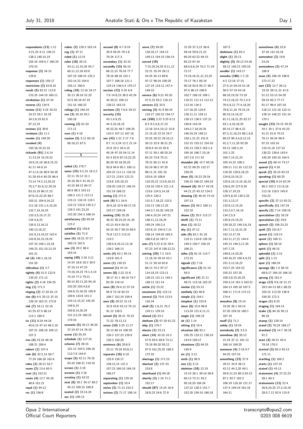| respondents $(13)$ 1:12                      | rubric (2) 129:3 163:14                 | second (8) 4:7 8:19                     | serve (7) 59:20                            | 31:20 37:3,21 56:6                             | 167:5                                        | sometimes $(4)$ 32:8                             |
|----------------------------------------------|-----------------------------------------|-----------------------------------------|--------------------------------------------|------------------------------------------------|----------------------------------------------|--------------------------------------------------|
| 3:21,25 4:11 126:21                          | rug $(1)$ 37:11                         | 20:9 49:25 70:1,8                       | 118:16,17 144:13                           | 58:16 59:8,21,22                               | skeletons (1) 82:2                           | 37:16 141:16,16                                  |
| 138:2 140:15,19                              | ruled $(1)$ 12:15                       | 79:24 117:3                             | 149:13 154:19 156:14                       | 60:20 62:22 64:15                              | slight (1) 20:13                             | somewhat (2) 19:6                                |
| 155:16 159:5,7 160:24                        | rules (18) 39:15                        | secondary $(1)$ 32:22                   | served (19)                                | 65:23 67:16                                    | slightly (5) 39:13 53:20                     | 23:24                                            |
| 170:23                                       | 43:11,12,15,20 45:7                     | secondly (15) 56:15                     | 7:15,20,24,25 8:11,12                      | 68:5,6,6,24 70:2 71:19                         | 58:12 140:23 150:16                          | somewhere $(2)$ 47:24                            |
| response (2) 34:15                           | 60:11,12,18 63:6                        | 66:12,15 76:16 77:7                     | 22:21 25:24 28:11                          | 72:17                                          | smaller (1) 143:17                           | 106:9                                            |
| 129:6                                        | 107:19 108:23 125:2                     | 78:16 88:16 101:1                       | 44:25 45:13 89:8                           | 73:10,16,21,21,23,25                           | smouha (186) 1:7,15                          | soon (4) 106:19 108:6                            |
| responses $(1)$ 159:17                       | 152:14,23 154:5                         | 107:7 108:18 121:1                      | 97:17 98:24 109:20                         | 75:17 76:1 85:19                               | 4:2 12:18 17:15                              | 172:17,22                                        |
| restriction $(2)$ 63:8,10                    | 155:11 160:5                            | 134:14 136:4,4 170:17                   | 127:19 133:12 147:4                        | 90:18 92:8 95:17 96:7                          | 27:5,14 50:24 51:18                          | sort (22) 12:7 26:12                             |
| result (5) 82:21 112:8                       | ruling (10) 12:16 24:17                 | section (12) 5:10 6:8                   | 149:10                                     | 97:4 98:13 100:9                               | 56:5 57:19 63:16                             | 33:10 39:11,21 41:6                              |
| 133:25 144:10 160:11                         | 35:13 36:16 51:25                       | 7:9 14:8,23 38:5 42:24                  | service (6) 9:21 45:20                     | 102:7 106:15 109:1<br>110:21 111:13 112:12     | 68:18,19,20 73:19                            | 51:12 53:13 54:20                                |
| retaliation $(1)$ 47:24<br>reverse (1) 134:9 | 52:5 65:16 67:19<br>151:15 160:22       | 44:20,21 109:13<br>138:21 163:15        | 47:5,15 93:2 118:13<br>services $(1)$ 33:5 | 113:16 116:3                                   | 74:12,18,22 75:1,4,9<br>76:5,8,12 77:4,18,20 | 59:23 65:3 77:17<br>91:17 96:4 107:18            |
| review (11) 3:16 10:23                       | rulings (1) 164:10                      | sections (3) 7:6,6 29:12                | serving (5) 41:9 60:10                     | 117:16,20 124:6                                | 78:8,11,16 79:15,19                          | 118:13 121:18 122:11                             |
| 24:23 29:2 33:18                             | run (3) 35:16 93:1                      | security (15)                           | 110:17 150:10 154:17                       | 126:11,11 129:11                               | 80:10,14,19,22                               | 128:14 148:22 151:14                             |
| 34:2,8,19 81:9                               | 100:18                                  | 43:1,4,9,25                             | set (100) 3:22 5:25 6:11                   | 130:13 136:5 137:21                            | 81:11,18,21,25 82:17                         | 170:1                                            |
| 87:12,23                                     | running (2) 61:24                       | 44:3,10,18,19                           | 8:3 9:3,4,8,17,23                          | 140:8 143:24                                   | 83:1,4,10,18,25                              | sought (23) 23:15 29:25                          |
| reviews (1) 39:6                             | 171:11                                  | 45:22,25 48:7 108:25                    | 12:18 14:4,10,12 15:8                      | 144:2,7,18,20,25                               | 85:15,17 86:4,22                             | 34:1 35:1 37:6 42:23                             |
| revisions $(1)$ 11:1                         | runs $(1)$ 4:18                         | 110:3 157:13 167:18                     | 21:15,18 22:10 24:7                        | 146:24,24 148:11                               | 87:3,11,16,23 88:1,6,8                       | 51:21 61:6 70:21                                 |
| revoke (1) 149:20                            | russian (5) 3:12 65:10                  | see (43) 1:21 2:17 7:8                  | 25:25 28:22 29:10,11                       | 150:1,21,22 151:9                              | 89:23 90:3,4,8,12,15                         | 76:11 94:24 96:9                                 |
| revoked (4)                                  | 66:18,21 67:5                           | 8:7 11:3,24 12:2 21:14                  | 30:13 32:9 36:21,25                        | 152:15 153:12 154:10                           | 91:2,7,11,20 92:20                           | 97:15 103:16                                     |
| 150:18,19,22,24                              |                                         | 22:6 25:2 34:4,15                       | 39:8,9 42:10 45:6                          | 155:13 159:3 163:1,4                           | 93:12 100:2,19                               | 110:15,16 127:14                                 |
| richards (91) 2:4,14                         | $\overline{\mathsf{s}}$                 | 45:16 47:18 54:11,14                    | 57:11 59:1 60:20,24                        | 165:16 166:7,10,16                             | 101:1,25                                     | 130:22 138:6 143:4                               |
| 11:13,24 15:19,22                            |                                         | 62:4 83:9 87:13,22,25                   | 65:23 73:8 75:21                           | 167:2,6 171:10                                 | 104:7,14,21,23                               | 145:20 150:10 164:5                              |
| 19:9, 15, 18 38:8, 15, 22                    |                                         | 90:20 92:18,20,25                       | 76:15 85:11 91:6                           | shouldnt (6) 15:7 40:16                        | 105:14,22 108:2                              | sound (2) 48:14 73:17                            |
| 41:11 44:9,14                                | sailed (1) 170:7                        | 93:8 94:9 95:1 100:11                   | 93:19 96:2 97:20                           | 62:22 99:25 132:17                             | 109:11 111:10 112:23                         | spared $(1)$ 4:18                                |
| 47:3,13,18 48:9 50:20                        | same (33) 5:2,15 18:2,2                 | 104:22 111:11 116:10                    | 98:11,15 101:10                            | 150:25                                         | 118:20 120:6,18,23                           | speak (2) 35:10 62:23                            |
| 51:20 63:4 65:25 66:4                        | 22:11 25:12 31:1                        | 117:21 119:5 121:21                     | 103:6,19 108:6                             | show (5) 18:23 29:16                           | 124:8,10,16,21                               | speaking $(1)$ 60:25                             |
| 73:14 74:2,13,20,23                          | 35:18 40:3 41:16,21                     | 123:8 125:18,23                         | 110:20,22 113:8,16,22                      | 156:15 166:22 169:19                           | 125:6, 10, 13, 15, 18, 23                    | special (10) 6:14 62:24                          |
| 75:2,7 81:8,12,20,24                         | 43:15 69:12 84:17<br>86:9 88:3 103:13   | 128:20 134:21 140:15                    | 119:16 120:4 121:1,6                       | showed (6) 39:17 43:18                         | 126:6,20 127:9,20                            | 96:3 102:2 111:8,16                              |
| 83:15,19 86:17,23                            | 106:3 111:2 112:11                      | 151:19 168:22                           | 123:6 124:5,14,18                          | 44:21,23 45:12 124:5                           | 128:17,19,23                                 | 112:16 118:5 145:9                               |
| 87:6,15,22,25 88:7<br>103:21 104:9,16,22     | 115:11 116:15 119:1                     | seeing (1) 171:4<br>seek (9) 5:1 24:9   | 125:4 126:2<br>131:5,7,18,22 132:5         | showing (3) 46:24 73:10<br>107:13              | 129:5,8,24 130:2,25<br>131:3,13,17           | 153:22<br>specific (2) 27:13 92:21               |
| 111:18 131:1,4,15,20                         | 132:12 133:8 135:3,7                    | 30:9,18 32:9 69:17,19                   | 133:13 136:12,25                           | shown (3) 48:2 100:11                          | 132:6,12,15,24                               | specifically $(1)$ 147:24                        |
| 132:7,14,16,25                               | 139:3 141:23,24                         | 102:17 159:18                           | 144:3,7,19,20 145:25                       | 152:10                                         | 133:2,4,7,16,19                              | specify (2) 7:14 158:18                          |
| 133:3,5,10,17,21                             | 142:20 154:3 168:14                     | seeking (24) 25:20                      | 146:4,10,24 147:21                         | shows (2) 35:5 115:17                          | 134:2,5,9                                    | speculation $(1)$ 18:19                          |
| 134:4,8,25                                   | satisfactory (2) 65:24                  | 36:22 39:23,25 41:25                    | 148:11,12,16,24                            | shrift (1) 73:11                               | 135:8,15,19,23                               | speculative $(1)$ 19:6                           |
| 135:5,13,16,21                               | 123:2                                   | 42:13 43:4 50:10                        | 149:24 150:2,4                             | shut (1) 18:12                                 | 139:18,22 140:3,6,19                         | speech (2) 156:23,23                             |
| 140:13,18,22                                 | satisfied $(1)$ 159:8                   | 54:15 55:7 59:15 60:5                   | 152:8,14 154:4,7,21                        | shy (1) 47:12                                  | 141:7,11,15,21,25                            | spelt (2) 151:6,7                                |
| 141:9,13,19,22 142:4                         | satisfies $(1)$ 71:9                    | 75:8 112:3 113:21                       | 158:14 159:20 165:5                        | side (9) 82:1 91:18                            | 142:13,17,24                                 | spend (1) 119:13                                 |
| 143:8,10,15,19,25                            | save (4) 18:23 37:17                    | 119:2                                   | 166:4,8,16 167:3                           | 110:11 114:8 126:19                            | 143:11,17,21 144:4                           | spent (1) 169:11                                 |
| 147:10 148:1,10,18                           | 160:13 162:5                            | 138:5,9,10,12,12,16                     | sets (7) 5:22 6:15 29:4                    | 149:3 150:7 158:19                             | 145:13 146:3,17,20                           | sphere (1) 58:10                                 |
| 149:23 151:10,13,19                          | saw (3) 20:2 98:4                       | 139:2 166:13                            | 97:23 147:8 158:12,21                      | 166:21                                         | 147:7,23                                     | spirit (1) 48:15                                 |
| 161:21                                       | 163:15                                  | seeks (4) 62:1 95:14                    | setting (20) 7:2 10:5                      | sides (3) 81:15 114:7                          | 148:8,14,20,25                               | splendid $(1)$ 2:15                              |
| rid (4) 146:1,16,19                          | saying (49) 2:18 3:11                   | 119:8 161:4                             | 11:16,19 29:19 42:1                        | 172:15                                         | 149:16,22 150:4,9,23                         | split (1) 1:13                                   |
| 151:20                                       | 14:24 18:8 20:2 30:5                    | seem (1) 130:23                         | 51:11 59:10 62:6                           | signals (1) 7:16                               | 151:3,12,16,22                               | spot (1) 166:24                                  |
| ridiculous $(1)$ 3:7                         | 37:10,13 47:23<br>73:18,19,23 74:1,4,14 | seemed (1) 47:14                        | 66:13 74:2 97:17                           | significance (2) 51:10                         | 153:7,25 154:23                              | sprange (6) 1:5 56:10                            |
| rightly (4) 51:5 122:9                       | 75:19 77:3 79:21                        | seems (8) 2:22 31:8                     | 114:18,19 123:11                           | 59:3                                           | 155:22 157:25                                | 68:9,17 165:10 166:10                            |
| 139:23 171:12                                | 80:14 82:11,20 94:16                    | 38:17 41:1 48:10 74:7<br>83:20 116:14   | 130:23 131:11 145:1<br>148:13 151:14       | significant $(4)$ 21:11<br>48:21 115:18 162:22 | 158:3,8,15,20,25                             | sprung (1) 161:4                                 |
| rights (2) 4:16 154:25<br>ring $(1)$ 171:3   | 102:20 103:4,8,8                        | seen (9) 29:4,12 57:19                  | settle (1) 23:22                           | similar (1) 53:13                              | 159:3,14 161:3 163:21<br>164:13 165:18 167:5 | stage (12) 9:6,18 21:12<br>39:5 64:13 68:1 88:25 |
| ringing (2) 17:18 81:13                      | 104:8,15,16,25 105:9                    | 65:9 72:18 82:23                        | seventeen (1) 123:13                       | similarly $(1)$ 46:8                           | 168:11 171:6 172:12                          | 103:15 113:20 136:9                              |
| rise (6) 6:5 25:13 37:15                     | 109:6 133:8 141:2                       | 106:7 152:19 159:4                      | several (3) 70:9 113:5                     | simple (1) 154:1                               | 174:4                                        | 159:25 172:3                                     |
| 126:10 162:21 172:8                          | 143:12,15,22 145:25                     | sees (8) 29:22 31:14                    | 116:24                                     | simplest (1) 153:8                             | smouhas (8) 15:14                            | stages (1) 8:25                                  |
| risk (7) 16:11 52:16                         | 149:5,15                                | 32:8 43:6 53:13 75:13                   | shall (5) 1:6,21 25:2                      | since (6) 15:6 98:8                            | 19:20 26:1 50:14                             | staging (1) 164:14                               |
| 61:25 67:5 86:14                             | 150:8,14,20,24                          | 91:12 128:5                             | 124:11 129:10                              | 113:24 121:4,11,11                             | 57:20 159:16 160:1                           | stake (3) 84:16 95:11                            |
| 113:1 160:9                                  | 151:3,5,24 160:15                       | seized (5) 36:21 70:10                  | shared (1) 53:2                            | single (1) 106:19                              | 167:19                                       | 96:18                                            |
| rix (11) 8:24 44:16                          | 170:10                                  | 71:22 78:12,13                          | sheltam (2) 57:18 61:22                    | sit (1) 1:14                                   | snuff (1) 71:2                               | stamp (1) 128:14                                 |
| 45:6,15 47:14 48:2,10                        | scenario (5) 35:12 36:20                | sense (10) 5:25 11:17                   | ship (1) 170:7                             | sitting (1) 10:4                               | solely (1) 19:24                             | stand (2) 76:24 168:17                           |
| 107:21 108:18 109:12                         | 37:19 67:14 76:10                       | 20:13 60:14 100:20                      | shoots $(1)$ 23:13                         | situation $(6)$ 92:1                           | somebody (2) 3:5,5                           | standard (3) 14:7 30:18                          |
| 157:3                                        | scene $(1)$ 55:19                       | 126:3 127:23 129:9                      | short (14) 10:10 14:3                      | 105:25 133:11 136:19                           | somehow $(6)$ 20:13                          | 91:2                                             |
| rixs (4) $43:16$ $46:18$                     | schedule (1) 117:25                     | 130:3 150:20                            | 57:9 59:5 69:8 73:11                       | 143:9 150:17                                   | 21:24 37:11 101:12                           | start (4) 26:21 45:4                             |
| 108:21 109:4                                 | scheme (7) 28:15                        | sentence (6) 20:8,9                     | 75:18 89:20 93:12                          | situations $(2)$ 84:25                         | 166:14 169:25                                | 78:18 170:3                                      |
| robert (1) 157:4                             | 101:12 103:5 106:18<br>112:7,8 144:9    | 23:11 79:24 83:8,11                     | 97:9 101:25,25 168:3                       | 145:9                                          | someone (4) 2:18 6:7                         | started (3) 60:3 93:13                           |
| role (6) $32:2,14$ 50:7                      | scope (5) 42:11 76:18                   | separate (10) 6:19                      | 172:10                                     | six(1) 3:12                                    | 44:25 157:19                                 | 171:11                                           |
| 77:24 160:20 162:4                           | 93:24 106:21 110:10                     | 125:9 126:17                            | shortage (1) 171:23                        | sixth (1) 99:9                                 | something (23) 27:9                          | startling (1) 169:2                              |
| roles (2) 28:21 54:7<br>room (2) 13:4 65:5   | screen $(1)$ 2:18                       | 128:12,15 137:2<br>157:23 160:10 164:19 | shortest (2) 127:23<br>153:8               | size (1) 3:13                                  | 29:21 33:9 38:11                             | starts (1) 157:19<br>stated (1) 43:13            |
| root $(1)$ 152:21                            | screens $(1)$ 2:16                      | 166:17                                  | shorthand $(1)$ 69:18                      | skeleton (18) 12:19<br>15:14 26:1 39:14 56:8   | 42:12 44:2,20 49:1<br>59:9,11,23 60:3 83:12  | statement (4) 27:22,23                           |
| route (4) 12:7 44:18                         | scrutiny $(1)$ 43:22                    | separating $(1)$ 129:16                 | shortly (3) 1:16 71:2                      | 60:13 72:11 93:2                               | 87:1 92:7 102:2                              | 28:1 84:3                                        |
| 48:8 151:21                                  | seat (6) 29:1 34:17 80:2                | september $(1)$ 10:4                    | 152:17                                     | 95:18,20 104:24                                | 106:19 118:18 121:17                         | statements $(13)$ 22:4                           |
| royal (1) 94:12                              | 95:13 100:15 168:8                      | series (2) 71:13 153:3                  | should (87) 14:24 16:9                     | 127:22 128:3 151:7                             | 137:4 149:19 161:16                          | 26:8,24,25 27:2,19,19                            |
| rsc (1) 156:6                                | seated (2) 33:14,24                     | serious (2) 71:17 108:14                | 18:8,23 24:6 27:9                          | 152:20 159:10 166:18                           | 164:11                                       | 28:5,7,12 92:9 115:9                             |
|                                              | sec $(1)$ 109.13                        |                                         |                                            |                                                |                                              |                                                  |

 $\overline{\phantom{a}}$ 

**sec (1)** 109:13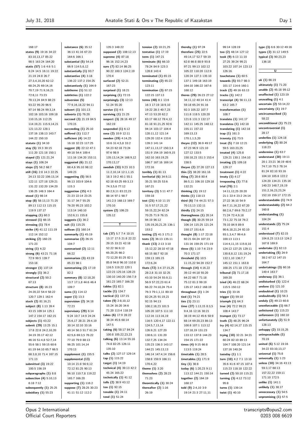| 168:17                                     | substance $(6)$ 35:12                   | 135:3 148:22                            | tension (2) 10:21,25                      | thereby (1) 97:24                            | 99:14 128:19                                 | type (3) 6:6 30:12 49:16                         |
|--------------------------------------------|-----------------------------------------|-----------------------------------------|-------------------------------------------|----------------------------------------------|----------------------------------------------|--------------------------------------------------|
| states (9) 19:16 34:22                     | 36:13 41:16 67:23                       | supposed (2) 108:12,13                  | tentative $(1)$ 17:19                     | therefore $(25)$ 22:5                        | too (2) 48:14 127:12                         | types (2) 31:12 149:5                            |
| 83:10,13,17 85:22                          | 164:6 166:1                             | supreme (4) 87:18                       | term $(1)$ 147:21                         | 49:14,17 52:7 59:19                          | took (9) 6:13 11:10                          | typical (3) 90:23,23                             |
| 98:5 163:24 164:20                         | substantial $(5)$ 54:14                 | 96:16 152:14,23                         | terminate $(6)$ 66:10                     | 62:8 66:8 88:9 93:8                          | 27:25 39:24 99:21                            | 136:18                                           |
| statis (57) 1:6 4:6 5:1                    | 66:9 114:5,6,12                         | sure (7) 82:14 86:25                    | 78:24 84:9 123:3                          | 97:21 99:13 102:12                           | 103:22 107:14 123:13                         |                                                  |
| 6:24 14:5 16:11 19:22                      | substantially (1) 93:7                  | 90:22 100:3 124:2,19                    | 128:8 143:4                               | 105:22 110:20 112:9                          | 126:16                                       | $\overline{\mathtt{U}}$                          |
| 21:19 24:8 26:7                            | substantive (4) 3:18                    | 170:4                                   | terminated $(1)$ 65:15                    | 120:24 127:3 135:10                          | touchstone $(1)$ 60:5                        |                                                  |
| 27:3,4,10,20 62:12                         | 136:22 137:2 154:25                     | surfaced (2) 52:21                      | terminating $(2)$ 65:22                   | 137:1 149:18 163:19                          | towards (5) 93:7 98:3                        | uk (1) 66:19                                     |
| 68:24,25 69:14,16                          | substantively (1) 164:9                 | 167:23                                  | 123:11                                    | 164:10 166:22 167:6                          | 101:17 114:6 160:1                           | ultimately $(1)$ 71:20                           |
| 70:7,19 71:9,16,21                         | subtheme $(1)$ 51:12                    | surprised $(1)$ 18:21                   | termination $(3)$ 67:15                   | 168:12                                       | track (2) 49:16 63:13                        | unable (2) 45:18 99:12                           |
| 72:8,11 73:23                              | subtleties $(1)$ 122:2                  | surprising $(1)$ 72:15                  | 122:15 137:13                             | theres (29) 26:23 27:12                      | tracks $(1)$ 142:2                           | unaffected $(1)$ 123:19<br>unavailing $(1)$ 4:1  |
| 78:13,24 84:9 88:23<br>93:22 95:20 96:5    | subversion (5)<br>77:9,16,18,22 94:11   | surprisingly $(3)$ 12:13<br>51:24 55:20 | terms (48) 8:1 13:6<br>16:3 17:19 18:9,10 | 34:11,12 40:14 41:4<br>59:18 65:24 91:16     | transcript $(4)$ 56:11,13<br>63:2 165:7      | uncertain (2) 53:14,22                           |
| 97:14 98:24 99:3,14                        | subvert (1) 101:13                      | survive $(1)$ 4:5                       | 19:22 28:3 40:7,23                        | 92:3 105:22 107:7                            | transformation (1)                           | uncertainty $(1)$ 19:7                           |
| 102:16 103:16 109:18                       | subverts (1) 76:20                      | surviving $(1)$ 21:25                   | 47:13 53:20 62:2                          | 111:8 118:5 120:20                           | 108:7                                        | uncircumscribed (1)                              |
| 110:15,16 112:25                           | succeed (3) 21:19 84:5                  | suspect (3) 28:16 49:17                 | 63:17 68:12 78:4,12                       | 121:6 131:3 132:17                           | translate $(1)$ 141:17                       | 58:22                                            |
| 114:19,21 115:9,14,21                      | 170:15                                  | 162:19                                  | 81:18 91:21,25 92:6                       | 142:11 145:25 148:12                         | translates $(1)$ 142:18                      | unconditional $(1)$ 75:23                        |
| 121:13,22 128:1                            | succeeding $(1)$ 25:10                  | suspended $(1)$ 6:12                    | 94:14 103:17 104:4                        | 155:11 157:22                                | translating $(1)$ 142:18                     | uncontroversial (1)                              |
| 137:16 138:13 143:7                        | suffered (1) 112:7                      | svea (2) 10:9 12:11                     | 120:11,12 121:14                          | 169:13,13                                    | trap $(1)$ 161:3                             | 28:17                                            |
| 144:22 150:10                              | sufficient $(4)$ 14:22                  | sweden (19) 4:14,25                     | 129:20 132:4 133:6                        | 170:1,1,5,20                                 | travesty $(1)$ 73:5                          | underlies $(1)$ 124:18                           |
| statute (1) 34:10                          | 16:18 32:23 117:25                      | 10:6 31:4,5,8 33:2                      | 139:3 141:14                              | theyre (12) 36:9 49:17                       | treat (5) 7:18 12:21                         | underlying $(2)$ 80:24                           |
| stay (5) 19:3 30:15                        | suggest (8) 22:12 47:1                  | 54:23 62:18 73:24                       | 147:11,13,17 150:3,4                      | 67:23 96:9 121:10                            | 59:5 163:23,25                               | 118:23                                           |
| 111:20 121:18 150:1                        | 49:18 54:4 109:4                        | 97:6 98:9                               | 151:9 154:19 160:9,15                     | 127:12 133:5                                 | treated $(4)$ 125:8                          | undermine $(1)$ 63:7                             |
| stayed (2) 121:21,24                       | 111:16 134:20 153:11                    | 135:13,14,24 168:9,12                   | 162:10 163:19,25                          | 150:18,23 151:3 153:4                        | 129:21 130:1 154:10                          | understand $(30)$ 19:11                          |
| stays (1) 106:24                           | suggested $(6)$ 21:12                   | 170:13,17                               | 166:7 167:16 169:14                       | 158:5                                        | treating (2) 109:18                          | 20:1 23:21 36:19 48:6                            |
| steps (2) 58:2 68:7                        | 68:4,6 95:10 98:12                      | swedish (33) 9:23 10:3                  | 172:16                                    | theyve (2) 27:20 127:13                      | 129:17                                       | 74:7,10 75:3 78:14                               |
| still (16) 2:8 14:3 22:25                  | 149:23                                  | 11:2,10,14 12:1,1,15                    | terribly $(1)$ 81:13                      | thin (2) 38:20 161:16                        | treatment $(1)$ 4:22                         | 81:24 82:10 93:16                                |
| 24:13 32:22 106:13,14                      | suggesting $(5)$ 56:5                   | 18:3 19:2 40:1 55:1                     | territorial $(6)$ 34:9,11                 | thing (7) 28:6 80:4                          | treaty $(1)$ 4:17                            | 104:10 105:8 122:2<br>124:20 134:21 135:16       |
| 122:11 127:18 129:21                       | 96:13 103:9 104:6<br>115:3              | 62:18 63:25 69:3,13                     | 35:21 50:25 53:6<br>167:21                | 86:5,11 106:10 129:18<br>132:21              | trespassing $(1)$ 77:8                       | 140:23 148:7,19,19                               |
| 131:22 132:20 134:20<br>136:25 148:3 164:4 | suggestion $(15)$ 4:3                   | 74:3,5,6 77:12<br>80:2,9,11 83:22,23    | territory (3) 5:11 47:7                   | thinking (1) 19:12                           | trial (70) 2:1<br>14:11,12,25 20:20          | 151:2,16,23,23,24                                |
| stood (1) 98:14                            | 21:23 22:14 23:25                       | 88:14 97:1 98:7                         | 159:18                                    | thinks (1) 118:13                            | 21:1 22:4 23:2 24:14                         | 152:10 159:17 172:15                             |
| stop (8) 58:13,13 71:25                    | 31:17 34:7 55:25                        | 141:2,5 168:13 169:7                    | test (21) 4:10 11:15                      | third (6) 7:6 44:21 57:3                     | 27:22 36:10 54:9                             | understandable (1) 74:9                          |
| 89:13 112:13 115:15                        | 76:20 95:23 102:2                       | 170:10                                  | 31:5 57:17,21,22                          | 70:13,13 132:11                              | 64:7,11,16,22 67:20                          | understandably (2) 64:2                          |
| 119:9 137:17                               | 113:14 140:10                           | system (2) 106:23                       | 59:15,22,24 62:24                         | thirdly (1) 24:15                            | 68:2,6,7 69:6 70:2,17                        | 160:8                                            |
| stopping $(1)$ 60:3                        | 152:6,11 155:8                          | 135:12                                  | 70:25 71:9 76:15                          | thoroughness $(1)$ 20:14                     | 71:24 72:4,9,18                              | understanding (1)                                |
| stressed $(1)$ 66:15                       | suggests $(1)$ 36:2                     |                                         | 94:19 96:12                               | though (8) 30:25 59:14                       | 73:1,22 75:18 76:2                           | 104:24                                           |
| stressing $(1)$ 78:4                       | suit (1) 115:25                         | т                                       | 135:19,20,21,25 136:1                     | 106:14 115:25 121:24                         | 78:10 84:9 89:9                              | understands (2) 75:24                            |
| strike (4) 41:12 111:19                    | sullivan (1) 160:14                     |                                         | 153:2                                     | 150:17 151:6,6                               | 90:6,18,21,24 92:10                          | 151:4                                            |
| 112:14 152:12                              | summarily $(1)$ 45:19                   | tab (37) 5:7 7:4 10:15                  | testing (2) 41:3 171:2                    | thought (8) 1:17 22:18                       | 93:1,3,4,7 99:4,6                            | understood $(7)$ 82:15                           |
| striking (2) 160:23                        | summarise (2) 26:15                     | 13:17 17:5 21:8 22:22                   | tests (2) 36:13 135:11                    | 60:21 64:24 107:23                           | 100:13 113:1                                 | 104:8,23 113:13 124:2                            |
| 171:23                                     | 104:7                                   | 29:15 33:21 42:18                       | thank (13) 2:13 3:10                      | 131:16 159:25 171:19                         | 114:4,11,15 115:8,10                         | 167:8 169:9                                      |
| string $(1)$ 4:22                          | summarised (2) 12:11                    | 52:22 56:9,12<br>65:20,25 66:2          | 15:12,22 28:10 47:18                      | three (5) 1:10 7:6 23:9                      | 124:12 127:25 129:11                         | undertake $(1)$ 62:13<br>undertaking $(5)$ 24:9  |
| strong (6) 43:21 71:16                     | 66:22                                   | 72:12,20 81:25 82:1                     | 68:15 88:7 92:18<br>159:13 165:15         | 70:3 171:17                                  | 130:8,8,12 131:19,24<br>132:1,10 136:7,7     | 38:2 67:12 147:15                                |
| 72:9 99:5 139:7<br>153:18                  | summarises $(3)$ 43:19<br>85:23 98:1    | 85:8 94:8 96:10 110:8                   | 172:6,24                                  | threshold $(5)$ 10:5<br>11:15,22 94:20 152:7 | 145:12 151:1 163:8                           | 164:7                                            |
| stronger $(1)$ 137:14                      | summarising $(2)$ 17:19                 | 116:5 119:22 120:1                      | thats (72) 3:4 27:15,25                   | through (14) 4:16,22                         | 168:25 171:18 172:16                         | undertakings (3) 60:16                           |
| strongly $(1)$ 36:2                        | 82:2                                    | 122:23 125:16 128:23                    | 28:2,8 31:10 32:25                        | 39:12 44:18 55:20                            | tribunal (3) 71:17,18                        | 149:4 163:7                                      |
| structural (2) 50:2                        | summary (8) 12:18,20                    | 130:10 140:20 156:7,9                   | 43:10 54:24 55:9,11                       | 64:22 68:7 71:18                             | 169:20                                       | underway $(1)$ 36:1                              |
| 67:13                                      | 13:7 17:1,8 44:6 46:4                   | 161:23 165:7 166:20                     | 56:9 57:22,23 61:4                        | 75:12 81:3 99:19                             | tried (4) 46:22 68:24                        | undisturbed $(1)$ 122:4                          |
| structure (8) 16:23                        | 109:7                                   | tables $(1)$ 82:1                       | 66:22 74:10,24 75:4                       | 135:17 143:2 168:19                          | 115:5 150:12                                 | undone $(1)$ 121:10                              |
| 24:20,22 54:4 58:22                        | sums (1) 114:12                         | tackle (1) 134:7                        | 76:3 79:1,1,11 80:10                      | throughout $(1)$ 1:24                        | tries $(1)$ 33:16                            | undoubted $(1)$ 10:23                            |
| 120:7 129:1 162:4                          | super (1) 13:3                          | tactical (1) 137:15                     | 82:24,25 91:19,21                         | tied (1) 74:21                               | trigger (1) 59:10                            | undoubtedly $(1)$ 56:3                           |
| stuck (2) 81:16,21                         | supervision (2) 34:18                   | taken (9) 2:8,10,12                     | 92:15 94:13                               | ties (1) 23:11                               | triumph $(1)$ 64:3                           | unduly (2) 49:13 60:8                            |
| subject (8) 1:13 39:4                      | 72:23                                   | 15:24 16:20 34:6                        | 100:2,18,23 101:5                         | time (27) 1:13,15 8:3,5                      | true (4) 72:2 99:21                          | unenforceable $(1)$ 66:7                         |
| 43:15 109:14 125:1                         | supervisory (29) 6:14                   | 71:20 113:4 118:19                      | 105:20 107:5 111:10                       | 9:4,16 12:16 30:21                           | 108:4 143:7                                  | unfettered $(1)$ 115:23                          |
| 147:2 154:17 162:15                        | 9:24 10:7 14:9 24:24                    | takes (6) 17:9 28:22                    | 112:16 113:16,19                          | 38:19 44:12 45:6 58:9                        | trumpet (1) 73:17                            | unforeseen (1) 160:10                            |
| subjects $(1)$ 43:22                       | 25:6,17 28:21 29:4,19                   | 38:24 45:6 68:14                        | 116:5 120:4,17 122:11                     | 68:14 69:20,23 86:13                         | truth (2) 48:25 96:24                        | unfortunately $(2)$ 51:9                         |
| submit (29) 13:25 15:1                     | 30:14 32:10 33:16                       | 147:5<br>taking (6) 58:17 84:24         | 124:5,7,13,14                             | 100:8 107:1 113:12                           | try (4) 62:14,17 115:15                      | 128:13<br>unhappy (2) 33:15,25                   |
| 17:8 22:8 24:2,10,20                       | 40:14 50:3 51:7 61:24                   | 100:8 105:22,23,23                      | 126:9,21 127:20                           | 127:18,19 131:23                             | 134:7                                        | unimpeachable (1)                                |
| 34:19 35:17 42:12<br>46:16 51:4,8 52:7,14  | 62:5,6 69:3,5 76:22<br>77:10 79:9 88:13 | talking (6) 13:14 55:16                 | 130:6,11 131:20<br>132:7,25 134:24        | 133:12 137:8 144:23<br>154:15 171:22         | trying (10) 32:21 34:21<br>60:24 82:10 89:13 | 70:19                                            |
| 55:6 58:1 59:15 60:6                       | 96:25 101:14,14                         | 74:8 82:25 126:11                       | 135:23 136:3 143:17                       | times (4) 9:15 66:8                          | 104:7 108:20 121:14                          | united (6) 5:12 19:16                            |
| 61:19 64:10 65:7 66:5                      | 170:13                                  | 135:10                                  | 144:21 145:13,13                          | 113:5 119:24                                 | 137:16 140:24                                | 34:22 83:10,13,17                                |
| 68:3,8,10 71:4 167:15                      | supplement $(1)$ 155:5                  | talks (2) 127:17 129:14                 | 146:14 147:4,14 156:6                     | timetable $(1)$ 28:5                         | tuesday $(1)$ 1:1                            | universal $(1)$ 75:8                             |
| 171:13                                     | supplemental (13)                       | tap (1) 115:22                          | 158:8 159:9 166:11                        | timetables $(1)$ 171:9                       | turn (10) 4:2 7:1 13:10                      | universally $(1)$ 1:23                           |
| submitted $(3)$ 19:22                      | 10:14 21:8 56:9,12                      | target (1) 14:19                        | 170:4,22                                  | tiny (1) 38:8                                | 35:6 41:6 47:15 107:4                        | unless (10) 34:16 43:13                          |
| 100:5 156:19                               | 72:12 81:25 90:13                       | technical (4) 39:13 42:2                | theme $(1)$ 3:20                          | today (6) 1:20,23 9:11                       | 115:23 118:18 122:22                         | 59:3,17 68:13                                    |
| subparagraphs $(1)$ 8:8                    | 96:10 110:7,8 119:22                    | 45:24 165:22                            | themselves $(2)$ 28:23                    | 113:12 144:21 150:14                         | turned (2) 50:10 115:21                      | 157:22,22 159:11                                 |
| subsection $(4)$ 5:10,13                   | 165:7 166:20                            | technically $(1)$ 41:12                 | 71:23                                     | together (2) 164:19                          | turning (3) 4:12 73:12                       | 171:10 172:5                                     |
| 6:18 7:12                                  | supporting $(1)$ 116:2                  | tells (2) 38:9 43:12                    | theoretically (1) 30:24                   | 168:17                                       | 95:8                                         | unlike (1) 141:1                                 |
| subsequently $(1)$ 25:25                   | suppose (7) 28:25 30:23                 | ten (1) 92:15                           | thereafter $(2)$ 1:16                     | told (9) 2:4,10 3:9                          | turns (1) 139:14                             | unlikely (1) 38:17                               |
| subsidiary $(1)$ 55:23                     | 41:11 51:12 112:2                       | tenable $(1)$ 24:11<br>tend $(1)$ 51:24 | 26:19                                     | 19:14 21:3 27:11,11                          | twist (1) 40:10                              | unnecessary $(1)$ 54:5<br>unpromising $(1)$ 57:5 |
|                                            |                                         |                                         |                                           |                                              |                                              |                                                  |